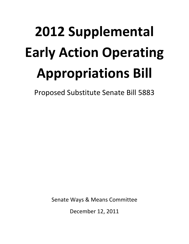# **2012 Supplemental Early Action Operating Appropriations Bill**

Proposed Substitute Senate Bill 5883

Senate Ways & Means Committee

December 12, 2011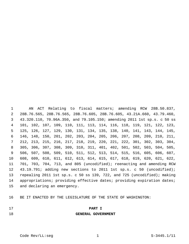1 AN ACT Relating to fiscal matters; amending RCW 28B.50.837, 2 28B.76.565, 28B.76.565, 28B.76.605, 28B.76.605, 43.21A.660, 43.79.460, 3 43.320.110, 70.96A.350, and 79.105.150; amending 2011 1st sp.s. c 50 ss 4 101, 102, 107, 109, 110, 111, 113, 114, 116, 118, 119, 121, 122, 123, 5 125, 126, 127, 129, 130, 131, 134, 135, 138, 140, 141, 143, 144, 145, 6 146, 148, 150, 201, 202, 203, 204, 205, 206, 207, 208, 209, 210, 211, 7 212, 213, 215, 216, 217, 218, 219, 220, 221, 222, 301, 302, 303, 304, 8 305, 306, 307, 308, 309, 310, 311, 401, 402, 501, 502, 503, 504, 505, 9 506, 507, 508, 509, 510, 511, 512, 513, 514, 515, 516, 605, 606, 607, 10 608, 609, 610, 611, 612, 613, 614, 615, 617, 618, 619, 620, 621, 622, 11 701, 703, 704, 713, and 805 (uncodified); reenacting and amending RCW 12 43.19.791; adding new sections to 2011 1st sp.s. c 50 (uncodified); 13 repealing 2011 1st sp.s. c 50 ss 139, 722, and 725 (uncodified); making 14 appropriations; providing effective dates; providing expiration dates; 15 and declaring an emergency.

16 BE IT ENACTED BY THE LEGISLATURE OF THE STATE OF WASHINGTON:

- 
- 17 **PART I**

#### 18 **GENERAL GOVERNMENT**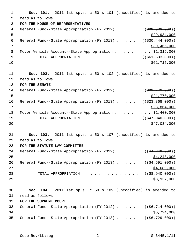1 **Sec. 101.** 2011 1st sp.s. c 50 s 101 (uncodified) is amended to 2 read as follows: 3 **FOR THE HOUSE OF REPRESENTATIVES** 4 General Fund--State Appropriation (FY 2012) . . . . . . ((\$29,923,000))  $5 - 5$  \$29,934,000 6 General Fund--State Appropriation (FY 2013) . . . . . .  $($   $($ \$30,444,000)) 7 \$30,465,000 8 Motor Vehicle Account--State Appropriation . . . . . . . . \$1,316,000 9 TOTAL APPROPRIATION . . . . . . . . . . . . . ((\$61,683,000))  $\frac{10}{10}$  \$61,715,000 11 **Sec. 102.** 2011 1st sp.s. c 50 s 102 (uncodified) is amended to 12 read as follows: 13 **FOR THE SENATE** 14 General Fund--State Appropriation (FY 2012) . . . . . . ((\$21,772,000)) 15 \$21,770,000 16 General Fund--State Appropriation (FY 2013) . . . . . . ((\$23,868,000))  $17$  \$23,864,000 18 Motor Vehicle Account--State Appropriation . . . . . . . . . \$1,400,000 19 TOTAL APPROPRIATION . . . . . . . . . . . . . ((<del>\$47,040,000</del>)) 20 \$47,034,000 21 **Sec. 103.** 2011 1st sp.s. c 50 s 107 (uncodified) is amended to 22 read as follows: 23 **FOR THE STATUTE LAW COMMITTEE** 24 General Fund--State Appropriation (FY 2012) . . . . . . .((\$4,249,000))  $25$   $54,248,000$ 26 General Fund--State Appropriation (FY 2013) . . . . . . . ((\$4,691,000))  $27$   $$4,689,000$ 28 TOTAL APPROPRIATION . . . . . . . . . . . . . . ((<del>\$8,940,000</del>)) 29 \$8,937,000 30 **Sec. 104.** 2011 1st sp.s. c 50 s 109 (uncodified) is amended to 31 read as follows: 32 **FOR THE SUPREME COURT** 33 General Fund--State Appropriation (FY 2012) . . . . . . .((\$6,714,000))  $34$  \$6,724,000 35 General Fund--State Appropriation (FY 2013) . . . . . . .((\$6,729,000))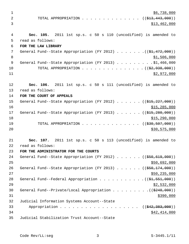$\frac{1}{26}$ ,738,000 2 TOTAL APPROPRIATION . . . . . . . . . . . . . ((<del>\$13,443,000</del>)) 3 \$13,462,000 4 **Sec. 105.** 2011 1st sp.s. c 50 s 110 (uncodified) is amended to 5 read as follows: 6 **FOR THE LAW LIBRARY** 7 General Fund--State Appropriation (FY 2012) . . . . . . . ((<del>\$1,472,000</del>)) 8  $31,506,000$ 9 General Fund--State Appropriation (FY 2013) . . . . . . . . . \$1,466,000 10 TOTAL APPROPRIATION . . . . . . . . . . . . . . ((<del>\$2,938,000</del>))  $11$  \$2,972,000 12 **Sec. 106.** 2011 1st sp.s. c 50 s 111 (uncodified) is amended to 13 read as follows: 14 **FOR THE COURT OF APPEALS** 15 General Fund--State Appropriation (FY 2012) . . . . . . ((\$15,227,000))  $16$  \$15,285,000 17 General Fund--State Appropriation (FY 2013) . . . . . . ((\$15,280,000))  $18$  \$15,290,000 19 TOTAL APPROPRIATION . . . . . . . . . . . . . ((<del>\$30,507,000</del>)) 20 \$30,575,000 \$30,575,000 21 **Sec. 107.** 2011 1st sp.s. c 50 s 113 (uncodified) is amended to 22 read as follows: 23 **FOR THE ADMINISTRATOR FOR THE COURTS** 24 General Fund--State Appropriation (FY 2012) . . . . . . ((\$50,619,000)) 25 \$50,692,000 26 General Fund--State Appropriation (FY 2013) . . . . . ((\$50,174,000))  $27$  \$50,235,000 28 General Fund--Federal Appropriation  $\ldots$  . . . . . . . . . . ( $(\frac{21}{21}, 551, 000)$ )  $29$   $\frac{$2,532,000}{2}$ 30 General Fund--Private/Local Appropriation  $\ldots$ , ... ... ( $(\frac{2248}{000})$ )  $31$  \$390,000 32 Judicial Information Systems Account--State 33 Appropriation . . . . . . . . . . . . . . . . . ((\$42,383,000))  $34$   $$42,414,000$ 35 Judicial Stabilization Trust Account--State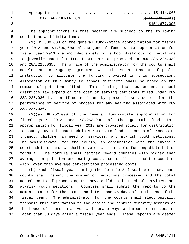1 Appropriation . . . . . . . . . . . . . . . . . . . . . . \$5,414,000 2 TOTAL APPROPRIATION . . . . . . . . . . . . . ((\$150,389,000)) 3 \$151,677,000

 4 The appropriations in this section are subject to the following 5 conditions and limitations:

 6 (1) \$1,800,000 of the general fund--state appropriation for fiscal 7 year 2012 and \$1,800,000 of the general fund--state appropriation for 8 fiscal year 2013 are provided solely for school districts for petitions 9 to juvenile court for truant students as provided in RCW 28A.225.030 10 and 28A.225.035. The office of the administrator for the courts shall 11 develop an interagency agreement with the superintendent of public 12 instruction to allocate the funding provided in this subsection. 13 Allocation of this money to school districts shall be based on the 14 number of petitions filed. This funding includes amounts school 15 districts may expend on the cost of serving petitions filed under RCW 16 28A.225.030 by certified mail or by personal service or for the 17 performance of service of process for any hearing associated with RCW 18 28A.225.030.

19 (2)(a) \$8,252,000 of the general fund--state appropriation for 20 fiscal year 2012 and \$8,253,000 of the general fund--state 21 appropriation for fiscal year 2013 are provided solely for distribution 22 to county juvenile court administrators to fund the costs of processing 23 truancy, children in need of services, and at-risk youth petitions. 24 The administrator for the courts, in conjunction with the juvenile 25 court administrators, shall develop an equitable funding distribution 26 formula. The formula shall neither reward counties with higher than 27 average per-petition processing costs nor shall it penalize counties 28 with lower than average per-petition processing costs.

29 (b) Each fiscal year during the 2011-2013 fiscal biennium, each 30 county shall report the number of petitions processed and the total 31 actual costs of processing truancy, children in need of services, and 32 at-risk youth petitions. Counties shall submit the reports to the 33 administrator for the courts no later than 45 days after the end of the 34 fiscal year. The administrator for the courts shall electronically 35 transmit this information to the chairs and ranking minority members of 36 the house of representatives and senate ways and means committees no 37 later than 60 days after a fiscal year ends. These reports are deemed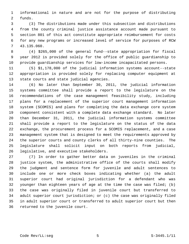1 informational in nature and are not for the purpose of distributing 2 funds.

 3 (3) The distributions made under this subsection and distributions 4 from the county criminal justice assistance account made pursuant to 5 section 801 of this act constitute appropriate reimbursement for costs 6 for any new programs or increased level of service for purposes of RCW 7 43.135.060.

 8 (4) \$265,000 of the general fund--state appropriation for fiscal 9 year 2012 is provided solely for the office of public guardianship to 10 provide guardianship services for low-income incapacitated persons.

11 (5) \$1,178,000 of the judicial information systems account--state 12 appropriation is provided solely for replacing computer equipment at 13 state courts and state judicial agencies.

14 (6) No later than September 30, 2011, the judicial information 15 systems committee shall provide a report to the legislature on the 16 recommendations of the case management feasibility study, including 17 plans for a replacement of the superior court management information 18 system (SCOMIS) and plans for completing the data exchange core system 19 component consistent with a complete data exchange standard. No later 20 than December 31, 2011, the judicial information systems committee 21 shall provide a report to the legislature on the status of the data 22 exchange, the procurement process for a SCOMIS replacement, and a case 23 management system that is designed to meet the requirements approved by 24 the superior courts and county clerks of all thirty-nine counties. The 25 legislature shall solicit input on both reports from judicial, 26 legislative, and executive stakeholders.

27 (7) In order to gather better data on juveniles in the criminal 28 justice system, the administrative office of the courts shall modify 29 the judgment and sentence form for juvenile and adult sentences to 30 include one or more check boxes indicating whether (a) the adult 31 superior court had original jurisdiction for a defendant who was 32 younger than eighteen years of age at the time the case was filed; (b) 33 the case was originally filed in juvenile court but transferred to 34 adult superior court jurisdiction; or (c) the case was originally filed 35 in adult superior court or transferred to adult superior court but then 36 returned to the juvenile court.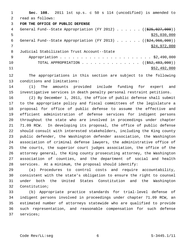1 **Sec. 108.** 2011 1st sp.s. c 50 s 114 (uncodified) is amended to 2 read as follows: 3 **FOR THE OFFICE OF PUBLIC DEFENSE** 4 General Fund--State Appropriation (FY 2012) . . . . . . ((\$25,027,000))  $\frac{$25,030,000}{200}$ 6 General Fund--State Appropriation (FY 2013) . . . . . . ((\$24,966,000)) 7 \$24,972,000 8 Judicial Stabilization Trust Account--State 9 Appropriation . . . . . . . . . . . . . . . . . . . . . . \$2,490,000 10 TOTAL APPROPRIATION . . . . . . . . . . . . . ((<del>\$52,483,000</del>))  $11$  \$52,492,000

12 The appropriations in this section are subject to the following 13 conditions and limitations:

14 (1) The amounts provided include funding for expert and 15 investigative services in death penalty personal restraint petitions.

16 (2) By December 1, 2011, the office of public defense shall submit 17 to the appropriate policy and fiscal committees of the legislature a 18 proposal for office of public defense to assume the effective and 19 efficient administration of defense services for indigent persons 20 throughout the state who are involved in proceedings under chapter 21 71.09 RCW. In developing its proposal, the office of public defense 22 should consult with interested stakeholders, including the King county 23 public defender, the Washington defender association, the Washington 24 association of criminal defense lawyers, the administrative office of 25 the courts, the superior court judges association, the office of the 26 attorney general, the King county prosecuting attorney, the Washington 27 association of counties, and the department of social and health 28 services. At a minimum, the proposal should identify:

29 (a) Procedures to control costs and require accountability, 30 consistent with the state's obligation to ensure the right to counsel 31 under both the United States Constitution and the Washington 32 Constitution;

33 (b) Appropriate practice standards for trial-level defense of 34 indigent persons involved in proceedings under chapter 71.09 RCW, an 35 estimated number of attorneys statewide who are qualified to provide 36 such representation, and reasonable compensation for such defense 37 services;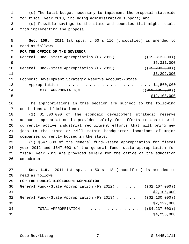1 (c) The total budget necessary to implement the proposal statewide 2 for fiscal year 2013, including administrative support; and

 3 (d) Possible savings to the state and counties that might result 4 from implementing the proposal.

```
 5 Sec. 109. 2011 1st sp.s. c 50 s 116 (uncodified) is amended to
  6 read as follows:
 7 FOR THE OFFICE OF THE GOVERNOR
8 General Fund--State Appropriation (FY 2012) . . . . . . . (($5,312,000))
\frac{1}{2} \frac{1}{2} \frac{1}{2} \frac{1}{2} \frac{1}{2} \frac{1}{2} \frac{1}{2} \frac{1}{2} \frac{1}{2} \frac{1}{2} \frac{1}{2} \frac{1}{2} \frac{1}{2} \frac{1}{2} \frac{1}{2} \frac{1}{2} \frac{1}{2} \frac{1}{2} \frac{1}{2} \frac{1}{2} \frac{1}{2} \frac{1}{2} 10 General Fund--State Appropriation (FY 2013) . . . . . . .(($5,293,000))
11 $5,292,000
12 Economic Development Strategic Reserve Account--State
13 Appropriation . . . . . . . . . . . . . . . . . . . . . . $1,500,000
14 TOTAL APPROPRIATION . . . . . . . . . . . . . ((<del>$12,105,000</del>))
15 $12,103,000
```
16 The appropriations in this section are subject to the following 17 conditions and limitations:

18 (1) \$1,500,000 of the economic development strategic reserve 19 account appropriation is provided solely for efforts to assist with 20 currently active industrial recruitment efforts that will bring new 21 jobs to the state or will retain headquarter locations of major 22 companies currently housed in the state.

23 (2) \$547,000 of the general fund--state appropriation for fiscal 24 year 2012 and \$547,000 of the general fund--state appropriation for 25 fiscal year 2013 are provided solely for the office of the education 26 ombudsman.

27 **Sec. 110.** 2011 1st sp.s. c 50 s 118 (uncodified) is amended to 28 read as follows:

```
30 General Fund--State Appropriation (FY 2012) \ldots . . . . . ((\frac{2}{32,107,000}))
31 $2,106,000
32 General Fund--State Appropriation (FY 2013) \ldots \ldots... ((\frac{62,130,000}{2}))
\frac{$2,129,000}{ }34 TOTAL APPROPRIATION \cdots, . . . . . . . . . . . . ((\frac{1}{24}, \frac{237}{100}))
\frac{$4,235,000}{ }
```
29 **FOR THE PUBLIC DISCLOSURE COMMISSION**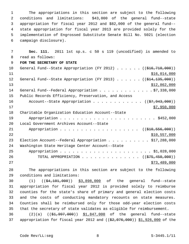1 The appropriations in this section are subject to the following 2 conditions and limitations: \$43,000 of the general fund--state 3 appropriation for fiscal year 2012 and \$82,000 of the general fund-- 4 state appropriation for fiscal year 2013 are provided solely for the 5 implementation of Engrossed Substitute Senate Bill No. 5021 (election 6 campaign disclosure).

 7 **Sec. 111.** 2011 1st sp.s. c 50 s 119 (uncodified) is amended to 8 read as follows: 9 **FOR THE SECRETARY OF STATE** 10 General Fund--State Appropriation (FY 2012)  $\ldots$  . . . (( $\text{\textsterling}16,710,000$ ))  $11$   $$16,014,000$ 12 General Fund--State Appropriation (FY 2013) . . . . . . ((\$14,135,000)) 13 \$12,862,000 14 General Fund--Federal Appropriation . . . . . . . . . . . . \$7,338,000 15 Public Records Efficiency, Preservation, and Access 16 Account--State Appropriation . . . . . . . . . . . ((\$7,943,000))  $17$  \$7,950,000 18 Charitable Organization Education Account--State 19 Appropriation . . . . . . . . . . . . . . . . . . . . . . . \$452,000 20 Local Government Archives Account--State 21 Appropriation . . . . . . . . . . . . . . . . . ((\$10,556,000)) 22 \$10,557,000 23 Election Account--Federal Appropriation . . . . . . . . . \$17,288,000 24 Washington State Heritage Center Account--State 25 Appropriation . . . . . . . . . . . . . . . . . . . . . . \$1,028,000 26 TOTAL APPROPRIATION . . . . . . . . . . . . . ((<del>\$75,450,000</del>)) 27 \$73,489,000

28 The appropriations in this section are subject to the following 29 conditions and limitations:

30 (1) (( $\frac{64,101,000}{9}$ ) \$3,898,000 of the general fund--state 31 appropriation for fiscal year 2012 is provided solely to reimburse 32 counties for the state's share of primary and general election costs 33 and the costs of conducting mandatory recounts on state measures. 34 Counties shall be reimbursed only for those odd-year election costs 35 that the secretary of state validates as eligible for reimbursement.

36 (2)(a) ((\$1,997,000)) \$1,847,000 of the general fund--state 37 appropriation for fiscal year 2012 and  $((\$2,076,000)$  \$1,926,000 of the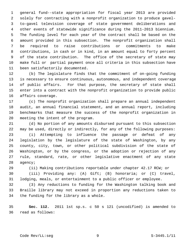1 general fund--state appropriation for fiscal year 2013 are provided 2 solely for contracting with a nonprofit organization to produce gavel- 3 to-gavel television coverage of state government deliberations and 4 other events of statewide significance during the 2011-2013 biennium. 5 The funding level for each year of the contract shall be based on the 6 amount provided in this subsection. The nonprofit organization shall 7 be required to raise contributions or commitments to make 8 contributions, in cash or in kind, in an amount equal to forty percent 9 of the state contribution. The office of the secretary of state may 10 make full or partial payment once all criteria in this subsection have 11 been satisfactorily documented.

12 (b) The legislature finds that the commitment of on-going funding 13 is necessary to ensure continuous, autonomous, and independent coverage 14 of public affairs. For that purpose, the secretary of state shall 15 enter into a contract with the nonprofit organization to provide public 16 affairs coverage.

17 (c) The nonprofit organization shall prepare an annual independent 18 audit, an annual financial statement, and an annual report, including 19 benchmarks that measure the success of the nonprofit organization in 20 meeting the intent of the program.

21 (d) No portion of any amounts disbursed pursuant to this subsection 22 may be used, directly or indirectly, for any of the following purposes: 23 (i) Attempting to influence the passage or defeat of any 24 legislation by the legislature of the state of Washington, by any 25 county, city, town, or other political subdivision of the state of 26 Washington, or by the congress, or the adoption or rejection of any 27 rule, standard, rate, or other legislative enactment of any state 28 agency;

29 (ii) Making contributions reportable under chapter 42.17 RCW; or

30 (iii) Providing any: (A) Gift; (B) honoraria; or (C) travel, 31 lodging, meals, or entertainment to a public officer or employee.

32 (3) Any reductions to funding for the Washington talking book and 33 Braille library may not exceed in proportion any reductions taken to 34 the funding for the library as a whole.

35 **Sec. 112.** 2011 1st sp.s. c 50 s 121 (uncodified) is amended to 36 read as follows: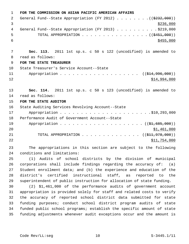|                | FOR THE COMMISSION ON ASIAN PACIFIC AMERICAN AFFAIRS                   |
|----------------|------------------------------------------------------------------------|
| 2              | General Fund--State Appropriation (FY 2012) ( $(\frac{2332}{100})$ )   |
| 3              | \$236,000                                                              |
| 4              | General Fund--State Appropriation (FY 2013) \$219,000                  |
| 5              | TOTAL APPROPRIATION ( $(\frac{2451}{000})$ )                           |
| 6              | \$455,000                                                              |
|                |                                                                        |
| 7              | Sec. 113. 2011 1st sp.s. c 50 s 122 (uncodified) is amended to         |
| 8              | read as follows:                                                       |
| $\overline{9}$ | FOR THE STATE TREASURER                                                |
| 10             | State Treasurer's Service Account--State                               |
| 11             | Appropriation ( $(\frac{124}{996}, 000)$ )                             |
| 12             | \$14,994,000                                                           |
|                |                                                                        |
| 13             | Sec. 114. 2011 1st sp.s. c 50 s 123 (uncodified) is amended to         |
| 14             | read as follows:                                                       |
| 15             | FOR THE STATE AUDITOR                                                  |
| 16             | State Auditing Services Revolving Account--State                       |
| 17             |                                                                        |
| 18             | Performance Audit of Government Account--State                         |
| 19             |                                                                        |
| 20             | \$1,461,000                                                            |
| 21             | TOTAL APPROPRIATION $\ldots$ , ( $(\frac{211}{7978}, 000)$ )           |
| 22             | \$11,754,000                                                           |
| 23             | The appropriations in this section are subject to the following        |
| 24             | conditions and limitations:                                            |
| 25             | (1) Audits of school districts by the division of municipal            |
| 26             | corporations shall include findings regarding the accuracy of: $(a)$   |
| 27             | Student enrollment data; and (b) the experience and education of the   |
| 28             | district's certified instructional staff, as reported to the           |
| 29             | superintendent of public instruction for allocation of state funding.  |
| 30             | (2) \$1,461,000 of the performance audits of government account        |
| 31             | appropriation is provided solely for staff and related costs to verify |
| 32             | the accuracy of reported school district data submitted for state      |
| 33             | funding purposes; conduct school district program audits of state      |
| 34             | funded public school programs; establish the specific amount of state  |
| 35             | funding adjustments whenever audit exceptions occur and the amount is  |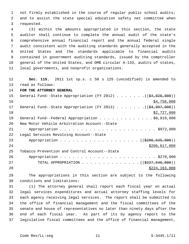1 not firmly established in the course of regular public school audits; 2 and to assist the state special education safety net committee when 3 requested.

 4 (3) Within the amounts appropriated in this section, the state 5 auditor shall continue to complete the annual audit of the state's 6 comprehensive annual financial report and the annual federal single 7 audit consistent with the auditing standards generally accepted in the 8 United States and the standards applicable to financial audits 9 contained in government auditing standards, issued by the comptroller 10 general of the United States, and OMB circular A-133, audits of states, 11 local governments, and nonprofit organizations.

12 **Sec. 115.** 2011 1st sp.s. c 50 s 125 (uncodified) is amended to

13 read as follows:

14 **FOR THE ATTORNEY GENERAL**

| 15 | General Fund--State Appropriation (FY 2012) ( $(\frac{24,028,000}{})$ |
|----|-----------------------------------------------------------------------|
| 16 | \$4,758,000                                                           |
| 17 | General Fund--State Appropriation (FY 2013) $($ $($ \$3,997,000))     |
| 18 | \$2,727,000                                                           |
| 19 | General Fund--Federal Appropriation \$8,819,000                       |
| 20 | New Motor Vehicle Arbitration Account--State                          |
| 21 |                                                                       |
| 22 | Legal Services Revolving Account--State                               |
| 23 | Appropriation ((\$206,635,000))                                       |
| 24 | \$206,617,000                                                         |
| 25 | Tobacco Prevention and Control Account--State                         |
| 26 |                                                                       |
| 27 | TOTAL APPROPRIATION ( $(\frac{2227}{546},000)$ )                      |
| 28 | \$224,163,000                                                         |

29 The appropriations in this section are subject to the following 30 conditions and limitations:

31 (1) The attorney general shall report each fiscal year on actual 32 legal services expenditures and actual attorney staffing levels for 33 each agency receiving legal services. The report shall be submitted to 34 the office of financial management and the fiscal committees of the 35 senate and house of representatives no later than ninety days after the 36 end of each fiscal year. As part of its by agency report to the 37 legislative fiscal committees and the office of financial management,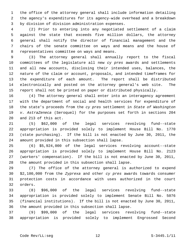1 the office of the attorney general shall include information detailing 2 the agency's expenditures for its agency-wide overhead and a breakdown 3 by division of division administration expenses.

 4 (2) Prior to entering into any negotiated settlement of a claim 5 against the state that exceeds five million dollars, the attorney 6 general shall notify the director of financial management and the 7 chairs of the senate committee on ways and means and the house of 8 representatives committee on ways and means.

 9 (3) The attorney general shall annually report to the fiscal 10 committees of the legislature all new *cy pres* awards and settlements 11 and all new accounts, disclosing their intended uses, balances, the 12 nature of the claim or account, proposals, and intended timeframes for 13 the expenditure of each amount. The report shall be distributed 14 electronically and posted on the attorney general's web site. The 15 report shall not be printed on paper or distributed physically.

16 (4) The attorney general shall enter into an interagency agreement 17 with the department of social and health services for expenditure of 18 the state's proceeds from the *cy pres* settlement in *State of Washington* 19 *v. AstraZeneca* (Seroquel) for the purposes set forth in sections 204 20 and 213 of this act.

21 (5) \$62,000 of the legal services revolving fund--state 22 appropriation is provided solely to implement House Bill No. 1770 23 (state purchasing). If the bill is not enacted by June 30, 2011, the 24 amount provided in this subsection shall lapse.

25 (6) \$5,924,000 of the legal services revolving account--state 26 appropriation is provided solely to implement House Bill No. 2123 27 (workers' compensation). If the bill is not enacted by June 30, 2011, 28 the amount provided in this subsection shall lapse.

29 (7) The office of the attorney general is authorized to expend 30 \$2,100,000 from the *Zyprexa* and other *cy pres* awards towards consumer 31 protection costs in accordance with uses authorized in the court 32 orders.

33 (8) \$96,000 of the legal services revolving fund--state 34 appropriation is provided solely to implement Senate Bill No. 5076 35 (financial institutions). If the bill is not enacted by June 30, 2011, 36 the amount provided in this subsection shall lapse.

37 (9) \$99,000 of the legal services revolving fund--state 38 appropriation is provided solely to implement Engrossed Second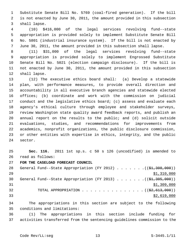1 Substitute Senate Bill No. 5769 (coal-fired generation). If the bill 2 is not enacted by June 30, 2011, the amount provided in this subsection 3 shall lapse.

 4 (10) \$416,000 of the legal services revolving fund--state 5 appropriation is provided solely to implement Substitute Senate Bill 6 No. 5801 (industrial insurance system). If the bill is not enacted by 7 June 30, 2011, the amount provided in this subsection shall lapse.

 8 (11) \$31,000 of the legal services revolving fund--state 9 appropriation is provided solely to implement Engrossed Substitute 10 Senate Bill No. 5021 (election campaign disclosure). If the bill is 11 not enacted by June 30, 2011, the amount provided in this subsection 12 shall lapse.

13 (12) The executive ethics board shall: (a) Develop a statewide 14 plan, with performance measures, to provide overall direction and 15 accountability in all executive branch agencies and statewide elected 16 offices; (b) coordinate and work with the commission on judicial 17 conduct and the legislative ethics board; (c) assess and evaluate each 18 agency's ethical culture through employee and stakeholder surveys, 19 review Washington state quality award feedback reports, and publish an 20 annual report on the results to the public; and (d) solicit outside 21 evaluations, studies, and recommendations for improvements from 22 academics, nonprofit organizations, the public disclosure commission, 23 or other entities with expertise in ethics, integrity, and the public 24 sector.

25 **Sec. 116.** 2011 1st sp.s. c 50 s 126 (uncodified) is amended to 26 read as follows:

27 **FOR THE CASELOAD FORECAST COUNCIL**

28 General Fund--State Appropriation (FY 2012)  $\ldots$  ... . . . (( $\pm 1,308,000$ )) 29 \$1,310,000 30 General Fund--State Appropriation (FY 2013) . . . . . . .((\$1,305,000))  $31$  \$1,309,000 32 TOTAL APPROPRIATION  $\ldots$ , . . . . . . . . . . . . ( $(\frac{2}{2}, 613, 000)$ )  $\frac{1}{2}$  33

34 The appropriations in this section are subject to the following 35 conditions and limitations:

36 (1) The appropriations in this section include funding for 37 activities transferred from the sentencing guidelines commission to the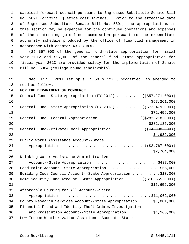1 caseload forecast council pursuant to Engrossed Substitute Senate Bill 2 No. 5891 (criminal justice cost savings). Prior to the effective date 3 of Engrossed Substitute Senate Bill No. 5891, the appropriations in 4 this section may be expended for the continued operations and expenses 5 of the sentencing guidelines commission pursuant to the expenditure 6 authority schedule produced by the office of financial management in 7 accordance with chapter 43.88 RCW.

 8 (2) \$57,000 of the general fund--state appropriation for fiscal 9 year 2012 and \$57,000 of the general fund--state appropriation for 10 fiscal year 2013 are provided solely for the implementation of Senate 11 Bill No. 5304 (college bound scholarship).

12 **Sec. 117.** 2011 1st sp.s. c 50 s 127 (uncodified) is amended to 13 read as follows:

14 **FOR THE DEPARTMENT OF COMMERCE**

| 15 | General Fund--State Appropriation (FY 2012) ( $(\frac{257}{271000})$                       |
|----|--------------------------------------------------------------------------------------------|
| 16 | \$57,261,000                                                                               |
| 17 | General Fund--State Appropriation (FY 2013) $($ $($ $\frac{272}{179}$ , 000))              |
| 18 | \$72,459,000                                                                               |
| 19 |                                                                                            |
| 20 | \$282,185,000                                                                              |
| 21 | General Fund--Private/Local Appropriation ( $(\frac{24,998,000}{2})$ )                     |
| 22 | \$4,989,000                                                                                |
| 23 | Public Works Assistance Account--State                                                     |
| 24 |                                                                                            |
| 25 | \$2,764,000                                                                                |
| 26 | Drinking Water Assistance Administrative                                                   |
| 27 | Account--State Appropriation \$437,000                                                     |
| 28 | Lead Paint Account--State Appropriation \$65,000                                           |
| 29 | Building Code Council Account--State Appropriation \$13,000                                |
| 30 | Home Security Fund Account--State Appropriation $($ $($ $\frac{216}{655}, \frac{690}{69})$ |
| 31 | \$16,652,000                                                                               |
| 32 | Affordable Housing for All Account--State                                                  |
| 33 |                                                                                            |
| 34 | County Research Services Account--State Appropriation \$1,081,000                          |
| 35 | Financial Fraud and Identity Theft Crimes Investigation                                    |
| 36 | and Prosecution Account--State Appropriation $\ldots$ \$1,166,000                          |
| 37 | Low-Income Weatherization Assistance Account--State                                        |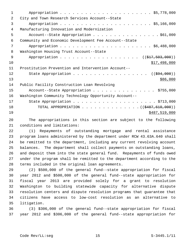| $\mathbf 1$   |                                                       |
|---------------|-------------------------------------------------------|
| $\mathcal{L}$ | City and Town Research Services Account--State        |
| 3             |                                                       |
| 4             | Manufacturing Innovation and Modernization            |
| 5             | Account--State Appropriation \$61,000                 |
| 6             | Community and Economic Development Fee Account--State |
| 7             |                                                       |
| 8             | Washington Housing Trust Account--State               |
| 9             | Appropriation ( $(\frac{177}{503}, 500)$ )            |
| 10            | \$17,498,000                                          |
| 11            | Prostitution Prevention and Intervention Account--    |
| 12            | ( ( \$94,000) )                                       |
| 13            | \$86,000                                              |
| 14            | Public Facility Construction Loan Revolving           |
| 15            | Account--State Appropriation \$755,000                |
| 16            | Washington Community Technology Opportunity Account-- |
| 17            |                                                       |
| 18            | TOTAL APPROPRIATION ( $(\frac{2487,610,000}{s})$ )    |
| 19            | \$487,519,000                                         |
|               |                                                       |

20 The appropriations in this section are subject to the following 21 conditions and limitations:

22 (1) Repayments of outstanding mortgage and rental assistance 23 program loans administered by the department under RCW 43.63A.640 shall 24 be remitted to the department, including any current revolving account 25 balances. The department shall collect payments on outstanding loans, 26 and deposit them into the state general fund. Repayments of funds owed 27 under the program shall be remitted to the department according to the 28 terms included in the original loan agreements.

29 (2) \$500,000 of the general fund--state appropriation for fiscal 30 year 2012 and \$500,000 of the general fund--state appropriation for 31 fiscal year 2013 are provided solely for a grant to resolution 32 Washington to building statewide capacity for alternative dispute 33 resolution centers and dispute resolution programs that guarantee that 34 citizens have access to low-cost resolution as an alternative to 35 litigation.

36 (3) \$306,000 of the general fund--state appropriation for fiscal 37 year 2012 and \$306,000 of the general fund--state appropriation for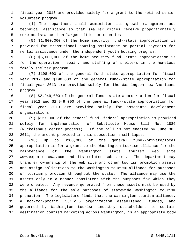1 fiscal year 2013 are provided solely for a grant to the retired senior 2 volunteer program.

 3 (4) The department shall administer its growth management act 4 technical assistance so that smaller cities receive proportionately 5 more assistance than larger cities or counties.

 6 (5) \$1,800,000 of the home security fund--state appropriation is 7 provided for transitional housing assistance or partial payments for 8 rental assistance under the independent youth housing program.

 9 (6) \$5,000,000 of the home security fund--state appropriation is 10 for the operation, repair, and staffing of shelters in the homeless 11 family shelter program.

12 (7) \$198,000 of the general fund--state appropriation for fiscal 13 year 2012 and \$198,000 of the general fund--state appropriation for 14 fiscal year 2013 are provided solely for the Washington new Americans 15 program.

16 (8) \$2,949,000 of the general fund--state appropriation for fiscal 17 year 2012 and \$2,949,000 of the general fund--state appropriation for 18 fiscal year 2013 are provided solely for associate development 19 organizations.

20 (9) \$127,000 of the general fund--federal appropriation is provided 21 solely for implementation of Substitute House Bill No. 1886 22 (Ruckelshaus center process). If the bill is not enacted by June 30, 23 2011, the amount provided in this subsection shall lapse.

24 (10) Up to \$200,000 of the general fund--private/local 25 appropriation is for a grant to the Washington tourism alliance for the 26 maintenance of the Washington state tourism web site 27 www.experiencewa.com and its related sub-sites. The department may 28 transfer ownership of the web site and other tourism promotion assets 29 and assign obligations to the Washington tourism alliance for purposes 30 of tourism promotion throughout the state. The alliance may use the 31 assets only in a manner consistent with the purposes for which they 32 were created. Any revenue generated from these assets must be used by 33 the alliance for the sole purposes of statewide Washington tourism 34 promotion. The legislature finds that the Washington tourism alliance, 35 a not-for-profit, 501.c.6 organization established, funded, and 36 governed by Washington tourism industry stakeholders to sustain 37 destination tourism marketing across Washington, is an appropriate body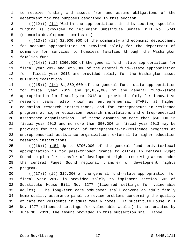1 to receive funding and assets from and assume obligations of the 2 department for the purposes described in this section.

 $(1, 2)$  (( $(1, 12)$ ) (11) Within the appropriations in this section, specific 4 funding is provided to implement Substitute Senate Bill No. 5741 5 (economic development commission).

 $6$  ( $(\frac{13}{13})$ ) (12) \$2,000,000 of the community and economic development 7 fee account appropriation is provided solely for the department of 8 commerce for services to homeless families through the Washington 9 families fund.

10  $((+14))$   $(13)$  \$260,000 of the general fund--state appropriation for 11 fiscal year 2012 and \$259,000 of the general fund--state appropriation 12 for fiscal year 2013 are provided solely for the Washington asset 13 building coalitions.

 $14$  ( $(\overline{+15})$ )  $(14)$  \$1,859,000 of the general fund--state appropriation 15 for fiscal year 2012 and \$1,859,000 of the general fund--state 16 appropriation for fiscal year 2013 are provided solely for innovative 17 research teams, also known as entrepreneurial STARS, at higher 18 education research institutions, and for entrepreneurs-in-residence 19 programs at higher education research institutions and entrepreneurial 20 assistance organizations. Of these amounts no more than \$50,000 in 21 fiscal year 2012 and no more than \$50,000 in fiscal year 2013 may be 22 provided for the operation of entrepreneurs-in-residence programs at 23 entrepreneurial assistance organizations external to higher education 24 research institutions.

25  $((+16))$   $(15)$  Up to \$700,000 of the general fund--private/local 26 appropriation is for pass-through grants to cities in central Puget 27 Sound to plan for transfer of development rights receiving areas under 28 the central Puget Sound regional transfer of development rights 29 program.

30  $((+17))$   $(16)$  \$16,000 of the general fund--state appropriation for 31 fiscal year 2012 is provided solely to implement section 503 of 32 Substitute House Bill No. 1277 (licensed settings for vulnerable 33 adults). The long-term care ombudsman shall convene an adult family 34 home quality assurance panel to review problems concerning the quality 35 of care for residents in adult family homes. If Substitute House Bill 36 No. 1277 (licensed settings for vulnerable adults) is not enacted by 37 June 30, 2011, the amount provided in this subsection shall lapse.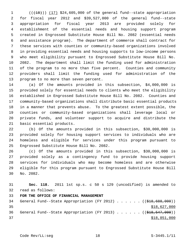$1$  ( $(\overline{+18})$ ) (17) \$24,605,000 of the general fund--state appropriation 2 for fiscal year 2012 and \$39,527,000 of the general fund--state 3 appropriation for fiscal year 2013 are provided solely for 4 establishment of the essential needs and housing support program 5 created in Engrossed Substitute House Bill No. 2082 (essential needs 6 and assistance program). The department of commerce shall contract for 7 these services with counties or community-based organizations involved 8 in providing essential needs and housing supports to low-income persons 9 who meet eligibility pursuant to Engrossed Substitute House Bill No. 10 2082. The department shall limit the funding used for administration 11 of the program to no more than five percent. Counties and community 12 providers shall limit the funding used for administration of the 13 program to no more than seven percent.

14 (a) Of the amounts provided in this subsection, \$4,000,000 is 15 provided solely for essential needs to clients who meet the eligibility 16 established in Engrossed Substitute House Bill No. 2082. Counties and 17 community-based organizations shall distribute basic essential products 18 in a manner that prevents abuse. To the greatest extent possible, the 19 counties or community-based organizations shall leverage local or 20 private funds, and volunteer support to acquire and distribute the 21 basic essential products.

22 (b) Of the amounts provided in this subsection, \$30,000,000 is 23 provided solely for housing support services to individuals who are 24 homeless and eligible for services under this program pursuant to 25 Engrossed Substitute House Bill No. 2082.

26 (c) Of the amounts provided in this subsection, \$30,000,000 is 27 provided solely as a contingency fund to provide housing support 28 services for individuals who may become homeless and are otherwise 29 eligible for this program pursuant to Engrossed Substitute House Bill 30 No. 2082.

31 **Sec. 118.** 2011 1st sp.s. c 50 s 129 (uncodified) is amended to 32 read as follows: 33 **FOR THE OFFICE OF FINANCIAL MANAGEMENT** 34 General Fund--State Appropriation (FY 2012) . . . . . ((\$18,688,000)) 35 \$18,627,000 36 General Fund--State Appropriation (FY 2013) . . . . . . ((\$18,547,000)) 37 \$18,851,000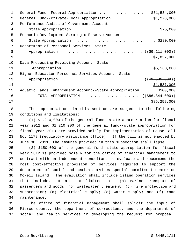| 1  | General Fund--Federal Appropriation \$31,534,000                 |
|----|------------------------------------------------------------------|
| 2  | General Fund--Private/Local Appropriation \$1,270,000            |
| 3  | Performance Audits of Government Account--                       |
| 4  |                                                                  |
| 5  | Economic Development Strategic Reserve Account--                 |
| 6  |                                                                  |
| 7  | Department of Personnel Services--State                          |
| 8  |                                                                  |
| 9  | \$7,827,000                                                      |
| 10 | Data Processing Revolving Account--State                         |
| 11 |                                                                  |
| 12 | Higher Education Personnel Services Account--State               |
| 13 |                                                                  |
| 14 | \$1,537,000                                                      |
| 15 | Aquatic Lands Enhancement Account--State Appropriation \$100,000 |
| 16 | TOTAL APPROPRIATION ( $(\frac{286}{344},000)$ )                  |
| 17 | \$85,259,000                                                     |
|    |                                                                  |

18 The appropriations in this section are subject to the following 19 conditions and limitations:

20 (1) \$1,210,000 of the general fund--state appropriation for fiscal 21 year 2012 and \$1,210,000 of the general fund--state appropriation for 22 fiscal year 2013 are provided solely for implementation of House Bill 23 No. 1178 (regulatory assistance office). If the bill is not enacted by 24 June 30, 2011, the amounts provided in this subsection shall lapse.

25 (2) \$150,000 of the general fund--state appropriation for fiscal 26 year 2012 is provided solely for the office of financial management to 27 contract with an independent consultant to evaluate and recommend the 28 most cost-effective provision of services required to support the 29 department of social and health services special commitment center on 30 McNeil Island. The evaluation shall include island operation services 31 that include, but are not limited to: (a) Marine transport of 32 passengers and goods; (b) wastewater treatment; (c) fire protection and 33 suppression; (d) electrical supply; (e) water supply; and (f) road 34 maintenance.

35 The office of financial management shall solicit the input of 36 Pierce county, the department of corrections, and the department of 37 social and health services in developing the request for proposal,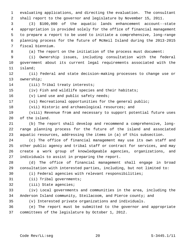1 evaluating applications, and directing the evaluation. The consultant 2 shall report to the governor and legislature by November 15, 2011.

 3 (3) \$100,000 of the aquatic lands enhancement account--state 4 appropriation is provided solely for the office of financial management 5 to prepare a report to be used to initiate a comprehensive, long-range 6 planning process for the future of McNeil Island during the 2013-2015 7 fiscal biennium.

8 (a) The report on the initiation of the process must document:

 9 (i) Ownership issues, including consultation with the federal 10 government about its current legal requirements associated with the 11 island;

12 (ii) Federal and state decision-making processes to change use or 13 ownership;

14 (iii) Tribal treaty interests;

15 (iv) Fish and wildlife species and their habitats;

16 (v) Land use and public safety needs;

17 (vi) Recreational opportunities for the general public;

18 (vii) Historic and archaeological resources; and

19 (viii) Revenue from and necessary to support potential future uses 20 of the island.

21 (b) The report shall develop and recommend a comprehensive, long-22 range planning process for the future of the island and associated 23 aquatic resources, addressing the items in (a) of this subsection.

24 (c) The office of financial management may use its own staff and 25 other public agency and tribal staff or contract for services, and may 26 create a work group of knowledgeable agencies, organizations, and 27 individuals to assist in preparing the report.

28 (d) The office of financial management shall engage in broad 29 consultation with interested parties, including, but not limited to:

30 (i) Federal agencies with relevant responsibilities;

31 (ii) Tribal governments;

32 (iii) State agencies;

33 (iv) Local governments and communities in the area, including the 34 Anderson Island community, Steilacoom, and Pierce county; and

35 (v) Interested private organizations and individuals.

36 (e) The report must be submitted to the governor and appropriate 37 committees of the legislature by October 1, 2012.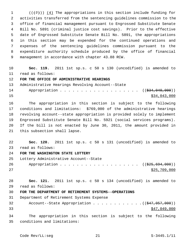1  $((+7))$   $(4)$  The appropriations in this section include funding for 2 activities transferred from the sentencing guidelines commission to the 3 office of financial management pursuant to Engrossed Substitute Senate 4 Bill No. 5891 (criminal justice cost savings). Prior to the effective 5 date of Engrossed Substitute Senate Bill No. 5891, the appropriations 6 in this section may be expended for the continued operations and 7 expenses of the sentencing guidelines commission pursuant to the 8 expenditure authority schedule produced by the office of financial 9 management in accordance with chapter 43.88 RCW.

10 **Sec. 119.** 2011 1st sp.s. c 50 s 130 (uncodified) is amended to 11 read as follows:

12 **FOR THE OFFICE OF ADMINISTRATIVE HEARINGS**

13 Administrative Hearings Revolving Account--State

14 Appropriation . . . . . . . . . . . . . . . . . ((\$34,040,000))  $\frac{15}{34}$ ,043,000

16 The appropriation in this section is subject to the following 17 conditions and limitations: \$769,000 of the administrative hearings 18 revolving account--state appropriation is provided solely to implement 19 Engrossed Substitute Senate Bill No. 5921 (social services programs). 20 If the bill is not enacted by June 30, 2011, the amount provided in 21 this subsection shall lapse.

22 **Sec. 120.** 2011 1st sp.s. c 50 s 131 (uncodified) is amended to 23 read as follows:

24 **FOR THE WASHINGTON STATE LOTTERY**

25 Lottery Administrative Account--State

26 Appropriation . . . . . . . . . . . . . . . . . ((\$25,694,000))  $27$  \$25,709,000

28 **Sec. 121.** 2011 1st sp.s. c 50 s 134 (uncodified) is amended to 29 read as follows:

30 **FOR THE DEPARTMENT OF RETIREMENT SYSTEMS--OPERATIONS**

31 Department of Retirement Systems Expense

32 Account--State Appropriation . . . . . . . . . . .  $($   $($ \$47,057,000))  $33$   $547,049,000$ 

34 The appropriation in this section is subject to the following 35 conditions and limitations: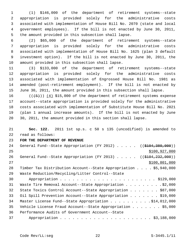1 (1) \$146,000 of the department of retirement systems--state 2 appropriation is provided solely for the administrative costs 3 associated with implementation of House Bill No. 2070 (state and local 4 government employees). If the bill is not enacted by June 30, 2011, 5 the amount provided in this subsection shall lapse.

 6 (2) \$65,000 of the department of retirement systems--state 7 appropriation is provided solely for the administrative costs 8 associated with implementation of House Bill No. 1625 (plan 3 default 9 investment option). If the bill is not enacted by June 30, 2011, the 10 amount provided in this subsection shall lapse.

11 (3) \$133,000 of the department of retirement systems--state 12 appropriation is provided solely for the administrative costs 13 associated with implementation of Engrossed House Bill No. 1981 as 14 amended (post-retirement employment). If the bill is not enacted by 15 June 30, 2011, the amount provided in this subsection shall lapse.

16  $((+5))$   $(4)$  \$15,000 of the department of retirement systems expense 17 account--state appropriation is provided solely for the administrative 18 costs associated with implementation of Substitute House Bill No. 2021 19 (plan 1 annual increase amounts). If the bill is not enacted by June 20 30, 2011, the amount provided in this section shall lapse.

21 **Sec. 122.** 2011 1st sp.s. c 50 s 135 (uncodified) is amended to 22 read as follows:

#### 23 **FOR THE DEPARTMENT OF REVENUE**

| 24 | General Fund--State Appropriation (FY 2012) $($ (\$104,380,000))              |
|----|-------------------------------------------------------------------------------|
| 25 | \$100, 927, 000                                                               |
| 26 | General Fund--State Appropriation (FY 2013) $($ $($ $\frac{104}{232}, 000)$ ) |
| 27 | \$100,801,000                                                                 |
| 28 | Timber Tax Distribution Account--State Appropriation \$5,940,000              |
| 29 | Waste Reduction/Recycling/Litter Control--State                               |
| 30 |                                                                               |
| 31 | Waste Tire Removal Account--State Appropriation \$2,000                       |
| 32 | State Toxics Control Account--State Appropriation \$87,000                    |
| 33 | Oil Spill Prevention Account--State Appropriation \$19,000                    |
| 34 | Master License Fund--State Appropriation \$14,012,000                         |
| 35 | Vehicle License Fraud Account--State Appropriation $\ldots$ \$5,000           |
| 36 | Performance Audits of Government Account--State                               |
| 37 |                                                                               |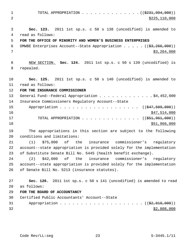1 TOTAL APPROPRIATION . . . . . . . . . . . . . ((\$231,994,000)) 2 \$225,110,000 3 **Sec. 123.** 2011 1st sp.s. c 50 s 138 (uncodified) is amended to 4 read as follows: 5 **FOR THE OFFICE OF MINORITY AND WOMEN'S BUSINESS ENTERPRISES** 6 OMWBE Enterprises Account--State Appropriation  $\ldots$  ...  $(83,266,000)$  $7$   $\frac{1}{3}$ , 264,000 8 NEW SECTION. **Sec. 124.** 2011 1st sp.s. c 50 s 139 (uncodified) is 9 repealed. 10 **Sec. 125.** 2011 1st sp.s. c 50 s 140 (uncodified) is amended to 11 read as follows: 12 **FOR THE INSURANCE COMMISSIONER** 13 General Fund--Federal Appropriation . . . . . . . . . . . . \$4,452,000 14 Insurance Commissioners Regulatory Account--State 15 Appropriation . . . . . . . . . . . . . . . . . ((\$47,509,000))  $16$  \$47,514,000 17 TOTAL APPROPRIATION . . . . . . . . . . . . . . ((\$51,961,000))  $18$  \$51,966,000 19 The appropriations in this section are subject to the following 20 conditions and limitations: 21 (1) \$75,000 of the insurance commissioner's regulatory 22 account--state appropriation is provided solely for the implementation 23 of Substitute Senate Bill No. 5445 (health benefit exchange). 24 (2) \$42,000 of the insurance commissioner's regulatory 25 account--state appropriation is provided solely for the implementation 26 of Senate Bill No. 5213 (insurance statutes). 27 **Sec. 126.** 2011 1st sp.s. c 50 s 141 (uncodified) is amended to read 28 as follows: 29 **FOR THE BOARD OF ACCOUNTANCY** 30 Certified Public Accountants' Account--State 31 Appropriation . . . . . . . . . . . . . . . . . .  $($   $($  $\frac{2}{3},$   $\frac{810}{100})$  $)$  $32$   $$2,808,000$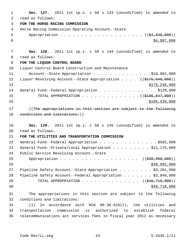| 1  | Sec. 127. 2011 1st sp.s. c 50 s 143 (uncodified) is amended to                            |
|----|-------------------------------------------------------------------------------------------|
| 2  | read as follows:                                                                          |
| 3  | FOR THE HORSE RACING COMMISSION                                                           |
| 4  | Horse Racing Commission Operating Account--State                                          |
| 5  |                                                                                           |
| 6  | \$4,007,000                                                                               |
|    |                                                                                           |
| 7  | Sec. 128. 2011 1st sp.s. c 50 s 144 (uncodified) is amended to                            |
| 8  | read as follows:                                                                          |
| 9  | FOR THE LIQUOR CONTROL BOARD                                                              |
| 10 | Liquor Control Board Construction and Maintenance                                         |
| 11 | Account--State Appropriation \$10,081,000                                                 |
| 12 | Liquor Revolving Account--State Appropriation $($ $($ $\frac{176}{646}, \frac{646}{000})$ |
| 13 | \$176, 238, 000                                                                           |
| 14 | General Fund--Federal Appropriation \$120,000                                             |
| 15 | TOTAL APPROPRIATION $($ $($ \$186,847,000) $)$                                            |
| 16 | \$186,439,000                                                                             |
| 17 | ((The appropriations in this section are subject to the following                         |
| 18 | conditions and limitations: ) )                                                           |
|    |                                                                                           |
| 19 | Sec. 129. 2011 1st sp.s. c 50 s 145 (uncodified) is amended to                            |
| 20 | read as follows:                                                                          |
| 21 | FOR THE UTILITIES AND TRANSPORTATION COMMISSION                                           |
| 22 | General Fund--Federal Appropriation \$502,000                                             |
| 23 | General Fund--Private/Local Appropriation \$11,175,000                                    |
| 24 | Public Service Revolving Account--State                                                   |
| 25 | Appropriation ((\$30,990,000))                                                            |
| 26 | \$30,992,000                                                                              |
| 27 | Pipeline Safety Account--State Appropriation \$3,201,000                                  |
| 28 | Pipeline Safety Account--Federal Appropriation \$2,848,000                                |
| 29 | TOTAL APPROPRIATION ( $(\frac{248}{716},000)$ )                                           |
| 30 | \$48,718,000                                                                              |
| 31 | The appropriations in this section are subject to the following                           |
| 32 | conditions and limitations:                                                               |
| 33 | In accordance with RCW 80.36.610(1), the utilities and<br>(1)                             |
| 34 | transportation commission is authorized to establish<br>federal                           |
| 35 | telecommunications act services fees in fiscal year 2012 as necessary                     |
|    |                                                                                           |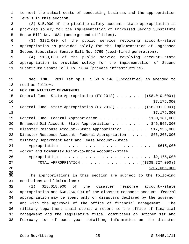1 to meet the actual costs of conducting business and the appropriation 2 levels in this section.

 3 (2) \$15,000 of the pipeline safety account--state appropriation is 4 provided solely for the implementation of Engrossed Second Substitute 5 House Bill No. 1634 (underground utilities).

 6 (3) \$182,000 of the public service revolving account--state 7 appropriation is provided solely for the implementation of Engrossed 8 Second Substitute Senate Bill No. 5769 (coal-fired generation).

 9 (4) \$169,000 of the public service revolving account--state 10 appropriation is provided solely for the implementation of Second 11 Substitute Senate Bill No. 5034 (private infrastructure).

12 **Sec. 130.** 2011 1st sp.s. c 50 s 146 (uncodified) is amended to 13 read as follows:

14 **FOR THE MILITARY DEPARTMENT**

| 15 | General Fund--State Appropriation (FY 2012) $($ $($ $\frac{69}{67}$ , 010, 000)) |
|----|----------------------------------------------------------------------------------|
| 16 | \$7,175,000                                                                      |
| 17 | General Fund--State Appropriation (FY 2013) ( $(\frac{28}{1001}, 000)$ )         |
| 18 | \$7,175,000                                                                      |
| 19 | General Fund--Federal Appropriation \$159,181,000                                |
| 20 | Enhanced 911 Account--State Appropriation \$46,556,000                           |
| 21 | Disaster Response Account--State Appropriation \$17,933,000                      |
| 22 | Disaster Response Account--Federal Appropriation \$66,266,000                    |
| 23 | Military Department Rent and Lease Account--State                                |
| 24 |                                                                                  |
| 25 | Worker and Community Right-to-Know Account--State                                |
| 26 |                                                                                  |
| 27 | TOTAL APPROPRIATION ( $(\frac{2308}{727},000)$ )                                 |
| 28 | \$307,066,000                                                                    |

 $\frac{29}{30}$ The appropriations in this section are subject to the following 31 conditions and limitations:

32 (1) \$18,018,000 of the disaster response account--state 33 appropriation and \$66,266,000 of the disaster response account--federal 34 appropriation may be spent only on disasters declared by the governor 35 and with the approval of the office of financial management. The 36 military department shall submit a report to the office of financial 37 management and the legislative fiscal committees on October 1st and 38 February 1st of each year detailing information on the disaster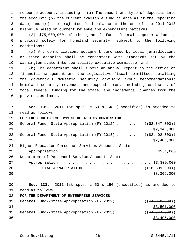1 response account, including: (a) The amount and type of deposits into 2 the account; (b) the current available fund balance as of the reporting 3 date; and (c) the projected fund balance at the end of the 2011-2013 4 biennium based on current revenue and expenditure patterns.

 5 (2) \$75,000,000 of the general fund--federal appropriation is 6 provided solely for homeland security, subject to the following 7 conditions:

 8 (a) Any communications equipment purchased by local jurisdictions 9 or state agencies shall be consistent with standards set by the 10 Washington state interoperability executive committee; and

11 (b) The department shall submit an annual report to the office of 12 financial management and the legislative fiscal committees detailing 13 the governor's domestic security advisory group recommendations; 14 homeland security revenues and expenditures, including estimates of 15 total federal funding for the state; and incremental changes from the 16 previous estimate.

17 **Sec. 131.** 2011 1st sp.s. c 50 s 148 (uncodified) is amended to 18 read as follows:

#### 19 **FOR THE PUBLIC EMPLOYMENT RELATIONS COMMISSION**

| 20 | General Fund--State Appropriation (FY 2012) $($ $($ \$2,347,000))              |
|----|--------------------------------------------------------------------------------|
| 21 | \$2,346,000                                                                    |
| 22 | General Fund--State Appropriation (FY 2013) $($ $($ $\frac{2}{2}, 402, 000)$ ) |
| 23 | \$2,400,000                                                                    |
| 24 | Higher Education Personnel Services Account--State                             |
| 25 |                                                                                |
| 26 | Department of Personnel Service Account--State                                 |
| 27 |                                                                                |
| 28 | TOTAL APPROPRIATION $($ $($ $\frac{1}{58}, \frac{309}{100})$                   |
| 29 | \$8,306,000                                                                    |

## 30 **Sec. 132.** 2011 1st sp.s. c 50 s 150 (uncodified) is amended to 31 read as follows:

### 32 **FOR THE DEPARTMENT OF ENTERPRISE SERVICES**

| 33 |  | General Fund--State Appropriation (FY 2012) $($ $(\frac{24.052.000}{})$         |  |  |  |  |             |  |
|----|--|---------------------------------------------------------------------------------|--|--|--|--|-------------|--|
| 34 |  |                                                                                 |  |  |  |  | \$3,501,000 |  |
| 35 |  | General Fund--State Appropriation (FY 2013) $($ $($ $\frac{4}{94}$ , 047, 000)) |  |  |  |  |             |  |
| 36 |  |                                                                                 |  |  |  |  | \$3,495,000 |  |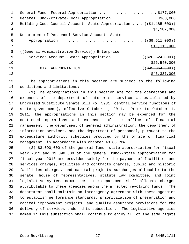|               | General Fund--Federal Appropriation \$177,000                                   |
|---------------|---------------------------------------------------------------------------------|
| $\mathcal{L}$ | General Fund--Private/Local Appropriation \$368,000                             |
| 3             | Building Code Council Account--State Appropriation $((\frac{1}{21}, 185, 000))$ |
| 4             | \$1,187,000                                                                     |
| 5             | Department of Personnel Service Account--State                                  |
| 6             |                                                                                 |
|               | \$11,119,000                                                                    |
| 8             | ((General Administration Service)) Enterprise                                   |
| - 9           | Services Account--State Appropriation ( $(\frac{226}{526}, \frac{524}{900})$ )  |
| 10            | \$26,540,000                                                                    |
| 11            | TOTAL APPROPRIATION $\ldots$ , ( $(\frac{245}{645}, \frac{864}{600})$ )         |
| 12            | \$46,387,000                                                                    |
|               |                                                                                 |

13 The appropriations in this section are subject to the following 14 conditions and limitations:

15 (1) The appropriations in this section are for the operations and 16 expenses of the department of enterprise services as established by 17 Engrossed Substitute Senate Bill No. 5931 (central service functions of 18 state government), effective October 1, 2011. Prior to October 1, 19 2011, the appropriations in this section may be expended for the 20 continued operations and expenses of the office of financial 21 management, the department of general administration, the department of 22 information services, and the department of personnel, pursuant to the 23 expenditure authority schedules produced by the office of financial 24 management, in accordance with chapter 43.88 RCW.

25 (2) \$3,090,000 of the general fund--state appropriation for fiscal 26 year 2012 and \$3,090,000 of the general fund--state appropriation for 27 fiscal year 2013 are provided solely for the payment of facilities and 28 services charges, utilities and contracts charges, public and historic 29 facilities charges, and capital projects surcharges allocable to the 30 senate, house of representatives, statute law committee, and joint 31 legislative systems committee. The department shall allocate charges 32 attributable to these agencies among the affected revolving funds. The 33 department shall maintain an interagency agreement with these agencies 34 to establish performance standards, prioritization of preservation and 35 capital improvement projects, and quality assurance provisions for the 36 delivery of services under this subsection. The legislative agencies 37 named in this subsection shall continue to enjoy all of the same rights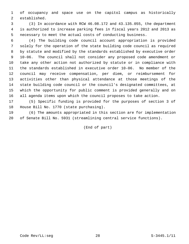1 of occupancy and space use on the capitol campus as historically 2 established.

 3 (3) In accordance with RCW 46.08.172 and 43.135.055, the department 4 is authorized to increase parking fees in fiscal years 2012 and 2013 as 5 necessary to meet the actual costs of conducting business.

 6 (4) The building code council account appropriation is provided 7 solely for the operation of the state building code council as required 8 by statute and modified by the standards established by executive order 9 10-06. The council shall not consider any proposed code amendment or 10 take any other action not authorized by statute or in compliance with 11 the standards established in executive order 10-06. No member of the 12 council may receive compensation, per diem, or reimbursement for 13 activities other than physical attendance at those meetings of the 14 state building code council or the council's designated committees, at 15 which the opportunity for public comment is provided generally and on 16 all agenda items upon which the council proposes to take action.

17 (5) Specific funding is provided for the purposes of section 3 of 18 House Bill No. 1770 (state purchasing).

19 (6) The amounts appropriated in this section are for implementation 20 of Senate Bill No. 5931 (streamlining central service functions).

(End of part)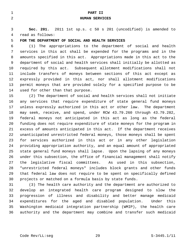| $\mathbf 1$    | PART II                                                                 |
|----------------|-------------------------------------------------------------------------|
| $\overline{2}$ | <b>HUMAN SERVICES</b>                                                   |
|                |                                                                         |
| 3              | Sec. 201. 2011 1st sp.s. c 50 s 201 (uncodified) is amended to          |
| 4              | read as follows:                                                        |
| 5              | FOR THE DEPARTMENT OF SOCIAL AND HEALTH SERVICES                        |
| 6              | The appropriations to the department of social and health<br>(1)        |
| 7              | services in this act shall be expended for the programs and in the      |
| 8              | amounts specified in this act. Appropriations made in this act to the   |
| 9              | department of social and health services shall initially be allotted as |
| 10             | required by this act. Subsequent allotment modifications shall not      |
| 11             | include transfers of moneys between sections of this act except as      |
| 12             | expressly provided in this act, nor shall allotment modifications       |
| 13             | permit moneys that are provided solely for a specified purpose to be    |
| 14             | used for other than that purpose.                                       |
| 15             | (2) The department of social and health services shall not initiate     |
| 16             | any services that require expenditure of state general fund moneys      |
| 17             | unless expressly authorized in this act or other law. The department    |
| 18             | may seek, receive, and spend, under RCW 43.79.260 through 43.79.282,    |
| 19             | federal moneys not anticipated in this act as long as the federal       |
| 20             | funding does not require expenditure of state moneys for the program in |
| 21             | excess of amounts anticipated in this act. If the department receives   |
| 22             | unanticipated unrestricted federal moneys, those moneys shall be spent  |
| 23             | for services authorized in this act or in any other legislation         |
| 24             | providing appropriation authority, and an equal amount of appropriated  |
| 25             | state general fund moneys shall lapse. Upon the lapsing of any moneys   |
| 26             | under this subsection, the office of financial management shall notify  |

29 that federal law does not require to be spent on specifically defined 30 projects or matched on a formula basis by state funds. 31 (3) The health care authority and the department are authorized to 32 develop an integrated health care program designed to slow the 33 progression of illness and disability and better manage medicaid 34 expenditures for the aged and disabled population. Under this

27 the legislative fiscal committees. As used in this subsection, 28 "unrestricted federal moneys" includes block grants and other funds

35 Washington medicaid integration partnership (WMIP), the health care 36 authority and the department may combine and transfer such medicaid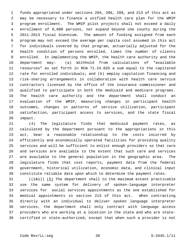1 funds appropriated under sections 204, 206, 208, and 213 of this act as 2 may be necessary to finance a unified health care plan for the WMIP 3 program enrollment. The WMIP pilot projects shall not exceed a daily 4 enrollment of 6,000 persons, nor expand beyond one county during the 5 2011-2013 fiscal biennium. The amount of funding assigned from each 6 program may not exceed the average per capita cost assumed in this act 7 for individuals covered by that program, actuarially adjusted for the 8 health condition of persons enrolled, times the number of clients 9 enrolled. In implementing the WMIP, the health care authority and the 10 department may: (a) Withhold from calculations of "available 11 resources" as set forth in RCW 71.24.025 a sum equal to the capitated 12 rate for enrolled individuals; and (b) employ capitation financing and 13 risk-sharing arrangements in collaboration with health care service 14 contractors licensed by the office of the insurance commissioner and 15 qualified to participate in both the medicaid and medicare programs. 16 The health care authority and the department shall conduct an 17 evaluation of the WMIP, measuring changes in participant health 18 outcomes, changes in patterns of service utilization, participant 19 satisfaction, participant access to services, and the state fiscal 20 impact.

21 (4) The legislature finds that medicaid payment rates, as 22 calculated by the department pursuant to the appropriations in this 23 act, bear a reasonable relationship to the costs incurred by 24 efficiently and economically operated facilities for providing quality 25 services and will be sufficient to enlist enough providers so that care 26 and services are available to the extent that such care and services 27 are available to the general population in the geographic area. The 28 legislature finds that cost reports, payment data from the federal 29 government, historical utilization, economic data, and clinical input 30 constitute reliable data upon which to determine the payment rates.

31  $((+6))$  (5) The department shall to the maximum extent practicable 32 use the same system for delivery of spoken-language interpreter 33 services for social services appointments as the one established for 34 medical appointments in section 213 of this act. When contracting 35 directly with an individual to deliver spoken language interpreter 36 services, the department shall only contract with language access 37 providers who are working at a location in the state and who are state-38 certified or state-authorized, except that when such a provider is not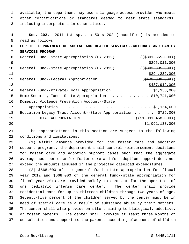1 available, the department may use a language access provider who meets 2 other certifications or standards deemed to meet state standards, 3 including interpreters in other states.

```
 4 Sec. 202. 2011 1st sp.s. c 50 s 202 (uncodified) is amended to
 5 read as follows:
 6 FOR THE DEPARTMENT OF SOCIAL AND HEALTH SERVICES--CHILDREN AND FAMILY
 7 SERVICES PROGRAM
8 General Fund--State Appropriation (FY 2012) . . . . . (($301,565,000))
\frac{1}{29} \frac{1}{295},011,000
10 General Fund--State Appropriation (FY 2013) . . . . . (($302,895,000))
11 $294,232,000
12 General Fund--Federal Appropriation . . . . . . . . . . (($473,030,000))
\frac{$487,912,000}{ }14 General Fund--Private/Local Appropriation . . . . . . . . . $1,358,000
15 Home Security Fund--State Appropriation . . . . . . . . . . $10,741,000
16 Domestic Violence Prevention Account--State
17 Appropriation . . . . . . . . . . . . . . . . . . . . . . $1,154,000
18 Education Legacy Trust Account--State Appropriation . . . . $725,000
19 TOTAL APPROPRIATION . . . . . . . . . . . . ((<del>$1,091,468,000</del>))
20 $1,091,133,000
```
21 The appropriations in this section are subject to the following 22 conditions and limitations:

23 (1) Within amounts provided for the foster care and adoption 24 support programs, the department shall control reimbursement decisions 25 for foster care and adoption support cases such that the aggregate 26 average cost per case for foster care and for adoption support does not 27 exceed the amounts assumed in the projected caseload expenditures.

28 (2) \$668,000 of the general fund--state appropriation for fiscal 29 year 2012 and \$668,000 of the general fund--state appropriation for 30 fiscal year 2013 are provided solely to contract for the operation of 31 one pediatric interim care center. The center shall provide 32 residential care for up to thirteen children through two years of age. 33 Seventy-five percent of the children served by the center must be in 34 need of special care as a result of substance abuse by their mothers. 35 The center shall also provide on-site training to biological, adoptive, 36 or foster parents. The center shall provide at least three months of 37 consultation and support to the parents accepting placement of children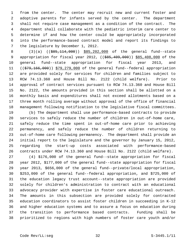1 from the center. The center may recruit new and current foster and 2 adoptive parents for infants served by the center. The department 3 shall not require case management as a condition of the contract. The 4 department shall collaborate with the pediatric interim care center to 5 determine if and how the center could be appropriately incorporated 6 into the performance-based contract model and report its findings to 7 the legislature by December 1, 2012.

8 (3)(a) ((\$85,114,000)) \$85,202,000 of the general fund--state 9 appropriation for fiscal year 2012, ((\$85,409,000)) \$85,408,000 of the 10 general fund--state appropriation for fiscal year 2013, and 11 ((\$79,166,000)) \$79,279,000 of the general fund--federal appropriation 12 are provided solely for services for children and families subject to 13 RCW 74.13.360 and House Bill No. 2122 (child welfare). Prior to 14 approval of contract services pursuant to RCW 74.13.360 and House Bill 15 No. 2122, the amounts provided in this section shall be allotted on a 16 monthly basis and expenditures shall not exceed allotments based on a 17 three month rolling average without approval of the office of financial 18 management following notification to the legislative fiscal committees.

19 (b) The department shall use performance-based contracts to provide 20 services to safely reduce the number of children in out-of-home care, 21 safely reduce the time spent in out-of-home care prior to achieving 22 permanency, and safely reduce the number of children returning to 23 out-of-home care following permanency. The department shall provide an 24 initial report to the legislature and the governor by January 15, 2012, 25 regarding the start-up costs associated with performance-based 26 contracts under RCW 74.13.360 and House Bill No. 2122 (child welfare).

27 (4) \$176,000 of the general fund--state appropriation for fiscal 28 year 2012, \$177,000 of the general fund--state appropriation for fiscal 29 year 2013, \$656,000 of the general fund--private/local appropriation, 30 \$253,000 of the general fund--federal appropriation, and \$725,000 of 31 the education legacy trust account--state appropriation are provided 32 solely for children's administration to contract with an educational 33 advocacy provider with expertise in foster care educational outreach. 34 The amounts in this subsection are provided solely for contracted 35 education coordinators to assist foster children in succeeding in K-12 36 and higher education systems and to assure a focus on education during 37 the transition to performance based contracts. Funding shall be 38 prioritized to regions with high numbers of foster care youth and/or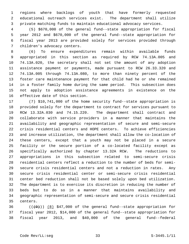1 regions where backlogs of youth that have formerly requested 2 educational outreach services exist. The department shall utilize 3 private matching funds to maintain educational advocacy services.

 4 (5) \$670,000 of the general fund--state appropriation for fiscal 5 year 2012 and \$670,000 of the general fund--state appropriation for 6 fiscal year 2013 are provided solely for services provided through 7 children's advocacy centers.

 8 (6) To ensure expenditures remain within available funds 9 appropriated in this section as required by RCW 74.13A.005 and 10 74.13A.020, the secretary shall not set the amount of any adoption 11 assistance payment or payments, made pursuant to RCW 26.33.320 and 12 74.13A.005 through 74.13A.080, to more than ninety percent of the 13 foster care maintenance payment for that child had he or she remained 14 in a foster family home during the same period. This subsection does 15 not apply to adoption assistance agreements in existence on the 16 effective date of this section.

17 (7) \$10,741,000 of the home security fund--state appropriation is 18 provided solely for the department to contract for services pursuant to 19 RCW 13.32A.030 and 74.15.220. The department shall contract and 20 collaborate with service providers in a manner that maintains the 21 availability and geographic representation of secure and semi-secure 22 crisis residential centers and HOPE centers. To achieve efficiencies 23 and increase utilization, the department shall allow the co-location of 24 these centers, except that a youth may not be placed in a secure 25 facility or the secure portion of a co-located facility except as 26 specifically authorized by chapter 13.32A RCW. The reductions to 27 appropriations in this subsection related to semi-secure crisis 28 residential centers reflect a reduction to the number of beds for semi-29 secure crisis residential centers and not a reduction in rates. Any 30 secure crisis residential center or semi-secure crisis residential 31 center bed reduction shall not be based solely upon bed utilization. 32 The department is to exercise its discretion in reducing the number of 33 beds but to do so in a manner that maintains availability and 34 geographic representation of semi-secure and secure crisis residential 35 centers.

36  $((+9))$  (8) \$47,000 of the general fund--state appropriation for 37 fiscal year 2012, \$14,000 of the general fund--state appropriation for 38 fiscal year 2013, and \$40,000 of the general fund--federal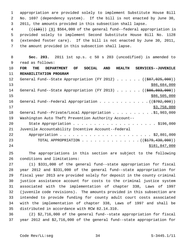1 appropriation are provided solely to implement Substitute House Bill 2 No. 1697 (dependency system). If the bill is not enacted by June 30, 3 2011, the amounts provided in this subsection shall lapse.

4 (( $(10)$ )) (9) \$564,000 of the general fund--federal appropriation is 5 provided solely to implement Second Substitute House Bill No. 1128 6 (extended foster care). If the bill is not enacted by June 30, 2011, 7 the amount provided in this subsection shall lapse.

 8 **Sec. 203.** 2011 1st sp.s. c 50 s 203 (uncodified) is amended to 9 read as follows: 10 **FOR THE DEPARTMENT OF SOCIAL AND HEALTH SERVICES--JUVENILE**

11 **REHABILITATION PROGRAM** 12 General Fund--State Appropriation (FY 2012) . . . . . ((\$87,025,000)) 13 \$86,684,000 14 General Fund--State Appropriation (FY 2013) . . . . . ((\$86,803,000))  $15$  \$86,505,000 \$86,505,000 16 General Fund--Federal Appropriation . . . . . . . . . . . . ((\$702,000))  $17$  \$3,758,000 18 General Fund--Private/Local Appropriation . . . . . . . . . \$1,903,000 19 Washington Auto Theft Prevention Authority Account-- 20 State Appropriation . . . . . . . . . . . . . . . . . . . . \$196,000 21 Juvenile Accountability Incentive Account--Federal 22 Appropriation . . . . . . . . . . . . . . . . . . . . . . \$2,801,000 23 TOTAL APPROPRIATION . . . . . . . . . . . . . . ((\$179,430,000)) 24 \$181,847,000

25 The appropriations in this section are subject to the following 26 conditions and limitations:

27 (1) \$331,000 of the general fund--state appropriation for fiscal 28 year 2012 and \$331,000 of the general fund--state appropriation for 29 fiscal year 2013 are provided solely for deposit in the county criminal 30 justice assistance account for costs to the criminal justice system 31 associated with the implementation of chapter 338, Laws of 1997 32 (juvenile code revisions). The amounts provided in this subsection are 33 intended to provide funding for county adult court costs associated 34 with the implementation of chapter 338, Laws of 1997 and shall be 35 distributed in accordance with RCW 82.14.310.

36 (2) \$2,716,000 of the general fund--state appropriation for fiscal 37 year 2012 and \$2,716,000 of the general fund--state appropriation for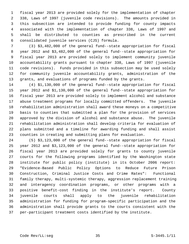1 fiscal year 2013 are provided solely for the implementation of chapter 2 338, Laws of 1997 (juvenile code revisions). The amounts provided in 3 this subsection are intended to provide funding for county impacts 4 associated with the implementation of chapter 338, Laws of 1997 and 5 shall be distributed to counties as prescribed in the current 6 consolidated juvenile services (CJS) formula.

 7 (3) \$3,482,000 of the general fund--state appropriation for fiscal 8 year 2012 and \$3,482,000 of the general fund--state appropriation for 9 fiscal year 2013 are provided solely to implement community juvenile 10 accountability grants pursuant to chapter 338, Laws of 1997 (juvenile 11 code revisions). Funds provided in this subsection may be used solely 12 for community juvenile accountability grants, administration of the 13 grants, and evaluations of programs funded by the grants.

14 (4) \$1,130,000 of the general fund--state appropriation for fiscal 15 year 2012 and \$1,130,000 of the general fund--state appropriation for 16 fiscal year 2013 are provided solely to implement alcohol and substance 17 abuse treatment programs for locally committed offenders. The juvenile 18 rehabilitation administration shall award these moneys on a competitive 19 basis to counties that submitted a plan for the provision of services 20 approved by the division of alcohol and substance abuse. The juvenile 21 rehabilitation administration shall develop criteria for evaluation of 22 plans submitted and a timeline for awarding funding and shall assist 23 counties in creating and submitting plans for evaluation.

24 (5) \$3,123,000 of the general fund--state appropriation for fiscal 25 year 2012 and \$3,123,000 of the general fund--state appropriation for 26 fiscal year 2013 are provided solely for grants to county juvenile 27 courts for the following programs identified by the Washington state 28 institute for public policy (institute) in its October 2006 report: 29 "Evidence-Based Public Policy Options to Reduce Future Prison 30 Construction, Criminal Justice Costs and Crime Rates": Functional 31 family therapy, multi-systemic therapy, aggression replacement training 32 and interagency coordination programs, or other programs with a 33 positive benefit-cost finding in the institute's report. County 34 juvenile courts shall apply to the juvenile rehabilitation 35 administration for funding for program-specific participation and the 36 administration shall provide grants to the courts consistent with the 37 per-participant treatment costs identified by the institute.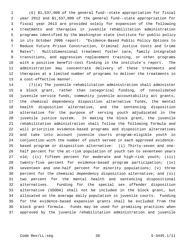1 (6) \$1,537,000 of the general fund--state appropriation for fiscal 2 year 2012 and \$1,537,000 of the general fund--state appropriation for 3 fiscal year 2013 are provided solely for expansion of the following 4 treatments and therapies in juvenile rehabilitation administration 5 programs identified by the Washington state institute for public policy 6 in its October 2006 report: "Evidence-Based Public Policy Options to 7 Reduce Future Prison Construction, Criminal Justice Costs and Crime 8 Rates": Multidimensional treatment foster care, family integrated 9 transitions, and aggression replacement training, or other programs 10 with a positive benefit-cost finding in the institute's report. The 11 administration may concentrate delivery of these treatments and 12 therapies at a limited number of programs to deliver the treatments in 13 a cost-effective manner.

14 (7)(a) The juvenile rehabilitation administration shall administer 15 a block grant, rather than categorical funding, of consolidated 16 juvenile service funds, community juvenile accountability act grants, 17 the chemical dependency disposition alternative funds, the mental 18 health disposition alternative, and the sentencing disposition 19 alternative for the purpose of serving youth adjudicated in the 20 juvenile justice system. In making the block grant, the juvenile 21 rehabilitation administration shall follow the following formula and 22 will prioritize evidence-based programs and disposition alternatives 23 and take into account juvenile courts program-eligible youth in 24 conjunction with the number of youth served in each approved evidence-25 based program or disposition alternative: (i) Thirty-seven and one-26 half percent for the at-risk population of youth ten to seventeen years 27 old; (ii) fifteen percent for moderate and high-risk youth; (iii) 28 twenty-five percent for evidence-based program participation; (iv) 29 seventeen and one-half percent for minority populations; (v) three 30 percent for the chemical dependency disposition alternative; and (vi) 31 two percent for the mental health and sentencing dispositional 32 alternatives. Funding for the special sex offender disposition 33 alternative (SSODA) shall not be included in the block grant, but 34 allocated on the average daily population in juvenile courts. Funding 35 for the evidence-based expansion grants shall be excluded from the 36 block grant formula. Funds may be used for promising practices when 37 approved by the juvenile rehabilitation administration and juvenile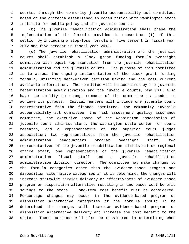1 courts, through the community juvenile accountability act committee, 2 based on the criteria established in consultation with Washington state 3 institute for public policy and the juvenile courts.

 4 (b) The juvenile rehabilitation administration shall phase the 5 implementation of the formula provided in subsection (1) of this 6 section by including a stop-loss formula of five percent in fiscal year 7 2012 and five percent in fiscal year 2013.

 8 (c) The juvenile rehabilitation administration and the juvenile 9 courts shall establish a block grant funding formula oversight 10 committee with equal representation from the juvenile rehabilitation 11 administration and the juvenile courts. The purpose of this committee 12 is to assess the ongoing implementation of the block grant funding 13 formula, utilizing data-driven decision making and the most current 14 available information. The committee will be cochaired by the juvenile 15 rehabilitation administration and the juvenile courts, who will also 16 have the ability to change members of the committee as needed to 17 achieve its purpose. Initial members will include one juvenile court 18 representative from the finance committee, the community juvenile 19 accountability act committee, the risk assessment quality assurance 20 committee, the executive board of the Washington association of 21 juvenile court administrators, the Washington state center for court 22 research, and a representative of the superior court judges 23 association; two representatives from the juvenile rehabilitation 24 administration headquarters program oversight staff, two 25 representatives of the juvenile rehabilitation administration regional 26 office staff, one representative of the juvenile rehabilitation 27 administration fiscal staff and a juvenile rehabilitation 28 administration division director. The committee may make changes to 29 the formula categories other than the evidence-based program and 30 disposition alternative categories if it is determined the changes will 31 increase statewide service delivery or effectiveness of evidence-based 32 program or disposition alternative resulting in increased cost benefit 33 savings to the state. Long-term cost benefit must be considered. 34 Percentage changes may occur in the evidence-based program or 35 disposition alternative categories of the formula should it be 36 determined the changes will increase evidence-based program or 37 disposition alternative delivery and increase the cost benefit to the 38 state. These outcomes will also be considered in determining when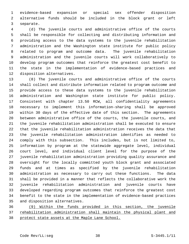1 evidence-based expansion or special sex offender disposition 2 alternative funds should be included in the block grant or left 3 separate.

 4 (d) The juvenile courts and administrative office of the courts 5 shall be responsible for collecting and distributing information and 6 providing access to the data systems to the juvenile rehabilitation 7 administration and the Washington state institute for public policy 8 related to program and outcome data. The juvenile rehabilitation 9 administration and the juvenile courts will work collaboratively to 10 develop program outcomes that reinforce the greatest cost benefit to 11 the state in the implementation of evidence-based practices and 12 disposition alternatives.

13 (8) The juvenile courts and administrative office of the courts 14 shall collect and distribute information related to program outcome and 15 provide access to these data systems to the juvenile rehabilitation 16 administration and Washington state institute for public policy. 17 Consistent with chapter 13.50 RCW, all confidentiality agreements 18 necessary to implement this information-sharing shall be approved 19 within 30 days of the effective date of this section. The agreements 20 between administrative office of the courts, the juvenile courts, and 21 the juvenile rehabilitation administration shall be executed to ensure 22 that the juvenile rehabilitation administration receives the data that 23 the juvenile rehabilitation administration identifies as needed to 24 comply with this subsection. This includes, but is not limited to, 25 information by program at the statewide aggregate level, individual 26 court level, and individual client level for the purpose of the 27 juvenile rehabilitation administration providing quality assurance and 28 oversight for the locally committed youth block grant and associated 29 funds and at times as specified by the juvenile rehabilitation 30 administration as necessary to carry out these functions. The data 31 shall be provided in a manner that reflects the collaborative work the 32 juvenile rehabilitation administration and juvenile courts have 33 developed regarding program outcomes that reinforce the greatest cost 34 benefit to the state in the implementation of evidence-based practices 35 and disposition alternatives.

36 (9) Within the funds provided in this section, the juvenile 37 rehabilitation administration shall maintain the physical plant and 38 protect state assets at the Maple Lane School.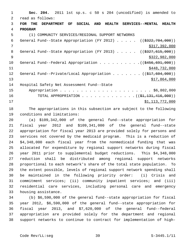1 **Sec. 204.** 2011 1st sp.s. c 50 s 204 (uncodified) is amended to 2 read as follows: 3 **FOR THE DEPARTMENT OF SOCIAL AND HEALTH SERVICES--MENTAL HEALTH** 4 **PROGRAM** 5 (1) COMMUNITY SERVICES/REGIONAL SUPPORT NETWORKS 6 General Fund--State Appropriation (FY 2012) . . . . . ((\$322,704,000)) 7 \$317,392,000 8 General Fund--State Appropriation (FY 2013) . . . . . ((\$327,615,000)) 9 \$322,982,000 \$322,982,000 10 General Fund--Federal Appropriation . . . . . . . . . . ((\$456,691,000)) 11 \$448,732,000 12 General Fund--Private/Local Appropriation . . . . . . ((\$17,604,000))  $\frac{13}{7,864,000}$ 14 Hospital Safety Net Assessment Fund--State 15 Appropriation . . . . . . . . . . . . . . . . . . . . . . \$6,802,000 16 TOTAL APPROPRIATION . . . . . . . . . . . . . ((\$1,131,416,000)) 17 \$1,113,772,000

18 The appropriations in this subsection are subject to the following 19 conditions and limitations:

20 (a) \$109,342,000 of the general fund--state appropriation for 21 fiscal year 2012 and \$109,341,000 of the general fund--state 22 appropriation for fiscal year 2013 are provided solely for persons and 23 services not covered by the medicaid program. This is a reduction of 24 \$4,348,000 each fiscal year from the nonmedicaid funding that was 25 allocated for expenditure by regional support networks during fiscal 26 year 2011 prior to supplemental budget reductions. This \$4,348,000 27 reduction shall be distributed among regional support networks 28 proportional to each network's share of the total state population. To 29 the extent possible, levels of regional support network spending shall 30 be maintained in the following priority order: (i) Crisis and 31 commitment services; (ii) community inpatient services; and (iii) 32 residential care services, including personal care and emergency 33 housing assistance.

34 (b) \$6,590,000 of the general fund--state appropriation for fiscal 35 year 2012, \$6,590,000 of the general fund--state appropriation for 36 fiscal year 2013, and \$7,620,000 of the general fund--federal 37 appropriation are provided solely for the department and regional 38 support networks to continue to contract for implementation of high-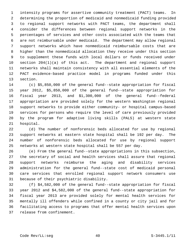1 intensity programs for assertive community treatment (PACT) teams. In 2 determining the proportion of medicaid and nonmedicaid funding provided 3 to regional support networks with PACT teams, the department shall 4 consider the differences between regional support networks in the 5 percentages of services and other costs associated with the teams that 6 are not reimbursable under medicaid. The department may allow regional 7 support networks which have nonmedicaid reimbursable costs that are 8 higher than the nonmedicaid allocation they receive under this section 9 to supplement these funds with local dollars or funds received under 10 section 204(1)(a) of this act. The department and regional support 11 networks shall maintain consistency with all essential elements of the 12 PACT evidence-based practice model in programs funded under this 13 section.

14 (c) \$5,850,000 of the general fund--state appropriation for fiscal 15 year 2012, \$5,850,000 of the general fund--state appropriation for 16 fiscal year 2013, and \$1,300,000 of the general fund--federal 17 appropriation are provided solely for the western Washington regional 18 support networks to provide either community- or hospital campus-based 19 services for persons who require the level of care previously provided 20 by the program for adaptive living skills (PALS) at western state 21 hospital.

22 (d) The number of nonforensic beds allocated for use by regional 23 support networks at eastern state hospital shall be 192 per day. The 24 number of nonforensic beds allocated for use by regional support 25 networks at western state hospital shall be 557 per day.

26 (e) From the general fund--state appropriations in this subsection, 27 the secretary of social and health services shall assure that regional 28 support networks reimburse the aging and disability services 29 administration for the general fund--state cost of medicaid personal 30 care services that enrolled regional support network consumers use 31 because of their psychiatric disability.

32 (f) \$4,582,000 of the general fund--state appropriation for fiscal 33 year 2012 and \$4,582,000 of the general fund--state appropriation for 34 fiscal year 2013 are provided solely for mental health services for 35 mentally ill offenders while confined in a county or city jail and for 36 facilitating access to programs that offer mental health services upon 37 release from confinement.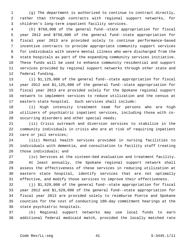1 (g) The department is authorized to continue to contract directly, 2 rather than through contracts with regional support networks, for 3 children's long-term inpatient facility services.

 4 (h) \$750,000 of the general fund--state appropriation for fiscal 5 year 2012 and \$750,000 of the general fund--state appropriation for 6 fiscal year 2013 are provided solely to continue performance-based 7 incentive contracts to provide appropriate community support services 8 for individuals with severe mental illness who were discharged from the 9 state hospitals as part of the expanding community services initiative. 10 These funds will be used to enhance community residential and support 11 services provided by regional support networks through other state and 12 federal funding.

13 (i) \$1,125,000 of the general fund--state appropriation for fiscal 14 year 2012 and \$1,125,000 of the general fund--state appropriation for 15 fiscal year 2013 are provided solely for the Spokane regional support 16 network to implement services to reduce utilization and the census at 17 eastern state hospital. Such services shall include:

18 (i) High intensity treatment team for persons who are high 19 utilizers of psychiatric inpatient services, including those with co-20 occurring disorders and other special needs;

21 (ii) Crisis outreach and diversion services to stabilize in the 22 community individuals in crisis who are at risk of requiring inpatient 23 care or jail services;

24 (iii) Mental health services provided in nursing facilities to 25 individuals with dementia, and consultation to facility staff treating 26 those individuals; and

27 (iv) Services at the sixteen-bed evaluation and treatment facility.

28 At least annually, the Spokane regional support network shall 29 assess the effectiveness of these services in reducing utilization at 30 eastern state hospital, identify services that are not optimally 31 effective, and modify those services to improve their effectiveness.

32 (j) \$1,529,000 of the general fund--state appropriation for fiscal 33 year 2012 and \$1,529,000 of the general fund--state appropriation for 34 fiscal year 2013 are provided solely to reimburse Pierce and Spokane 35 counties for the cost of conducting 180-day commitment hearings at the 36 state psychiatric hospitals.

37 (k) Regional support networks may use local funds to earn 38 additional federal medicaid match, provided the locally matched rate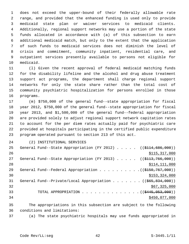1 does not exceed the upper-bound of their federally allowable rate 2 range, and provided that the enhanced funding is used only to provide 3 medicaid state plan or waiver services to medicaid clients. 4 Additionally, regional support networks may use a portion of the state 5 funds allocated in accordance with (a) of this subsection to earn 6 additional medicaid match, but only to the extent that the application 7 of such funds to medicaid services does not diminish the level of 8 crisis and commitment, community inpatient, residential care, and 9 outpatient services presently available to persons not eligible for 10 medicaid.

11 (l) Given the recent approval of federal medicaid matching funds 12 for the disability lifeline and the alcohol and drug abuse treatment 13 support act programs, the department shall charge regional support 14 networks for only the state share rather than the total cost of 15 community psychiatric hospitalization for persons enrolled in those 16 programs.

17 (m) \$750,000 of the general fund--state appropriation for fiscal 18 year 2012, \$750,000 of the general fund--state appropriation for fiscal 19 year 2013, and \$1,500,000 of the general fund--federal appropriation 20 are provided solely to adjust regional support network capitation rates 21 to account for the per diem rates actually paid for psychiatric care 22 provided at hospitals participating in the certified public expenditure 23 program operated pursuant to section 213 of this act.

24 (2) INSTITUTIONAL SERVICES

| 25 | General Fund--State Appropriation (FY 2012) ( $(\frac{2114}{686},000)$ ) |
|----|--------------------------------------------------------------------------|
| 26 | \$115,317,000                                                            |
| 27 | General Fund--State Appropriation (FY 2013) $($ $($ $$113, 766, 000)$ )  |
| 28 | \$114, 111, 000                                                          |
| 29 | General Fund--Federal Appropriation $($ $($ $\frac{150}{767}, 000)$ $)$  |
| 30 | \$153,324,000                                                            |
| 31 | General Fund--Private/Local Appropriation ( $(\frac{265}{834},000)$ )    |
| 32 | \$67,325,000                                                             |
| 33 | TOTAL APPROPRIATION $\ldots$ , ( $(\frac{12445}{1000})$ )                |
| 34 | \$450,077,000                                                            |
|    |                                                                          |

35 The appropriations in this subsection are subject to the following 36 conditions and limitations:

37 (a) The state psychiatric hospitals may use funds appropriated in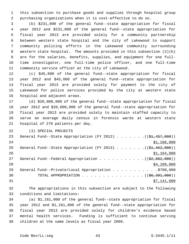1 this subsection to purchase goods and supplies through hospital group 2 purchasing organizations when it is cost-effective to do so.

 3 (b) \$231,000 of the general fund--state appropriation for fiscal 4 year 2012 and \$231,000 of the general fund--state appropriation for 5 fiscal year 2013 are provided solely for a community partnership 6 between western state hospital and the city of Lakewood to support 7 community policing efforts in the Lakewood community surrounding 8 western state hospital. The amounts provided in this subsection (2)(b) 9 are for the salaries, benefits, supplies, and equipment for one full-10 time investigator, one full-time police officer, and one full-time 11 community service officer at the city of Lakewood.

12 (c) \$45,000 of the general fund--state appropriation for fiscal 13 year 2012 and \$45,000 of the general fund--state appropriation for 14 fiscal year 2013 are provided solely for payment to the city of 15 Lakewood for police services provided by the city at western state 16 hospital and adjacent areas.

17 (d) \$20,000,000 of the general fund--state appropriation for fiscal 18 year 2012 and \$20,000,000 of the general fund--state appropriation for 19 fiscal year 2013 are provided solely to maintain staffed capacity to 20 serve an average daily census in forensic wards at western state 21 hospital of 270 patients per day.

22 (3) SPECIAL PROJECTS

| 23 | General Fund--State Appropriation (FY 2012) $($ $($ \$1,457,000))                            |
|----|----------------------------------------------------------------------------------------------|
| 24 | \$1,168,000                                                                                  |
| 25 | General Fund--State Appropriation (FY 2013) $($ $($ \$1,462,000))                            |
| 26 | \$1,164,000                                                                                  |
| 27 | General Fund--Federal Appropriation $($ $($ \$2,682,000) $)$                                 |
| 28 | \$4,109,000                                                                                  |
| 29 | General Fund--Private/Local Appropriation 9700,000                                           |
| 30 | TOTAL APPROPRIATION $\ldots \ldots \ldots \ldots \ldots \ldots$ ( $(\frac{66,301,000}{2})$ ) |
| 31 | \$7,141,000                                                                                  |

32 The appropriations in this subsection are subject to the following 33 conditions and limitations:

34 (a) \$1,161,000 of the general fund--state appropriation for fiscal 35 year 2012 and \$1,161,000 of the general fund--state appropriation for 36 fiscal year 2013 are provided solely for children's evidence based 37 mental health services. Funding is sufficient to continue serving 38 children at the same levels as fiscal year 2009.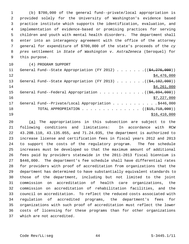1 (b) \$700,000 of the general fund--private/local appropriation is 2 provided solely for the University of Washington's evidence based 3 practice institute which supports the identification, evaluation, and 4 implementation of evidence-based or promising practices for serving 5 children and youth with mental health disorders. The department shall 6 enter into an interagency agreement with the office of the attorney 7 general for expenditure of \$700,000 of the state's proceeds of the *cy* 8 *pres* settlement in *State of Washington v. AstraZeneca* (Seroquel) for 9 this purpose.

10 (4) PROGRAM SUPPORT

| 11 | General Fund--State Appropriation (FY 2012) $($ $($ $\frac{276}{1276}$ , 000)) |
|----|--------------------------------------------------------------------------------|
| 12 | \$4,476,000                                                                    |
| 13 | General Fund--State Appropriation (FY 2013) $($ $($ \$4,102,000))              |
| 14 | \$4,261,000                                                                    |
| 15 | General Fund--Federal Appropriation $($ $($ $\frac{6}{6}$ , $\frac{894}{600})$ |
| 16 | \$7,227,000                                                                    |
| 17 | General Fund--Private/Local Appropriation \$446,000                            |
| 18 | TOTAL APPROPRIATION $\ldots$ , ( $(\frac{1515}{718}, 7000)$ )                  |
| 19 | \$16,410,000                                                                   |

20 (a) The appropriations in this subsection are subject to the 21 following conditions and limitations: In accordance with RCW 22 43.20B.110, 43.135.055, and 71.24.035, the department is authorized to 23 increase license and certification fees in fiscal years 2012 and 2013 24 to support the costs of the regulatory program. The fee schedule 25 increases must be developed so that the maximum amount of additional 26 fees paid by providers statewide in the 2011-2013 fiscal biennium is 27 \$446,000. The department's fee schedule shall have differential rates 28 for providers with proof of accreditation from organizations that the 29 department has determined to have substantially equivalent standards to 30 those of the department, including but not limited to the joint 31 commission on accreditation of health care organizations, the 32 commission on accreditation of rehabilitation facilities, and the 33 council on accreditation. To reflect the reduced costs associated with 34 regulation of accredited programs, the department's fees for 35 organizations with such proof of accreditation must reflect the lower 36 costs of licensing for these programs than for other organizations 37 which are not accredited.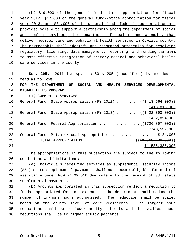(b) \$19,000 of the general fund--state appropriation for fiscal year 2012, \$17,000 of the general fund--state appropriation for fiscal year 2013, and \$34,000 of the general fund--federal appropriation are 4 provided solely to support a partnership among the department of social and health services, the department of health, and agencies that deliver medical care and behavioral health services in Cowlitz county. The partnership shall identify and recommend strategies for resolving regulatory, licensing, data management, reporting, and funding barriers to more effective integration of primary medical and behavioral health care services in the county.

11 **Sec. 205.** 2011 1st sp.s. c 50 s 205 (uncodified) is amended to 12 read as follows: 13 **FOR THE DEPARTMENT OF SOCIAL AND HEALTH SERVICES--DEVELOPMENTAL** 14 **DISABILITIES PROGRAM** 15 (1) COMMUNITY SERVICES 16 General Fund--State Appropriation (FY 2012) . . . . . ((\$418,664,000)) 17 \$418,815,000 18 General Fund--State Appropriation (FY 2013) . . . . . ((\$422,393,000))  $\frac{$422,854,000}{ }$ 20 General Fund--Federal Appropriation . . . . . . . . .  $($   $($ \$726,897,000)) 21 \$743,532,000 22 General Fund--Private/Local Appropriation . . . . . . . . . . \$184,000 23 TOTAL APPROPRIATION . . . . . . . . . . . ((<del>\$1,568,138,000</del>)) 24 \$1,585,385,000

25 The appropriations in this subsection are subject to the following 26 conditions and limitations:

27 (a) Individuals receiving services as supplemental security income 28 (SSI) state supplemental payments shall not become eligible for medical 29 assistance under RCW 74.09.510 due solely to the receipt of SSI state 30 supplemental payments.

31 (b) Amounts appropriated in this subsection reflect a reduction to 32 funds appropriated for in-home care. The department shall reduce the 33 number of in-home hours authorized. The reduction shall be scaled 34 based on the acuity level of care recipients. The largest hour 35 reductions shall be to lower acuity patients and the smallest hour 36 reductions shall be to higher acuity patients.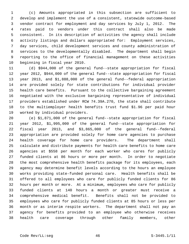1 (c) Amounts appropriated in this subsection are sufficient to 2 develop and implement the use of a consistent, statewide outcome-based 3 vendor contract for employment and day services by July 1, 2012. The 4 rates paid to vendors under this contract shall also be made 5 consistent. In its description of activities the agency shall include 6 activity listings and dollars appropriated for: Employment services, 7 day services, child development services and county administration of 8 services to the developmentally disabled. The department shall begin 9 reporting to the office of financial management on these activities 10 beginning in fiscal year 2010.

11 (d) \$944,000 of the general fund--state appropriation for fiscal 12 year 2012, \$944,000 of the general fund--state appropriation for fiscal 13 year 2013, and \$1,888,000 of the general fund--federal appropriation 14 are provided solely for state contributions for individual provider 15 health care benefits. Pursuant to the collective bargaining agreement 16 negotiated with the exclusive bargaining representative of individual 17 providers established under RCW 74.39A.270, the state shall contribute 18 to the multiemployer health benefits trust fund \$1.96 per paid hour 19 worked by individual providers.

20 (e) \$1,871,000 of the general fund--state appropriation for fiscal 21 year 2012, \$1,995,000 of the general fund--state appropriation for 22 fiscal year 2013, and \$3,865,000 of the general fund--federal 23 appropriation are provided solely for home care agencies to purchase 24 health coverage for home care providers. The department shall 25 calculate and distribute payments for health care benefits to home care 26 agencies at \$558 per month for each worker who cares for publicly 27 funded clients at 86 hours or more per month. In order to negotiate 28 the most comprehensive health benefits package for its employees, each 29 agency may determine benefit levels according to the hours an employee 30 works providing state-funded personal care. Health benefits shall be 31 offered to all employees who care for publicly funded clients for 86 32 hours per month or more. At a minimum, employees who care for publicly 33 funded clients at 140 hours a month or greater must receive a 34 comprehensive medical benefit. Benefits shall not be provided to 35 employees who care for publicly funded clients at 85 hours or less per 36 month or as interim respite workers. The department shall not pay an 37 agency for benefits provided to an employee who otherwise receives 38 health care coverage through other family members, other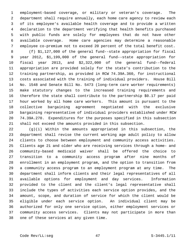1 employment-based coverage, or military or veteran's coverage. The 2 department shall require annually, each home care agency to review each 3 of its employee's available health coverage and to provide a written 4 declaration to the department verifying that health benefits purchased 5 with public funds are solely for employees that do not have other 6 available coverage. Home care agencies may determine a reasonable 7 employee co-premium not to exceed 20 percent of the total benefit cost.

 8 (f) \$1,127,000 of the general fund--state appropriation for fiscal 9 year 2012, \$1,199,000 of the general fund--state appropriation for 10 fiscal year 2013, and \$2,322,000 of the general fund--federal 11 appropriation are provided solely for the state's contribution to the 12 training partnership, as provided in RCW 74.39A.360, for instructional 13 costs associated with the training of individual providers. House Bill 14 No. 1548 and Senate Bill No. 5473 (long-term care worker requirements) 15 make statutory changes to the increased training requirements and 16 therefore the state shall contribute to the partnership \$0.17 per paid 17 hour worked by all home care workers. This amount is pursuant to the 18 collective bargaining agreement negotiated with the exclusive 19 bargaining representative of individual providers established under RCW 20 74.39A.270. Expenditures for the purposes specified in this subsection 21 shall not exceed the amounts provided in this subsection.

22 (g)(i) Within the amounts appropriated in this subsection, the 23 department shall revise the current working age adult policy to allow 24 clients to choose between employment and community access activities. 25 Clients age 21 and older who are receiving services through a home- and 26 community-based medicaid waiver shall be offered the choice to 27 transition to a community access program after nine months of 28 enrollment in an employment program, and the option to transition from 29 a community access program to an employment program at any time. The 30 department shall inform clients and their legal representatives of all 31 available options for employment and day services. Information 32 provided to the client and the client's legal representative shall 33 include the types of activities each service option provides, and the 34 amount, scope, and duration of service for which the client would be 35 eligible under each service option. An individual client may be 36 authorized for only one service option, either employment services or 37 community access services. Clients may not participate in more than 38 one of these services at any given time.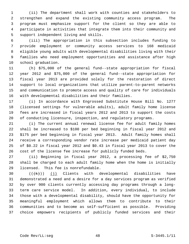1 (ii) The department shall work with counties and stakeholders to 2 strengthen and expand the existing community access program. The 3 program must emphasize support for the client so they are able to 4 participate in activities that integrate them into their community and 5 support independent living and skills.

 6 (iii) The appropriation in this subsection includes funding to 7 provide employment or community access services to 168 medicaid 8 eligible young adults with developmental disabilities living with their 9 families who need employment opportunities and assistance after high 10 school graduation.

11 (h) \$75,000 of the general fund--state appropriation for fiscal 12 year 2012 and \$75,000 of the general fund--state appropriation for 13 fiscal year 2013 are provided solely for the restoration of direct 14 support to local organizations that utilize parent-to-parent networks 15 and communication to promote access and quality of care for individuals 16 with developmental disabilities and their families.

17 (i) In accordance with Engrossed Substitute House Bill No. 1277 18 (licensed settings for vulnerable adults), adult family home license 19 fees are increased in fiscal years 2012 and 2013 to support the costs 20 of conducting licensure, inspection, and regulatory programs.

21 (i) The current annual renewal license fee for adult family homes 22 shall be increased to \$100 per bed beginning in fiscal year 2012 and 23 \$175 per bed beginning in fiscal year 2013. Adult family homes shall 24 receive a corresponding vendor rate increase per medicaid patient day 25 of \$0.22 in fiscal year 2012 and \$0.43 in fiscal year 2013 to cover the 26 cost of the license fee increase for publicly funded beds.

27 (ii) Beginning in fiscal year 2012, a processing fee of \$2,750 28 shall be charged to each adult family home when the home is initially 29 licensed. This fee is nonrefundable.

30  $((\{k\})$  (j) Clients with developmental disabilities have 31 demonstrated a need and a desire for a day services program as verified 32 by over 900 clients currently accessing day programs through a long-33 term care service model. In addition, every individual, to include 34 those with a developmental disability, should have the opportunity for 35 meaningful employment which allows them to contribute to their 36 communities and to become as self-sufficient as possible. Providing 37 choice empowers recipients of publicly funded services and their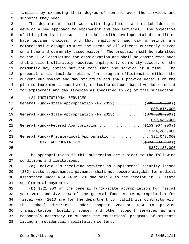1 families by expanding their degree of control over the services and 2 supports they need.

 3 The department shall work with legislators and stakeholders to 4 develop a new approach to employment and day services. The objective 5 of this plan is to ensure that adults with developmental disabilities 6 have optimum choices, and that employment and day offerings are 7 comprehensive enough to meet the needs of all clients currently served 8 on a home and community based waiver. The proposal shall be submitted 9 to the 2012 legislature for consideration and shall be constructed such 10 that a client ultimately receives employment, community access, or the 11 community day option but not more than one service at a time. The 12 proposal shall include options for program efficiencies within the 13 current employment and day structure and shall provide details on the 14 plan to implement a consistent, statewide outcome-based vendor contract 15 for employment and day services as specified in (c) of this subsection.

16 (2) INSTITUTIONAL SERVICES

| 17 | General Fund--State Appropriation (FY 2012) $($ $($ $\frac{600}{256}, \frac{256}{000})$ ) |
|----|-------------------------------------------------------------------------------------------|
| 18 | \$80,815,000                                                                              |
| 19 | General Fund--State Appropriation (FY 2013) $($ $($ $\frac{2979}{288}, 200)$ )            |
| 20 | \$79,939,000                                                                              |
| 21 | General Fund--Federal Appropriation $($ $($ \$153,007,000) $)$                            |
| 22 | \$154,388,000                                                                             |
| 23 | General Fund--Private/Local Appropriation \$22,043,000                                    |
| 24 | TOTAL APPROPRIATION $\ldots$ , ( $(\frac{2334}{5934}, \frac{594}{590})$ )                 |
| 25 | \$337,185,000                                                                             |

26 The appropriations in this subsection are subject to the following 27 conditions and limitations:

28 (a) Individuals receiving services as supplemental security income 29 (SSI) state supplemental payments shall not become eligible for medical 30 assistance under RCW 74.09.510 due solely to the receipt of SSI state 31 supplemental payments.

32 (b) \$721,000 of the general fund--state appropriation for fiscal 33 year 2012 and \$721,000 of the general fund--state appropriation for 34 fiscal year 2013 are for the department to fulfill its contracts with 35 the school districts under chapter 28A.190 RCW to provide 36 transportation, building space, and other support services as are 37 reasonably necessary to support the educational programs of students 38 living in residential habilitation centers.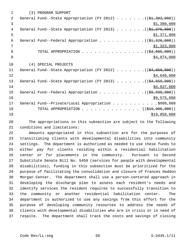| (3) PROGRAM SUPPORT                                                                  |
|--------------------------------------------------------------------------------------|
| General Fund--State Appropriation (FY 2012) ( $(\frac{21}{7} \cdot 383 \cdot 000)$ ) |
| \$1,380,000                                                                          |
| General Fund--State Appropriation (FY 2013) ( $(\frac{1}{2}, 376, 000)$ )            |
| \$1,371,000                                                                          |
| General Fund--Federal Appropriation $($ $(\frac{1}{21}, \frac{326}{100})$            |
| \$1,323,000                                                                          |
| TOTAL APPROPRIATION ( $(\frac{24}{94}, 085, 000)$ )                                  |
| \$4,074,000                                                                          |
| (4) SPECIAL PROJECTS                                                                 |
| General Fund--State Appropriation (FY 2012) $($ $(\frac{64}{659}, \frac{659}{600})$  |
| \$4,648,000                                                                          |
| General Fund--State Appropriation (FY 2013) ( $(\frac{24}{659}, 000)$ )              |
| \$4,637,000                                                                          |
|                                                                                      |
| \$9,575,000                                                                          |
| General Fund--Private/Local Appropriation \$998,000                                  |
| TOTAL APPROPRIATION $\ldots$ , ( $(\frac{219}{796}, 906, 000)$ )                     |
|                                                                                      |
|                                                                                      |

20 The appropriations in this subsection are subject to the following 21 conditions and limitations:

22 Amounts appropriated in this subsection are for the purposes of 23 transitioning clients with developmental disabilities into community 24 settings. The department is authorized as needed to use these funds to 25 either pay for clients residing within a residential habilitation 26 center or for placements in the community. Pursuant to Second 27 Substitute Senate Bill No. 5459 (services for people with developmental 28 disabilities), funding in this subsection must be prioritized for the 29 purpose of facilitating the consolidation and closure of Frances Haddon 30 Morgan Center. The department shall use a person-centered approach in 31 developing the discharge plan to assess each resident's needs and 32 identify services the resident requires to successfully transition to 33 the community or another residential habilitation center. The 34 department is authorized to use any savings from this effort for the 35 purpose of developing community resources to address the needs of 36 clients with developmental disabilities who are in crisis or in need of 37 respite. The department shall track the costs and savings of closing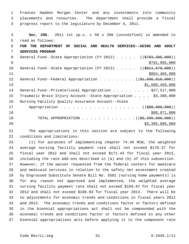1 Frances Haddon Morgan Center and any investments into community 2 placements and resources. The department shall provide a fiscal 3 progress report to the legislature by December 5, 2011.

| 4  | Sec. 206. 2011 1st sp.s. c 50 s 206 (uncodified) is amended to                         |
|----|----------------------------------------------------------------------------------------|
| 5  | read as follows:                                                                       |
| 6  | FOR THE DEPARTMENT OF SOCIAL AND HEALTH SERVICES--AGING AND ADULT                      |
| 7  | SERVICES PROGRAM                                                                       |
| 8  | General Fund--State Appropriation (FY 2012) ((\$783,305,000))                          |
| 9  | \$781,995,000                                                                          |
| 10 | General Fund--State Appropriation (FY 2013) $($ $($ $\frac{1}{6811}, \frac{670}{600})$ |
| 11 | \$804,465,000                                                                          |
| 12 | General Fund--Federal Appropriation $($ $($ $\frac{1}{2}, 686, 010, 000)$ )            |
| 13 | \$1,680,450,000                                                                        |
| 14 | General Fund--Private/Local Appropriation \$27,517,000                                 |
| 15 | Traumatic Brain Injury Account--State Appropriation \$3,388,000                        |
| 16 | Nursing Facility Quality Assurance Account--State                                      |
| 17 | Appropriation ((\$88,000,000))                                                         |
| 18 | \$88,071,000                                                                           |
| 19 | TOTAL APPROPRIATION ( $(\frac{2}{3}, \frac{399}{390}, \frac{890}{300})$ )              |
| 20 | \$3,385,886,000                                                                        |

21 The appropriations in this section are subject to the following 22 conditions and limitations:

23 (1) For purposes of implementing chapter 74.46 RCW, the weighted 24 average nursing facility payment rate shall not exceed \$170.37 for 25 fiscal year 2012 and shall not exceed \$171.43 for fiscal year 2013, 26 including the rate add-ons described in (a) and (b) of this subsection. 27 However, if the waiver requested from the federal centers for medicare 28 and medicaid services in relation to the safety net assessment created 29 by Engrossed Substitute Senate Bill No. 5581 (nursing home payments) is 30 for any reason not approved and implemented, the weighted average 31 nursing facility payment rate shall not exceed \$159.87 for fiscal year 32 2012 and shall not exceed \$160.93 for fiscal year 2013. There will be 33 no adjustments for economic trends and conditions in fiscal years 2012 34 and 2013. The economic trends and conditions factor or factors defined 35 in the biennial appropriations act shall not be compounded with the 36 economic trends and conditions factor or factors defined in any other 37 biennial appropriations acts before applying it to the component rate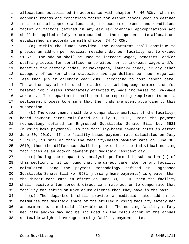1 allocations established in accordance with chapter 74.46 RCW. When no 2 economic trends and conditions factor for either fiscal year is defined 3 in a biennial appropriations act, no economic trends and conditions 4 factor or factors defined in any earlier biennial appropriations act 5 shall be applied solely or compounded to the component rate allocations 6 established in accordance with chapter 74.46 RCW.

 7 (a) Within the funds provided, the department shall continue to 8 provide an add-on per medicaid resident day per facility not to exceed 9 \$1.57. The add-on shall be used to increase wages, benefits, and/or 10 staffing levels for certified nurse aides; or to increase wages and/or 11 benefits for dietary aides, housekeepers, laundry aides, or any other 12 category of worker whose statewide average dollars-per-hour wage was 13 less than \$15 in calendar year 2008, according to cost report data. 14 The add-on may also be used to address resulting wage compression for 15 related job classes immediately affected by wage increases to low-wage 16 workers. The department shall continue reporting requirements and a 17 settlement process to ensure that the funds are spent according to this 18 subsection.

19 (b) The department shall do a comparative analysis of the facility-20 based payment rates calculated on July 1, 2011, using the payment 21 methodology defined in Engrossed Substitute Senate Bill No. 5581 22 (nursing home payments), to the facility-based payment rates in effect 23 June 30, 2010. If the facility-based payment rate calculated on July 24 1, 2011, is smaller than the facility-based payment rate on June 30, 25 2010, then the difference shall be provided to the individual nursing 26 facilities as an add-on payment per medicaid resident day.

27 (c) During the comparative analysis performed in subsection (b) of 28 this section, if it is found that the direct care rate for any facility 29 calculated using the payment methodology defined in Engrossed 30 Substitute Senate Bill No. 5581 (nursing home payments) is greater than 31 the direct care rate in effect on June 30, 2010, then the facility 32 shall receive a ten percent direct care rate add-on to compensate that 33 facility for taking on more acute clients than they have in the past.

34 (d) The department shall provide a medicaid rate add-on to 35 reimburse the medicaid share of the skilled nursing facility safety net 36 assessment as a medicaid allowable cost. The nursing facility safety 37 net rate add-on may not be included in the calculation of the annual 38 statewide weighted average nursing facility payment rate.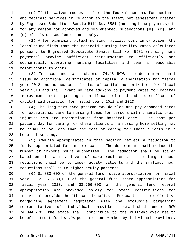1 (e) If the waiver requested from the federal centers for medicare 2 and medicaid services in relation to the safety net assessment created 3 by Engrossed Substitute Senate Bill No. 5581 (nursing home payments) is 4 for any reason not approved and implemented, subsections (b), (c), and 5 (d) of this subsection do not apply.

 6 (2) After examining actual nursing facility cost information, the 7 legislature finds that the medicaid nursing facility rates calculated 8 pursuant to Engrossed Substitute Senate Bill No. 5581 (nursing home 9 payments) provide sufficient reimbursement to efficiently and 10 economically operating nursing facilities and bear a reasonable 11 relationship to costs.

12 (3) In accordance with chapter 74.46 RCW, the department shall 13 issue no additional certificates of capital authorization for fiscal 14 year 2012 and no new certificates of capital authorization for fiscal 15 year 2013 and shall grant no rate add-ons to payment rates for capital 16 improvements not requiring a certificate of need and a certificate of 17 capital authorization for fiscal years 2012 and 2013.

18 (4) The long-term care program may develop and pay enhanced rates 19 for exceptional care to nursing homes for persons with traumatic brain 20 injuries who are transitioning from hospital care. The cost per 21 patient day for caring for these clients in a nursing home setting may 22 be equal to or less than the cost of caring for these clients in a 23 hospital setting.

24 (5) Amounts appropriated in this section reflect a reduction to 25 funds appropriated for in-home care. The department shall reduce the 26 number of in-home hours authorized. The reduction shall be scaled 27 based on the acuity level of care recipients. The largest hour 28 reductions shall be to lower acuity patients and the smallest hour 29 reductions shall be to higher acuity patients.

30 (6) \$1,883,000 of the general fund--state appropriation for fiscal 31 year 2012, \$1,883,000 of the general fund--state appropriation for 32 fiscal year 2013, and \$3,766,000 of the general fund--federal 33 appropriation are provided solely for state contributions for 34 individual provider health care benefits. Pursuant to the collective 35 bargaining agreement negotiated with the exclusive bargaining 36 representative of individual providers established under RCW 37 74.39A.270, the state shall contribute to the multiemployer health 38 benefits trust fund \$1.96 per paid hour worked by individual providers.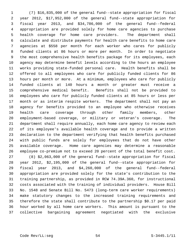1 (7) \$16,835,000 of the general fund--state appropriation for fiscal 2 year 2012, \$17,952,000 of the general fund--state appropriation for 3 fiscal year 2013, and \$34,786,000 of the general fund--federal 4 appropriation are provided solely for home care agencies to purchase 5 health coverage for home care providers. The department shall 6 calculate and distribute payments for health care benefits to home care 7 agencies at \$558 per month for each worker who cares for publicly 8 funded clients at 86 hours or more per month. In order to negotiate 9 the most comprehensive health benefits package for its employees, each 10 agency may determine benefit levels according to the hours an employee 11 works providing state-funded personal care. Health benefits shall be 12 offered to all employees who care for publicly funded clients for 86 13 hours per month or more. At a minimum, employees who care for publicly 14 funded clients at 140 hours a month or greater must receive a 15 comprehensive medical benefit. Benefits shall not be provided to 16 employees who care for publicly funded clients at 85 hours or less per 17 month or as interim respite workers. The department shall not pay an 18 agency for benefits provided to an employee who otherwise receives 19 health care coverage through other family members, other 20 employment-based coverage, or military or veteran's coverage. The 21 department shall require annually, each home care agency to review each 22 of its employee's available health coverage and to provide a written 23 declaration to the department verifying that health benefits purchased 24 with public funds are solely for employees that do not have other 25 available coverage. Home care agencies may determine a reasonable 26 employee co-premium not to exceed 20 percent of the total benefit cost. 27 (8) \$2,063,000 of the general fund--state appropriation for fiscal

28 year 2012, \$2,195,000 of the general fund--state appropriation for 29 fiscal year 2013, and \$4,260,000 of the general fund--federal 30 appropriation are provided solely for the state's contribution to the 31 training partnership, as provided in RCW 74.39A.360, for instructional 32 costs associated with the training of individual providers. House Bill 33 No. 1548 and Senate Bill No. 5473 (long-term care worker requirements) 34 make statutory changes to the increased training requirements and 35 therefore the state shall contribute to the partnership \$0.17 per paid 36 hour worked by all home care workers. This amount is pursuant to the 37 collective bargaining agreement negotiated with the exclusive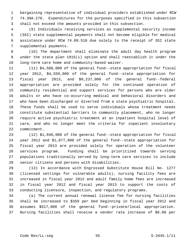1 bargaining representative of individual providers established under RCW 2 74.39A.270. Expenditures for the purposes specified in this subsection 3 shall not exceed the amounts provided in this subsection.

 4 (9) Individuals receiving services as supplemental security income 5 (SSI) state supplemental payments shall not become eligible for medical 6 assistance under RCW 74.09.510 due solely to the receipt of SSI state 7 supplemental payments.

 8 (10) The department shall eliminate the adult day health program 9 under the state plan 1915(i) option and shall reestablish it under the 10 long-term care home and community-based waiver.

11 (11) \$4,588,000 of the general fund--state appropriation for fiscal 12 year 2012, \$4,559,000 of the general fund--state appropriation for 13 fiscal year 2013, and \$9,237,000 of the general fund--federal 14 appropriation are provided solely for the continued operation of 15 community residential and support services for persons who are older 16 adults or who have co-occurring medical and behavioral disorders and 17 who have been discharged or diverted from a state psychiatric hospital. 18 These funds shall be used to serve individuals whose treatment needs 19 constitute substantial barriers to community placement, who no longer 20 require active psychiatric treatment at an inpatient hospital level of 21 care, and who no longer meet the criteria for inpatient involuntary 22 commitment.

23 (12) \$1,840,000 of the general fund--state appropriation for fiscal 24 year 2012 and \$1,877,000 of the general fund--state appropriation for 25 fiscal year 2013 are provided solely for operation of the volunteer 26 services program. Funding shall be prioritized towards serving 27 populations traditionally served by long-term care services to include 28 senior citizens and persons with disabilities.

29 (13) In accordance with Engrossed Substitute House Bill No. 1277 30 (licensed settings for vulnerable adults), nursing facility fees are 31 increased in fiscal year 2012 and adult family home fees are increased 32 in fiscal year 2012 and fiscal year 2013 to support the costs of 33 conducting licensure, inspection, and regulatory programs.

34 (a) The current annual renewal license fee for nursing facilities 35 shall be increased to \$359 per bed beginning in fiscal year 2012 and 36 assumes \$517,000 of the general fund--private/local appropriation. 37 Nursing facilities shall receive a vendor rate increase of \$0.08 per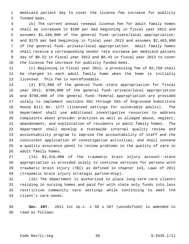1 medicaid patient day to cover the license fee increase for publicly 2 funded beds.

 3 (b) The current annual renewal license fee for adult family homes 4 shall be increased to \$100 per bed beginning in fiscal year 2012 and 5 assumes \$1,449,000 of the general fund--private/local appropriation; 6 and \$175 per bed beginning in fiscal year 2013 and assumes \$2,463,000 7 of the general fund--private/local appropriation. Adult family homes 8 shall receive a corresponding vendor rate increase per medicaid patient 9 day of \$0.22 in fiscal year 2012 and \$0.43 in fiscal year 2013 to cover 10 the license fee increase for publicly funded beds.

11 (c) Beginning in fiscal year 2012, a processing fee of \$2,750 shall 12 be charged to each adult family home when the home is initially 13 licensed. This fee is nonrefundable.

14 (d) \$72,000 of the general fund--state appropriation for fiscal 15 year 2012, \$708,000 of the general fund--private/local appropriation 16 and \$708,000 of the general fund--federal appropriation are provided 17 solely to implement sections 501 through 503 of Engrossed Substitute 18 House Bill No. 1277 (licensed settings for vulnerable adults). The 19 department shall use additional investigative resources to address 20 complaints about provider practices as well as alleged abuse, neglect, 21 abandonment, and exploitation of residents in adult family homes. The 22 department shall develop a statewide internal quality review and 23 accountability program to improve the accountability of staff and the 24 consistent application of investigative activities, and shall convene 25 a quality assurance panel to review problems in the quality of care in 26 adult family homes.

27 (14) \$3,316,000 of the traumatic brain injury account--state 28 appropriation is provided solely to continue services for persons with 29 traumatic brain injury (TBI) as defined in chapter 143, Laws of 2011 30 (traumatic brain injury strategic partnership).

31 (15) The department is authorized to place long-term care clients 32 residing in nursing homes and paid for with state only funds into less 33 restrictive community care settings while continuing to meet the 34 client's care needs.

35 **Sec. 207.** 2011 1st sp.s. c 50 s 207 (uncodified) is amended to 36 read as follows: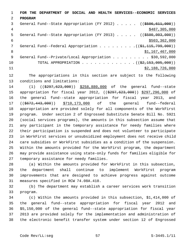1 **FOR THE DEPARTMENT OF SOCIAL AND HEALTH SERVICES--ECONOMIC SERVICES** 2 **PROGRAM** 3 General Fund--State Appropriation (FY 2012) . . . . . ((\$506,611,000)) 4 \$487,305,000 \$487,305,000 5 General Fund--State Appropriation (FY 2013) . . . . . ((\$500,003,000))  $\frac{1}{503}$ , 362, 000 7 General Fund--Federal Appropriation . . . . . . . . . ((\$1,115,799,000)) 8 \$1,167,467,000 9 General Fund--Private/Local Appropriation . . . . . . . . \$30,592,000 10 TOTAL APPROPRIATION . . . . . . . . . . . . ((<del>\$2,153,005,000</del>))  $11$  \$2,188,726,000

12 The appropriations in this section are subject to the following 13 conditions and limitations:

14 (1) ((\$297,623,000)) \$258,880,000 of the general fund--state 15 appropriation for fiscal year 2012, ((\$297,623,000)) \$297,296,000 of 16 the general fund--state appropriation for fiscal year 2013, and 17 ((\$672,443,000)) \$710,173,000 of the general fund--federal 18 appropriation are provided solely for all components of the WorkFirst 19 program. Under section 2 of Engrossed Substitute Senate Bill No. 5921 20 (social services programs), the amounts in this subsection assume that 21 any participant in the temporary assistance for needy families where 22 their participation is suspended and does not volunteer to participate 23 in WorkFirst services or unsubsidized employment does not receive child 24 care subsidies or WorkFirst subsidies as a condition of the suspension. 25 Within the amounts provided for the WorkFirst program, the department 26 may provide assistance using state-only funds for families eligible for 27 temporary assistance for needy families.

28 (a) Within the amounts provided for WorkFirst in this subsection, 29 the department shall continue to implement WorkFirst program 30 improvements that are designed to achieve progress against outcome 31 measures specified in RCW 74.08A.410.

32 (b) The department may establish a career services work transition 33 program.

34 (c) Within the amounts provided in this subsection, \$1,414,000 of 35 the general fund--state appropriation for fiscal year 2012 and 36 \$5,150,000 of the general fund--state appropriation for fiscal year 37 2013 are provided solely for the implementation and administration of 38 the electronic benefit transfer system under section 12 of Engrossed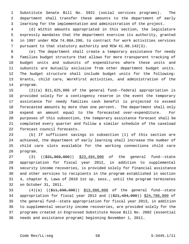1 Substitute Senate Bill No. 5921 (social services programs). The 2 department shall transfer these amounts to the department of early 3 learning for the implementation and administration of the project.

 4 (d) Within amounts appropriated in this section, the legislature 5 expressly mandates that the department exercise its authority, granted 6 in 1997 under RCW 74.08A.290, to contract for work activities services 7 pursuant to that statutory authority and RCW 41.06.142(3).

 8 (e) The department shall create a temporary assistance for needy 9 families budget structure that allows for more transparent tracking of 10 budget units and subunits of expenditures where these units and 11 subunits are mutually exclusive from other department budget units. 12 The budget structure shall include budget units for the following: 13 Grants, child care, WorkFirst activities, and administration of the 14 program.

15 (2)(a) \$11,825,000 of the general fund--federal appropriation is 16 provided solely for a contingency reserve in the event the temporary 17 assistance for needy families cash benefit is projected to exceed 18 forecasted amounts by more than one percent. The department shall only 19 expend an amount equal to the forecasted over-expenditure. For 20 purposes of this subsection, the temporary assistance forecast shall be 21 completed every quarter and follow a similar schedule of the caseload 22 forecast council forecasts.

23 (b) If sufficient savings in subsection (1) of this section are 24 achieved, the department of early learning shall increase the number of 25 child care slots available for the working connections child care 26 program.

27 (3) ((\$31,960,000)) \$23,494,000 of the general fund--state 28 appropriation for fiscal year 2012, in addition to supplemental 29 security income recoveries, is provided solely for financial assistance 30 and other services to recipients in the program established in section 31 4, chapter 8, Laws of 2010 1st sp. sess., until the program terminates 32 on October 31, 2011.

33 (4)(a) ((\$11,690,000)) \$13,086,000 of the general fund--state 34 appropriation for fiscal year 2012 and ((\$21,494,000)) \$24,788,000 of 35 the general fund--state appropriation for fiscal year 2013, in addition 36 to supplemental security income recoveries, are provided solely for the 37 programs created in Engrossed Substitute House Bill No. 2082 (essential 38 needs and assistance program) beginning November 1, 2011.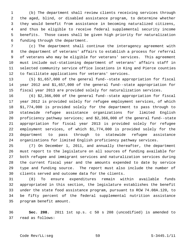1 (b) The department shall review clients receiving services through 2 the aged, blind, or disabled assistance program, to determine whether 3 they would benefit from assistance in becoming naturalized citizens, 4 and thus be eligible to receive federal supplemental security income 5 benefits. Those cases shall be given high priority for naturalization 6 funding through the department.

 7 (c) The department shall continue the interagency agreement with 8 the department of veterans' affairs to establish a process for referral 9 of veterans who may be eligible for veterans' services. This agreement 10 must include out-stationing department of veterans' affairs staff in 11 selected community service office locations in King and Pierce counties 12 to facilitate applications for veterans' services.

13 (5) \$1,657,000 of the general fund--state appropriation for fiscal 14 year 2012 and \$1,657,000 of the general fund--state appropriation for 15 fiscal year 2013 are provided solely for naturalization services.

16 (6) \$2,366,000 of the general fund--state appropriation for fiscal 17 year 2012 is provided solely for refugee employment services, of which 18 \$1,774,000 is provided solely for the department to pass through to 19 statewide refugee assistance organizations for limited English 20 proficiency pathway services; and \$2,366,000 of the general fund--state 21 appropriation for fiscal year 2013 is provided solely for refugee 22 employment services, of which \$1,774,000 is provided solely for the 23 department to pass through to statewide refugee assistance 24 organizations for limited English proficiency pathway services.

25 (7) On December 1, 2011, and annually thereafter, the department 26 must report to the legislature on all sources of funding available for 27 both refugee and immigrant services and naturalization services during 28 the current fiscal year and the amounts expended to date by service 29 type and funding source. The report must also include the number of 30 clients served and outcome data for the clients.

31 (8) To ensure expenditures remain within available funds 32 appropriated in this section, the legislature establishes the benefit 33 under the state food assistance program, pursuant to RCW 74.08A.120, to 34 be fifty percent of the federal supplemental nutrition assistance 35 program benefit amount.

36 **Sec. 208.** 2011 1st sp.s. c 50 s 208 (uncodified) is amended to 37 read as follows: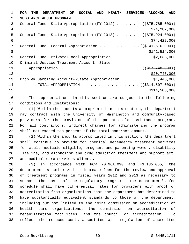1 **FOR THE DEPARTMENT OF SOCIAL AND HEALTH SERVICES--ALCOHOL AND** 2 **SUBSTANCE ABUSE PROGRAM** 3 General Fund--State Appropriation (FY 2012) . . . . . . ((\$75,785,000)) 4 \$74,287,000 5 General Fund--State Appropriation (FY 2013) . . . . . . ((\$75,924,000))  $$74,422,000$ 7 General Fund--Federal Appropriation . . . . . . . . . ((\$141,516,000)) 8 \$141,514,000 9 General Fund--Private/Local Appropriation . . . . . . . . . \$2,086,000 10 Criminal Justice Treatment Account--State 11 Appropriation . . . . . . . . . . . . . . . . . ((\$17,748,000))  $12$  \$20,748,000 13 Problem Gambling Account--State Appropriation . . . . . . . \$1,448,000 14 TOTAL APPROPRIATION . . . . . . . . . . . . . ((\$314,507,000))  $15$  \$314,505,000

16 The appropriations in this section are subject to the following 17 conditions and limitations:

18 (1) Within the amounts appropriated in this section, the department 19 may contract with the University of Washington and community-based 20 providers for the provision of the parent-child assistance program. 21 For all contractors, indirect charges for administering the program 22 shall not exceed ten percent of the total contract amount.

23 (2) Within the amounts appropriated in this section, the department 24 shall continue to provide for chemical dependency treatment services 25 for adult medicaid eligible, pregnant and parenting women, disability 26 lifeline, and alcoholism and drug addiction treatment and support act, 27 and medical care services clients.

28 (3) In accordance with RCW 70.96A.090 and 43.135.055, the 29 department is authorized to increase fees for the review and approval 30 of treatment programs in fiscal years 2012 and 2013 as necessary to 31 support the costs of the regulatory program. The department's fee 32 schedule shall have differential rates for providers with proof of 33 accreditation from organizations that the department has determined to 34 have substantially equivalent standards to those of the department, 35 including but not limited to the joint commission on accreditation of 36 health care organizations, the commission on accreditation of 37 rehabilitation facilities, and the council on accreditation. To 38 reflect the reduced costs associated with regulation of accredited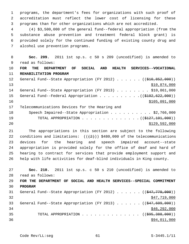1 programs, the department's fees for organizations with such proof of 2 accreditation must reflect the lower cost of licensing for these 3 programs than for other organizations which are not accredited.

 4 (4) \$3,500,000 of the general fund--federal appropriation (from the 5 substance abuse prevention and treatment federal block grant) is 6 provided solely for the continued funding of existing county drug and 7 alcohol use prevention programs.

 8 **Sec. 209.** 2011 1st sp.s. c 50 s 209 (uncodified) is amended to 9 read as follows:

10 **FOR THE DEPARTMENT OF SOCIAL AND HEALTH SERVICES--VOCATIONAL** 11 **REHABILITATION PROGRAM** 12 General Fund--State Appropriation (FY 2012) . . . . . . ((\$10,852,000))

13 \$10,874,000 14 General Fund--State Appropriation (FY 2013) . . . . . . . . \$10,861,000 15 General Fund--Federal Appropriation . . . . . . . . . . ((\$102,622,000)) 16 \$105,091,000

17 Telecommunications Devices for the Hearing and

| 18 | Speech Impaired--State Appropriation \$2,766,000        |
|----|---------------------------------------------------------|
| 19 | TOTAL APPROPRIATION $($ $($ $\frac{127}{101}$ ,000) $)$ |
| 20 | \$129,592,000                                           |

21 The appropriations in this section are subject to the following 22 conditions and limitations:  $((+2)^2)$  \$480,000 of the telecommunications 23 devices for the hearing and speech impaired account--state 24 appropriation is provided solely for the office of deaf and hard of 25 hearing to contract for services that provide employment support and 26 help with life activities for deaf-blind individuals in King county.

27 **Sec. 210.** 2011 1st sp.s. c 50 s 210 (uncodified) is amended to 28 read as follows: 29 **FOR THE DEPARTMENT OF SOCIAL AND HEALTH SERVICES--SPECIAL COMMITMENT** 30 **PROGRAM** 31 General Fund--State Appropriation (FY 2012)  $\ldots \ldots$  (( $\left( \frac{647,779,000}{2} \right)$ )  $\frac{1}{2}$   $\frac{1}{2}$   $\frac{1}{2}$   $\frac{1}{2}$   $\frac{1}{2}$   $\frac{1}{2}$   $\frac{1}{2}$   $\frac{1}{2}$   $\frac{1}{2}$   $\frac{1}{2}$   $\frac{1}{2}$   $\frac{1}{2}$   $\frac{1}{2}$   $\frac{1}{2}$   $\frac{1}{2}$   $\frac{1}{2}$   $\frac{1}{2}$   $\frac{1}{2}$   $\frac{1}{2}$   $\frac{1}{2}$   $\frac{1}{2}$   $\frac{1}{2}$  33 General Fund--State Appropriation (FY 2013) . . . . . . ((\$47,609,000))  $34$  \$46,292,000 35 TOTAL APPROPRIATION  $\cdots$ , . . . . . . . . . . . (( $\frac{1}{595,388,000})$ )  $36$  \$94,011,000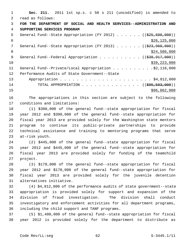1 **Sec. 211.** 2011 1st sp.s. c 50 s 211 (uncodified) is amended to 2 read as follows: 3 **FOR THE DEPARTMENT OF SOCIAL AND HEALTH SERVICES--ADMINISTRATION AND** 4 **SUPPORTING SERVICES PROGRAM** 5 General Fund--State Appropriation (FY 2012) . . . . . . ((\$25,698,000))  $\frac{$26,125,000}{5}$ 7 General Fund--State Appropriation (FY 2013) . . . . . ((\$23,960,000)) 8  $\frac{$24,586,000}{ }$ 9 General Fund--Federal Appropriation . . . . . . . . . ((\$38,917,000))  $\frac{10}{339}$ , 223, 000 11 General Fund--Private/Local Appropriation . . . . . . . . . \$2,116,000 12 Performance Audits of State Government--State 13 Appropriation . . . . . . . . . . . . . . . . . . . . . . \$4,812,000 14 TOTAL APPROPRIATION . . . . . . . . . . . . . ((<del>\$95,503,000</del>))  $15$  \$96,862,000

16 The appropriations in this section are subject to the following 17 conditions and limitations:

18 (1) \$300,000 of the general fund--state appropriation for fiscal 19 year 2012 and \$300,000 of the general fund--state appropriation for 20 fiscal year 2013 are provided solely for the Washington state mentors 21 program to continue its public-private partnerships to provide 22 technical assistance and training to mentoring programs that serve 23 at-risk youth.

24 (2) \$445,000 of the general fund--state appropriation for fiscal 25 year 2012 and \$445,000 of the general fund--state appropriation for 26 fiscal year 2013 are provided solely for funding of the teamchild 27 project.

28 (3) \$178,000 of the general fund--state appropriation for fiscal 29 year 2012 and \$178,000 of the general fund--state appropriation for 30 fiscal year 2013 are provided solely for the juvenile detention 31 alternatives initiative.

32 (4) \$4,812,000 of the performance audits of state government--state 33 appropriation is provided solely for support and expansion of the 34 division of fraud investigation. The division shall conduct 35 investigatory and enforcement activities for all department programs, 36 including the child support and TANF programs.

37 (5) \$1,400,000 of the general fund--state appropriation for fiscal 38 year 2012 is provided solely for the department to distribute as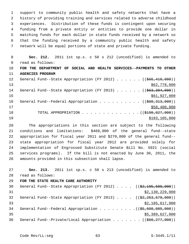1 support to community public health and safety networks that have a 2 history of providing training and services related to adverse childhood 3 experiences. Distribution of these funds is contingent upon securing 4 funding from a private entity or entities to provide one dollar in 5 matching funds for each dollar in state funds received by a network so 6 that the funding received by a community public health and safety 7 network will be equal portions of state and private funding.

 8 **Sec. 212.** 2011 1st sp.s. c 50 s 212 (uncodified) is amended to 9 read as follows: 10 **FOR THE DEPARTMENT OF SOCIAL AND HEALTH SERVICES--PAYMENTS TO OTHER** 11 **AGENCIES PROGRAM** 12 General Fund--State Appropriation (FY 2012) . . . . . ((\$66,410,000))  $\frac{$62,778,000}{ }$ 14 General Fund--State Appropriation (FY 2013) . . . . . . ((\$63,304,000))  $15$  \$61,927,000 16 General Fund--Federal Appropriation . . . . . . . . . ((\$60,313,000))  $17$  \$58,400,000 18 TOTAL APPROPRIATION . . . . . . . . . . . . . ((<del>\$190,027,000</del>)) 19 \$183,105,000

20 The appropriations in this section are subject to the following 21 conditions and limitations: \$469,000 of the general fund--state 22 appropriation for fiscal year 2011 and \$270,000 of the general fund-- 23 state appropriation for fiscal year 2012 are provided solely for 24 implementation of Engrossed Substitute Senate Bill No. 5921 (social 25 services programs). If the bill is not enacted by June 30, 2011, the 26 amounts provided in this subsection shall lapse.

27 **Sec. 213.** 2011 1st sp.s. c 50 s 213 (uncodified) is amended to 28 read as follows: 29 **FOR THE STATE HEALTH CARE AUTHORITY** 30 General Fund--State Appropriation (FY 2012) . . . . ((\$2,195,580,000))  $\frac{1}{2}$   $\frac{1}{2}$   $\frac{3}{2}$ , 130, 229, 000 32 General Fund--State Appropriation (FY 2013)  $\ldots$  ( $(\frac{2}{2}, \frac{263}{679}, \frac{679}{600})$ ) 33 \$2,185,617,000 34 General Fund--Federal Appropriation . . . . . . . . ((\$5,608,085,000))  $35$   $389,627,000$ 

36 General Fund--Private/Local Appropriation . . . . . . ((\$60,277,000))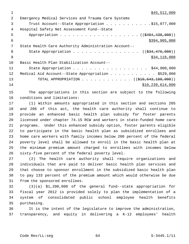| $\mathfrak{D}$ | Emergency Medical Services and Trauma Care Systems   |
|----------------|------------------------------------------------------|
| 3              | Trust Account--State Appropriation \$15,077,000      |
| 4              | Hospital Safety Net Assessment Fund--State           |
| 5              | Appropriation ((\$404,438,000))                      |
| 6              | \$394,905,000                                        |
| 7              | State Health Care Authority Administration Account-- |
| 8              | State Appropriation ( $(\frac{234}{176},000)$ )      |
| - 9            | \$34,118,000                                         |
| 10             | Basic Health Plan Stabilization Account--            |
| 11             | State Appropriation \$44,000,000                     |
| 12             | Medical Aid Account--State Appropriation \$529,000   |
| 13             |                                                      |
| 14             | \$10, 239, 614, 000                                  |
|                |                                                      |

15 The appropriations in this section are subject to the following 16 conditions and limitations:

17 (1) Within amounts appropriated in this section and sections 205 18 and 206 of this act, the health care authority shall continue to 19 provide an enhanced basic health plan subsidy for foster parents 20 licensed under chapter 74.15 RCW and workers in state-funded home care 21 programs. Under this enhanced subsidy option, foster parents eligible 22 to participate in the basic health plan as subsidized enrollees and 23 home care workers with family incomes below 200 percent of the federal 24 poverty level shall be allowed to enroll in the basic health plan at 25 the minimum premium amount charged to enrollees with incomes below 26 sixty-five percent of the federal poverty level.

27 (2) The health care authority shall require organizations and 28 individuals that are paid to deliver basic health plan services and 29 that choose to sponsor enrollment in the subsidized basic health plan 30 to pay 133 percent of the premium amount which would otherwise be due 31 from the sponsored enrollees.

32 (3)(a) \$1,200,000 of the general fund--state appropriation for 33 fiscal year 2012 is provided solely to plan the implementation of a 34 system of consolidated public school employee health benefits 35 purchasing.

36 It is the intent of the legislature to improve the administration, 37 transparency, and equity in delivering a K-12 employees' health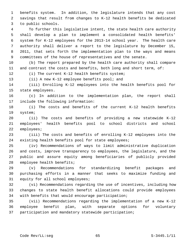1 benefits system. In addition, the legislature intends that any cost 2 savings that result from changes to K-12 health benefits be dedicated 3 to public schools.

 4 To further this legislative intent, the state health care authority 5 shall develop a plan to implement a consolidated health benefits' 6 system for K-12 employees for the 2013-14 school year. The health care 7 authority shall deliver a report to the legislature by December 15, 8 2011, that sets forth the implementation plan to the ways and means 9 committees of the house of representatives and the senate.

10 (b) The report prepared by the health care authority shall compare 11 and contrast the costs and benefits, both long and short term, of:

12 (i) The current K-12 health benefits system;

13 (ii) A new K-12 employee benefits pool; and

14 (iii) Enrolling K-12 employees into the health benefits pool for 15 state employees.

16 (c) In addition to the implementation plan, the report shall 17 include the following information:

18 (i) The costs and benefits of the current K-12 health benefits 19 system;

20 (ii) The costs and benefits of providing a new statewide K-12 21 employees' health benefits pool to school districts and school 22 employees;

23 (iii) The costs and benefits of enrolling K-12 employees into the 24 existing health benefits pool for state employees;

25 (iv) Recommendations of ways to limit administrative duplication 26 and costs, improve transparency to employees, the legislature, and the 27 public and assure equity among beneficiaries of publicly provided 28 employee health benefits;

29 (v) Recommendations for standardizing benefit packages and 30 purchasing efforts in a manner that seeks to maximize funding and 31 equity for all school employees;

32 (vi) Recommendations regarding the use of incentives, including how 33 changes to state health benefit allocations could provide employees 34 with benefits that would encourage participation;

35 (vii) Recommendations regarding the implementation of a new K-12 36 employee benefit plan, with separate options for voluntary 37 participation and mandatory statewide participation;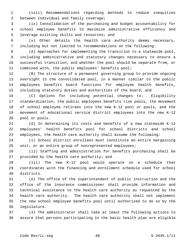1 (viii) Recommendations regarding methods to reduce inequities 2 between individual and family coverage;

 3 (ix) Consolidation of the purchasing and budget accountability for 4 school employee benefits to maximize administrative efficiency and 5 leverage existing skills and resources; and

 6 (x) Other details the health care authority deems necessary, 7 including but not limited to recommendations on the following:

 8 (A) Approaches for implementing the transition to a statewide pool, 9 including administrative and statutory changes necessary to ensure a 10 successful transition, and whether the pool should be separate from, or 11 combined with, the public employees' benefits pool;

12 (B) The structure of a permanent governing group to provide ongoing 13 oversight to the consolidated pool, in a manner similar to the public 14 employees benefits board functions for employee health benefits, 15 including statutory duties and authorities of the board; and

16 (C) Options for including potential changes to: Eligibility 17 standardization, the public employees benefits risk pools, the movement 18 of school employee retirees into the new K-12 pool or pools, and the 19 movement of educational service district employees into the new K-12 20 pool or pools.

21 (d) In determining its costs and benefits of a new statewide K-12 22 employees' health benefits pool for school districts and school 23 employees, the health care authority shall assume the following:

24 (i) School district enrollees must constitute an entire bargaining 25 unit, or an entire group of nonrepresented employees;

26 (ii) Staffing and administration for benefits purchasing shall be 27 provided by the health care authority; and

28 (iii) The new K-12 pool would operate on a schedule that 29 coordinates with the financing and enrollment schedule used for school 30 districts.

31 (e) The office of the superintendent of public instruction and the 32 office of the insurance commissioner shall provide information and 33 technical assistance to the health care authority as requested by the 34 health care authority. The health care authority shall not implement 35 the new school employee benefits pool until authorized to do so by the 36 legislature.

37 (4) The administrator shall take at least the following actions to 38 assure that persons participating in the basic health plan are eligible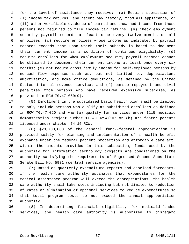1 for the level of assistance they receive: (a) Require submission of 2 (i) income tax returns, and recent pay history, from all applicants, or 3 (ii) other verifiable evidence of earned and unearned income from those 4 persons not required to file income tax returns; (b) check employment 5 security payroll records at least once every twelve months on all 6 enrollees; (c) require enrollees whose income as indicated by payroll 7 records exceeds that upon which their subsidy is based to document 8 their current income as a condition of continued eligibility; (d) 9 require enrollees for whom employment security payroll records cannot 10 be obtained to document their current income at least once every six 11 months; (e) not reduce gross family income for self-employed persons by 12 noncash-flow expenses such as, but not limited to, depreciation, 13 amortization, and home office deductions, as defined by the United 14 States internal revenue service; and (f) pursue repayment and civil 15 penalties from persons who have received excessive subsidies, as 16 provided in RCW 70.47.060(9).

17 (5) Enrollment in the subsidized basic health plan shall be limited 18 to only include persons who qualify as subsidized enrollees as defined 19 in RCW 70.47.020 and who (a) qualify for services under 1115 medicaid 20 demonstration project number 11-W-00254/10; or (b) are foster parents 21 licensed under chapter 74.15 RCW.

22 (6) \$23,700,000 of the general fund--federal appropriation is 23 provided solely for planning and implementation of a health benefit 24 exchange under the federal patient protection and affordable care act. 25 Within the amounts provided in this subsection, funds used by the 26 authority for information technology projects are conditioned on the 27 authority satisfying the requirements of Engrossed Second Substitute 28 Senate Bill No. 5931 (central service agencies).

29 (7) Based on quarterly expenditure reports and caseload forecasts, 30 if the health care authority estimates that expenditures for the 31 medical assistance program will exceed the appropriations, the health 32 care authority shall take steps including but not limited to reduction 33 of rates or elimination of optional services to reduce expenditures so 34 that total program costs do not exceed the annual appropriation 35 authority.

36 (8) In determining financial eligibility for medicaid-funded 37 services, the health care authority is authorized to disregard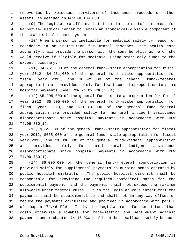1 recoveries by Holocaust survivors of insurance proceeds or other 2 assets, as defined in RCW 48.104.030.

 3 (9) The legislature affirms that it is in the state's interest for 4 Harborview medical center to remain an economically viable component of 5 the state's health care system.

 6 (10) When a person is ineligible for medicaid solely by reason of 7 residence in an institution for mental diseases, the health care 8 authority shall provide the person with the same benefits as he or she 9 would receive if eligible for medicaid, using state-only funds to the 10 extent necessary.

11 (11) \$4,261,000 of the general fund--state appropriation for fiscal 12 year 2012, \$4,261,000 of the general fund--state appropriation for 13 fiscal year 2013, and \$8,522,000 of the general fund--federal 14 appropriation are provided solely for low-income disproportionate share 15 hospital payments under RCW 74.09.730(1)(a).

16 (12) \$5,905,000 of the general fund--state appropriation for fiscal 17 year 2012, \$5,905,000 of the general fund--state appropriation for 18 fiscal year 2013, and \$11,810,000 of the general fund--federal 19 appropriation are provided solely for nonrural indigent assistance 20 disproportionate share hospital payments in accordance with RCW 21 74.09.730(1).

22 (13) \$665,000 of the general fund--state appropriation for fiscal 23 year 2012, \$665,000 of the general fund--state appropriation for fiscal 24 year 2013, and \$1,330,000 of the general fund--federal appropriation 25 are provided solely for small rural indigent assistance 26 disproportionate share hospital payments in accordance with RCW 27 74.09.730(1).

28 (14) \$6,000,000 of the general fund--federal appropriation is 29 provided solely for supplemental payments to nursing homes operated by 30 public hospital districts. The public hospital district shall be 31 responsible for providing the required nonfederal match for the 32 supplemental payment, and the payments shall not exceed the maximum 33 allowable under federal rules. It is the legislature's intent that the 34 payments shall be supplemental to and shall not in any way offset or 35 reduce the payments calculated and provided in accordance with part E 36 of chapter 74.46 RCW. It is the legislature's further intent that 37 costs otherwise allowable for rate-setting and settlement against 38 payments under chapter 74.46 RCW shall not be disallowed solely because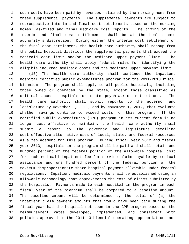1 such costs have been paid by revenues retained by the nursing home from 2 these supplemental payments. The supplemental payments are subject to 3 retrospective interim and final cost settlements based on the nursing 4 homes' as-filed and final medicare cost reports. The timing of the 5 interim and final cost settlements shall be at the health care 6 authority's discretion. During either the interim cost settlement or 7 the final cost settlement, the health care authority shall recoup from 8 the public hospital districts the supplemental payments that exceed the 9 medicaid cost limit and/or the medicare upper payment limit. The 10 health care authority shall apply federal rules for identifying the 11 eligible incurred medicaid costs and the medicare upper payment limit.

12 (15) The health care authority shall continue the inpatient 13 hospital certified public expenditures program for the 2011-2013 fiscal 14 biennium. The program shall apply to all public hospitals, including 15 those owned or operated by the state, except those classified as 16 critical access hospitals or state psychiatric institutions. The 17 health care authority shall submit reports to the governor and 18 legislature by November 1, 2011, and by November 1, 2012, that evaluate 19 whether savings continue to exceed costs for this program. If the 20 certified public expenditures (CPE) program in its current form is no 21 longer cost-effective to maintain, the health care authority shall 22 submit a report to the governor and legislature detailing 23 cost-effective alternative uses of local, state, and federal resources 24 as a replacement for this program. During fiscal year 2012 and fiscal 25 year 2013, hospitals in the program shall be paid and shall retain one 26 hundred percent of the federal portion of the allowable hospital cost 27 for each medicaid inpatient fee-for-service claim payable by medical 28 assistance and one hundred percent of the federal portion of the 29 maximum disproportionate share hospital payment allowable under federal 30 regulations. Inpatient medicaid payments shall be established using an 31 allowable methodology that approximates the cost of claims submitted by 32 the hospitals. Payments made to each hospital in the program in each 33 fiscal year of the biennium shall be compared to a baseline amount. 34 The baseline amount will be determined by the total of (a) the 35 inpatient claim payment amounts that would have been paid during the 36 fiscal year had the hospital not been in the CPE program based on the 37 reimbursement rates developed, implemented, and consistent with 38 policies approved in the 2011-13 biennial operating appropriations act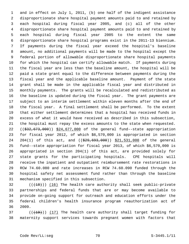1 and in effect on July 1, 2011, (b) one half of the indigent assistance 2 disproportionate share hospital payment amounts paid to and retained by 3 each hospital during fiscal year 2005, and (c) all of the other 4 disproportionate share hospital payment amounts paid to and retained by 5 each hospital during fiscal year 2005 to the extent the same 6 disproportionate share hospital programs exist in the 2011-13 biennium. 7 If payments during the fiscal year exceed the hospital's baseline 8 amount, no additional payments will be made to the hospital except the 9 federal portion of allowable disproportionate share hospital payments 10 for which the hospital can certify allowable match. If payments during 11 the fiscal year are less than the baseline amount, the hospital will be 12 paid a state grant equal to the difference between payments during the 13 fiscal year and the applicable baseline amount. Payment of the state 14 grant shall be made in the applicable fiscal year and distributed in 15 monthly payments. The grants will be recalculated and redistributed as 16 the baseline is updated during the fiscal year. The grant payments are 17 subject to an interim settlement within eleven months after the end of 18 the fiscal year. A final settlement shall be performed. To the extent 19 that either settlement determines that a hospital has received funds in 20 excess of what it would have received as described in this subsection, 21 the hospital must repay the excess amounts to the state when requested. 22  $((\$32,673,000))$  \$24,677,000 of the general fund--state appropriation 23 for fiscal year 2012, of which \$6,570,000 is appropriated in section 24 204(1) of this act, and ((\$29,693,000)) \$21,531,000 of the general 25 fund--state appropriation for fiscal year 2013, of which \$6,570,000 is 26 appropriated in section 204(1) of this act, are provided solely for 27 state grants for the participating hospitals. CPE hospitals will 28 receive the inpatient and outpatient reimbursement rate restorations in 29 RCW 74.60.080 and rate increases in RCW 74.60.090 funded through the 30 hospital safety net assessment fund rather than through the baseline 31 mechanism specified in this subsection.

 $32$  (( $(18)$ )) (16) The health care authority shall seek public-private 33 partnerships and federal funds that are or may become available to 34 provide on-going support for outreach and education efforts under the 35 federal children's health insurance program reauthorization act of 36 2009.

 $(1, 19)$  (( $(19)$ )) (17) The health care authority shall target funding for 38 maternity support services towards pregnant women with factors that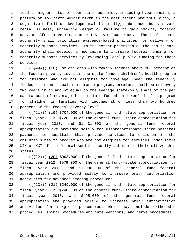1 lead to higher rates of poor birth outcomes, including hypertension, a 2 preterm or low birth weight birth in the most recent previous birth, a 3 cognitive deficit or developmental disability, substance abuse, severe 4 mental illness, unhealthy weight or failure to gain weight, tobacco 5 use, or African American or Native American race. The health care 6 authority shall prioritize evidence-based practices for delivery of 7 maternity support services. To the extent practicable, the health care 8 authority shall develop a mechanism to increase federal funding for 9 maternity support services by leveraging local public funding for those 10 services.

11  $((+20))$  (18) For children with family incomes above 200 percent of 12 the federal poverty level in the state-funded children's health program 13 for children who are not eligible for coverage under the federally 14 funded children's health insurance program, premiums shall be set every 15 two years in an amount equal to the average state-only share of the per 16 capita cost of coverage in the state-funded children's health program 17 for children in families with incomes at or less than two hundred 18 percent of the federal poverty level.

19  $((+21))$  (19) \$704,000 of the general fund--state appropriation for 20 fiscal year 2012, \$726,000 of the general fund--state appropriation for 21 fiscal year 2013, and \$1,431,000 of the general fund--federal 22 appropriation are provided solely for disproportionate share hospital 23 payments to hospitals that provide services to children in the 24 children's health program who are not eligible for services under Title 25 XIX or XXI of the federal social security act due to their citizenship 26 status.

27  $((+22))$  (20) \$998,000 of the general fund--state appropriation for 28 fiscal year 2012, \$979,000 of the general fund--state appropriation for 29 fiscal year 2013, and \$1,980,000 of the general fund--federal 30 appropriation are provided solely to increase prior authorization 31 activities for advanced imaging procedures.

 $(1+23)$  ( $(21)$  \$249,000 of the general fund--state appropriation for 33 fiscal year 2012, \$246,000 of the general fund--state appropriation for 34 fiscal year 2013, and \$495,000 of the general fund--federal 35 appropriation are provided solely to increase prior authorization 36 activities for surgical procedures, which may include orthopedic 37 procedures, spinal procedures and interventions, and nerve procedures.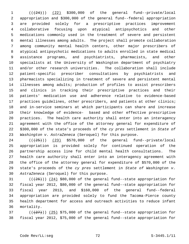$1$   $((+24))$   $(22)$  \$300,000 of the general fund--private/local 2 appropriation and \$300,000 of the general fund--federal appropriation 3 are provided solely for a prescriptive practices improvement 4 collaborative focusing upon atypical antipsychotics and other 5 medications commonly used in the treatment of severe and persistent 6 mental illnesses among adults. The project shall promote collaboration 7 among community mental health centers, other major prescribers of 8 atypical antipsychotic medications to adults enrolled in state medical 9 assistance programs, and psychiatrists, pharmacists, and other 10 specialists at the University of Washington department of psychiatry 11 and/or other research universities. The collaboration shall include 12 patient-specific prescriber consultations by psychiatrists and 13 pharmacists specializing in treatment of severe and persistent mental 14 illnesses among adults; production of profiles to assist prescribers 15 and clinics in tracking their prescriptive practices and their 16 patients' medication use and adherence relative to evidence-based 17 practices guidelines, other prescribers, and patients at other clinics; 18 and in-service seminars at which participants can share and increase 19 their knowledge of evidence- based and other effective prescriptive 20 practices. The health care authority shall enter into an interagency 21 agreement with the office of the attorney general for expenditure of 22 \$300,000 of the state's proceeds of the *cy pres* settlement in *State of* 23 *Washington v. AstraZeneca* (Seroquel) for this purpose.

 $24$  ( $(\frac{25}{1})$ )  $(23)$  \$570,000 of the general fund--private/local 25 appropriation is provided solely for continued operation of the 26 partnership access line for child mental health consultations. The 27 health care authority shall enter into an interagency agreement with 28 the office of the attorney general for expenditure of \$570,000 of the 29 state's proceeds of the *cy pres* settlement in *State of Washington v.* 30 *AstraZeneca* (Seroquel) for this purpose.

31  $((+26))$   $(24)$  \$80,000 of the general fund--state appropriation for 32 fiscal year 2012, \$80,000 of the general fund--state appropriation for 33 fiscal year 2013, and \$160,000 of the general fund--federal 34 appropriation are provided solely to fund the Tacoma-Pierce county 35 health department for access and outreach activities to reduce infant 36 mortality.

37  $((+27))$   $(25)$  \$75,000 of the general fund--state appropriation for 38 fiscal year 2012, \$75,000 of the general fund--state appropriation for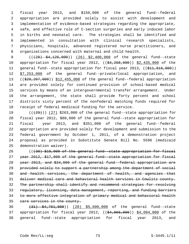1 fiscal year 2013, and \$150,000 of the general fund--federal 2 appropriation are provided solely to assist with development and 3 implementation of evidence-based strategies regarding the appropriate, 4 safe, and effective role of C-section surgeries and early induced labor 5 in births and neonatal care. The strategies shall be identified and 6 implemented in consultation with clinical research specialists, 7 physicians, hospitals, advanced registered nurse practitioners, and 8 organizations concerned with maternal and child health.

9 (( $(28)$  \$4,126,000)) (26) \$2,400,000 of the general fund--state 10 appropriation for fiscal year 2012, ((\$4,268,000)) \$2,435,000 of the 11 general fund--state appropriation for fiscal year 2013, ((\$11,816,000)) 12 \$7,253,000 of the general fund--private/local appropriation, and 13 ((\$20,207,000)) \$12,455,000 of the general fund--federal appropriation 14 are provided solely for continued provision of school-based medical 15 services by means of an intergovernmental transfer arrangement. Under 16 the arrangement, the state shall provide forty percent and school 17 districts sixty percent of the nonfederal matching funds required for 18 receipt of federal medicaid funding for the service.

19  $((+29))$   $(27)$  \$263,000 of the general fund--state appropriation for 20 fiscal year 2012, \$88,000 of the general fund--state appropriation for 21 fiscal year 2013, and \$351,000 of the general fund--federal 22 appropriation are provided solely for development and submission to the 23 federal government by October 1, 2011, of a demonstration project 24 proposal as provided in Substitute Senate Bill No. 5596 (medicaid 25 demonstration waiver).

26 (((30) \$19,000 of the general fund--state appropriation for fiscal year 2012, \$17,000 of the general fund--state appropriation for fiscal year 2013, and \$34,000 of the general fund--federal appropriation are provided solely to support a partnership among the department of social and health services, the department of health, and agencies that deliver medical care and behavioral health services in Cowlitz county. The partnership shall identify and recommend strategies for resolving regulatory, licensing, data management, reporting, and funding barriers to more effective integration of primary medical and behavioral health care services in the county.

36 (31) \$4,761,000)) (28) \$5,600,000 of the general fund--state 37 appropriation for fiscal year 2012, ((\$4,066,000)) \$4,094,000 of the 38 general fund--state appropriation for fiscal year 2013, and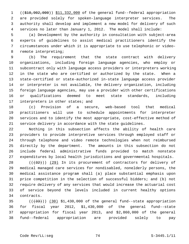1 ((\$10,902,000)) \$11,332,000 of the general fund--federal appropriation 2 are provided solely for spoken-language interpreter services. The 3 authority shall develop and implement a new model for delivery of such 4 services no later than January 1, 2012. The model shall include:

 5 (a) Development by the authority in consultation with subject-area 6 experts of guidelines to assist medical practitioners identify the 7 circumstances under which it is appropriate to use telephonic or video- 8 remote interpreting;

 9 (b) The requirement that the state contract with delivery 10 organizations, including foreign language agencies, who employ or 11 subcontract only with language access providers or interpreters working 12 in the state who are certified or authorized by the state. When a 13 state-certified or state-authorized in-state language access provider 14 or interpreter is not available, the delivery organization, including 15 foreign language agencies, may use a provider with other certifications 16 or qualifications deemed to meet state standards, including 17 interpreters in other states; and

18 (c) Provision of a secure, web-based tool that medical 19 practitioners will use to schedule appointments for interpreter 20 services and to identify the most appropriate, cost-effective method of 21 service delivery in accordance with the state guidelines.

22 Nothing in this subsection affects the ability of health care 23 providers to provide interpretive services through employed staff or 24 through telephone and video remote technologies when not reimbursed 25 directly by the department. The amounts in this subsection do not 26 include federal administrative funds provided to match nonstate 27 expenditures by local health jurisdictions and governmental hospitals.

 $28$  ( $(\frac{1}{32})$ ) (29) In its procurement of contractors for delivery of 29 medical managed care services for nondisabled, nonelderly persons, the 30 medical assistance program shall (a) place substantial emphasis upon 31 price competition in the selection of successful bidders; and (b) not 32 require delivery of any services that would increase the actuarial cost 33 of service beyond the levels included in current healthy options 34 contracts.

35  $((33))$   $(30)$  \$1,430,000 of the general fund--state appropriation 36 for fiscal year 2012, \$1,430,000 of the general fund--state 37 appropriation for fiscal year 2013, and \$2,860,000 of the general 38 fund--federal appropriation are provided solely to pay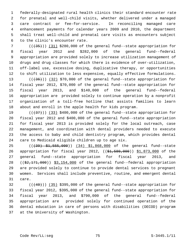1 federally-designated rural health clinics their standard encounter rate 2 for prenatal and well-child visits, whether delivered under a managed 3 care contract or fee-for-service. In reconciling managed care 4 enhancement payments for calendar years 2009 and 2010, the department 5 shall treat well-child and prenatal care visits as encounters subject 6 to the clinic's encounter rate.

7  $((+35))$  (31) \$280,000 of the general fund--state appropriation for 8 fiscal year 2012 and \$282,000 of the general fund--federal 9 appropriation are provided solely to increase utilization management of 10 drugs and drug classes for which there is evidence of over-utilization, 11 off-label use, excessive dosing, duplicative therapy, or opportunities 12 to shift utilization to less expensive, equally effective formulations.

13  $((+36))$   $(32)$  \$70,000 of the general fund--state appropriation for 14 fiscal year 2012, \$70,000 of the general fund--state appropriation for 15 fiscal year 2013, and \$140,000 of the general fund--federal 16 appropriation are provided solely to continue operation by a nonprofit 17 organization of a toll-free hotline that assists families to learn 18 about and enroll in the apple health for kids program.

19  $((+37))$   $(33)$  \$400,000 of the general fund--state appropriation for 20 fiscal year 2012 and \$400,000 of the general fund--state appropriation 21 for fiscal year 2013 is provided solely for the local outreach, case 22 management, and coordination with dental providers needed to execute 23 the access to baby and child dentistry program, which provides dental 24 care to Medicaid eligible children up to age six.

25 (((39) \$1,555,000)) (34) \$1,868,000 of the general fund--state 26 appropriation for fiscal year 2012, ((\$1,580,000)) \$1,873,000 of the 27 general fund--state appropriation for fiscal year 2013, and 28 ((\$2,171,000)) \$3,154,000 of the general fund--federal appropriation 29 are provided solely to continue to provide dental services to pregnant 30 women. Services shall include preventive, routine, and emergent dental 31 care.

 $32$  ( $(\overline{+40})$ ) (35) \$395,000 of the general fund--state appropriation for 33 fiscal year 2012, \$395,000 of the general fund--state appropriation for 34 fiscal year 2013, and \$790,000 of the general fund--federal 35 appropriation are provided solely for continued operation of the 36 dental education in care of persons with disabilities (DECOD) program 37 at the University of Washington.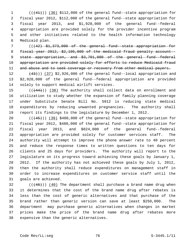1 (((41))) (36) \$112,000 of the general fund--state appropriation for 2 fiscal year 2012, \$112,000 of the general fund--state appropriation for 3 fiscal year 2013, and \$1,928,000 of the general fund--federal 4 appropriation are provided solely for the provider incentive program 5 and other initiatives related to the health information technology 6 Medicaid plan.

 7 (((42) \$1,373,000 of the general fund--state appropriation for 8 fiscal year 2012, \$2,105,000 of the medicaid fraud penalty account-- 9 state appropriation, and \$3,701,000 of the general fund--federal 10 appropriation are provided solely for efforts to reduce Medicaid fraud 11 and abuse and to seek coverage or recovery from other medical payers.

12  $(43)$ ) (37) \$2,926,000 of the general fund--local appropriation and 13 \$2,928,000 of the general fund--federal appropriation are provided 14 solely to support medical airlift services.

15  $((444))$  (38) The authority shall collect data on enrollment and 16 utilization to study whether the expansion of family planning coverage 17 under Substitute Senate Bill No. 5912 is reducing state medical 18 expenditures by reducing unwanted pregnancies. The authority shall 19 report its findings to the legislature by December 1, 2012.

20  $((+45))$  (39) \$480,000 of the general fund--state appropriation for 21 fiscal year 2012, \$480,000 of the general fund--state appropriation for 22 fiscal year 2013, and \$824,000 of the general fund--federal 23 appropriation are provided solely for customer services staff. The 24 authority will attempt to improve the phone answer rate to 40 percent 25 and reduce the response times to written questions to ten days for 26 clients and 25 days for providers. The authority will report to the 27 legislature on its progress toward achieving these goals by January 1, 28 2012. If the authority has not achieved these goals by July 1, 2012, 29 then the authority shall reduce expenditures on management staff in 30 order to increase expenditures on customer service staff until the 31 goals are achieved.

 $32$  (( $(46)$ )) (40) The department shall purchase a brand name drug when 33 it determines that the cost of the brand name drug after rebates is 34 less than the cost of generic alternatives and that purchase of the 35 brand rather than generic version can save at least \$250,000. The 36 department may purchase generic alternatives when changes in market 37 prices make the price of the brand name drug after rebates more 38 expensive than the generic alternatives.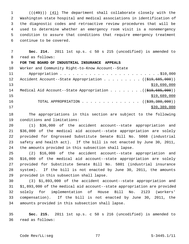1 (((49))) (41) The department shall collaborate closely with the 2 Washington state hospital and medical associations in identification of 3 the diagnostic codes and retroactive review procedures that will be 4 used to determine whether an emergency room visit is a nonemergency 5 condition to assure that conditions that require emergency treatment 6 continue to be covered.

 7 **Sec. 214.** 2011 1st sp.s. c 50 s 215 (uncodified) is amended to 8 read as follows: 9 **FOR THE BOARD OF INDUSTRIAL INSURANCE APPEALS** 10 Worker and Community Right-to-Know Account--State 11 Appropriation . . . . . . . . . . . . . . . . . . . . . . . . \$10,000 12 Accident Account--State Appropriation . . . . . . . . ((\$19,685,000)) 13 \$19,690,000 14 Medical Aid Account--State Appropriation . . . . . . . . ((\$19,685,000))  $15$  \$19,689,000 16 TOTAL APPROPRIATION . . . . . . . . . . . . . . ((\$39,380,000))  $17$  \$39,389,000

18 The appropriations in this section are subject to the following 19 conditions and limitations:

20 (1) \$36,000 of the accident account--state appropriation and 21 \$36,000 of the medical aid account--state appropriation are solely 22 provided for Engrossed Substitute Senate Bill No. 5068 (industrial 23 safety and health act). If the bill is not enacted by June 30, 2011, 24 the amounts provided in this subsection shall lapse.

25 (2) \$16,000 of the accident account--state appropriation and 26 \$16,000 of the medical aid account--state appropriation are solely 27 provided for Substitute Senate Bill No. 5801 (industrial insurance 28 system). If the bill is not enacted by June 30, 2011, the amounts 29 provided in this subsection shall lapse.

30 (3) \$1,893,000 of the accident account--state appropriation and 31 \$1,893,000 of the medical aid account--state appropriation are provided 32 solely for implementation of House Bill No. 2123 (workers' 33 compensation). If the bill is not enacted by June 30, 2011, the 34 amounts provided in this subsection shall lapse.

35 **Sec. 215.** 2011 1st sp.s. c 50 s 216 (uncodified) is amended to 36 read as follows: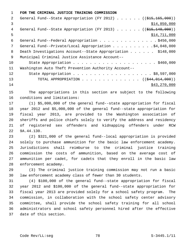1 **FOR THE CRIMINAL JUSTICE TRAINING COMMISSION**

| 2  | General Fund--State Appropriation (FY 2012) ( $(\frac{215}{165}, \frac{165}{160})$ ) |
|----|--------------------------------------------------------------------------------------|
| 3  | \$14,850,000                                                                         |
| 4  | General Fund--State Appropriation (FY 2013) $($ $($ $\frac{2515}{110}, 000)$ )       |
| 5  | \$14,711,000                                                                         |
| 6  | General Fund--Federal Appropriation \$456,000                                        |
| 7  | General Fund--Private/Local Appropriation 4,048,000                                  |
| 8  | Death Investigations Account--State Appropriation \$148,000                          |
| 9  | Municipal Criminal Justice Assistance Account--                                      |
| 10 |                                                                                      |
| 11 | Washington Auto Theft Prevention Authority Account--                                 |
| 12 |                                                                                      |
| 13 | TOTAL APPROPRIATION ( $(\frac{244}{014}, 014, 000)$ )                                |
| 14 | \$43,270,000                                                                         |

15 The appropriations in this section are subject to the following 16 conditions and limitations:

17 (1) \$5,000,000 of the general fund--state appropriation for fiscal 18 year 2012 and \$5,000,000 of the general fund--state appropriation for 19 fiscal year 2013, are provided to the Washington association of 20 sheriffs and police chiefs solely to verify the address and residency 21 of registered sex offenders and kidnapping offenders under RCW 22 9A.44.130.

23 (2) \$321,000 of the general fund--local appropriation is provided 24 solely to purchase ammunition for the basic law enforcement academy. 25 Jurisdictions shall reimburse to the criminal justice training 26 commission the costs of ammunition, based on the average cost of 27 ammunition per cadet, for cadets that they enroll in the basic law 28 enforcement academy.

29 (3) The criminal justice training commission may not run a basic 30 law enforcement academy class of fewer than 30 students.

31 (4) \$100,000 of the general fund--state appropriation for fiscal 32 year 2012 and \$100,000 of the general fund--state appropriation for 33 fiscal year 2013 are provided solely for a school safety program. The 34 commission, in collaboration with the school safety center advisory 35 committee, shall provide the school safety training for all school 36 administrators and school safety personnel hired after the effective 37 date of this section.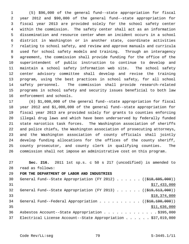1 (5) \$96,000 of the general fund--state appropriation for fiscal 2 year 2012 and \$90,000 of the general fund--state appropriation for 3 fiscal year 2013 are provided solely for the school safety center 4 within the commission. The safety center shall act as an information 5 dissemination and resource center when an incident occurs in a school 6 district in Washington or in another state, coordinate activities 7 relating to school safety, and review and approve manuals and curricula 8 used for school safety models and training. Through an interagency 9 agreement, the commission shall provide funding for the office of the 10 superintendent of public instruction to continue to develop and 11 maintain a school safety information web site. The school safety 12 center advisory committee shall develop and revise the training 13 program, using the best practices in school safety, for all school 14 safety personnel. The commission shall provide research-related 15 programs in school safety and security issues beneficial to both law 16 enforcement and schools.

17 (6) \$1,000,000 of the general fund--state appropriation for fiscal 18 year 2012 and \$1,000,000 of the general fund--state appropriation for 19 fiscal year 2013 are provided solely for grants to counties enforcing 20 illegal drug laws and which have been underserved by federally funded 21 state narcotics task forces. The Washington association of sheriffs 22 and police chiefs, the Washington association of prosecuting attorneys, 23 and the Washington association of county officials shall jointly 24 develop funding allocations for the offices of the county sheriff, 25 county prosecutor, and county clerk in qualifying counties. The 26 commission shall not impose an administrative cost on this program.

27 **Sec. 216.** 2011 1st sp.s. c 50 s 217 (uncodified) is amended to 28 read as follows:

29 **FOR THE DEPARTMENT OF LABOR AND INDUSTRIES**

| 30 | General Fund--State Appropriation (FY 2012) ( $(\frac{218}{605}, 000)$ )     |
|----|------------------------------------------------------------------------------|
| 31 | \$17,433,000                                                                 |
| 32 | General Fund--State Appropriation (FY 2013) $($ $($ $\frac{29.513}{10.513}$  |
| 33 | \$18,374,000                                                                 |
| 34 | General Fund--Federal Appropriation ( $(\frac{210}{100}, \frac{100}{100})$ ) |
| 35 | \$11,636,000                                                                 |
| 36 | Asbestos Account--State Appropriation \$395,000                              |
| 37 | Electrical License Account--State Appropriation \$37,019,000                 |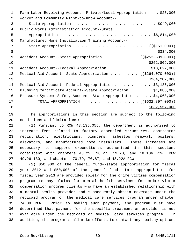| $\mathbf 1$ | Farm Labor Revolving Account--Private/Local Appropriation \$28,000       |
|-------------|--------------------------------------------------------------------------|
| 2           | Worker and Community Right-to-Know Account--                             |
| 3           |                                                                          |
| 4           | Public Works Administration Account--State                               |
| 5           |                                                                          |
| 6           | Manufactured Home Installation Training Account--                        |
| 7           | State Appropriation ( $(\frac{2151}{100})$ )                             |
| 8           | \$334,000                                                                |
| 9           | Accident Account--State Appropriation $($ $($ $\frac{2552}{699}$ , 000)) |
| 10          | \$252,809,000                                                            |
| 11          | Accident Account--Federal Appropriation \$13,622,000                     |
| 12          | Medical Aid Account--State Appropriation $($ $($ \$264,070,000))         |
| 13          | \$264, 202, 000                                                          |
| 14          | Medical Aid Account--Federal Appropriation \$3,186,000                   |
| 15          | Plumbing Certificate Account--State Appropriation \$1,688,000            |
| 16          | Pressure Systems Safety Account--State Appropriation \$4,068,000         |
| 17          | TOTAL APPROPRIATION ( $(\frac{2632}{6932}, \frac{897}{600})$ )           |
| 18          | \$632,557,000                                                            |

19 The appropriations in this section are subject to the following 20 conditions and limitations:

21 (1) Pursuant to RCW 43.135.055, the department is authorized to 22 increase fees related to factory assembled structures, contractor 23 registration, electricians, plumbers, asbestos removal, boilers, 24 elevators, and manufactured home installers. These increases are 25 necessary to support expenditures authorized in this section, 26 consistent with chapters 43.22, 18.27, 19.28, and 18.106 RCW, RCW 27 49.26.130, and chapters 70.79, 70.87, and 43.22A RCW.

28 (2) \$50,000 of the general fund--state appropriation for fiscal 29 year 2012 and \$50,000 of the general fund--state appropriation for 30 fiscal year 2013 are provided solely for the crime victims compensation 31 program to pay claims for mental health services for crime victim 32 compensation program clients who have an established relationship with 33 a mental health provider and subsequently obtain coverage under the 34 medicaid program or the medical care services program under chapter 35 74.09 RCW. Prior to making such payment, the program must have 36 determined that payment for the specific treatment or provider is not 37 available under the medicaid or medical care services program. In 38 addition, the program shall make efforts to contact any healthy options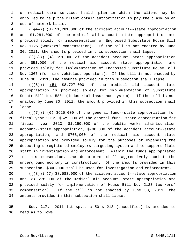1 or medical care services health plan in which the client may be 2 enrolled to help the client obtain authorization to pay the claim on an 3 out-of-network basis.

 $4$  ( $(\frac{4}{4})$ )  $(3)$  \$1,281,000 of the accident account--state appropriation 5 and \$1,281,000 of the medical aid account--state appropriation are 6 provided solely for implementation of Engrossed Substitute House Bill 7 No. 1725 (workers' compensation). If the bill is not enacted by June 8 30, 2011, the amounts provided in this subsection shall lapse.

9  $((+5))$   $(4)$  \$51,000 of the accident account--state appropriation 10 and \$51,000 of the medical aid account--state appropriation are 11 provided solely for implementation of Engrossed Substitute House Bill 12 No. 1367 (for hire vehicles, operators). If the bill is not enacted by 13 June 30, 2011, the amounts provided in this subsection shall lapse.

14  $((\left\lbrace 6 \right\rbrace))$  (5) \$8,727,000 of the medical aid account--state 15 appropriation is provided solely for implementation of Substitute 16 Senate Bill No. 5801 (industrial insurance system). If the bill is not 17 enacted by June 30, 2011, the amount provided in this subsection shall 18 lapse.

19  $((+7)^{n})$  (6) \$625,000 of the general fund--state appropriation for 20 fiscal year 2012, \$625,000 of the general fund--state appropriation for 21 fiscal year 2013, \$1,250,000 of the public works administration 22 account--state appropriation, \$708,000 of the accident account--state 23 appropriation, and \$708,000 of the medical aid account--state 24 appropriation are provided solely for the purposes of expanding the 25 detecting unregistered employers targeting system and to support field 26 staff in investigation and enforcement. Within the funds appropriated 27 in this subsection, the department shall aggressively combat the 28 underground economy in construction. Of the amounts provided in this 29 subsection, \$800,000 shall be used for investigation and enforcement.

30  $((+8))$   $(7)$  \$8,583,000 of the accident account--state appropriation 31 and \$18,278,000 of the medical aid account--state appropriation are 32 provided solely for implementation of House Bill No. 2123 (workers' 33 compensation). If the bill is not enacted by June 30, 2011, the 34 amounts provided in this subsection shall lapse.

35 **Sec. 217.** 2011 1st sp.s. c 50 s 218 (uncodified) is amended to 36 read as follows: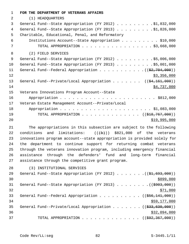| $\mathbf 1$ | FOR THE DEPARTMENT OF VETERANS AFFAIRS                                     |
|-------------|----------------------------------------------------------------------------|
| 2           | (1) HEADQUARTERS                                                           |
| 3           | General Fund--State Appropriation (FY 2012) \$1,832,000                    |
| 4           | General Fund--State Appropriation (FY 2013) \$1,826,000                    |
| 5           | Charitable, Educational, Penal, and Reformatory                            |
| 6           | Institutions Account--State Appropriation \$10,000                         |
| 7           | TOTAL APPROPRIATION $\ldots$ , \$3,668,000                                 |
| 8           | (2) FIELD SERVICES                                                         |
| 9           | General Fund--State Appropriation (FY 2012) \$5,006,000                    |
| 10          | General Fund--State Appropriation (FY 2013) \$5,001,000                    |
| 11          | General Fund--Federal Appropriation $($ $($ \$2,704,000) $)$               |
| 12          | \$3,356,000                                                                |
| 13          | General Fund--Private/Local Appropriation ( $(\frac{24}{161}, 000)$ )      |
| 14          | \$4,737,000                                                                |
| 15          | Veterans Innovations Program Account--State                                |
| 16          |                                                                            |
| 17          | Veteran Estate Management Account--Private/Local                           |
| 18          |                                                                            |
| 19          | TOTAL APPROPRIATION ( $(\frac{1818}{767},000)$ )                           |
| 20          | \$19,995,000                                                               |
| 21          | The appropriations in this subsection are subject to the following         |
| 22          | conditions and limitations: $((+b))$ \$821,000 of the veterans             |
| 23          | innovations program account--state appropriation is provided solely for    |
| 24          | the department to continue support for returning combat veterans           |
| 25          | through the veterans innovation program, including emergency financial     |
| 26          | assistance through the defenders' fund and long-term financial             |
| 27          | assistance through the competitive grant program.                          |
| 28          | (3) INSTITUTIONAL SERVICES                                                 |
| 29          | General Fund--State Appropriation (FY 2012) ( $(\frac{1}{21}, 693, 000)$ ) |
| 30          | \$899,000                                                                  |
| 31          | General Fund--State Appropriation (FY 2013) ( $(\frac{2903,000}{1})$       |

 $32 \frac{$71,000}{ }$ 

33 General Fund--Federal Appropriation . . . . . . . . . ((\$56,141,000)) 34 \$59,177,000

35 General Fund--Private/Local Appropriation . . . . . . ((\$33,630,000)) 36 \$32,094,000

37 TOTAL APPROPRIATION . . . . . . . . . . . . . . ((\$92,367,000))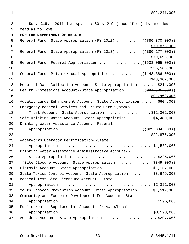1 \$92,241,000

| $\overline{2}$ | Sec. 218. 2011 1st sp.s. c 50 s 219 (uncodified) is amended to                       |
|----------------|--------------------------------------------------------------------------------------|
| 3              | read as follows:                                                                     |
| $\overline{4}$ | FOR THE DEPARTMENT OF HEALTH                                                         |
| 5              | General Fund--State Appropriation (FY 2012) ( $(\frac{280}{370}, \frac{370}{000})$ ) |
| 6              | \$79,876,000                                                                         |
| 7              | General Fund--State Appropriation (FY 2013) ( $(\frac{280}{177},000)$ )              |
| 8              | \$79,693,000                                                                         |
| 9              |                                                                                      |
| 10             | \$555, 563, 000                                                                      |
| 11             | General Fund--Private/Local Appropriation ( $(\frac{2148}{386}, \frac{386}{100})$ )  |
| 12             | \$148,362,000                                                                        |
| 13             | Hospital Data Collection Account--State Appropriation \$214,000                      |
| 14             | Health Professions Account--State Appropriation $($ $($ $\frac{694}{7505},000)$ )    |
| 15             | \$94,469,000                                                                         |
| 16             | Aquatic Lands Enhancement Account--State Appropriation \$604,000                     |
| 17             | Emergency Medical Services and Trauma Care Systems                                   |
| 18             | Trust Account--State Appropriation \$12,302,000                                      |
| 19             | Safe Drinking Water Account--State Appropriation \$4,480,000                         |
| 20             | Drinking Water Assistance Account--Federal                                           |
| 21             | ((\$22,884,000))                                                                     |
| 22             | \$22,875,000                                                                         |
| 23             | Waterworks Operator Certification--State                                             |
| 24             |                                                                                      |
| 25             | Drinking Water Assistance Administrative Account--                                   |
| 26             |                                                                                      |
| 27             | $((Site Closure Account-State Approxation 000))$                                     |
| 28             | Biotoxin Account--State Appropriation \$1,167,000                                    |
| 29             | State Toxics Control Account--State Appropriation \$3,649,000                        |
| 30             | Medical Test Site Licensure Account--State                                           |
| 31             |                                                                                      |
| 32             | Youth Tobacco Prevention Account--State Appropriation \$1,512,000                    |
| 33             | Community and Economic Development Fee Account--State                                |
| 34             |                                                                                      |
| 35             | Public Health Supplemental Account--Private/Local                                    |
| 36             |                                                                                      |
| 37             | Accident Account--State Appropriation \$297,000                                      |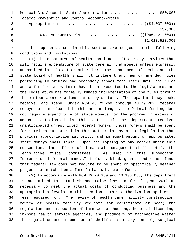|   | Medical Aid Account--State Appropriation \$50,000            |
|---|--------------------------------------------------------------|
|   | Tobacco Prevention and Control Account--State                |
|   |                                                              |
|   | \$37,000                                                     |
| 5 | TOTAL APPROPRIATION $\ldots$ , ( $(\frac{2996}{121}, 000)$ ) |
|   | \$1,013,523,000                                              |

 7 The appropriations in this section are subject to the following 8 conditions and limitations:

 9 (1) The department of health shall not initiate any services that 10 will require expenditure of state general fund moneys unless expressly 11 authorized in this act or other law. The department of health and the 12 state board of health shall not implement any new or amended rules 13 pertaining to primary and secondary school facilities until the rules 14 and a final cost estimate have been presented to the legislature, and 15 the legislature has formally funded implementation of the rules through 16 the omnibus appropriations act or by statute. The department may seek, 17 receive, and spend, under RCW 43.79.260 through 43.79.282, federal 18 moneys not anticipated in this act as long as the federal funding does 19 not require expenditure of state moneys for the program in excess of 20 amounts anticipated in this act. If the department receives 21 unanticipated unrestricted federal moneys, those moneys shall be spent 22 for services authorized in this act or in any other legislation that 23 provides appropriation authority, and an equal amount of appropriated 24 state moneys shall lapse. Upon the lapsing of any moneys under this 25 subsection, the office of financial management shall notify the 26 legislative fiscal committees. As used in this subsection, 27 "unrestricted federal moneys" includes block grants and other funds 28 that federal law does not require to be spent on specifically defined 29 projects or matched on a formula basis by state funds.

30 (2) In accordance with RCW 43.70.250 and 43.135.055, the department 31 is authorized to establish and raise fees in fiscal year 2012 as 32 necessary to meet the actual costs of conducting business and the 33 appropriation levels in this section. This authorization applies to 34 fees required for: The review of health care facility construction; 35 review of health facility requests for certificate of need; the 36 regulation and inspection of farm worker housing, hospital licensing, 37 in-home health service agencies, and producers of radioactive waste; 38 the regulation and inspection of shellfish sanitary control, surgical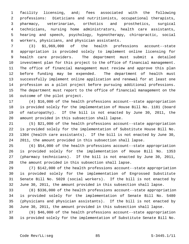1 facility licensing, and; fees associated with the following 2 professions: Dieticians and nutritionists, occupational therapists, 3 pharmacy, veterinarian, orthotics and prosthetics, surgical 4 technicians, nursing home administrators, health care assistants, 5 hearing and speech, psychology, hypnotherapy, chiropractic, social 6 workers, physicians, and physician assistants.

 7 (3) \$1,969,000 of the health professions account--state 8 appropriation is provided solely to implement online licensing for 9 health care providers. The department must submit a detailed 10 investment plan for this project to the office of financial management. 11 The office of financial management must review and approve this plan 12 before funding may be expended. The department of health must 13 successfully implement online application and renewal for at least one 14 profession as a pilot project before pursuing additional professions. 15 The department must report to the office of financial management on the 16 outcome of the pilot project.

17 (4) \$16,000 of the health professions account--state appropriation 18 is provided solely for the implementation of House Bill No. 1181 (board 19 of naturopathy). If the bill is not enacted by June 30, 2011, the 20 amount provided in this subsection shall lapse.

21 (5) \$21,000 of the health professions account--state appropriation 22 is provided solely for the implementation of Substitute House Bill No. 23 1304 (health care assistants). If the bill is not enacted by June 30, 24 2011, the amount provided in this subsection shall lapse.

25 (6) \$54,000 of the health professions account--state appropriation 26 is provided solely for the implementation of House Bill No. 1353 27 (pharmacy technicians). If the bill is not enacted by June 30, 2011, 28 the amount provided in this subsection shall lapse.

29 (7) \$142,000 of the health professions account--state appropriation 30 is provided solely for the implementation of Engrossed Substitute 31 Senate Bill No. 5020 (social workers). If the bill is not enacted by 32 June 30, 2011, the amount provided in this subsection shall lapse.

33 (8) \$336,000 of the health professions account--state appropriation 34 is provided solely for the implementation of Senate Bill No. 5480 35 (physicians and physician assistants). If the bill is not enacted by 36 June 30, 2011, the amount provided in this subsection shall lapse.

37 (9) \$46,000 of the health professions account--state appropriation 38 is provided solely for the implementation of Substitute Senate Bill No.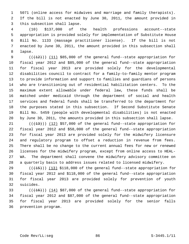1 5071 (online access for midwives and marriage and family therapists). 2 If the bill is not enacted by June 30, 2011, the amount provided in 3 this subsection shall lapse.

 4 (10) \$137,000 of the health professions account--state 5 appropriation is provided solely for implementation of Substitute House 6 Bill No. 1133 (massage practitioner license). If the bill is not 7 enacted by June 30, 2011, the amount provided in this subsection shall 8 lapse.

9  $((+12))$   $(11)$  \$85,000 of the general fund--state appropriation for 10 fiscal year 2012 and \$85,000 of the general fund--state appropriation 11 for fiscal year 2013 are provided solely for the developmental 12 disabilities council to contract for a family-to-family mentor program 13 to provide information and support to families and guardians of persons 14 who are transitioning out of residential habilitation centers. To the 15 maximum extent allowable under federal law, these funds shall be 16 matched under medicaid through the department of social and health 17 services and federal funds shall be transferred to the department for 18 the purposes stated in this subsection. If Second Substitute Senate 19 Bill No. 5459 (people with developmental disabilities) is not enacted 20 by June 30, 2011, the amounts provided in this subsection shall lapse.

21  $((+13))$   $(12)$  \$57,000 of the general fund--state appropriation for 22 fiscal year 2012 and \$58,000 of the general fund--state appropriation 23 for fiscal year 2013 are provided solely for the midwifery licensure 24 and regulatory program to offset a reduction in revenue from fees. 25 There shall be no change to the current annual fees for new or renewed 26 licenses for the midwifery program, except from online access to HEAL-27 WA. The department shall convene the midwifery advisory committee on 28 a quarterly basis to address issues related to licensed midwifery.

29  $((+15))$  (13) \$118,000 of the general fund--state appropriation for 30 fiscal year 2012 and \$118,000 of the general fund--state appropriation 31 for fiscal year 2013 are provided solely for prevention of youth 32 suicides.

33  $((+16))$   $(14)$  \$87,000 of the general fund--state appropriation for 34 fiscal year 2012 and \$87,000 of the general fund--state appropriation 35 for fiscal year 2013 are provided solely for the senior falls 36 prevention program.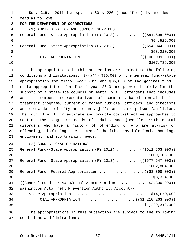1 **Sec. 219.** 2011 1st sp.s. c 50 s 220 (uncodified) is amended to 2 read as follows: 3 **FOR THE DEPARTMENT OF CORRECTIONS** 4 (1) ADMINISTRATION AND SUPPORT SERVICES 5 General Fund--State Appropriation (FY 2012)  $\ldots$  . . . (( $\frac{254,895,000}{2}$ )  $$54,529,000$ 7 General Fund--State Appropriation (FY 2013) . . . . . ((\$54,044,000))  $8 \div 53,210,000$ 9 TOTAL APPROPRIATION . . . . . . . . . . . . . . (  $(\frac{108,939,000}{100,000})$  $10$  \$107,739,000

11 The appropriations in this subsection are subject to the following 12 conditions and limitations:  $((+a))$  \$35,000 of the general fund--state 13 appropriation for fiscal year 2012 and \$35,000 of the general fund-- 14 state appropriation for fiscal year 2013 are provided solely for the 15 support of a statewide council on mentally ill offenders that includes 16 as its members representatives of community-based mental health 17 treatment programs, current or former judicial officers, and directors 18 and commanders of city and county jails and state prison facilities. 19 The council will investigate and promote cost-effective approaches to 20 meeting the long-term needs of adults and juveniles with mental 21 disorders who have a history of offending or who are at-risk of 22 offending, including their mental health, physiological, housing, 23 employment, and job training needs.

24 (2) CORRECTIONAL OPERATIONS

25 General Fund--State Appropriation (FY 2012) . . . . . ((\$612,803,000)) 26 \$609,105,000 27 General Fund--State Appropriation (FY 2013) . . . . . ((\$577,647,000)) 28 \$602,804,000 29 General Fund--Federal Appropriation  $\ldots$  . . . . . . . . . .  $($   $(\frac{23}{3}, \frac{398}{900})$  $\frac{1}{2}$  30  $\frac{1}{2}$  30  $\frac{1}{2}$  324,000 31 ((General Fund--Private/Local Appropriation . . . . . . \$2,336,000)) 32 Washington Auto Theft Prevention Authority Account-- 33 State Appropriation . . . . . . . . . . . . . . . . . . \$14,079,000 34 TOTAL APPROPRIATION . . . . . . . . . . . . . ((\$1,210,263,000))  $35$   $\frac{1}{229}$ ,  $312$ , 000 36 The appropriations in this subsection are subject to the following

37 conditions and limitations: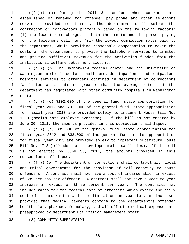$1$  (( $\{\pm\}$ )) (a) During the 2011-13 biennium, when contracts are 2 established or renewed for offender pay phone and other telephone 3 services provided to inmates, the department shall select the 4 contractor or contractors primarily based on the following factors: 5 (i) The lowest rate charged to both the inmate and the person paying 6 for the telephone call; and (ii) the lowest commission rates paid to 7 the department, while providing reasonable compensation to cover the 8 costs of the department to provide the telephone services to inmates 9 and provide sufficient revenues for the activities funded from the 10 institutional welfare betterment account.

11 ( $(\langle e \rangle)$ ) (b) The Harborview medical center and the University of 12 Washington medical center shall provide inpatient and outpatient 13 hospital services to offenders confined in department of corrections 14 facilities at a rate no greater than the average rate that the 15 department has negotiated with other community hospitals in Washington 16 state.

17  $((\{d\}))(c)$  \$102,000 of the general fund--state appropriation for 18 fiscal year 2012 and \$102,000 of the general fund--state appropriation 19 for fiscal year 2013 are provided solely to implement House Bill No. 20 1290 (health care employee overtime). If the bill is not enacted by 21 June 30, 2011, the amounts provided in this subsection shall lapse.

22  $((\text{+e})^2)$  (d) \$32,000 of the general fund--state appropriation for 23 fiscal year 2012 and \$33,000 of the general fund--state appropriation 24 for fiscal year 2013 are provided solely to implement Substitute House 25 Bill No. 1718 (offenders with developmental disabilities). If the bill 26 is not enacted by June 30, 2011, the amounts provided in this 27 subsection shall lapse.

28 ( $(\text{+f-})$ ) (e) The department of corrections shall contract with local 29 and tribal governments for the provision of jail capacity to house 30 offenders. A contract shall not have a cost of incarceration in excess 31 of \$85 per day per offender. A contract shall not have a year-to-year 32 increase in excess of three percent per year. The contracts may 33 include rates for the medical care of offenders which exceed the daily 34 cost of incarceration and the limitation on year-to-year increase, 35 provided that medical payments conform to the department's offender 36 health plan, pharmacy formulary, and all off-site medical expenses are 37 preapproved by department utilization management staff.

38 (3) COMMUNITY SUPERVISION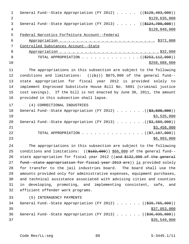1 General Fund--State Appropriation (FY 2012) . . . . ((\$128,403,000)) 2 \$129,635,000 3 General Fund--State Appropriation (FY 2013) . . . . . ((\$124,709,000)) 4 \$128,049,000 \$128,049,000 5 Federal Narcotics Forfeiture Account--Federal 6 Appropriation . . . . . . . . . . . . . . . . . . . . . . . \$372,000 7 Controlled Substances Account--State 8 Appropriation . . . . . . . . . . . . . . . . . . . . . . . . \$32,000 9 TOTAL APPROPRIATION . . . . . . . . . . . . . . ((\$253,112,000))  $\frac{10}{2258,088,000}$ 11 The appropriations in this subsection are subject to the following 12 conditions and limitations:  $((+b))$  \$875,000 of the general fund--13 state appropriation for fiscal year 2012 is provided solely to 14 implement Engrossed Substitute House Bill No. 5891 (criminal justice 15 cost savings). If the bill is not enacted by June 30, 2011, the amount 16 provided in this subsection shall lapse. 17 (4) CORRECTIONAL INDUSTRIES 18 General Fund--State Appropriation (FY 2012) . . . . . . . ((\$3,598,000))  $19$  \$3,535,000 20 General Fund--State Appropriation (FY 2013) . . . . . . . ((\$3,589,000))  $21$  \$3,458,000 22 TOTAL APPROPRIATION . . . . . . . . . . . . . . ((<del>\$7,187,000</del>))  $23$   $\frac{1}{2}$   $\frac{1}{2}$   $\frac{1}{2}$   $\frac{1}{2}$   $\frac{1}{2}$   $\frac{1}{2}$   $\frac{1}{2}$   $\frac{1}{2}$   $\frac{1}{2}$   $\frac{1}{2}$   $\frac{1}{2}$   $\frac{1}{2}$   $\frac{1}{2}$   $\frac{1}{2}$   $\frac{1}{2}$   $\frac{1}{2}$   $\frac{1}{2}$   $\frac{1}{2}$   $\frac{1}{2}$   $\frac{1}{2}$   $\frac{1}{2}$   $\frac{1}{$ 24 The appropriations in this subsection are subject to the following 25 conditions and limitations:  $((\frac{1}{2432},000))$  \$66,000 of the general fund--26 state appropriation for fiscal year 2012 ((and \$132,000 of the general 27 fund--state appropriation for fiscal year 2013 are)) is provided solely 28 for transfer to the jail industries board. The board shall use the 29 amounts provided only for administrative expenses, equipment purchases, 30 and technical assistance associated with advising cities and counties 31 in developing, promoting, and implementing consistent, safe, and 32 efficient offender work programs. 33 (5) INTERAGENCY PAYMENTS 34 General Fund--State Appropriation (FY 2012) . . . . . . ((\$39,765,000))  $35$  \$37,053,000 36 General Fund--State Appropriation (FY 2013) . . . . . . ((\$36,035,000))

 $37$  \$35,549,000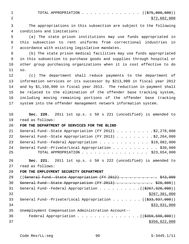1 TOTAL APPROPRIATION . . . . . . . . . . . . . ((<del>\$75,800,000</del>)) 2  $\frac{$72,602,000}{ }$ 

 3 The appropriations in this subsection are subject to the following 4 conditions and limitations:

 5 (a) The state prison institutions may use funds appropriated in 6 this subsection to rent uniforms from correctional industries in 7 accordance with existing legislative mandates.

 8 (b) The state prison medical facilities may use funds appropriated 9 in this subsection to purchase goods and supplies through hospital or 10 other group purchasing organizations when it is cost effective to do 11 so.

12 (c) The department shall reduce payments to the department of 13 information services or its successor by \$213,000 in fiscal year 2012 14 and by \$1,150,000 in fiscal year 2013. The reduction in payment shall 15 be related to the elimination of the offender base tracking system, 16 including moving remaining portions of the offender base tracking 17 system into the offender management network information system.

18 **Sec. 220.** 2011 1st sp.s. c 50 s 221 (uncodified) is amended to 19 read as follows:

## 20 **FOR THE DEPARTMENT OF SERVICES FOR THE BLIND**

|    | 21 General Fund--State Appropriation (FY 2012) \$2,278,000 |
|----|------------------------------------------------------------|
|    | 22 General Fund--State Appropriation (FY 2013) \$2,264,000 |
|    | 23 General Fund--Federal Appropriation \$19,082,000        |
| 24 | General Fund--Private/Local Appropriation \$30,000         |
| 25 | TOTAL APPROPRIATION $\ldots$ , \$23,654,000                |
|    |                                                            |

26 **Sec. 221.** 2011 1st sp.s. c 50 s 222 (uncodified) is amended to 27 read as follows:

28 **FOR THE EMPLOYMENT SECURITY DEPARTMENT**

| 2.9 | ((General Fund--State Appropriation (FY 2012) \$43,000                      |
|-----|-----------------------------------------------------------------------------|
| 30  | General Fund--State Appropriation (FY 2013) \$26,000))                      |
| 31  | General Fund--Federal Appropriation $($ $($ $\frac{2267}{7328},000)$ $)$    |
| 32  | \$267,301,000                                                               |
| 33  | General Fund--Private/Local Appropriation ( $(\frac{233}{737}, 937, 000)$ ) |
| 34  | \$33,931,000                                                                |
| 35  | Unemployment Compensation Administration Account--                          |
| 36  | Federal Appropriation $($ $($ $\frac{2559}{1000})$                          |
| 37  | \$350,622,000                                                               |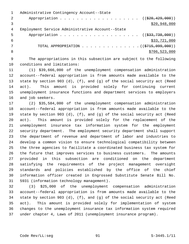|   | Administrative Contingency Account--State                      |
|---|----------------------------------------------------------------|
| 2 | Appropriation ( $(\frac{20}{20}, 429, 000)$ )                  |
|   | \$20,948,000                                                   |
| 4 | Employment Service Administrative Account--State               |
| 5 | Appropriation ( $(\frac{233}{738}, 738, 000)$ )                |
| 6 | \$33,721,000                                                   |
|   | TOTAL APPROPRIATION $\ldots$ , ( $(\frac{2715}{100}, 0.000)$ ) |
| 8 | \$706,523,000                                                  |
|   |                                                                |

 9 The appropriations in this subsection are subject to the following 10 conditions and limitations:

11 (1) \$39,666,000 of the unemployment compensation administration 12 account--federal appropriation is from amounts made available to the 13 state by section 903 (d), (f), and (g) of the social security act (Reed 14 act). This amount is provided solely for continuing current 15 unemployment insurance functions and department services to employers 16 and job seekers.

17 (2) \$35,584,000 of the unemployment compensation administration 18 account--federal appropriation is from amounts made available to the 19 state by section 903 (d), (f), and (g) of the social security act (Reed 20 act). This amount is provided solely for the replacement of the 21 unemployment insurance tax information system for the employment 22 security department. The employment security department shall support 23 the department of revenue and department of labor and industries to 24 develop a common vision to ensure technological compatibility between 25 the three agencies to facilitate a coordinated business tax system for 26 the future that improves services to business customers. The amounts 27 provided in this subsection are conditioned on the department 28 satisfying the requirements of the project management oversight 29 standards and policies established by the office of the chief 30 information officer created in Engrossed Substitute Senate Bill No. 31 5931 (information technology management).

32 (3) \$25,000 of the unemployment compensation administration 33 account--federal appropriation is from amounts made available to the 34 state by section 903 (d), (f), and (g) of the social security act (Reed 35 act). This amount is provided solely for implementation of system 36 changes to the unemployment insurance tax information system required 37 under chapter 4, Laws of 2011 (unemployment insurance program).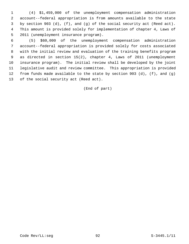1 (4) \$1,459,000 of the unemployment compensation administration 2 account--federal appropriation is from amounts available to the state 3 by section 903 (d), (f), and (g) of the social security act (Reed act). 4 This amount is provided solely for implementation of chapter 4, Laws of 5 2011 (unemployment insurance program).

 6 (5) \$60,000 of the unemployment compensation administration 7 account--federal appropriation is provided solely for costs associated 8 with the initial review and evaluation of the training benefits program 9 as directed in section 15(2), chapter 4, Laws of 2011 (unemployment 10 insurance program). The initial review shall be developed by the joint 11 legislative audit and review committee. This appropriation is provided 12 from funds made available to the state by section 903 (d), (f), and (g) 13 of the social security act (Reed act).

(End of part)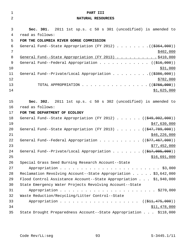| $\mathbf{1}$   | PART III                                                                           |
|----------------|------------------------------------------------------------------------------------|
| $\overline{2}$ | NATURAL RESOURCES                                                                  |
|                |                                                                                    |
| 3              | Sec. 301. 2011 1st sp.s. c 50 s 301 (uncodified) is amended to                     |
| 4              | read as follows:                                                                   |
| 5              | FOR THE COLUMBIA RIVER GORGE COMMISSION                                            |
| $\epsilon$     | General Fund--State Appropriation (FY 2012) ( $(\frac{2364}{100})$ )               |
| 7              | \$402,000                                                                          |
| 8              | General Fund--State Appropriation (FY 2013) \$410,000                              |
| 9              | General Fund--Federal Appropriation ( $(\frac{246}{100})$ )                        |
| 10             | \$31,000                                                                           |
| 11             |                                                                                    |
| 12             | \$782,000                                                                          |
| 13             | TOTAL APPROPRIATION ( $(\frac{2766}{100})$ )                                       |
| 14             | \$1,625,000                                                                        |
| 15             | Sec. 302. 2011 1st sp.s. c 50 s 302 (uncodified) is amended to                     |
| 16             | read as follows:                                                                   |
| 17             | FOR THE DEPARTMENT OF ECOLOGY                                                      |
| 18             | General Fund--State Appropriation (FY 2012) $($ $($ $\frac{249}{002},000)$ )       |
| 19             | \$47,630,000                                                                       |
| 20             | General Fund--State Appropriation (FY 2013) $($ $($ $\frac{47}{7}$ , $789$ , 000)) |
| 21             | \$46, 226, 000                                                                     |
| 22             | General Fund--Federal Appropriation ( $(\frac{277}{77}, \frac{467}{900})$ )        |
| 23             | \$77,452,000                                                                       |
| 24             | General Fund--Private/Local Appropriation ( $(\frac{217}{1000}, 000)$ )            |
| 25             | \$16,691,000                                                                       |
| 26             | Special Grass Seed Burning Research Account--State                                 |
| 27             |                                                                                    |
| 28             | Reclamation Revolving Account--State Appropriation \$3,642,000                     |
| 29             | Flood Control Assistance Account--State Appropriation \$1,940,000                  |
| 30             | State Emergency Water Projects Revolving Account--State                            |
| 31             |                                                                                    |
| 32             | Waste Reduction/Recycling/Litter Control--State                                    |
| 33             | Appropriation ( (\$11,475,000))                                                    |
| 34             | \$11,478,000                                                                       |
| 35             | State Drought Preparedness Account--State Appropriation \$118,000                  |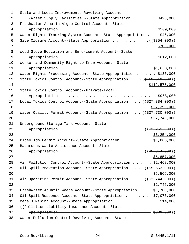| $\mathbf 1$ | State and Local Improvements Revolving Account                                  |
|-------------|---------------------------------------------------------------------------------|
| 2           | (Water Supply Facilities)--State Appropriation \$423,000                        |
| 3           | Freshwater Aquatic Algae Control Account--State                                 |
| 4           |                                                                                 |
| 5           | Water Rights Tracking System Account--State Appropriation \$46,000              |
| 6           |                                                                                 |
| 7           | \$703,000                                                                       |
| 8           | Wood Stove Education and Enforcement Account--State                             |
| 9           |                                                                                 |
| 10          | Worker and Community Right-to-Know Account--State                               |
| 11          |                                                                                 |
| 12          | Water Rights Processing Account--State Appropriation \$136,000                  |
| 13          | State Toxics Control Account--State Appropriation $(($412,512,000))$            |
| 14          | \$112,575,000                                                                   |
| 15          | State Toxics Control Account--Private/Local                                     |
| 16          |                                                                                 |
| 17          | Local Toxics Control Account--State Appropriation $(($27,384,000))$             |
| 18          | \$27,390,000                                                                    |
| 19          | Water Quality Permit Account--State Appropriation $((\frac{27}{77}, 730, 000))$ |
| 20          | \$37,748,000                                                                    |
| 21          | Underground Storage Tank Account--State                                         |
| 22          |                                                                                 |
| 23          | \$3,254,000                                                                     |
| 24          | Biosolids Permit Account--State Appropriation \$1,805,000                       |
| 25          | Hazardous Waste Assistance Account--State                                       |
| 26          |                                                                                 |
| 27          | \$5,857,000                                                                     |
| 28          | Air Pollution Control Account--State Appropriation \$2,468,000                  |
| 29          | Oil Spill Prevention Account--State Appropriation ((\$5,563,000))               |
| 30          | \$5,566,000                                                                     |
| 31          | Air Operating Permit Account--State Appropriation $((\frac{2}{7}, 744, 000))$   |
| 32          | \$2,746,000                                                                     |
| 33          | Freshwater Aquatic Weeds Account--State Appropriation \$1,700,000               |
| 34          | Oil Spill Response Account--State Appropriation \$7,076,000                     |
| 35          | Metals Mining Account--State Appropriation \$14,000                             |
| 36          | ((Pollution Liability Insurance Account--State)                                 |
| 37          |                                                                                 |
| 38          | Water Pollution Control Revolving Account--State                                |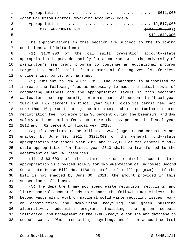| $1 \quad \cdots$                                   |
|----------------------------------------------------|
| Water Pollution Control Revolving Account--Federal |
| $\mathbf{3}$                                       |
| TOTAL APPROPRIATION $($ $($ $\frac{424}{1000}$     |
| \$421,842,000                                      |
|                                                    |

 6 The appropriations in this section are subject to the following 7 conditions and limitations:

 8 (1) \$170,000 of the oil spill prevention account--state 9 appropriation is provided solely for a contract with the University of 10 Washington's sea grant program to continue an educational program 11 targeted to small spills from commercial fishing vessels, ferries, 12 cruise ships, ports, and marinas.

13 (2) Pursuant to RCW 43.135.055, the department is authorized to 14 increase the following fees as necessary to meet the actual costs of 15 conducting business and the appropriation levels in this section: 16 Wastewater discharge permit, not more than 4.34 percent in fiscal year 17 2012 and 4.62 percent in fiscal year 2013; biosolids permit fee, not 18 more than 10 percent during the biennium; and air contaminate source 19 registration fee, not more than 36 percent during the biennium; and dam 20 safety and inspection fees, not more than 35 percent in fiscal year 21 2012 and 4.62 percent in fiscal year 2013.

22 (3) If Substitute House Bill No. 1294 (Puget Sound corps) is not 23 enacted by June 30, 2011, \$322,000 of the general fund--state 24 appropriation for fiscal year 2012 and \$322,000 of the general fund-- 25 state appropriation for fiscal year 2013 shall be transferred to the 26 department of natural resources.

27 (4) \$463,000 of the state toxics control account--state 28 appropriation is provided solely for implementation of Engrossed Second 29 Substitute House Bill No. 1186 (state's oil spill program). If the 30 bill is not enacted by June 30, 2011, the amount provided in this 31 subsection shall lapse.

32 (5) The department may not spend waste reduction, recycling, and 33 litter control account funds to support the following activities: The 34 beyond waste plan, work on national solid waste recycling issues, work 35 on construction and demolition recycling and green building 36 alternatives, education programs including the green schools 37 initiative, and management of the 1-800-recycle hotline and database on 38 school awards. Waste reduction, recycling, and litter account control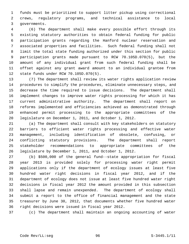1 funds must be prioritized to support litter pickup using correctional 2 crews, regulatory programs, and technical assistance to local 3 governments.

 4 (6) The department shall make every possible effort through its 5 existing statutory authorities to obtain federal funding for public 6 participation grants regarding the Hanford nuclear reservation and 7 associated properties and facilities. Such federal funding shall not 8 limit the total state funding authorized under this section for public 9 participation grants made pursuant to RCW 70.105D.070(5), but the 10 amount of any individual grant from such federal funding shall be 11 offset against any grant award amount to an individual grantee from 12 state funds under RCW 70.105D.070(5).

13 (7) The department shall review its water rights application review 14 procedures to simplify the procedures, eliminate unnecessary steps, and 15 decrease the time required to issue decisions. The department shall 16 implement changes to improve water rights processing for which it has 17 current administrative authority. The department shall report on 18 reforms implemented and efficiencies achieved as demonstrated through 19 enhanced permit processing to the appropriate committees of the 20 legislature on December 1, 2011, and October 1, 2012.

21 (a) The department shall consult with key stakeholders on statutory 22 barriers to efficient water rights processing and effective water 23 management, including identification of obsolete, confusing, or 24 conflicting statutory provisions. The department shall report 25 stakeholder recommendations to appropriate committees of the 26 legislature by December 1, 2011, and October 1, 2012.

27 (b) \$500,000 of the general fund--state appropriation for fiscal 28 year 2013 is provided solely for processing water right permit 29 applications only if the department of ecology issues at least five 30 hundred water right decisions in fiscal year 2012, and if the 31 department of ecology does not issue at least five hundred water right 32 decisions in fiscal year 2012 the amount provided in this subsection 33 shall lapse and remain unexpended. The department of ecology shall 34 submit a report to the office of financial management and the state 35 treasurer by June 30, 2012, that documents whether five hundred water 36 right decisions were issued in fiscal year 2012.

37 (c) The department shall maintain an ongoing accounting of water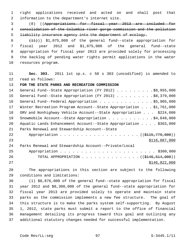1 right applications received and acted on and shall post that 2 information to the department's internet site.

 3 (8) ((Appropriations for fiscal year 2013 are included for 4 consolidation of the Columbia river gorge commission and the pollution 5 liability insurance agency into the department of ecology.

 $(11)$ ) \$1,075,000 of the general fund--state appropriation for 7 fiscal year 2012 and \$1,075,000 of the general fund--state 8 appropriation for fiscal year 2013 are provided solely for processing 9 the backlog of pending water rights permit applications in the water 10 resources program.

11 **Sec. 303.** 2011 1st sp.s. c 50 s 303 (uncodified) is amended to 12 read as follows:

### 13 **FOR THE STATE PARKS AND RECREATION COMMISSION**

| 14 | General Fund--State Appropriation (FY 2012) \$8,955,000                   |
|----|---------------------------------------------------------------------------|
| 15 | General Fund--State Appropriation (FY 2013) \$8,379,000                   |
| 16 | General Fund--Federal Appropriation \$5,905,000                           |
| 17 | Winter Recreation Program Account--State Appropriation \$1,761,000        |
| 18 | ORV and Nonhighway Vehicle Account--State Appropriation \$224,000         |
| 19 | Snowmobile Account--State Appropriation \$4,848,000                       |
| 20 | Aquatic Lands Enhancement Account--State Appropriation \$363,000          |
| 21 | Parks Renewal and Stewardship Account--State                              |
| 22 | Appropriation ( (\$115,779,000))                                          |
| 23 | \$116,087,000                                                             |
| 24 | Parks Renewal and Stewardship Account--Private/Local                      |
| 25 |                                                                           |
| 26 | TOTAL APPROPRIATION $\ldots$ , ( $(\frac{1446}{5146}, \frac{514}{900})$ ) |
| 27 | \$146,822,000                                                             |

28 The appropriations in this section are subject to the following 29 conditions and limitations:

30 (1) \$8,876,000 of the general fund--state appropriation for fiscal 31 year 2012 and \$8,300,000 of the general fund--state appropriation for 32 fiscal year 2013 are provided solely to operate and maintain state 33 parks as the commission implements a new fee structure. The goal of 34 this structure is to make the parks system self-supporting. By August 35 1, 2012, state parks must submit a report to the office of financial 36 management detailing its progress toward this goal and outlining any 37 additional statutory changes needed for successful implementation.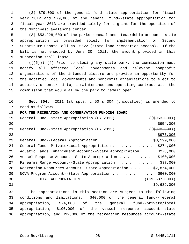1 (2) \$79,000 of the general fund--state appropriation for fiscal 2 year 2012 and \$79,000 of the general fund--state appropriation for 3 fiscal year 2013 are provided solely for a grant for the operation of 4 the Northwest avalanche center.

 5 (3) \$53,928,000 of the parks renewal and stewardship account--state 6 appropriation is provided solely for implementation of Second 7 Substitute Senate Bill No. 5622 (state land recreation access). If the 8 bill is not enacted by June 30, 2011, the amount provided in this 9 subsection shall lapse.

10  $((+5))$   $(4)$  Prior to closing any state park, the commission must 11 notify all affected local governments and relevant nonprofit 12 organizations of the intended closure and provide an opportunity for 13 the notified local governments and nonprofit organizations to elect to 14 acquire, or enter into, a maintenance and operating contract with the 15 commission that would allow the park to remain open.

16 **Sec. 304.** 2011 1st sp.s. c 50 s 304 (uncodified) is amended to 17 read as follows:

### 18 **FOR THE RECREATION AND CONSERVATION FUNDING BOARD**

| 19 | General Fund--State Appropriation (FY 2012) ( $(\frac{6953,000}{2})$ |
|----|----------------------------------------------------------------------|
| 20 | \$954,000                                                            |
| 21 | General Fund--State Appropriation (FY 2013) ( $(\frac{2972}{000})$ ) |
| 22 | \$973,000                                                            |
| 23 | General Fund--Federal Appropriation \$3,299,000                      |
| 24 | General Fund--Private/Local Appropriation 9274,000                   |
| 25 | Aquatic Lands Enhancement Account--State Appropriation \$278,000     |
| 26 | Vessel Response Account--State Appropriation \$100,000               |
| 27 | Firearms Range Account--State Appropriation \$37,000                 |
| 28 | Recreation Resources Account--State Appropriation \$2,874,000        |
| 29 | NOVA Program Account--State Appropriation \$900,000                  |
| 30 | TOTAL APPROPRIATION ( $(\frac{29}{59}, \frac{687}{600})$ )           |
| 31 | \$9,689,000                                                          |
|    |                                                                      |

32 The appropriations in this section are subject to the following 33 conditions and limitations: \$40,000 of the general fund--federal 34 appropriation, \$24,000 of the general fund--private/local 35 appropriation, \$100,000 of the vessel response account--state 36 appropriation, and \$12,000 of the recreation resources account--state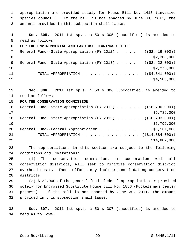1 appropriation are provided solely for House Bill No. 1413 (invasive 2 species council). If the bill is not enacted by June 30, 2011, the 3 amounts provided in this subsection shall lapse.

 4 **Sec. 305.** 2011 1st sp.s. c 50 s 305 (uncodified) is amended to 5 read as follows: 6 **FOR THE ENVIRONMENTAL AND LAND USE HEARINGS OFFICE** 7 General Fund--State Appropriation (FY 2012)  $\ldots$  ... . . . ((\$2,419,000)) 8 \$2,308,000 9 General Fund--State Appropriation (FY 2013) . . . . . . .((\$2,422,000))  $10$  \$2,275,000 11 TOTAL APPROPRIATION . . . . . . . . . . . . . . ((<del>\$4,841,000</del>))  $12$  \$4,583,000

13 **Sec. 306.** 2011 1st sp.s. c 50 s 306 (uncodified) is amended to 14 read as follows:

## 15 **FOR THE CONSERVATION COMMISSION**

16 General Fund--State Appropriation (FY 2012) . . . . . . .((\$6,790,000))  $17$  \$6,789,000 18 General Fund--State Appropriation (FY 2013) . . . . . . . ((\$6,793,000))  $19$  \$6,792,000 20 General Fund--Federal Appropriation . . . . . . . . . . . \$1,301,000 21 TOTAL APPROPRIATION . . . . . . . . . . . . . ((<del>\$14,884,000</del>)) 22 \$14,882,000

23 The appropriations in this section are subject to the following 24 conditions and limitations:

25 (1) The conservation commission, in cooperation with all 26 conservation districts, will seek to minimize conservation district 27 overhead costs. These efforts may include consolidating conservation 28 districts.

29 (2) \$122,000 of the general fund--federal appropriation is provided 30 solely for Engrossed Substitute House Bill No. 1886 (Ruckelshaus center 31 process). If the bill is not enacted by June 30, 2011, the amount 32 provided in this subsection shall lapse.

33 **Sec. 307.** 2011 1st sp.s. c 50 s 307 (uncodified) is amended to 34 read as follows: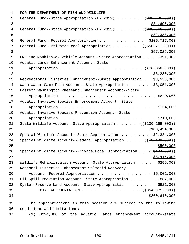1 **FOR THE DEPARTMENT OF FISH AND WILDLIFE** 2 General Fund--State Appropriation (FY 2012) . . . . . . ((\$35,721,000)) 3 \$34,695,000 4 General Fund--State Appropriation (FY 2013) . . . . . . ((\$33,666,000))  $5 - 5$  \$32,388,000 6 General Fund--Federal Appropriation . . . . . . . . . . . . \$105,717,000 7 General Fund--Private/Local Appropriation . . . . . . ((\$50,711,000)) 8 \$57,025,000 \$57,025,000 \$57,025,000 \$57,025,000 \$57,025,000 \$57,025,000 \$57,025,000 \$ 9 ORV and Nonhighway Vehicle Account--State Appropriation . . . \$391,000 10 Aquatic Lands Enhancement Account--State 11 Appropriation . . . . . . . . . . . . . . . . . . ((\$6,856,000))  $12$  \$8,230,000 13 Recreational Fisheries Enhancement--State Appropriation . . \$3,550,000 14 Warm Water Game Fish Account--State Appropriation . . . . . . \$3,051,000 15 Eastern Washington Pheasant Enhancement Account--State 16 Appropriation . . . . . . . . . . . . . . . . . . . . . . . \$849,000 17 Aquatic Invasive Species Enforcement Account--State 18 Appropriation . . . . . . . . . . . . . . . . . . . . . . . \$204,000 19 Aquatic Invasive Species Prevention Account--State 20 Appropriation . . . . . . . . . . . . . . . . . . . . . . . \$719,000 21 State Wildlife Account--State Appropriation . . . . . ((\$100,169,000)) 22 \$100,424,000 23 Special Wildlife Account--State Appropriation . . . . . . . . \$2,384,000 24 Special Wildlife Account--Federal Appropriation . . . . ((\$3,428,000))  $25$ 26 Special Wildlife Account--Private/Local Appropriation . . ((\$487,000))  $27$  \$3,415,000 28 Wildlife Rehabilitation Account--State Appropriation . . . . . \$259,000 29 Regional Fisheries Enhancement Salmonid Recovery 30 Account--Federal Appropriation . . . . . . . . . . . . . \$5,001,000 31 Oil Spill Prevention Account--State Appropriation . . . . . . .\$887,000 32 Oyster Reserve Land Account--State Appropriation . . . . . . \$921,000 33 TOTAL APPROPRIATION . . . . . . . . . . . . . ((<del>\$354,971,000</del>)) 34 \$360,610,000 35 The appropriations in this section are subject to the following 36 conditions and limitations: 37 (1) \$294,000 of the aquatic lands enhancement account--state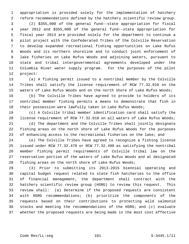1 appropriation is provided solely for the implementation of hatchery 2 reform recommendations defined by the hatchery scientific review group. 3 (2) \$355,000 of the general fund--state appropriation for fiscal 4 year 2012 and \$355,000 of the general fund--state appropriation for 5 fiscal year 2013 are provided solely for the department to continue a 6 pilot project with the Confederated Tribes of the Colville Reservation 7 to develop expanded recreational fishing opportunities on Lake Rufus 8 Woods and its northern shoreline and to conduct joint enforcement of 9 lake fisheries on Lake Rufus Woods and adjoining waters, pursuant to 10 state and tribal intergovernmental agreements developed under the 11 Columbia River water supply program. For the purposes of the pilot 12 project:

13 (a) A fishing permit issued to a nontribal member by the Colville 14 Tribes shall satisfy the license requirement of RCW 77.32.010 on the 15 waters of Lake Rufus Woods and on the north shore of Lake Rufus Woods;

16 (b) The Colville Tribes have agreed to provide to holders of its 17 nontribal member fishing permits a means to demonstrate that fish in 18 their possession were lawfully taken in Lake Rufus Woods;

19 (c) A Colville tribal member identification card shall satisfy the 20 license requirement of RCW 77.32.010 on all waters of Lake Rufus Woods;

21 (d) The department and the Colville Tribes shall jointly designate 22 fishing areas on the north shore of Lake Rufus Woods for the purposes 23 of enhancing access to the recreational fisheries on the lake; and

24 (e) The Colville Tribes have agreed to recognize a fishing license 25 issued under RCW 77.32.470 or RCW 77.32.490 as satisfying the nontribal 26 member fishing permit requirements of Colville tribal law on the 27 reservation portion of the waters of Lake Rufus Woods and at designated 28 fishing areas on the north shore of Lake Rufus Woods;

29 (3) Prior to submitting its 2013-2015 biennial operating and 30 capital budget request related to state fish hatcheries to the office 31 of financial management, the department shall contract with the 32 hatchery scientific review group (HSRG) to review this request. This 33 review shall: (a) Determine if the proposed requests are consistent 34 with HSRG recommendations; (b) prioritize the components of the 35 requests based on their contributions to protecting wild salmonid 36 stocks and meeting the recommendations of the HSRG; and (c) evaluate 37 whether the proposed requests are being made in the most cost effective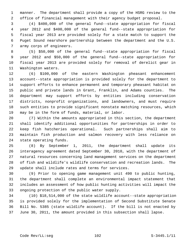1 manner. The department shall provide a copy of the HSRG review to the 2 office of financial management with their agency budget proposal.

 3 (4) \$400,000 of the general fund--state appropriation for fiscal 4 year 2012 and \$400,000 of the general fund--state appropriation for 5 fiscal year 2013 are provided solely for a state match to support the 6 Puget Sound nearshore partnership between the department and the U.S. 7 army corps of engineers.

 8 (5) \$50,000 of the general fund--state appropriation for fiscal 9 year 2012 and \$50,000 of the general fund--state appropriation for 10 fiscal year 2013 are provided solely for removal of derelict gear in 11 Washington waters.

12 (6) \$100,000 of the eastern Washington pheasant enhancement 13 account--state appropriation is provided solely for the department to 14 support efforts to enhance permanent and temporary pheasant habitat on 15 public and private lands in Grant, Franklin, and Adams counties. The 16 department may support efforts by entities including conservation 17 districts, nonprofit organizations, and landowners, and must require 18 such entities to provide significant nonstate matching resources, which 19 may be in the form of funds, material, or labor.

20 (7) Within the amounts appropriated in this section, the department 21 shall identify additional opportunities for partnerships in order to 22 keep fish hatcheries operational. Such partnerships shall aim to 23 maintain fish production and salmon recovery with less reliance on 24 state operating funds.

25 (8) By September 1, 2011, the department shall update its 26 interagency agreement dated September 30, 2010, with the department of 27 natural resources concerning land management services on the department 28 of fish and wildlife's wildlife conservation and recreation lands. The 29 update shall include rates and terms for services.

30 (9) Prior to opening game management unit 490 to public hunting, 31 the department shall complete an environmental impact statement that 32 includes an assessment of how public hunting activities will impact the 33 ongoing protection of the public water supply.

34 (10) \$18,514,000 of the state wildlife account--state appropriation 35 is provided solely for the implementation of Second Substitute Senate 36 Bill No. 5385 (state wildlife account). If the bill is not enacted by 37 June 30, 2011, the amount provided in this subsection shall lapse.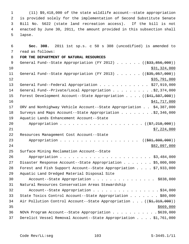1 (11) \$9,418,000 of the state wildlife account--state appropriation 2 is provided solely for the implementation of Second Substitute Senate 3 Bill No. 5622 (state land recreation access). If the bill is not 4 enacted by June 30, 2011, the amount provided in this subsection shall 5 lapse.

 6 **Sec. 308.** 2011 1st sp.s. c 50 s 308 (uncodified) is amended to 7 read as follows: 8 **FOR THE DEPARTMENT OF NATURAL RESOURCES** 9 General Fund--State Appropriation (FY 2012) . . . . . . ((\$33,856,000))  $\text{10}$   $\text{531},\text{324},\text{000}$ 11 General Fund--State Appropriation (FY 2013) . . . . . . ((\$35,057,000))  $\frac{12}{35,791,000}$ 13 General Fund--Federal Appropriation . . . . . . . . . . . \$27,919,000 14 General Fund--Private/Local Appropriation . . . . . . . . . \$2,374,000 15 Forest Development Account--State Appropriation . . . . ((\$41,507,000)) 16 \$41,717,000 17 ORV and Nonhighway Vehicle Account--State Appropriation . . \$4,387,000 18 Surveys and Maps Account--State Appropriation . . . . . . . . \$2,346,000 19 Aquatic Lands Enhancement Account--State 20 Appropriation . . . . . . . . . . . . . . . . . . (  $(\frac{27}{218},000)$  )  $21$   $$7,224,000$ 22 Resources Management Cost Account--State 23 Appropriation . . . . . . . . . . . . . . . . . ((\$81,800,000)) 24 \$82,097,000 25 Surface Mining Reclamation Account--State 26 Appropriation . . . . . . . . . . . . . . . . . . . . . . \$3,484,000 27 Disaster Response Account--State Appropriation . . . . . . \$5,000,000 28 Forest and Fish Support Account--State Appropriation . . . . \$7,933,000 29 Aquatic Land Dredged Material Disposal Site 30 Account--State Appropriation . . . . . . . . . . . . . . . \$838,000 31 Natural Resources Conservation Areas Stewardship 32 Account--State Appropriation . . . . . . . . . . . . . . . \$34,000 33 State Toxics Control Account--State Appropriation . . . . . . . \$80,000 34 Air Pollution Control Account--State Appropriation . . . ((\$1,319,000))  $35$   $\frac{$669,000}{ }$ 36 NOVA Program Account--State Appropriation . . . . . . . . . . . \$639,000 37 Derelict Vessel Removal Account--State Appropriation . . . . \$1,761,000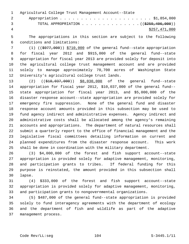1 Agricultural College Trust Management Account--State 2 Appropriation . . . . . . . . . . . . . . . . . . . . . . \$1,854,000 3 TOTAL APPROPRIATION . . . . . . . . . . . . . . ((\$259,406,000)) 4 \$257,471,000

 5 The appropriations in this section are subject to the following 6 conditions and limitations:

 7 (1) ((\$977,000)) \$710,000 of the general fund--state appropriation 8 for fiscal year 2012 and \$915,000 of the general fund--state 9 appropriation for fiscal year 2013 are provided solely for deposit into 10 the agricultural college trust management account and are provided 11 solely to manage approximately 70,700 acres of Washington State 12 University's agricultural college trust lands.

13 (2) ((\$10,037,000)) \$8,030,000 of the general fund--state 14 appropriation for fiscal year 2012, \$10,037,000 of the general fund-- 15 state appropriation for fiscal year 2013, and \$5,000,000 of the 16 disaster response account--state appropriation are provided solely for 17 emergency fire suppression. None of the general fund and disaster 18 response account amounts provided in this subsection may be used to 19 fund agency indirect and administrative expenses. Agency indirect and 20 administrative costs shall be allocated among the agency's remaining 21 accounts and appropriations. The department of natural resources shall 22 submit a quarterly report to the office of financial management and the 23 legislative fiscal committees detailing information on current and 24 planned expenditures from the disaster response account. This work 25 shall be done in coordination with the military department.

26 (3) \$4,000,000 of the forest and fish support account--state 27 appropriation is provided solely for adaptive management, monitoring, 28 and participation grants to tribes. If federal funding for this 29 purpose is reinstated, the amount provided in this subsection shall 30 lapse.

31 (4) \$333,000 of the forest and fish support account--state 32 appropriation is provided solely for adaptive management, monitoring, 33 and participation grants to nongovernmental organizations.

34 (5) \$487,000 of the general fund--state appropriation is provided 35 solely to fund interagency agreements with the department of ecology 36 and the department of fish and wildlife as part of the adaptive 37 management process.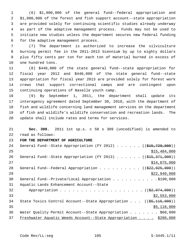1 (6) \$1,000,000 of the general fund--federal appropriation and 2 \$1,000,000 of the forest and fish support account--state appropriation 3 are provided solely for continuing scientific studies already underway 4 as part of the adaptive management process. Funds may not be used to 5 initiate new studies unless the department secures new federal funding 6 for the adaptive management process.

 7 (7) The department is authorized to increase the silviculture 8 burning permit fee in the 2011-2013 biennium by up to eighty dollars 9 plus fifty cents per ton for each ton of material burned in excess of 10 one hundred tons.

11 (8) \$440,000 of the state general fund--state appropriation for 12 fiscal year 2012 and \$440,000 of the state general fund--state 13 appropriation for fiscal year 2013 are provided solely for forest work 14 crews that support correctional camps and are contingent upon 15 continuing operations of Naselle youth camp.

16 (9) By September 1, 2011, the department shall update its 17 interagency agreement dated September 30, 2010, with the department of 18 fish and wildlife concerning land management services on the department 19 of fish and wildlife's wildlife conservation and recreation lands. The 20 update shall include rates and terms for services.

21 **Sec. 309.** 2011 1st sp.s. c 50 s 309 (uncodified) is amended to 22 read as follows:

23 **FOR THE DEPARTMENT OF AGRICULTURE**

| 24 | General Fund--State Appropriation (FY 2012) ( $(\frac{15157297000}{1000})$            |
|----|---------------------------------------------------------------------------------------|
| 25 | \$15,484,000                                                                          |
| 26 | General Fund--State Appropriation (FY 2013) $($ $($ \$15,371,000))                    |
| 27 | \$14,875,000                                                                          |
| 28 | General Fund--Federal Appropriation ( $(\frac{222}{925}, 925, 000)$ )                 |
| 29 | \$22,940,000                                                                          |
| 30 | General Fund--Private/Local Appropriation \$190,000                                   |
| 31 | Aquatic Lands Enhancement Account--State                                              |
| 32 |                                                                                       |
| 33 | \$2,553,000                                                                           |
| 34 | State Toxics Control Account--State Appropriation $((\frac{25}{7}, \frac{116}{100}))$ |
| 35 | \$5,118,000                                                                           |
| 36 | Water Quality Permit Account--State Appropriation \$60,000                            |
| 37 | Freshwater Aquatic Weeds Account--State Appropriation \$280,000                       |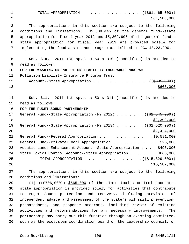1 TOTAL APPROPRIATION . . . . . . . . . . . . . ((<del>\$61,465,000</del>)) 2 \$61,500,000 \$61,500,000 3 The appropriations in this section are subject to the following 4 conditions and limitations: \$5,308,445 of the general fund--state 5 appropriation for fiscal year 2012 and \$5,302,905 of the general fund-- 6 state appropriation for fiscal year 2013 are provided solely for 7 implementing the food assistance program as defined in RCW 43.23.290. 8 **Sec. 310.** 2011 1st sp.s. c 50 s 310 (uncodified) is amended to 9 read as follows: 10 **FOR THE WASHINGTON POLLUTION LIABILITY INSURANCE PROGRAM** 11 Pollution Liability Insurance Program Trust 12 Account--State Appropriation . . . . . . . . . . . . ((\$335,000))  $13 \frac{\text{S668}}{100}$ 14 **Sec. 311.** 2011 1st sp.s. c 50 s 311 (uncodified) is amended to 15 read as follows: 16 **FOR THE PUGET SOUND PARTNERSHIP** 17 General Fund--State Appropriation (FY 2012) . . . . . . .((\$2,545,000))  $18$  \$2,399,000 19 General Fund--State Appropriation (FY 2013) . . . . . . . ((\$2,520,000))  $20$  \$2,424,000 21 General Fund--Federal Appropriation . . . . . . . . . . . . \$9,581,000 22 General Fund--Private/Local Appropriation . . . . . . . . . . \$25,000 23 Aquatic Lands Enhancement Account--State Appropriation . . . . \$493,000 24 State Toxics Control Account--State Appropriation . . . . . . . \$665,000 25 TOTAL APPROPRIATION . . . . . . . . . . . . . . ((\$15,829,000)) 26 \$15,587,000 \$15,587,000 27 The appropriations in this section are subject to the following 28 conditions and limitations: 29 (1) ((\$706,000)) \$665,000 of the state toxics control account--

30 state appropriation is provided solely for activities that contribute 31 to Puget Sound protection and recovery, including provision of 32 independent advice and assessment of the state's oil spill prevention, 33 preparedness, and response programs, including review of existing 34 activities and recommendations for any necessary improvements. The 35 partnership may carry out this function through an existing committee, 36 such as the ecosystem coordination board or the leadership council, or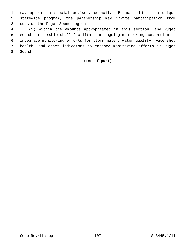1 may appoint a special advisory council. Because this is a unique 2 statewide program, the partnership may invite participation from 3 outside the Puget Sound region.

 4 (2) Within the amounts appropriated in this section, the Puget 5 Sound partnership shall facilitate an ongoing monitoring consortium to 6 integrate monitoring efforts for storm water, water quality, watershed 7 health, and other indicators to enhance monitoring efforts in Puget 8 Sound.

# (End of part)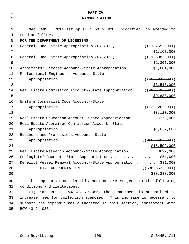| $\mathbf 1$    | PART IV                                                                                                          |
|----------------|------------------------------------------------------------------------------------------------------------------|
| $\overline{2}$ | <b>TRANSPORTATION</b>                                                                                            |
|                |                                                                                                                  |
| 3              | Sec. 401. 2011 1st sp.s. c 50 s 401 (uncodified) is amended to                                                   |
| 4              | read as follows:                                                                                                 |
| 5              | FOR THE DEPARTMENT OF LICENSING                                                                                  |
| 6              | General Fund--State Appropriation (FY 2012) $($ $(\frac{21}{265}, \frac{265}{100})$                              |
| 7              | \$1,167,000                                                                                                      |
| 8              | General Fund--State Appropriation (FY 2013) ( $(\frac{21}{51}, 508, 000)$ )                                      |
| $\mathsf 9$    | \$1,307,000                                                                                                      |
| 10             | Architects' License Account--State Appropriation \$1,084,000                                                     |
| 11             | Professional Engineers' Account--State                                                                           |
| 12             |                                                                                                                  |
| 13             | \$3,518,000                                                                                                      |
| 14             | Real Estate Commission Account--State Appropriation $((\frac{69}{69}, \frac{843}{600}))$                         |
| 15             | \$9,833,000                                                                                                      |
| 16             | Uniform Commercial Code Account--State                                                                           |
| 17             |                                                                                                                  |
| 18             | \$3,120,000                                                                                                      |
| 19             | Real Estate Education Account--State Appropriation \$276,000                                                     |
| 20             | Real Estate Appraiser Commission Account--State                                                                  |
| 21             |                                                                                                                  |
| 22             | Business and Professions Account--State                                                                          |
| 23             | Appropriation ((\$15,646,000))                                                                                   |
| 24<br>25       | \$15,592,000                                                                                                     |
| 26             | Real Estate Research Account--State Appropriation \$622,000<br>Geologists' Account--State Appropriation \$51,000 |
| 27             | Derelict Vessel Removal Account--State Appropriation \$31,000                                                    |
| 28             | TOTAL APPROPRIATION ( $(\frac{238}{638}, \frac{663}{600})$ )                                                     |
| 29             | \$38,288,000                                                                                                     |
|                |                                                                                                                  |
| 30             | The appropriations in this section are subject to the following                                                  |
| 31             | conditions and limitations:                                                                                      |
| 32             | (1) Pursuant to RCW 43.135.055, the department is authorized to                                                  |
| 33             | increase fees for collection agencies. This increase is necessary to                                             |
| 34             | support the expenditures authorized in this section, consistent with                                             |
| 35             | RCW 43.24.086.                                                                                                   |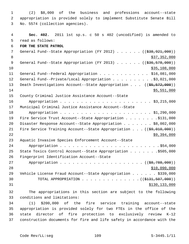1 (2) \$8,000 of the business and professions account--state 2 appropriation is provided solely to implement Substitute Senate Bill 3 No. 5574 (collection agencies).

 4 **Sec. 402.** 2011 1st sp.s. c 50 s 402 (uncodified) is amended to 5 read as follows: 6 **FOR THE STATE PATROL** 7 General Fund--State Appropriation (FY 2012) . . . . . . ((\$38,921,000)) 8 \$37,352,000 9 General Fund--State Appropriation (FY 2013) . . . . . . ((\$36,578,000))  $\frac{10}{335,108,000}$ 11 General Fund--Federal Appropriation . . . . . . . . . . . \$16,081,000 12 General Fund--Private/Local Appropriation . . . . . . . . . \$3,021,000 13 Death Investigations Account--State Appropriation . . . ((\$5,572,000))  $14$  \$5,551,000 15 County Criminal Justice Assistance Account--State 16 Appropriation . . . . . . . . . . . . . . . . . . . . . . \$3,215,000 17 Municipal Criminal Justice Assistance Account--State 18 Appropriation . . . . . . . . . . . . . . . . . . . . . . \$1,290,000 19 Fire Service Trust Account--State Appropriation . . . . . . . . \$131,000 20 Disaster Response Account--State Appropriation . . . . . . \$8,002,000 21 Fire Service Training Account--State Appropriation . . . ((\$9,010,000)) 22 \$9,394,000 23 Aquatic Invasive Species Enforcement Account--State 24 Appropriation . . . . . . . . . . . . . . . . . . . . . . . . \$54,000 25 State Toxics Control Account--State Appropriation . . . . . . .\$505,000 26 Fingerprint Identification Account--State 27 Appropriation . . . . . . . . . . . . . . . . . . ((\$8,788,000)) 28 \$10,090,000 29 Vehicle License Fraud Account--State Appropriation . . . . . . \$339,000 30 TOTAL APPROPRIATION  $\ldots$ , . . . . . . . . . . . ( $(\frac{1331}{131}, \frac{507}{1000})$ ) 31 \$130,133,000 32 The appropriations in this section are subject to the following 33 conditions and limitations: 34 (1) \$200,000 of the fire service training account--state 35 appropriation is provided solely for two FTEs in the office of the 36 state director of fire protection to exclusively review K-12

37 construction documents for fire and life safety in accordance with the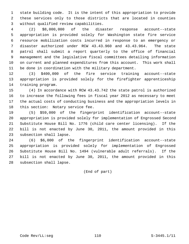1 state building code. It is the intent of this appropriation to provide 2 these services only to those districts that are located in counties 3 without qualified review capabilities.

 4 (2) \$8,000,000 of the disaster response account--state 5 appropriation is provided solely for Washington state fire service 6 resource mobilization costs incurred in response to an emergency or 7 disaster authorized under RCW 43.43.960 and 43.43.964. The state 8 patrol shall submit a report quarterly to the office of financial 9 management and the legislative fiscal committees detailing information 10 on current and planned expenditures from this account. This work shall 11 be done in coordination with the military department.

12 (3) \$400,000 of the fire service training account--state 13 appropriation is provided solely for the firefighter apprenticeship 14 training program.

15 (4) In accordance with RCW 43.43.742 the state patrol is authorized 16 to increase the following fees in fiscal year 2012 as necessary to meet 17 the actual costs of conducting business and the appropriation levels in 18 this section: Notary service fee.

19 (5) \$59,000 of the fingerprint identification account--state 20 appropriation is provided solely for implementation of Engrossed Second 21 Substitute House Bill No. 1776 (child care center licensing). If the 22 bill is not enacted by June 30, 2011, the amount provided in this 23 subsection shall lapse.

24 (6) \$6,000 of the fingerprint identification account--state 25 appropriation is provided solely for implementation of Engrossed 26 Substitute House Bill No. 1494 (vulnerable adult referrals). If the 27 bill is not enacted by June 30, 2011, the amount provided in this 28 subsection shall lapse.

(End of part)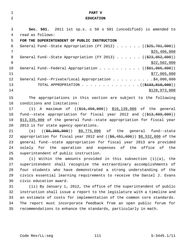| 1  | PART V                                                                                        |
|----|-----------------------------------------------------------------------------------------------|
| 2  | <b>EDUCATION</b>                                                                              |
|    |                                                                                               |
| 3  | Sec. 501. 2011 1st sp.s. c 50 s 501 (uncodified) is amended to                                |
| 4  | read as follows:                                                                              |
| 5  | FOR THE SUPERINTENDENT OF PUBLIC INSTRUCTION                                                  |
| 6  | General Fund--State Appropriation (FY 2012) $($ $($ $\frac{25}{701}, 000)$ )                  |
| 7  | \$25,406,000                                                                                  |
| 8  | General Fund--State Appropriation (FY 2013) $($ $($ $\frac{23}{7}$ , 052, 000))               |
| 9  | \$22,502,000                                                                                  |
| 10 | General Fund--Federal Appropriation ( $(\frac{281,065,000}{s})$ )                             |
| 11 | \$77,065,000                                                                                  |
| 12 | General Fund--Private/Local Appropriation \$4,000,000                                         |
| 13 | TOTAL APPROPRIATION $\ldots$ , ( $(\frac{2133}{133}, \frac{818}{100})$ )                      |
| 14 | \$128,973,000                                                                                 |
| 15 | The appropriations in this section are subject to the following                               |
| 16 | conditions and limitations:                                                                   |
| 17 | (1) A maximum of $(($16,450,000))$ $$16,139,000$ of the general                               |
| 18 | fund--state appropriation for fiscal year 2012 and $($ $\frac{213}{13}, \frac{889}{100})$     |
| 19 | \$13,335,000 of the general fund--state appropriation for fiscal year                         |
| 20 | 2013 is for state agency operations.                                                          |
| 21 | $((\frac{69}{22}, \frac{365}{200}))$ $\frac{59}{275}$ , 000 of the general fund--state<br>(a) |
| 22 | appropriation for fiscal year 2012 and $(($8,451,000) $$8,532,000$ of the                     |
| 23 | general fund--state appropriation for fiscal year 2013 are provided                           |
| 24 | solely for the operation and expenses of the office of the                                    |
| 25 | superintendent of public instruction.                                                         |
| 26 | (i) Within the amounts provided in this subsection $(1)(a)$ , the                             |
| 27 | superintendent shall recognize the extraordinary accomplishments of                           |
| 28 | four students who have demonstrated a strong understanding of the                             |
| 29 | civics essential learning requirements to receive the Daniel J. Evans                         |
| 30 | civic education award.                                                                        |
| 31 | (ii) By January 1, 2012, the office of the superintendent of public                           |
| 32 | instruction shall issue a report to the legislature with a timeline and                       |
| 33 | an estimate of costs for implementation of the common core standards.                         |
| 34 | The report must incorporate feedback from an open public forum for                            |
| 35 | recommendations to enhance the standards, particularly in math.                               |
|    |                                                                                               |
|    |                                                                                               |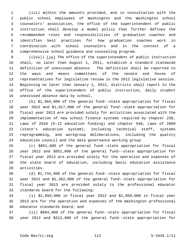1 (iii) Within the amounts provided, and in consultation with the 2 public school employees of Washington and the Washington school 3 counselors' association, the office of the superintendent of public 4 instruction shall develop a model policy that further defines the 5 recommended roles and responsibilities of graduation coaches and 6 identifies best practices for how graduation coaches work in 7 coordination with school counselors and in the context of a 8 comprehensive school guidance and counseling program.

9 ( $(\langle \overline{\mathbf{v}} \rangle)$ ) (iv) The office of the superintendent of public instruction 10 shall, no later than August 1, 2011, establish a standard statewide 11 definition of unexcused absence. The definition shall be reported to 12 the ways and means committees of the senate and house of 13 representatives for legislative review in the 2012 legislative session. 14 Beginning no later than January 1, 2012, districts shall report to the 15 office of the superintendent of public instruction, daily student 16 unexcused absence data by school.

17 (b) \$1,964,000 of the general fund--state appropriation for fiscal 18 year 2012 and \$1,017,000 of the general fund--state appropriation for 19 fiscal year 2013 are provided solely for activities associated with the 20 implementation of new school finance systems required by chapter 236, 21 Laws of 2010 (K-12 education funding) and chapter 548, Laws of 2009 22 (state's education system), including technical staff, systems 23 reprogramming, and workgroup deliberations, including the quality 24 education council and the data governance working group.

25 (c) \$851,000 of the general fund--state appropriation for fiscal 26 year 2012 and \$851,000 of the general fund--state appropriation for 27 fiscal year 2013 are provided solely for the operation and expenses of 28 the state board of education, including basic education assistance 29 activities.

30 (d) \$1,744,000 of the general fund--state appropriation for fiscal 31 year 2012 and \$1,362,000 of the general fund--state appropriation for 32 fiscal year 2013 are provided solely to the professional educator 33 standards board for the following:

34 (i) \$1,050,000 in fiscal year 2012 and \$1,050,000 in fiscal year 35 2013 are for the operation and expenses of the Washington professional 36 educator standards board; and

37 (ii) \$694,000 of the general fund--state appropriation for fiscal 38 year 2012 and \$312,000 of the general fund--state appropriation for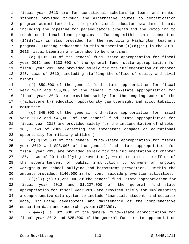1 fiscal year 2013 are for conditional scholarship loans and mentor 2 stipends provided through the alternative routes to certification 3 program administered by the professional educator standards board, 4 including the pipeline for paraeducators program and the retooling to 5 teach conditional loan programs. Funding within this subsection  $6$   $(1)(d)(ii)$  is also provided for the recruiting Washington teachers 7 program. Funding reductions in this subsection (1)(d)(ii) in the 2011- 8 2013 fiscal biennium are intended to be one-time.

 9 (e) \$133,000 of the general fund--state appropriation for fiscal 10 year 2012 and \$133,000 of the general fund--state appropriation for 11 fiscal year 2013 are provided solely for the implementation of chapter 12 240, Laws of 2010, including staffing the office of equity and civil 13 rights.

14 (f) \$50,000 of the general fund--state appropriation for fiscal 15 year 2012 and \$50,000 of the general fund--state appropriation for 16 fiscal year 2013 are provided solely for the ongoing work of the 17 ((achievement)) education opportunity gap oversight and accountability 18 committee.

19 (g) \$45,000 of the general fund--state appropriation for fiscal 20 year 2012 and \$45,000 of the general fund--state appropriation for 21 fiscal year 2013 are provided solely for the implementation of chapter 22 380, Laws of 2009 (enacting the interstate compact on educational 23 opportunity for military children).

24 (h) \$159,000 of the general fund--state appropriation for fiscal 25 year 2012 and \$93,000 of the general fund--state appropriation for 26 fiscal year 2013 are provided solely for the implementation of chapter 27 185, Laws of 2011 (bullying prevention), which requires the office of 28 the superintendent of public instruction to convene an ongoing 29 workgroup on school bullying and harassment prevention. Within the 30 amounts provided, \$140,000 is for youth suicide prevention activities.

31  $((\{\dagger\}))(i)$  \$1,227,000 of the general fund--state appropriation for 32 fiscal year 2012 and \$1,227,000 of the general fund--state 33 appropriation for fiscal year 2013 are provided solely for implementing 34 a comprehensive data system to include financial, student, and educator 35 data, including development and maintenance of the comprehensive 36 education data and research system (CEDARS).

37  $((\{k\}))(j)$  \$25,000 of the general fund--state appropriation for 38 fiscal year 2012 and \$25,000 of the general fund--state appropriation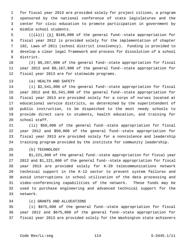1 for fiscal year 2013 are provided solely for project citizen, a program 2 sponsored by the national conference of state legislatures and the 3 center for civic education to promote participation in government by 4 middle school students.

5  $((+1))$   $(k)$  \$166,000 of the general fund--state appropriation for 6 fiscal year 2012 is provided solely for the implementation of chapter 7 192, Laws of 2011 (school district insolvency). Funding is provided to 8 develop a clear legal framework and process for dissolution of a school 9 district.

10 (2) \$9,267,000 of the general fund--state appropriation for fiscal 11 year 2012 and \$9,167,000 of the general fund--state appropriation for 12 fiscal year 2013 are for statewide programs.

13 (a) HEALTH AND SAFETY

14 (i) \$2,541,000 of the general fund--state appropriation for fiscal 15 year 2012 and \$2,541,000 of the general fund--state appropriation for 16 fiscal year 2013 are provided solely for a corps of nurses located at 17 educational service districts, as determined by the superintendent of 18 public instruction, to be dispatched to the most needy schools to 19 provide direct care to students, health education, and training for 20 school staff.

21 (ii) \$50,000 of the general fund--state appropriation for fiscal 22 year 2012 and \$50,000 of the general fund--state appropriation for 23 fiscal year 2013 are provided solely for a nonviolence and leadership 24 training program provided by the institute for community leadership.

25 (b) TECHNOLOGY

26 \$1,221,000 of the general fund--state appropriation for fiscal year 27 2012 and \$1,221,000 of the general fund--state appropriation for fiscal 28 year 2013 are provided solely for K-20 telecommunications network 29 technical support in the K-12 sector to prevent system failures and 30 avoid interruptions in school utilization of the data processing and 31 video-conferencing capabilities of the network. These funds may be 32 used to purchase engineering and advanced technical support for the 33 network.

# 34 (c) GRANTS AND ALLOCATIONS

35 (i) \$675,000 of the general fund--state appropriation for fiscal 36 year 2012 and \$675,000 of the general fund--state appropriation for 37 fiscal year 2013 are provided solely for the Washington state achievers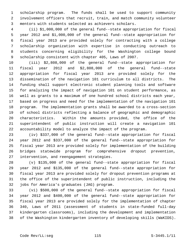1 scholarship program. The funds shall be used to support community 2 involvement officers that recruit, train, and match community volunteer 3 mentors with students selected as achievers scholars.

 4 (ii) \$1,000,000 of the general fund--state appropriation for fiscal 5 year 2012 and \$1,000,000 of the general fund--state appropriation for 6 fiscal year 2013 are provided solely for contracting with a college 7 scholarship organization with expertise in conducting outreach to 8 students concerning eligibility for the Washington college bound 9 scholarship consistent with chapter 405, Laws of 2007.

10 (iii) \$2,808,000 of the general fund--state appropriation for 11 fiscal year 2012 and \$2,808,000 of the general fund--state 12 appropriation for fiscal year 2013 are provided solely for the 13 dissemination of the navigation 101 curriculum to all districts. The 14 funding shall support electronic student planning tools and software 15 for analyzing the impact of navigation 101 on student performance, as 16 well as grants to a maximum of one hundred school districts each year, 17 based on progress and need for the implementation of the navigation 101 18 program. The implementation grants shall be awarded to a cross-section 19 of school districts reflecting a balance of geographic and demographic 20 characteristics. Within the amounts provided, the office of the 21 superintendent of public instruction will create a navigation 101 22 accountability model to analyze the impact of the program.

23 (iv) \$337,000 of the general fund--state appropriation for fiscal 24 year 2012 and \$337,000 of the general fund--state appropriation for 25 fiscal year 2013 are provided solely for implementation of the building 26 bridges statewide program for comprehensive dropout prevention, 27 intervention, and reengagement strategies.

28 (v) \$135,000 of the general fund--state appropriation for fiscal 29 year 2012 and \$135,000 of the general fund--state appropriation for 30 fiscal year 2013 are provided solely for dropout prevention programs at 31 the office of the superintendent of public instruction, including the 32 jobs for America's graduates (JAG) program.

33 (vi) \$500,000 of the general fund--state appropriation for fiscal 34 year 2012 and \$400,000 of the general fund--state appropriation for 35 fiscal year 2013 are provided solely for the implementation of chapter 36 340, Laws of 2011 (assessment of students in state-funded full-day 37 kindergarten classrooms), including the development and implementation 38 of the Washington kindergarten inventory of developing skills (WaKIDS).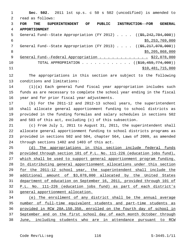1 **Sec. 502.** 2011 1st sp.s. c 50 s 502 (uncodified) is amended to 2 read as follows: 3 **FOR THE SUPERINTENDENT OF PUBLIC INSTRUCTION--FOR GENERAL** 4 **APPORTIONMENT** 5 General Fund--State Appropriation (FY 2012)  $\ldots$  (( $\frac{55,242,704,000}{50,000}$ )  $$5,253,769,000$ 7 General Fund--State Appropriation (FY 2013) . . . . ((<del>\$5,217,070,000</del>)) 8 \$5,205,868,000 \$5,205,868,000 \$5,205,868,000 \$5,205,868,000 \$5,205,868,000 \$5, 9 General Fund--Federal Appropriation . . . . . . . . . . . . \$22,078,000 10 TOTAL APPROPRIATION . . . . . . . . . . . . ((\$10,459,774,000)) 11 \$10,481,715,000

12 The appropriations in this section are subject to the following 13 conditions and limitations:

14 (1)(a) Each general fund fiscal year appropriation includes such 15 funds as are necessary to complete the school year ending in the fiscal 16 year and for prior fiscal year adjustments.

17 (b) For the 2011-12 and 2012-13 school years, the superintendent 18 shall allocate general apportionment funding to school districts as 19 provided in the funding formulas and salary schedules in sections 502 20 and 503 of this act, excluding (c) of this subsection.

21 (c) From July 1, 2011 to August 31, 2011, the superintendent shall 22 allocate general apportionment funding to school districts programs as 23 provided in sections 502 and 504, chapter 564, Laws of 2009, as amended 24 through sections 1402 and 1403 of this act.

 (d) The appropriations in this section include federal funds provided through section 101 of P.L. No. 111-226 (education jobs fund), which shall be used to support general apportionment program funding. In distributing general apportionment allocations under this section for the 2011-12 school year, the superintendent shall include the additional amount of \$3,078,000 allocated by the United States department of education on September 16, 2011, provided through 101 of P.L. No. 111-226 (education jobs fund) as part of each district's general apportionment allocation.

 (e) The enrollment of any district shall be the annual average number of full-time equivalent students and part-time students as provided in RCW 28A.150.350, enrolled on the fourth day of school in September and on the first school day of each month October through June, including students who are in attendance pursuant to RCW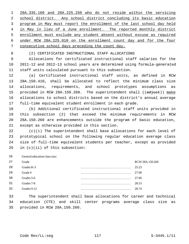28A.335.160 and 28A.225.250 who do not reside within the servicing school district. Any school district concluding its basic education program in May must report the enrollment of the last school day held in May in lieu of a June enrollment. The reported monthly district enrollment must exclude any student absent without excuse as required under RCW 28A.225.010 on the enrollment count day and for the four consecutive school days preceding the count day.

# 8 (2) CERTIFICATED INSTRUCTIONAL STAFF ALLOCATIONS

 9 Allocations for certificated instructional staff salaries for the 10 2011-12 and 2012-13 school years are determined using formula-generated 11 staff units calculated pursuant to this subsection.

12 (a) Certificated instructional staff units, as defined in RCW 13 28A.150.410, shall be allocated to reflect the minimum class size 14 allocations, requirements, and school prototypes assumptions as 15 provided in RCW 28A.150.260. The superintendent shall ((adjust)) make 16 allocations to school districts based on the district's annual average 17 full-time equivalent student enrollment in each grade.

18 (b) Additional certificated instructional staff units provided in 19 this subsection (2) that exceed the minimum requirements in RCW 20 28A.150.260 are enhancements outside the program of basic education, 21 except as otherwise provided in this section.

22 (c)(i) The superintendent shall base allocations for each level of 23 prototypical school on the following regular education average class 24 size of full-time equivalent students per teacher, except as provided 25 in (c)(ii) of this subsection:

26 General education class size:

| 27 | Grade       | RCW 28A.150.260 |
|----|-------------|-----------------|
| 28 | Grades K-3  | 25.23           |
| 29 | Grade 4     | 27.00           |
| 30 | Grades 5-6  | 27.00           |
| 31 | Grades 7-8  | 28.53           |
| 32 | Grades 9-12 | 28.74           |
|    |             |                 |

33 The superintendent shall base allocations for career and technical 34 education (CTE) and skill center programs average class size as 35 provided in RCW 28A.150.260.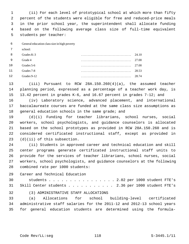1 (ii) For each level of prototypical school at which more than fifty 2 percent of the students were eligible for free and reduced-price meals 3 in the prior school year, the superintendent shall allocate funding 4 based on the following average class size of full-time equivalent 5 students per teacher:

 6 General education class size in high poverty

 7 school:

| 8   | Grades K-3  | 24.10 |
|-----|-------------|-------|
| - 9 | Grade 4     | 27.00 |
| 10  | Grades 5-6  | 27.00 |
| 11  | Grades 7-8  | 28.53 |
| 12  | Grades 9-12 | 28.74 |

13 (iii) Pursuant to RCW 28A.150.260(4)(a), the assumed teacher 14 planning period, expressed as a percentage of a teacher work day, is 15 13.42 percent in grades K-6, and 16.67 percent in grades 7-12; and

16 (iv) Laboratory science, advanced placement, and international 17 baccalaureate courses are funded at the same class size assumptions as 18 general education schools in the same grade; and

19 (d)(i) Funding for teacher librarians, school nurses, social 20 workers, school psychologists, and guidance counselors is allocated 21 based on the school prototypes as provided in RCW 28A.150.260 and is 22 considered certificated instructional staff, except as provided in 23 (d)(ii) of this subsection.

24 (ii) Students in approved career and technical education and skill 25 center programs generate certificated instructional staff units to 26 provide for the services of teacher librarians, school nurses, social 27 workers, school psychologists, and guidance counselors at the following 28 combined rate per 1000 students:

29 Career and Technical Education

30 students . . . . . . . . . . . . . . . . 2.02 per 1000 student FTE's 31 Skill Center students . . . . . . . . . . 2.36 per 1000 student FTE's

32 (3) ADMINISTRATIVE STAFF ALLOCATIONS

33 (a) Allocations for school building-level certificated 34 administrative staff salaries for the 2011-12 and 2012-13 school years 35 for general education students are determined using the formula-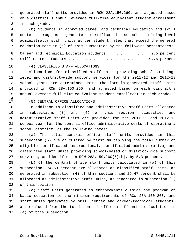1 generated staff units provided in RCW 28A.150.260, and adjusted based 2 on a district's annual average full-time equivalent student enrollment 3 in each grade.

 4 (b) Students in approved career and technical education and skill 5 center programs generate certificated school building-level 6 administrator staff units at per student rates that exceed the general 7 education rate in (a) of this subsection by the following percentages:

8 Career and Technical Education students . . . . . . . . . 2.5 percent 9 Skill Center students . . . . . . . . . . . . . . . . . . 19.75 percent

## 10 (4) CLASSIFIED STAFF ALLOCATIONS

11 Allocations for classified staff units providing school building-12 level and district-wide support services for the 2011-12 and 2012-13 13 school years are determined using the formula-generated staff units 14 provided in RCW 28A.150.260, and adjusted based on each district's 15 annual average full-time equivalent student enrollment in each grade.

 $16 \over 17$ 

# 17 (5) CENTRAL OFFICE ALLOCATIONS

18 In addition to classified and administrative staff units allocated 19 in subsections (3) and (4) of this section, classified and 20 administrative staff units are provided for the 2011-12 and 2012-13 21 school year for the central office administrative costs of operating a 22 school district, at the following rates:

23 (a) The total central office staff units provided in this 24 subsection (5) are calculated by first multiplying the total number of 25 eligible certificated instructional, certificated administrative, and 26 classified staff units providing school-based or district-wide support 27 services, as identified in RCW 28A.150.260(6)(b), by 5.3 percent.

28 (b) Of the central office staff units calculated in (a) of this 29 subsection, 74.53 percent are allocated as classified staff units, as 30 generated in subsection (4) of this section, and 25.47 percent shall be 31 allocated as administrative staff units, as generated in subsection (3) 32 of this section.

33 (c) Staff units generated as enhancements outside the program of 34 basic education to the minimum requirements of RCW 28A.150.260, and 35 staff units generated by skill center and career-technical students, 36 are excluded from the total central office staff units calculation in 37 (a) of this subsection.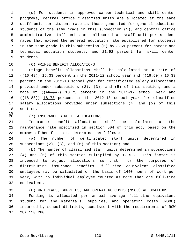1 (d) For students in approved career-technical and skill center 2 programs, central office classified units are allocated at the same 3 staff unit per student rate as those generated for general education 4 students of the same grade in this subsection (5), and central office 5 administrative staff units are allocated at staff unit per student 6 rates that exceed the general education rate established for students 7 in the same grade in this subsection (5) by 3.69 percent for career and 8 technical education students, and 21.92 percent for skill center 9 students.

# 10 (6) FRINGE BENEFIT ALLOCATIONS

11 Fringe benefit allocations shall be calculated at a rate of 12  $((16.49))$  16.33 percent in the 2011-12 school year and  $((16.50))$  16.33 13 percent in the 2012-13 school year for certificated salary allocations 14 provided under subsections (2), (3), and (5) of this section, and a 15 rate of  $((18.86))$  18.73 percent in the 2011-12 school year and 16 ((18.88)) 18.73 percent in the 2012-13 school year for classified 17 salary allocations provided under subsections (4) and (5) of this 18 section.

 $\frac{19}{20}$ 

#### 20 (7) INSURANCE BENEFIT ALLOCATIONS

21 Insurance benefit allocations shall be calculated at the 22 maintenance rate specified in section 504 of this act, based on the 23 number of benefit units determined as follows:

24 (a) The number of certificated staff units determined in 25 subsections (2), (3), and (5) of this section; and

26 (b) The number of classified staff units determined in subsections 27 (4) and (5) of this section multiplied by 1.152. This factor is 28 intended to adjust allocations so that, for the purposes of 29 distributing insurance benefits, full-time equivalent classified 30 employees may be calculated on the basis of 1440 hours of work per 31 year, with no individual employee counted as more than one full-time 32 equivalent.

33 (8) MATERIALS, SUPPLIES, AND OPERATING COSTS (MSOC) ALLOCATIONS 34 Funding is allocated per annual average full-time equivalent 35 student for the materials, supplies, and operating costs (MSOC) 36 incurred by school districts, consistent with the requirements of RCW

37 28A.150.260.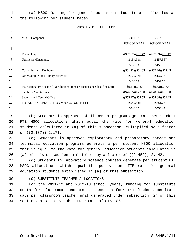| 1  | (a) MSOC funding for general education students are allocated at             |                        |                       |
|----|------------------------------------------------------------------------------|------------------------|-----------------------|
| 2  | the following per student rates:                                             |                        |                       |
| 3  | MSOC RATES/STUDENT FTE                                                       |                        |                       |
| 4  |                                                                              |                        |                       |
| 5  | <b>MSOC</b> Component                                                        | 2011-12                | 2012-13               |
| 6  |                                                                              | <b>SCHOOL YEAR</b>     | <b>SCHOOL YEAR</b>    |
| 7  |                                                                              |                        |                       |
| 8  | Technology                                                                   | $((\$57.02))$ \$57.42  | $((\$57.99))$ \$58.17 |
| 9  | Utilities and Insurance                                                      | $((\$154.93))$         | $((\$157.56))$        |
| 10 |                                                                              | \$156.03               | \$158.05              |
| 11 | Curriculum and Textbooks                                                     | $((\$61.22))$ \\$61.65 | $((\$62.26))$ \$62.45 |
| 12 | Other Supplies and Library Materials                                         | $((\$129.97))$         | $((\$132.18))$        |
| 13 |                                                                              | \$130.89               | \$132.59              |
| 14 | Instructional Professional Development for Certificated and Classified Staff | $((\$9.47))$ \$9.53    | $((\$9.63))$ \$9.66   |
| 15 | <b>Facilities Maintenance</b>                                                | $((\$76.75))$ $$77.30$ | $((\$78.06))$ \$78.30 |
| 16 | Security and Central Office                                                  | $((\$53.17))$ \$53.55  | $((\$54.08))$ \$54.25 |
| 17 | TOTAL BASIC EDUCATION MSOC/STUDENT FTE                                       | $((\$542.53))$         | $((\$551.76))$        |
| 18 |                                                                              | \$546.37               | \$553.47              |

19 (b) Students in approved skill center programs generate per student 20 FTE MSOC allocations which equal the rate for general education 21 students calculated in (a) of this subsection, multiplied by a factor 22 of ((2.187)) 2.171.

23 (c) Students in approved exploratory and preparatory career and 24 technical education programs generate a per student MSOC allocation 25 that is equal to the rate for general education students calculated in 26 (a) of this subsection, multiplied by a factor of  $((2.459))$  2.442.

27 (d) Students in laboratory science courses generate per student FTE 28 MSOC allocations which equal the per student FTE rate for general 29 education students established in (a) of this subsection.

#### 30 (9) SUBSTITUTE TEACHER ALLOCATIONS

31 For the 2011-12 and 2012-13 school years, funding for substitute 32 costs for classroom teachers is based on four (4) funded substitute 33 days per classroom teacher unit generated under subsection (2) of this 34 section, at a daily substitute rate of \$151.86.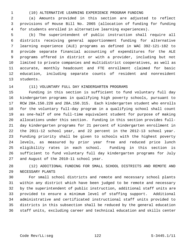1 (10) ALTERNATIVE LEARNING EXPERIENCE PROGRAM FUNDING

 2 (a) Amounts provided in this section are adjusted to reflect 3 provisions of House Bill No. 2065 (allocation of funding for funding 4 for students enrolled in alternative learning experiences).

 5 (b) The superintendent of public instruction shall require all 6 districts receiving general apportionment funding for alternative 7 learning experience (ALE) programs as defined in WAC 392-121-182 to 8 provide separate financial accounting of expenditures for the ALE 9 programs offered in district or with a provider, including but not 10 limited to private companies and multidistrict cooperatives, as well as 11 accurate, monthly headcount and FTE enrollment claimed for basic 12 education, including separate counts of resident and nonresident 13 students.

## 14 (11) VOLUNTARY FULL DAY KINDERGARTEN PROGRAMS

15 Funding in this section is sufficient to fund voluntary full day 16 kindergarten programs in qualifying high poverty schools, pursuant to 17 RCW 28A.150.220 and 28A.150.315. Each kindergarten student who enrolls 18 for the voluntary full-day program in a qualifying school shall count 19 as one-half of one full-time equivalent student for purpose of making 20 allocations under this section. Funding in this section provides full-21 day kindergarten programs for 21 percent of kindergarten enrollment in 22 the 2011-12 school year, and 22 percent in the 2012-13 school year. 23 Funding priority shall be given to schools with the highest poverty 24 levels, as measured by prior year free and reduced price lunch 25 eligibility rates in each school. Funding in this section is 26 sufficient to fund voluntary full day kindergarten programs for July 27 and August of the 2010-11 school year.

28 (12) ADDITIONAL FUNDING FOR SMALL SCHOOL DISTRICTS AND REMOTE AND 29 NECESSARY PLANTS

30 For small school districts and remote and necessary school plants 31 within any district which have been judged to be remote and necessary 32 by the superintendent of public instruction, additional staff units are 33 provided to ensure a minimum level of staffing support. Additional 34 administrative and certificated instructional staff units provided to 35 districts in this subsection shall be reduced by the general education 36 staff units, excluding career and technical education and skills center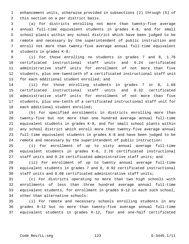1 enhancement units, otherwise provided in subsections (2) through (5) of 2 this section on a per district basis.

 3 (a) For districts enrolling not more than twenty-five average 4 annual full-time equivalent students in grades K-8, and for small 5 school plants within any school district which have been judged to be 6 remote and necessary by the superintendent of public instruction and 7 enroll not more than twenty-five average annual full-time equivalent 8 students in grades K-8:

 9 (i) For those enrolling no students in grades 7 and 8, 1.76 10 certificated instructional staff units and 0.24 certificated 11 administrative staff units for enrollment of not more than five 12 students, plus one-twentieth of a certificated instructional staff unit 13 for each additional student enrolled; and

14 (ii) For those enrolling students in grades 7 or 8, 1.68 15 certificated instructional staff units and 0.32 certificated 16 administrative staff units for enrollment of not more than five 17 students, plus one-tenth of a certificated instructional staff unit for 18 each additional student enrolled;

19 (b) For specified enrollments in districts enrolling more than 20 twenty-five but not more than one hundred average annual full-time 21 equivalent students in grades K-8, and for small school plants within 22 any school district which enroll more than twenty-five average annual 23 full-time equivalent students in grades K-8 and have been judged to be 24 remote and necessary by the superintendent of public instruction:

25 (i) For enrollment of up to sixty annual average full-time 26 equivalent students in grades K-6, 2.76 certificated instructional 27 staff units and 0.24 certificated administrative staff units; and

28 (ii) For enrollment of up to twenty annual average full-time 29 equivalent students in grades 7 and 8, 0.92 certificated instructional 30 staff units and 0.08 certificated administrative staff units;

31 (c) For districts operating no more than two high schools with 32 enrollments of less than three hundred average annual full-time 33 equivalent students, for enrollment in grades 9-12 in each such school, 34 other than alternative schools:

35 (i) For remote and necessary schools enrolling students in any 36 grades 9-12 but no more than twenty-five average annual full-time 37 equivalent students in grades K-12, four and one-half certificated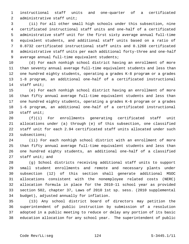1 instructional staff units and one-quarter of a certificated 2 administrative staff unit;

 3 (ii) For all other small high schools under this subsection, nine 4 certificated instructional staff units and one-half of a certificated 5 administrative staff unit for the first sixty average annual full-time 6 equivalent students, and additional staff units based on a ratio of 7 0.8732 certificated instructional staff units and 0.1268 certificated 8 administrative staff units per each additional forty-three and one-half 9 average annual full-time equivalent students;

10 (d) For each nonhigh school district having an enrollment of more 11 than seventy annual average full-time equivalent students and less than 12 one hundred eighty students, operating a grades K-8 program or a grades 13 1-8 program, an additional one-half of a certificated instructional 14 staff unit;

15 (e) For each nonhigh school district having an enrollment of more 16 than fifty annual average full-time equivalent students and less than 17 one hundred eighty students, operating a grades K-6 program or a grades 18 1-6 program, an additional one-half of a certificated instructional 19 staff unit;

20 (f)(i) For enrollments generating certificated staff unit 21 allocations under (a) through (e) of this subsection, one classified 22 staff unit for each 2.94 certificated staff units allocated under such 23 subsections;

24 (ii) For each nonhigh school district with an enrollment of more 25 than fifty annual average full-time equivalent students and less than 26 one hundred eighty students, an additional one-half of a classified 27 staff unit; and

28 (g) School districts receiving additional staff units to support 29 small student enrollments and remote and necessary plants under 30 subsection (12) of this section shall generate additional MSOC 31 allocations consistent with the nonemployee related costs (NERC) 32 allocation formula in place for the 2010-11 school year as provided 33 section 502, chapter 37, Laws of 2010 1st sp. sess. (2010 supplemental 34 budget), adjusted annually for inflation.

35 (13) Any school district board of directors may petition the 36 superintendent of public instruction by submission of a resolution 37 adopted in a public meeting to reduce or delay any portion of its basic 38 education allocation for any school year. The superintendent of public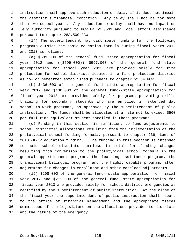1 instruction shall approve such reduction or delay if it does not impair 2 the district's financial condition. Any delay shall not be for more 3 than two school years. Any reduction or delay shall have no impact on 4 levy authority pursuant to RCW 84.52.0531 and local effort assistance 5 pursuant to chapter 28A.500 RCW.

 6 (14) The superintendent may distribute funding for the following 7 programs outside the basic education formula during fiscal years 2012 8 and 2013 as follows:

 9 (a) \$589,000 of the general fund--state appropriation for fiscal 10 year 2012 and ((\$599,000)) \$597,000 of the general fund--state 11 appropriation for fiscal year 2013 are provided solely for fire 12 protection for school districts located in a fire protection district 13 as now or hereafter established pursuant to chapter 52.04 RCW.

14 (b) \$436,000 of the general fund--state appropriation for fiscal 15 year 2012 and \$436,000 of the general fund--state appropriation for 16 fiscal year 2013 are provided solely for programs providing skills 17 training for secondary students who are enrolled in extended day 18 school-to-work programs, as approved by the superintendent of public 19 instruction. The funds shall be allocated at a rate not to exceed \$500 20 per full-time equivalent student enrolled in those programs.

21 (c) Funding in this section is sufficient to fund adjustments to 22 school districts' allocations resulting from the implementation of the 23 prototypical school funding formula, pursuant to chapter 236, Laws of 24 2010 (K-12 education funding). The funding in this section is intended 25 to hold school districts harmless in total for funding changes 26 resulting from conversion to the prototypical school formula in the 27 general apportionment program, the learning assistance program, the 28 transitional bilingual program, and the highly capable program, after 29 adjustment for changes in enrollment and other caseload adjustments.

30 (15) \$208,000 of the general fund--state appropriation for fiscal 31 year 2012 and \$211,000 of the general fund--state appropriation for 32 fiscal year 2013 are provided solely for school district emergencies as 33 certified by the superintendent of public instruction. At the close of 34 the fiscal year the superintendent of public instruction shall report 35 to the office of financial management and the appropriate fiscal 36 committees of the legislature on the allocations provided to districts 37 and the nature of the emergency.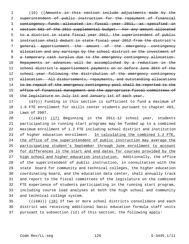1 (16) ((Amounts in this section include adjustments made by the superintendent of public instruction for the repayment of financial contingency funds allocated in fiscal year 2011, as specified in section 501 of the 2011 supplemental budget. For any amount allocated to a district in state fiscal year 2011, the superintendent of public instruction shall deduct in state fiscal year 2012 from the district's general apportionment the amount of the emergency contingency 8 allocation and any earnings by the school district on the investment of 9 a temporary cash surplus due to the emergency contingency allocation. Repayments or advances will be accomplished by a reduction in the school district's apportionment payments on or before June 30th of the school year following the distribution of the emergency contingency 13 allocation. All disbursements, repayments, and outstanding allocations 14 to be repaid of the emergency contingency pool shall be reported to the office of financial management and the appropriate fiscal committees of 16 the legislature on July 1st and January 1st of each year.

17  $(17)$ ) Funding in this section is sufficient to fund a maximum of 18 1.6 FTE enrollment for skills center students pursuant to chapter 463, 19 Laws of 2007.

20 (( $(18)$ )) (17) Beginning in the 2011-12 school year, students 21 participating in running start programs may be funded up to a combined 22 maximum enrollment of 1.2 FTE including school district and institution 23 of higher education enrollment. In calculating the combined 1.2 FTE, 24 the office of the superintendent of public instruction may average the 25 participating student's September through June enrollment to account 26 for differences in the start and end dates for courses provided by the 27 high school and higher education institution. Additionally, the office 28 of the superintendent of public instruction, in consultation with the 29 state board for community and technical colleges, the higher education 30 coordinating board, and the education data center, shall annually track 31 and report to the fiscal committees of the legislature on the combined 32 FTE experience of students participating in the running start program, 33 including course load analyses at both the high school and community 34 and technical college system.

 $(1,19)$  (( $18$ ) If two or more school districts consolidate and each 36 district was receiving additional basic education formula staff units 37 pursuant to subsection (12) of this section, the following apply: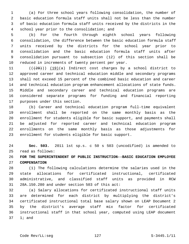1 (a) For three school years following consolidation, the number of 2 basic education formula staff units shall not be less than the number 3 of basic education formula staff units received by the districts in the 4 school year prior to the consolidation; and

 5 (b) For the fourth through eighth school years following 6 consolidation, the difference between the basic education formula staff 7 units received by the districts for the school year prior to 8 consolidation and the basic education formula staff units after 9 consolidation pursuant to subsection (12) of this section shall be 10 reduced in increments of twenty percent per year.

11  $((+20))$   $(19)(a)$  Indirect cost charges by a school district to 12 approved career and technical education middle and secondary programs 13 shall not exceed 15 percent of the combined basic education and career 14 and technical education program enhancement allocations of state funds. 15 Middle and secondary career and technical education programs are 16 considered separate programs for funding and financial reporting 17 purposes under this section.

18 (b) Career and technical education program full-time equivalent 19 enrollment shall be reported on the same monthly basis as the 20 enrollment for students eligible for basic support, and payments shall 21 be adjusted for reported career and technical education program 22 enrollments on the same monthly basis as those adjustments for 23 enrollment for students eligible for basic support.

24 **Sec. 503.** 2011 1st sp.s. c 50 s 503 (uncodified) is amended to 25 read as follows:

26 **FOR THE SUPERINTENDENT OF PUBLIC INSTRUCTION--BASIC EDUCATION EMPLOYEE** 27 **COMPENSATION**

28 (1) The following calculations determine the salaries used in the 29 state allocations for certificated instructional, certificated 30 administrative, and classified staff units as provided in RCW 31 28A.150.280 and under section 503 of this act:

32 (a) Salary allocations for certificated instructional staff units 33 are determined for each district by multiplying the district's 34 certificated instructional total base salary shown on LEAP Document 2 35 by the district's average staff mix factor for certificated 36 instructional staff in that school year, computed using LEAP document 37 1; and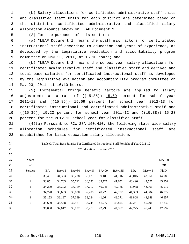1 (b) Salary allocations for certificated administrative staff units 2 and classified staff units for each district are determined based on 3 the district's certificated administrative and classified salary 4 allocation amounts shown on LEAP Document 2.

24 25

26

5 (2) For the purposes of this section:

 6 (a) "LEAP Document 1" means the staff mix factors for certificated 7 instructional staff according to education and years of experience, as 8 developed by the legislative evaluation and accountability program 9 committee on May 23, 2011, at 16:10 hours; and

10 (b) "LEAP Document 2" means the school year salary allocations for 11 certificated administrative staff and classified staff and derived and 12 total base salaries for certificated instructional staff as developed 13 by the legislative evaluation and accountability program committee on 14 May 23, 2011, at 16:10 hours.

15 (3) Incremental fringe benefit factors are applied to salary 16 adjustments at a rate of ((15.85)) 15.69 percent for school year 17 2011-12 and ((15.86)) 15.69 percent for school year 2012-13 for 18 certificated instructional and certificated administrative staff and 19 ((15.36)) 15.23 percent for school year 2011-12 and ((15.38)) 15.23 20 percent for the 2012-13 school year for classified staff.

21 (4)(a) Pursuant to RCW 28A.150.410, the following state-wide salary 22 allocation schedules for certificated instructional staff are 23 established for basic education salary allocations:

# Table Of Total Base Salaries For Certificated Instructional Staff For School Year 2011-12

| 27 | Years          |           |         |         |         |         |          |        |         | $MA+90$   |
|----|----------------|-----------|---------|---------|---------|---------|----------|--------|---------|-----------|
| 28 | of             |           |         |         |         |         |          |        |         | <b>OR</b> |
| 29 | Service        | <b>BA</b> | $BA+15$ | $BA+30$ | $BA+45$ | $BA+90$ | $BA+135$ | MA     | $MA+45$ | Ph.D.     |
| 30 | $\mathbf{0}$   | 33,401    | 34,303  | 35,238  | 36,175  | 39,180  | 41,116   | 40,045 | 43,051  | 44,989    |
| 31 | T              | 33,851    | 34,765  | 35,712  | 36,690  | 39,727  | 41,652   | 40,490 | 43,527  | 45,452    |
| 32 | 2              | 34,279    | 35,202  | 36,159  | 37,212  | 40,241  | 42,186   | 40,938 | 43,966  | 45,912    |
| 33 | 3              | 34,720    | 35,653  | 36,620  | 37,706  | 40,729  | 42,722   | 41,363 | 44,384  | 46,377    |
| 34 | $\overline{4}$ | 35,153    | 36,127  | 37,099  | 38,224  | 41,264  | 43,271   | 41,808 | 44.849  | 46,857    |
| 35 | 5              | 35,600    | 36,578  | 37,561  | 38,748  | 41,777  | 43,824   | 42,261 | 45,291  | 47,339    |
| 36 | 6              | 36,060    | 37,017  | 38,032  | 39,279  | 42,293  | 44,352   | 42,725 | 45,740  | 47,797    |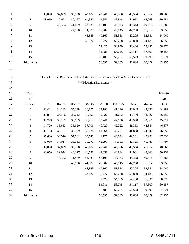| 1    | $\boldsymbol{7}$ | 36,868    | 37,839  | 38,868  | 40,182  | 43,241                     | 45,356                                                                                    | 43,594   | 46,652  | 48,768    |
|------|------------------|-----------|---------|---------|---------|----------------------------|-------------------------------------------------------------------------------------------|----------|---------|-----------|
| 2    | $\,8\,$          | 38,050    | 39,074  | 40,127  | 41,550  | 44,651                     | 46,844                                                                                    | 44,961   | 48,063  | 50,254    |
| 3    | $\overline{9}$   |           | 40,353  | 41,459  | 42,933  | 46,106                     | 48,373                                                                                    | 46,343   | 49,518  | 51,785    |
| 4    | 10               |           |         | 42,806  | 44,387  | 47,602                     | 49,945                                                                                    | 47,798   | 51,014  | 53,356    |
| 5    | 11               |           |         |         | 45,883  | 49,169                     | 51,558                                                                                    | 49,295   | 52,581  | 54,969    |
| 6    | 12               |           |         |         | 47,332  | 50,777                     | 53,238                                                                                    | 50,850   | 54,188  | 56,650    |
| 7    | 13               |           |         |         |         | 52,425                     | 54,959                                                                                    | 52,460   | 55,836  | 58,370    |
| 8    | 14               |           |         |         |         | 54,081                     | 56,745                                                                                    | 54,117   | 57,600  | 60,157    |
| 9    | 15               |           |         |         |         | 55,488                     | 58,221                                                                                    | 55,523   | 59,098  | 61,721    |
| 10   | 16 or more       |           |         |         |         | 56,597                     | 59,385                                                                                    | 56,634   | 60,279  | 62,955    |
| 11   |                  |           |         |         |         |                            |                                                                                           |          |         |           |
| 12   |                  |           |         |         |         |                            | Table Of Total Base Salaries For Certificated Instructional Staff For School Year 2012-13 |          |         |           |
| 13   |                  |           |         |         |         | ***Education Experience*** |                                                                                           |          |         |           |
| 14   |                  |           |         |         |         |                            |                                                                                           |          |         |           |
| $15$ | Years            |           |         |         |         |                            |                                                                                           |          |         | $MA+90$   |
| 16   | of               |           |         |         |         |                            |                                                                                           |          |         | <b>OR</b> |
| 17   | Service          | <b>BA</b> | $BA+15$ | $BA+30$ | $BA+45$ | $BA+90$                    | BA+135                                                                                    | $\rm MA$ | $MA+45$ | Ph.D.     |
| 18   | $\boldsymbol{0}$ | 33,401    | 34,303  | 35,238  | 36,175  | 39,180                     | 41,116                                                                                    | 40,045   | 43,051  | 44,989    |
| 19   | $\mathbf{1}$     | 33,851    | 34,765  | 35,712  | 36,690  | 39,727                     | 41,652                                                                                    | 40,490   | 43,527  | 45,452    |
| 20   | $\sqrt{2}$       | 34,279    | 35,202  | 36,159  | 37,212  | 40,241                     | 42,186                                                                                    | 40,938   | 43,966  | 45,912    |
| 21   | 3                | 34,720    | 35,653  | 36,620  | 37,706  | 40,729                     | 42,722                                                                                    | 41,363   | 44,384  | 46,377    |
| 22   | $\overline{4}$   | 35,153    | 36,127  | 37,099  | 38,224  | 41,264                     | 43,271                                                                                    | 41,808   | 44,849  | 46,857    |
| 23   | 5                | 35,600    | 36,578  | 37,561  | 38,748  | 41,777                     | 43,824                                                                                    | 42,261   | 45,291  | 47,339    |
| 24   | $\sqrt{6}$       | 36,060    | 37,017  | 38,032  | 39,279  | 42,293                     | 44,352                                                                                    | 42,725   | 45,740  | 47,797    |
| 25   | 7                | 36,868    | 37,839  | 38,868  | 40,182  | 43,241                     | 45,356                                                                                    | 43,594   | 46,652  | 48,768    |
| 26   | $\,8\,$          | 38,050    | 39,074  | 40,127  | 41,550  | 44,651                     | 46,844                                                                                    | 44,961   | 48,063  | 50,254    |
| 27   | $\overline{9}$   |           | 40,353  | 41,459  | 42,933  | 46,106                     | 48,373                                                                                    | 46,343   | 49,518  | 51,785    |
| 28   | 10               |           |         | 42,806  | 44,387  | 47,602                     | 49,945                                                                                    | 47,798   | 51,014  | 53,356    |
| 29   | 11               |           |         |         | 45,883  | 49,169                     | 51,558                                                                                    | 49,295   | 52,581  | 54,969    |
| 30   | 12               |           |         |         | 47,332  | 50,777                     | 53,238                                                                                    | 50,850   | 54,188  | 56,650    |
| 31   | 13               |           |         |         |         | 52,425                     | 54,959                                                                                    | 52,460   | 55,836  | 58,370    |
| 32   | 14               |           |         |         |         | 54,081                     | 56,745                                                                                    | 54,117   | 57,600  | 60,157    |
| 33   | 15               |           |         |         |         | 55,488                     | 58,221                                                                                    | 55,523   | 59,098  | 61,721    |
| 34   | 16 or more       |           |         |         |         | 56,597                     | 59,385                                                                                    | 56,634   | 60,279  | 62,955    |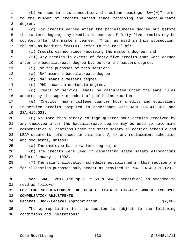1 (b) As used in this subsection, the column headings "BA+(N)" refer 2 to the number of credits earned since receiving the baccalaureate 3 degree.

 4 (c) For credits earned after the baccalaureate degree but before 5 the masters degree, any credits in excess of forty-five credits may be 6 counted after the masters degree. Thus, as used in this subsection, 7 the column headings "MA+(N)" refer to the total of:

8 (i) Credits earned since receiving the masters degree; and

 9 (ii) Any credits in excess of forty-five credits that were earned 10 after the baccalaureate degree but before the masters degree.

11 (5) For the purposes of this section:

12 (a) "BA" means a baccalaureate degree.

13 (b) "MA" means a masters degree.

14 (c) "PHD" means a doctorate degree.

15 (d) "Years of service" shall be calculated under the same rules 16 adopted by the superintendent of public instruction.

17 (e) "Credits" means college quarter hour credits and equivalent 18 in-service credits computed in accordance with RCW 28A.415.020 and 19 28A.415.023.

20 (6) No more than ninety college quarter-hour credits received by 21 any employee after the baccalaureate degree may be used to determine 22 compensation allocations under the state salary allocation schedule and 23 LEAP documents referenced in this part V, or any replacement schedules 24 and documents, unless:

25 (a) The employee has a masters degree; or

26 (b) The credits were used in generating state salary allocations 27 before January 1, 1992.

28 (7) The salary allocation schedules established in this section are 29 for allocation purposes only except as provided in RCW 28A.400.200(2).

30 **Sec. 504.** 2011 1st sp.s. c 50 s 504 (uncodified) is amended to 31 read as follows:

32 **FOR THE SUPERINTENDENT OF PUBLIC INSTRUCTION--FOR SCHOOL EMPLOYEE** 33 **COMPENSATION ADJUSTMENTS**

34 General Fund--Federal Appropriation . . . . . . . . . . . . . . . \$2,000

35 The appropriation in this section is subject to the following 36 conditions and limitations: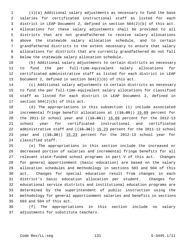1 (1)(a) Additional salary adjustments as necessary to fund the base 2 salaries for certificated instructional staff as listed for each 3 district in LEAP Document 2, defined in section 504(2)(b) of this act. 4 Allocations for these salary adjustments shall be provided to all 5 districts that are not grandfathered to receive salary allocations 6 above the statewide salary allocation schedule, and to certain 7 grandfathered districts to the extent necessary to ensure that salary 8 allocations for districts that are currently grandfathered do not fall 9 below the statewide salary allocation schedule.

10 (b) Additional salary adjustments to certain districts as necessary 11 to fund the per full-time-equivalent salary allocations for 12 certificated administrative staff as listed for each district in LEAP 13 Document 2, defined in section 504(2)(b) of this act.

14 (c) Additional salary adjustments to certain districts as necessary 15 to fund the per full-time-equivalent salary allocations for classified 16 staff as listed for each district in LEAP Document 2, defined in 17 section 504(2)(b) of this act.

18 (d) The appropriations in this subsection (1) include associated 19 incremental fringe benefit allocations at ((<del>15.85</del>)) 15.69 percent for 20 the 2011-12 school year and  $((15.86))$  15.69 percent for the 2012-13 21 school year for certificated instructional and certificated 22 administrative staff and  $((15.36))$  15.23 percent for the 2011-12 school 23 year and  $((15.38))$   $15.23$  percent for the 2012-13 school year for 24 classified staff.

25 (e) The appropriations in this section include the increased or 26 decreased portion of salaries and incremental fringe benefits for all 27 relevant state-funded school programs in part V of this act. Changes 28 for general apportionment (basic education) are based on the salary 29 allocation schedules and methodology in sections 503 and 504 of this 30 act. Changes for special education result from changes in each 31 district's basic education allocation per student. Changes for 32 educational service districts and institutional education programs are 33 determined by the superintendent of public instruction using the 34 methodology for general apportionment salaries and benefits in sections 35 503 and 504 of this act.

36 (f) The appropriations in this section include no salary 37 adjustments for substitute teachers.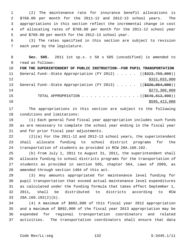1 (2) The maintenance rate for insurance benefit allocations is 2 \$768.00 per month for the 2011-12 and 2012-13 school years. The 3 appropriations in this section reflect the incremental change in cost 4 of allocating rates of \$768.00 per month for the 2011-12 school year 5 and \$768.00 per month for the 2012-13 school year.

 6 (3) The rates specified in this section are subject to revision 7 each year by the legislature.

 8 **Sec. 505.** 2011 1st sp.s. c 50 s 505 (uncodified) is amended to 9 read as follows:

10 **FOR THE SUPERINTENDENT OF PUBLIC INSTRUCTION--FOR PUPIL TRANSPORTATION** 11 General Fund--State Appropriation (FY 2012) . . . . . ((\$323,759,000))  $12$  \$322,033,000 13 General Fund--State Appropriation (FY 2013) . . . . . ((\$326,054,000))  $14$  \$273,380,000 15 TOTAL APPROPRIATION . . . . . . . . . . . . . . ((\$649,813,000)) 16 \$595,413,000

17 The appropriations in this section are subject to the following 18 conditions and limitations:

19 (1) Each general fund fiscal year appropriation includes such funds 20 as are necessary to complete the school year ending in the fiscal year 21 and for prior fiscal year adjustments.

22 (2)(a) For the 2011-12 and 2012-13 school years, the superintendent 23 shall allocate funding to school district programs for the 24 transportation of students as provided in RCW 28A.160.192.

25 (b) From July 1, 2011 to August 31, 2011, the superintendent shall 26 allocate funding to school districts programs for the transportation of 27 students as provided in section 505, chapter 564, Laws of 2009, as 28 amended through section 1404 of this act.

29 (3) Any amounts appropriated for maintenance level funding for 30 pupil transportation that exceed actual maintenance level expenditures 31 as calculated under the funding formula that takes effect September 1, 32 2011, shall be distributed to districts according to RCW 33 28A.160.192(2)(b).

34 (4) A maximum of \$892,000 of this fiscal year 2012 appropriation 35 and a maximum of \$892,000 of the fiscal year 2013 appropriation may be 36 expended for regional transportation coordinators and related 37 activities. The transportation coordinators shall ensure that data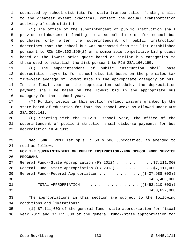1 submitted by school districts for state transportation funding shall, 2 to the greatest extent practical, reflect the actual transportation 3 activity of each district.

 4 (5) The office of the superintendent of public instruction shall 5 provide reimbursement funding to a school district for school bus 6 purchases only after the superintendent of public instruction 7 determines that the school bus was purchased from the list established 8 pursuant to RCW 28A.160.195(2) or a comparable competitive bid process 9 based on the lowest price quote based on similar bus categories to 10 those used to establish the list pursuant to RCW 28A.160.195.

11 (6) The superintendent of public instruction shall base 12 depreciation payments for school district buses on the pre-sales tax 13 five-year average of lowest bids in the appropriate category of bus. 14 In the final year on the depreciation schedule, the depreciation 15 payment shall be based on the lowest bid in the appropriate bus 16 category for that school year.

17 (7) Funding levels in this section reflect waivers granted by the 18 state board of education for four-day school weeks as allowed under RCW 19 28A.305.141.

20 (8) Starting with the 2012-13 school year, the office of the 21 superintendent of public instruction shall disburse payments for bus 22 depreciation in August.

23 **Sec. 506.** 2011 1st sp.s. c 50 s 506 (uncodified) is amended to 24 read as follows:

25 **FOR THE SUPERINTENDENT OF PUBLIC INSTRUCTION--FOR SCHOOL FOOD SERVICE** 26 **PROGRAMS**

| 27 | General Fund--State Appropriation (FY 2012) \$7,111,000          |
|----|------------------------------------------------------------------|
| 28 | General Fund--State Appropriation (FY 2013) \$7,111,000          |
| 29 | General Fund--Federal Appropriation $($ $($ $\frac{2437}{1000})$ |
| 30 | \$436,400,000                                                    |
| 31 | TOTAL APPROPRIATION $\ldots$ , ( $(\frac{2452}{210}, 000)$ )     |
| 32 | \$450,622,000                                                    |
|    |                                                                  |

33 The appropriations in this section are subject to the following 34 conditions and limitations:

35 (1) \$7,111,000 of the general fund--state appropriation for fiscal 36 year 2012 and \$7,111,000 of the general fund--state appropriation for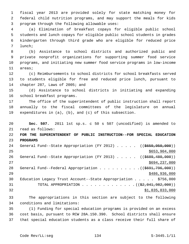1 fiscal year 2013 are provided solely for state matching money for 2 federal child nutrition programs, and may support the meals for kids 3 program through the following allowable uses:

 4 (a) Elimination of breakfast copays for eligible public school 5 students and lunch copays for eligible public school students in grades 6 kindergarten through third grade who are eligible for reduced price 7 lunch;

 8 (b) Assistance to school districts and authorized public and 9 private nonprofit organizations for supporting summer food service 10 programs, and initiating new summer food service programs in low-income 11 areas;

12 (c) Reimbursements to school districts for school breakfasts served 13 to students eligible for free and reduced price lunch, pursuant to 14 chapter 287, Laws of 2005; and

15 (d) Assistance to school districts in initiating and expanding 16 school breakfast programs.

17 The office of the superintendent of public instruction shall report 18 annually to the fiscal committees of the legislature on annual 19 expenditures in (a), (b), and (c) of this subsection.

20 **Sec. 507.** 2011 1st sp.s. c 50 s 507 (uncodified) is amended to 21 read as follows:

22 **FOR THE SUPERINTENDENT OF PUBLIC INSTRUCTION--FOR SPECIAL EDUCATION** 23 **PROGRAMS**

| 24 | General Fund--State Appropriation (FY 2012) $($ $($ \$659,950,000))    |
|----|------------------------------------------------------------------------|
| 25 | \$653,904,000                                                          |
| 26 | General Fund--State Appropriation (FY 2013) ( $(\frac{2689}{1000})$ )  |
| 27 | \$694,237,000                                                          |
| 28 | General Fund--Federal Appropriation $($ $($ $\frac{2691,796,000}{1})$  |
| 29 | \$486,936,000                                                          |
| 30 | Education Legacy Trust Account--State Appropriation $\ldots$ \$756,000 |
| 31 | TOTAL APPROPRIATION $($ $($ $\frac{2}{7}$ , $041$ , $982$ , $000)$ )   |
| 32 | \$1,835,833,000                                                        |

33 The appropriations in this section are subject to the following 34 conditions and limitations:

35 (1) Funding for special education programs is provided on an excess 36 cost basis, pursuant to RCW 28A.150.390. School districts shall ensure 37 that special education students as a class receive their full share of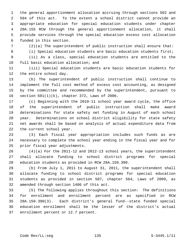1 the general apportionment allocation accruing through sections 502 and 2 504 of this act. To the extent a school district cannot provide an 3 appropriate education for special education students under chapter 4 28A.155 RCW through the general apportionment allocation, it shall 5 provide services through the special education excess cost allocation 6 funded in this section.

7 (2)(a) The superintendent of public instruction shall ensure that:

8 (i) Special education students are basic education students first;

 9 (ii) As a class, special education students are entitled to the 10 full basic education allocation; and

11 (iii) Special education students are basic education students for 12 the entire school day.

13 (b) The superintendent of public instruction shall continue to 14 implement the full cost method of excess cost accounting, as designed 15 by the committee and recommended by the superintendent, pursuant to 16 section 501(1)(k), chapter 372, Laws of 2006.

17 (c) Beginning with the 2010-11 school year award cycle, the office 18 of the superintendent of public instruction shall make award 19 determinations for state safety net funding in August of each school 20 year. Determinations on school district eligibility for state safety 21 net awards shall be based on analysis of actual expenditure data from 22 the current school year.

23 (3) Each fiscal year appropriation includes such funds as are 24 necessary to complete the school year ending in the fiscal year and for 25 prior fiscal year adjustments.

26 (4)(a) For the 2011-12 and 2012-13 school years, the superintendent 27 shall allocate funding to school district programs for special 28 education students as provided in RCW 28A.150.390.

29 (b) From July 1, 2011 to August 31, 2011, the superintendent shall 30 allocate funding to school district programs for special education 31 students as provided in section 507, chapter 564, Laws of 2009, as 32 amended through section 1406 of this act.

33 (5) The following applies throughout this section: The definitions 34 for enrollment and enrollment percent are as specified in RCW 35 28A.150.390(3). Each district's general fund--state funded special 36 education enrollment shall be the lesser of the district's actual 37 enrollment percent or 12.7 percent.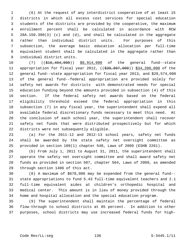1 (6) At the request of any interdistrict cooperative of at least 15 2 districts in which all excess cost services for special education 3 students of the districts are provided by the cooperative, the maximum 4 enrollment percent shall be calculated in accordance with RCW 5 28A.150.390(3) (c) and (d), and shall be calculated in the aggregate 6 rather than individual district units. For purposes of this 7 subsection, the average basic education allocation per full-time 8 equivalent student shall be calculated in the aggregate rather than 9 individual district units.

10 (7) ((\$16,404,000)) \$8,914,000 of the general fund--state 11 appropriation for fiscal year 2012, ((\$30,807,000)) \$34,200,000 of the 12 general fund--state appropriation for fiscal year 2013, and \$29,574,000 13 of the general fund--federal appropriation are provided solely for 14 safety net awards for districts with demonstrated needs for special 15 education funding beyond the amounts provided in subsection (4) of this 16 section. If the federal safety net awards based on the federal 17 eligibility threshold exceed the federal appropriation in this 18 subsection (7) in any fiscal year, the superintendent shall expend all 19 available federal discretionary funds necessary to meet this need. At 20 the conclusion of each school year, the superintendent shall recover 21 safety net funds that were distributed prospectively but for which 22 districts were not subsequently eligible.

23 (a) For the 2011-12 and 2012-13 school years, safety net funds 24 shall be awarded by the state safety net oversight committee as 25 provided in section 109(1) chapter 548, Laws of 2009 (ESHB 2261).

26 (b) From July 1, 2011 to August 31, 2011, the superintendent shall 27 operate the safety net oversight committee and shall award safety net 28 funds as provided in section 507, chapter 564, Laws of 2009, as amended 29 through section 1406 of this act.

30 (8) A maximum of \$678,000 may be expended from the general fund-- 31 state appropriations to fund 5.43 full-time equivalent teachers and 2.1 32 full-time equivalent aides at children's orthopedic hospital and 33 medical center. This amount is in lieu of money provided through the 34 home and hospital allocation and the special education program.

35 (9) The superintendent shall maintain the percentage of federal 36 flow-through to school districts at 85 percent. In addition to other 37 purposes, school districts may use increased federal funds for high-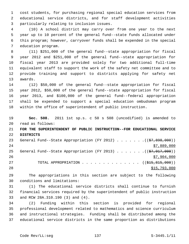1 cost students, for purchasing regional special education services from 2 educational service districts, and for staff development activities 3 particularly relating to inclusion issues.

 4 (10) A school district may carry over from one year to the next 5 year up to 10 percent of the general fund--state funds allocated under 6 this program; however, carryover funds shall be expended in the special 7 education program.

 8 (11) \$251,000 of the general fund--state appropriation for fiscal 9 year 2012 and \$251,000 of the general fund--state appropriation for 10 fiscal year 2013 are provided solely for two additional full-time 11 equivalent staff to support the work of the safety net committee and to 12 provide training and support to districts applying for safety net 13 awards.

14 (12) \$50,000 of the general fund--state appropriation for fiscal 15 year 2012, \$50,000 of the general fund--state appropriation for fiscal 16 year 2013, and \$100,000 of the general fund--federal appropriation 17 shall be expended to support a special education ombudsman program 18 within the office of superintendent of public instruction.

19 **Sec. 508.** 2011 1st sp.s. c 50 s 508 (uncodified) is amended to 20 read as follows:

21 **FOR THE SUPERINTENDENT OF PUBLIC INSTRUCTION--FOR EDUCATIONAL SERVICE** 22 **DISTRICTS**

23 General Fund--State Appropriation (FY 2012) . . . . . . . ((\$7,898,000)) 24 \$7,889,000 25 General Fund--State Appropriation (FY 2013) . . . . . . .((\$7,917,000))  $26$   $\frac{$7,904,000}{ }$ 27 TOTAL APPROPRIATION . . . . . . . . . . . . . . ((\$15,815,000)) 28 \$15,793,000

29 The appropriations in this section are subject to the following 30 conditions and limitations:

31 (1) The educational service districts shall continue to furnish 32 financial services required by the superintendent of public instruction 33 and RCW 28A.310.190 (3) and (4).

34 (2) Funding within this section is provided for regional 35 professional development related to mathematics and science curriculum 36 and instructional strategies. Funding shall be distributed among the 37 educational service districts in the same proportion as distributions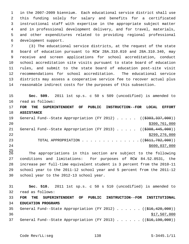1 in the 2007-2009 biennium. Each educational service district shall use 2 this funding solely for salary and benefits for a certificated 3 instructional staff with expertise in the appropriate subject matter 4 and in professional development delivery, and for travel, materials, 5 and other expenditures related to providing regional professional 6 development support.

 7 (3) The educational service districts, at the request of the state 8 board of education pursuant to RCW 28A.310.010 and 28A.310.340, may 9 receive and screen applications for school accreditation, conduct 10 school accreditation site visits pursuant to state board of education 11 rules, and submit to the state board of education post-site visit 12 recommendations for school accreditation. The educational service 13 districts may assess a cooperative service fee to recover actual plus 14 reasonable indirect costs for the purposes of this subsection.

15 **Sec. 509.** 2011 1st sp.s. c 50 s 509 (uncodified) is amended to 16 read as follows: 17 **FOR THE SUPERINTENDENT OF PUBLIC INSTRUCTION--FOR LOCAL EFFORT** 18 **ASSISTANCE** 19 General Fund--State Appropriation (FY 2012) . . . . . ((\$303,337,000)) 20 \$300,761,000 21 General Fund--State Appropriation (FY 2013) . . . . . ((\$308,445,000)) 22 \$299,276,000 23 TOTAL APPROPRIATION . . . . . . . . . . . . . . ((<del>\$611,782,000</del>)) 24 \$600,037,000

 $^{25}_{26}$ The appropriations in this section are subject to the following 27 conditions and limitations: For purposes of RCW 84.52.0531, the 28 increase per full-time equivalent student is 3 percent from the 2010-11 29 school year to the 2011-12 school year and 5 percent from the 2011-12 30 school year to the 2012-13 school year.

31 **Sec. 510.** 2011 1st sp.s. c 50 s 510 (uncodified) is amended to 32 read as follows: 33 **FOR THE SUPERINTENDENT OF PUBLIC INSTRUCTION--FOR INSTITUTIONAL** 34 **EDUCATION PROGRAMS** 35 General Fund--State Appropriation (FY 2012) . . . . . . ((\$16,420,000))  $36$   $$17,507,000$ 37 General Fund--State Appropriation (FY 2013) . . . . . . ((\$16,190,000))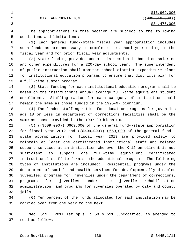2 TOTAL APPROPRIATION . . . . . . . . . . . . . ((<del>\$32,610,000</del>)) 3 \$34,476,000

 4 The appropriations in this section are subject to the following 5 conditions and limitations:

 6 (1) Each general fund--state fiscal year appropriation includes 7 such funds as are necessary to complete the school year ending in the 8 fiscal year and for prior fiscal year adjustments.

 9 (2) State funding provided under this section is based on salaries 10 and other expenditures for a 220-day school year. The superintendent 11 of public instruction shall monitor school district expenditure plans 12 for institutional education programs to ensure that districts plan for 13 a full-time summer program.

14 (3) State funding for each institutional education program shall be 15 based on the institution's annual average full-time equivalent student 16 enrollment. Staffing ratios for each category of institution shall 17 remain the same as those funded in the 1995-97 biennium.

18 (4) The funded staffing ratios for education programs for juveniles 19 age 18 or less in department of corrections facilities shall be the 20 same as those provided in the 1997-99 biennium.

21 (5) ((\$509,000)) \$669,000 of the general fund--state appropriation 22 for fiscal year 2012 and ((\$509,000)) \$669,000 of the general fund--23 state appropriation for fiscal year 2013 are provided solely to 24 maintain at least one certificated instructional staff and related 25 support services at an institution whenever the K-12 enrollment is not 26 sufficient to support one full-time equivalent certificated 27 instructional staff to furnish the educational program. The following 28 types of institutions are included: Residential programs under the 29 department of social and health services for developmentally disabled 30 juveniles, programs for juveniles under the department of corrections, 31 programs for juveniles under the juvenile rehabilitation 32 administration, and programs for juveniles operated by city and county 33 jails.

34 (6) Ten percent of the funds allocated for each institution may be 35 carried over from one year to the next.

36 **Sec. 511.** 2011 1st sp.s. c 50 s 511 (uncodified) is amended to 37 read as follows: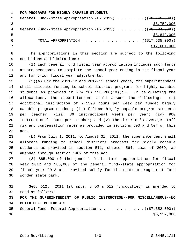|   | FOR PROGRAMS FOR HIGHLY CAPABLE STUDENTS                                |
|---|-------------------------------------------------------------------------|
| 2 | General Fund--State Appropriation (FY 2012) ( $(\frac{28}{741}, 000)$ ) |
|   | \$8,759,000                                                             |
| 4 | General Fund--State Appropriation (FY 2013) ( $(\frac{20.794}{100})$ )  |
| 5 | \$8,842,000                                                             |
| 6 | TOTAL APPROPRIATION $\ldots$ , ( $(\frac{177}{535}, 000)$ )             |
|   | \$17,601,000                                                            |

 8 The appropriations in this section are subject to the following 9 conditions and limitations:

10 (1) Each general fund fiscal year appropriation includes such funds 11 as are necessary to complete the school year ending in the fiscal year 12 and for prior fiscal year adjustments.

13 (2)(a) For the 2011-12 and 2012-13 school years, the superintendent 14 shall allocate funding to school district programs for highly capable 15 students as provided in RCW 28A.150.260(10)(c). In calculating the 16 allocations, the superintendent shall assume the following: (i) 17 Additional instruction of 2.1590 hours per week per funded highly 18 capable program student; (ii) fifteen highly capable program students 19 per teacher; (iii) 36 instructional weeks per year; (iv) 900 20 instructional hours per teacher; and (v) the district's average staff 21 mix and compensation rates as provided in sections 503 and 504 of this 22 act.

23 (b) From July 1, 2011, to August 31, 2011, the superintendent shall 24 allocate funding to school districts programs for highly capable 25 students as provided in section 511, chapter 564, Laws of 2009, as 26 amended through section 1409 of this act.

27 (3) \$85,000 of the general fund--state appropriation for fiscal 28 year 2012 and \$85,000 of the general fund--state appropriation for 29 fiscal year 2013 are provided solely for the centrum program at Fort 30 Worden state park.

 **Sec. 512.** 2011 1st sp.s. c 50 s 512 (uncodified) is amended to 32 read as follows: **FOR THE SUPERINTENDENT OF PUBLIC INSTRUCTION--FOR MISCELLANEOUS--NO CHILD LEFT BEHIND ACT** 35 General Fund--Federal Appropriation  $\cdots$  . . . . . . . . . ( $(\frac{27}{352}, \frac{352}{900})$ )  $$6,152,000$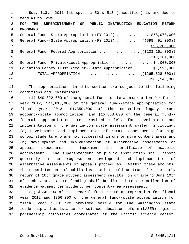1 **Sec. 513.** 2011 1st sp.s. c 50 s 513 (uncodified) is amended to 2 read as follows: 3 **FOR THE SUPERINTENDENT OF PUBLIC INSTRUCTION--EDUCATION REFORM** 4 **PROGRAMS** 5 General Fund--State Appropriation (FY 2012) . . . . . . . . \$58,078,000 6 General Fund--State Appropriation (FY 2013) . . . . . . ((\$98,491,000))  $7$   $$98,309,000$ 8 General Fund--Federal Appropriation . . . . . . . . . . ((\$103,161,000)) 9 \$219,161,000 10 General Fund--Private/Local Appropriation . . . . . . . . . \$4,000,000 11 Education Legacy Trust Account--State Appropriation . . . . \$1,598,000 12 TOTAL APPROPRIATION . . . . . . . . . . . . . ((<del>\$265,328,000</del>)) 13 \$381,146,000

14 The appropriations in this section are subject to the following 15 conditions and limitations:

16 (1) \$40,822,000 of the general fund--state appropriation for fiscal 17 year 2012, \$41,613,000 of the general fund--state appropriation for 18 fiscal year 2013, \$1,350,000 of the education legacy trust 19 account--state appropriation, and \$15,868,000 of the general fund-- 20 federal appropriation are provided solely for development and 21 implementation of the Washington state assessment system, including: 22 (a) Development and implementation of retake assessments for high 23 school students who are not successful in one or more content areas and 24 (b) development and implementation of alternative assessments or 25 appeals procedures to implement the certificate of academic 26 achievement. The superintendent of public instruction shall report 27 quarterly on the progress on development and implementation of 28 alternative assessments or appeals procedures. Within these amounts, 29 the superintendent of public instruction shall contract for the early 30 return of 10th grade student assessment results, on or around June 10th 31 of each year. State funding shall be limited to one collection of 32 evidence payment per student, per content-area assessment.

33 (2) \$356,000 of the general fund--state appropriation for fiscal 34 year 2012 and \$356,000 of the general fund--state appropriation for 35 fiscal year 2013 are provided solely for the Washington state 36 leadership and assistance for science education reform (LASER) regional 37 partnership activities coordinated at the Pacific science center,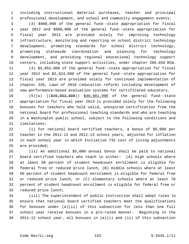1 including instructional material purchases, teacher and principal 2 professional development, and school and community engagement events.

 3 (3) \$980,000 of the general fund--state appropriation for fiscal 4 year 2012 and \$980,000 of the general fund--state appropriation for 5 fiscal year 2013 are provided solely for improving technology 6 infrastructure, monitoring and reporting on school district technology 7 development, promoting standards for school district technology, 8 promoting statewide coordination and planning for technology 9 development, and providing regional educational technology support 10 centers, including state support activities, under chapter 28A.650 RCW. 11 (4) \$3,852,000 of the general fund--state appropriation for fiscal

12 year 2012 and \$2,624,000 of the general fund--state appropriation for 13 fiscal year 2013 are provided solely for continued implementation of 14 chapter 235, Laws of 2010 (education reform) including development of 15 new performance-based evaluation systems for certificated educators.

16 (5)(a) ((\$40,863,000)) \$40,681,000 of the general fund--state 17 appropriation for fiscal year 2013 is provided solely for the following 18 bonuses for teachers who hold valid, unexpired certification from the 19 national board for professional teaching standards and who are teaching 20 in a Washington public school, subject to the following conditions and 21 limitations:

22 (i) For national board certified teachers, a bonus of \$5,090 per 23 teacher in the 2011-12 and 2012-13 school years, adjusted for inflation 24 in each school year in which Initiative 732 cost of living adjustments 25 are provided;

26 (ii) An additional \$5,000 annual bonus shall be paid to national 27 board certified teachers who teach in either: (A) High schools where 28 at least 50 percent of student headcount enrollment is eligible for 29 federal free or reduced price lunch, (B) middle schools where at least 30 60 percent of student headcount enrollment is eligible for federal free 31 or reduced price lunch, or (C) elementary schools where at least 70 32 percent of student headcount enrollment is eligible for federal free or 33 reduced price lunch;

34 (iii) The superintendent of public instruction shall adopt rules to 35 ensure that national board certified teachers meet the qualifications 36 for bonuses under (a)(ii) of this subsection for less than one full 37 school year receive bonuses in a pro-rated manner. Beginning in the 38 2011-12 school year, all bonuses in (a)(i) and (ii) of this subsection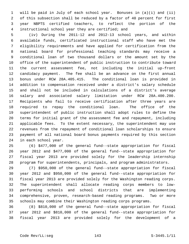1 will be paid in July of each school year. Bonuses in (a)(i) and (ii) 2 of this subsection shall be reduced by a factor of 40 percent for first 3 year NBPTS certified teachers, to reflect the portion of the 4 instructional school year they are certified; and

 5 (iv) During the 2011-12 and 2012-13 school years, and within 6 available funds, certificated instructional staff who have met the 7 eligibility requirements and have applied for certification from the 8 national board for professional teaching standards may receive a 9 conditional loan of two thousand dollars or the amount set by the 10 office of the superintendent of public instruction to contribute toward 11 the current assessment fee, not including the initial up-front 12 candidacy payment. The fee shall be an advance on the first annual 13 bonus under RCW 28A.405.415. The conditional loan is provided in 14 addition to compensation received under a district's salary schedule 15 and shall not be included in calculations of a district's average 16 salary and associated salary limitation under RCW 28A.400.200. 17 Recipients who fail to receive certification after three years are 18 required to repay the conditional loan. The office of the 19 superintendent of public instruction shall adopt rules to define the 20 terms for initial grant of the assessment fee and repayment, including 21 applicable fees. To the extent necessary, the superintendent may use 22 revenues from the repayment of conditional loan scholarships to ensure 23 payment of all national board bonus payments required by this section 24 in each school year.

25 (6) \$477,000 of the general fund--state appropriation for fiscal 26 year 2012 and \$477,000 of the general fund--state appropriation for 27 fiscal year 2013 are provided solely for the leadership internship 28 program for superintendents, principals, and program administrators.

29 (7) \$950,000 of the general fund--state appropriation for fiscal 30 year 2012 and \$950,000 of the general fund--state appropriation for 31 fiscal year 2013 are provided solely for the Washington reading corps. 32 The superintendent shall allocate reading corps members to low-33 performing schools and school districts that are implementing 34 comprehensive, proven, research-based reading programs. Two or more 35 schools may combine their Washington reading corps programs.

36 (8) \$810,000 of the general fund--state appropriation for fiscal 37 year 2012 and \$810,000 of the general fund--state appropriation for 38 fiscal year 2013 are provided solely for the development of a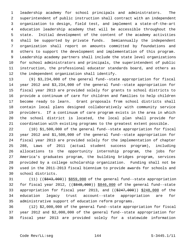1 leadership academy for school principals and administrators. The 2 superintendent of public instruction shall contract with an independent 3 organization to design, field test, and implement a state-of-the-art 4 education leadership academy that will be accessible throughout the 5 state. Initial development of the content of the academy activities 6 shall be supported by private funds. Semiannually the independent 7 organization shall report on amounts committed by foundations and 8 others to support the development and implementation of this program. 9 Leadership academy partners shall include the state level organizations 10 for school administrators and principals, the superintendent of public 11 instruction, the professional educator standards board, and others as 12 the independent organization shall identify.

13 (9) \$3,234,000 of the general fund--state appropriation for fiscal 14 year 2012 and \$3,234,000 of the general fund--state appropriation for 15 fiscal year 2013 are provided solely for grants to school districts to 16 provide a continuum of care for children and families to help children 17 become ready to learn. Grant proposals from school districts shall 18 contain local plans designed collaboratively with community service 19 providers. If a continuum of care program exists in the area in which 20 the school district is located, the local plan shall provide for 21 coordination with existing programs to the greatest extent possible.

22 (10) \$1,500,000 of the general fund--state appropriation for fiscal 23 year 2012 and \$1,500,000 of the general fund--state appropriation for 24 fiscal year 2013 are provided solely for the implementation of chapter 25 288, Laws of 2011 (actual student success program), including 26 allocations to the opportunity internship program, the jobs for 27 America's graduates program, the building bridges program, services 28 provided by a college scholarship organization. Funding shall not be 29 used in the 2011-2013 fiscal biennium to provide awards for schools and 30 school districts.

31 (11) ((\$843,000)) \$859,000 of the general fund--state appropriation 32 for fiscal year 2012, ((\$848,000)) \$846,000 of the general fund--state 33 appropriation for fiscal year 2013, and  $($  $$247,000$ )) \$248,000 of the 34 education legacy trust account--state appropriation are for 35 administrative support of education reform programs.

36 (12) \$2,000,000 of the general fund--state appropriation for fiscal 37 year 2012 and \$2,000,000 of the general fund--state appropriation for 38 fiscal year 2013 are provided solely for a statewide information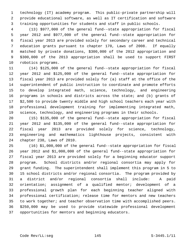1 technology (IT) academy program. This public-private partnership will 2 provide educational software, as well as IT certification and software 3 training opportunities for students and staff in public schools.

 4 (13) \$977,000 of the general fund--state appropriation for fiscal 5 year 2012 and \$977,000 of the general fund--state appropriation for 6 fiscal year 2013 are provided solely for secondary career and technical 7 education grants pursuant to chapter 170, Laws of 2008. If equally 8 matched by private donations, \$300,000 of the 2012 appropriation and 9 \$300,000 of the 2013 appropriation shall be used to support FIRST 10 robotics programs.

11 (14) \$125,000 of the general fund--state appropriation for fiscal 12 year 2012 and \$125,000 of the general fund--state appropriation for 13 fiscal year 2013 are provided solely for (a) staff at the office of the 14 superintendent of public instruction to coordinate and promote efforts 15 to develop integrated math, science, technology, and engineering 16 programs in schools and districts across the state; and (b) grants of 17 \$2,500 to provide twenty middle and high school teachers each year with 18 professional development training for implementing integrated math, 19 science, technology, and engineering programs in their schools.

20 (15) \$135,000 of the general fund--state appropriation for fiscal 21 year 2012 and \$135,000 of the general fund--state appropriation for 22 fiscal year 2013 are provided solely for science, technology, 23 engineering and mathematics lighthouse projects, consistent with 24 chapter 238, Laws of 2010.

25 (16) \$1,000,000 of the general fund--state appropriation for fiscal 26 year 2012 and \$1,000,000 of the general fund--state appropriation for 27 fiscal year 2013 are provided solely for a beginning educator support 28 program. School districts and/or regional consortia may apply for 29 grant funding. The superintendent shall implement this program in 5 to 30 15 school districts and/or regional consortia. The program provided by 31 a district and/or regional consortia shall include: A paid 32 orientation; assignment of a qualified mentor; development of a 33 professional growth plan for each beginning teacher aligned with 34 professional certification; release time for mentors and new teachers 35 to work together; and teacher observation time with accomplished peers. 36 \$250,000 may be used to provide statewide professional development 37 opportunities for mentors and beginning educators.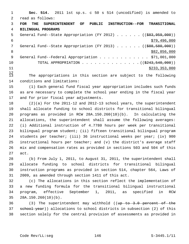1 **Sec. 514.** 2011 1st sp.s. c 50 s 514 (uncodified) is amended to 2 read as follows: 3 **FOR THE SUPERINTENDENT OF PUBLIC INSTRUCTION--FOR TRANSITIONAL** 4 **BILINGUAL PROGRAMS** 5 General Fund--State Appropriation (FY 2012) . . . . . . ((\$83,959,000))  $$79,496,000$ 7 General Fund--State Appropriation (FY 2013) . . . . . . ((\$88,580,000)) 8 \$82,856,000 \$82,856,000 9 General Fund--Federal Appropriation . . . . . . . . . . . \$71,001,000 10 TOTAL APPROPRIATION . . . . . . . . . . . . . . ((\$243,540,000))  $11$  \$233,353,000

 $\frac{12}{13}$ The appropriations in this section are subject to the following 14 conditions and limitations:

15 (1) Each general fund fiscal year appropriation includes such funds 16 as are necessary to complete the school year ending in the fiscal year 17 and for prior fiscal year adjustments.

18 (2)(a) For the 2011-12 and 2012-13 school years, the superintendent 19 shall allocate funding to school districts for transitional bilingual 20 programs as provided in RCW 28A.150.260(10)(b). In calculating the 21 allocations, the superintendent shall assume the following averages: 22 (i) Additional instruction of 4.7780 hours per week per transitional 23 bilingual program student; (ii) fifteen transitional bilingual program 24 students per teacher; (iii) 36 instructional weeks per year; (iv) 900 25 instructional hours per teacher; and (v) the district's average staff 26 mix and compensation rates as provided in sections 503 and 504 of this 27 act.

28 (b) From July 1, 2011, to August 31, 2011, the superintendent shall 29 allocate funding to school districts for transitional bilingual 30 instruction programs as provided in section 514, chapter 564, Laws of 31 2009, as amended through section 1411 of this act.

32 (c) The allocations in this section reflect the implementation of 33 a new funding formula for the transitional bilingual instructional 34 program, effective September 1, 2011, as specified in RCW 35 28A.150.260(10)(b).

36 (3) The superintendent may withhold ((up to 3.0 percent of the 37 school year)) allocations to school districts in subsection (2) of this 38 section solely for the central provision of assessments as provided in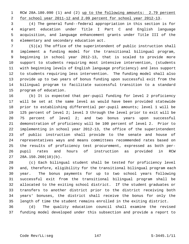1 RCW 28A.180.090 (1) and (2) up to the following amounts: 2.79 percent

2 for school year 2011-12 and 2.09 percent for school year 2012-13.

 3 (4) The general fund--federal appropriation in this section is for 4 migrant education under Title I Part C and English language 5 acquisition, and language enhancement grants under Title III of the 6 elementary and secondary education act.

 7 (5)(a) The office of the superintendent of public instruction shall 8 implement a funding model for the transitional bilingual program, 9 beginning in school year 2012-13, that is scaled to provide more 10 support to students requiring most intensive intervention, (students 11 with beginning levels of English language proficiency) and less support 12 to students requiring less intervention. The funding model shall also 13 provide up to two years of bonus funding upon successful exit from the 14 bilingual program to facilitate successful transition to a standard 15 program of education.

16 (b) It is expected that per-pupil funding for level 2 proficiency 17 will be set at the same level as would have been provided statewide 18 prior to establishing differential per-pupil amounts; level 1 will be 19 125 percent of level 2; level 3 through the level prior to exit will be 20 75 percent of level 2; and two bonus years upon successful 21 demonstration of proficiency will be 100 percent of level 2. Prior to 22 implementing in school year 2012-13, the office of the superintendent 23 of public instruction shall provide to the senate and house of 24 representatives ways and means committees recommended rates based on 25 the results of proficiency test procurement, expressed as both per-26 pupil rates and hours of instruction as provided in RCW 27 28A.150.260(10)(b).

28 (c) Each bilingual student shall be tested for proficiency level 29 and, therefore, eligibility for the transitional bilingual program each 30 year. The bonus payments for up to two school years following 31 successful exit from the transitional bilingual program shall be 32 allocated to the exiting school district. If the student graduates or 33 transfers to another district prior to the district receiving both 34 years' bonuses, the district shall receive the bonus for only the 35 length of time the student remains enrolled in the exiting district.

36 (d) The quality education council shall examine the revised 37 funding model developed under this subsection and provide a report to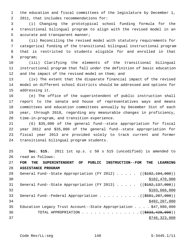1 the education and fiscal committees of the legislature by December 1, 2 2011, that includes recommendations for:

 3 (i) Changing the prototypical school funding formula for the 4 transitional bilingual program to align with the revised model in an 5 accurate and transparent manner;

 6 (ii) Reconciling the revised model with statutory requirements for 7 categorical funding of the transitional bilingual instructional program 8 that is restricted to students eligible for and enrolled in that 9 program;

10 (iii) Clarifying the elements of the transitional bilingual 11 instructional program that fall under the definition of basic education 12 and the impact of the revised model on them; and

13 (iv) The extent that the disparate financial impact of the revised 14 model on different school districts should be addressed and options for 15 addressing it.

16 (e) The office of the superintendent of public instruction shall 17 report to the senate and house of representatives ways and means 18 committees and education committees annually by December 31st of each 19 year, through 2018, regarding any measurable changes in proficiency, 20 time-in-program, and transition experience.

21 (6) \$35,000 of the general fund--state appropriation for fiscal 22 year 2012 and \$35,000 of the general fund--state appropriation for 23 fiscal year 2013 are provided solely to track current and former 24 transitional bilingual program students.

25 **Sec. 515.** 2011 1st sp.s. c 50 s 515 (uncodified) is amended to 26 read as follows:

27 **FOR THE SUPERINTENDENT OF PUBLIC INSTRUCTION--FOR THE LEARNING** 28 **ASSISTANCE PROGRAM**

| 29 | General Fund--State Appropriation (FY 2012) ( $(\frac{2102}{104}, \frac{104}{100})$ ) |
|----|---------------------------------------------------------------------------------------|
| 30 | \$102,470,000                                                                         |
| 31 | General Fund--State Appropriation (FY 2013) ( $(\frac{102}{102}, \frac{137}{100})$ )  |
| 32 | \$103,666,000                                                                         |
| 33 | General Fund--Federal Appropriation $($ $($ $\frac{207}{100})$                        |
| 34 | \$492, 207, 000                                                                       |
| 35 | Education Legacy Trust Account--State Appropriation $\ldots$ , \$47,980,000           |
| 36 | TOTAL APPROPRIATION $\ldots$ , ( $(\$833, 428, 000)$ )                                |
| 37 | \$746, 323, 000                                                                       |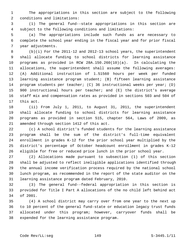1 The appropriations in this section are subject to the following 2 conditions and limitations:

 3 (1) The general fund--state appropriations in this section are 4 subject to the following conditions and limitations:

 5 (a) The appropriations include such funds as are necessary to 6 complete the school year ending in the fiscal year and for prior fiscal 7 year adjustments.

 8 (b)(i) For the 2011-12 and 2012-13 school years, the superintendent 9 shall allocate funding to school districts for learning assistance 10 programs as provided in RCW 28A.150.260(10)(a). In calculating the 11 allocations, the superintendent shall assume the following averages: 12 (A) Additional instruction of 1.51560 hours per week per funded 13 learning assistance program student; (B) fifteen learning assistance 14 program students per teacher; (C) 36 instructional weeks per year; (D) 15 900 instructional hours per teacher; and (E) the district's average 16 staff mix and compensation rates as provided in sections 503 and 504 of 17 this act.

18 (ii) From July 1, 2011, to August 31, 2011, the superintendent 19 shall allocate funding to school districts for learning assistance 20 programs as provided in section 515, chapter 564, Laws of 2009, as 21 amended through section 1412 of this act.

22 (c) A school district's funded students for the learning assistance 23 program shall be the sum of the district's full-time equivalent 24 enrollment in grades K-12 for the prior school year multiplied by the 25 district's percentage of October headcount enrollment in grades K-12 26 eligible for free or reduced price lunch in the prior school year.

27 (2) Allocations made pursuant to subsection (1) of this section 28 shall be adjusted to reflect ineligible applications identified through 29 the annual income verification process required by the national school 30 lunch program, as recommended in the report of the state auditor on the 31 learning assistance program dated February, 2010.

32 (3) The general fund--federal appropriation in this section is 33 provided for Title I Part A allocations of the no child left behind act 34 of 2001.

35 (4) A school district may carry over from one year to the next up 36 to 10 percent of the general fund-state or education legacy trust funds 37 allocated under this program; however, carryover funds shall be 38 expended for the learning assistance program.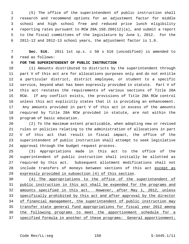1 (5) The office of the superintendent of public instruction shall 2 research and recommend options for an adjustment factor for middle 3 school and high school free and reduced price lunch eligibility 4 reporting rates pursuant to RCW 28A.150.260(12)(a), and submit a report 5 to the fiscal committees of the legislature by June 1, 2012. For the 6 2011-12 and 2012-13 school years, the adjustment factor is 1.0.

 7 **Sec. 516.** 2011 1st sp.s. c 50 s 516 (uncodified) is amended to 8 read as follows:

9 **FOR THE SUPERINTENDENT OF PUBLIC INSTRUCTION**

10 (1) Amounts distributed to districts by the superintendent through 11 part V of this act are for allocations purposes only and do not entitle 12 a particular district, district employee, or student to a specific 13 service, beyond what has been expressly provided in statute. Part V of 14 this act restates the requirements of various sections of Title 28A 15 RCW. If any conflict exists, the provisions of Title 28A RCW control 16 unless this act explicitly states that it is providing an enhancement. 17 Any amounts provided in part V of this act in excess of the amounts 18 required by Title 28A RCW provided in statute, are not within the 19 program of basic education.

20 (2) To the maximum extent practicable, when adopting new or revised 21 rules or policies relating to the administration of allocations in part 22 V of this act that result in fiscal impact, the office of the 23 superintendent of public instruction shall attempt to seek legislative 24 approval through the budget request process.

25 (3) Appropriations made in this act to the office of the 26 superintendent of public instruction shall initially be allotted as 27 required by this act. Subsequent allotment modifications shall not 28 include transfers of moneys between sections of this act except as 29 expressly provided in subsection (4) of this section.

 (4) The appropriations to the office of the superintendent of public instruction in this act shall be expended for the programs and amounts specified in this act. However, after May 1, 2012, unless specifically prohibited by this act and after approval by the director of financial management, the superintendent of public instruction may transfer state general fund appropriations for fiscal year 2012 among the following programs to meet the apportionment schedule for a specified formula in another of these programs: General apportionment;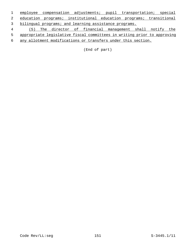employee compensation adjustments; pupil transportation; special education programs; institutional education programs; transitional bilingual programs; and learning assistance programs. (5) The director of financial management shall notify the

appropriate legislative fiscal committees in writing prior to approving

any allotment modifications or transfers under this section.

(End of part)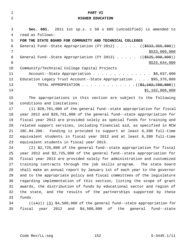| $\mathbf{1}$   | PART VI                                                                    |
|----------------|----------------------------------------------------------------------------|
| $\overline{2}$ | <b>HIGHER EDUCATION</b>                                                    |
|                |                                                                            |
| 3              | Sec. 601. 2011 1st sp.s. c 50 s 605 (uncodified) is amended to             |
| 4              | read as follows:                                                           |
| 5              | FOR THE STATE BOARD FOR COMMUNITY AND TECHNICAL COLLEGES                   |
| 6              | General Fund--State Appropriation (FY 2012) $($ $($ \$533,355,000))        |
| 7              | \$533,009,000                                                              |
| 8              | General Fund--State Appropriation (FY 2013) ((\$525,998,000))              |
| 9              | \$525,644,000                                                              |
| 10             | Community/Technical College Capital Projects                               |
| 11             | Account--State Appropriation \$8,037,000                                   |
| 12             | Education Legacy Trust Account--State Appropriation $\ldots$ \$95,370,000  |
| 13             | TOTAL APPROPRIATION ( $(\frac{1}{21}, \frac{162}{162}, \frac{760}{100})$ ) |
| 14             | \$1,162,060,000                                                            |
| 15             | The appropriations in this section are subject to the following            |
| 16             | conditions and limitations:                                                |
|                |                                                                            |
| 17             | (1) \$28,761,000 of the general fund--state appropriation for fiscal       |
| 18             | year 2012 and \$28,761,000 of the general fund--state appropriation for    |
| 19             | fiscal year 2013 are provided solely as special funds for training and     |
| 20             | related support services, including financial aid, as specified in RCW     |
|                |                                                                            |

21 28C.04.390. Funding is provided to support at least 6,200 full-time 22 equivalent students in fiscal year 2012 and at least 6,200 full-time 23 equivalent students in fiscal year 2013.

24 (2) \$2,725,000 of the general fund--state appropriation for fiscal 25 year 2012 and \$2,725,000 of the general fund--state appropriation for 26 fiscal year 2013 are provided solely for administration and customized 27 training contracts through the job skills program. The state board 28 shall make an annual report by January 1st of each year to the governor 29 and to the appropriate policy and fiscal committees of the legislature 30 regarding implementation of this section, listing the scope of grant 31 awards, the distribution of funds by educational sector and region of 32 the state, and the results of the partnerships supported by these 33 funds.

34  $((+4))$   $(3)$  \$4,500,000 of the general fund--state appropriation for 35 fiscal year 2012 and \$4,500,000 of the general fund--state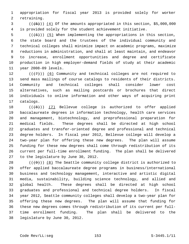1 appropriation for fiscal year 2013 is provided solely for worker 2 retraining.

 $(1, 5)$  ( $(1, 5)$ )) (4) Of the amounts appropriated in this section, \$5,000,000 4 is provided solely for the student achievement initiative.

 $5$  (( $(6)$ )) (5) When implementing the appropriations in this section, 6 the state board and the trustees of the individual community and 7 technical colleges shall minimize impact on academic programs, maximize 8 reductions in administration, and shall at least maintain, and endeavor 9 to increase, enrollment opportunities and degree and certificate 10 production in high employer-demand fields of study at their academic 11 year 2008-09 levels.

12  $((+7))$  (6) Community and technical colleges are not required to 13 send mass mailings of course catalogs to residents of their districts. 14 Community and technical colleges shall consider lower cost 15 alternatives, such as mailing postcards or brochures that direct 16 individuals to online information and other ways of acquiring print 17 catalogs.

18  $((+8))$  (7) Bellevue college is authorized to offer applied 19 baccalaureate degrees in information technology, health care services 20 and management, biotechnology, and preprofessional preparation for 21 medical fields. These degrees shall be directed at high school 22 graduates and transfer-oriented degree and professional and technical 23 degree holders. In fiscal year 2012, Bellevue college will develop a 24 two-year plan for offering these new degrees. The plan will assume 25 funding for these new degrees shall come through redistribution of its 26 current per full-time enrollment funding. The plan shall be delivered 27 to the legislature by June 30, 2012.

28  $((+9))$  (8) The Seattle community college district is authorized to 29 offer applied baccalaureate degree programs in business/international 30 business and technology management, interactive and artistic digital 31 media, sustainability, building science technology, and allied and 32 global health. These degrees shall be directed at high school 33 graduates and professional and technical degree holders. In fiscal 34 year 2012, Seattle community colleges shall develop a two-year plan for 35 offering these new degrees. The plan will assume that funding for 36 these new degrees comes through redistribution of its current per full-37 time enrollment funding. The plan shall be delivered to the 38 legislature by June 30, 2012.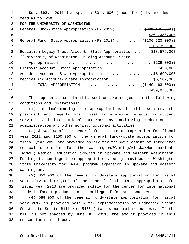1 **Sec. 602.** 2011 1st sp.s. c 50 s 606 (uncodified) is amended to 2 read as follows:

3 **FOR THE UNIVERSITY OF WASHINGTON**

| $\overline{4}$ | General Fund--State Appropriation (FY 2012) ( $(\frac{201}{7201}, \frac{471}{1000})$ |
|----------------|--------------------------------------------------------------------------------------|
| 5              | \$201,388,000                                                                        |
| 6              | General Fund--State Appropriation (FY 2013) ((\$206,523,000))                        |
| 7              | \$206, 358, 000                                                                      |
| -8             | Education Legacy Trust Account--State Appropriation $\ldots$ , \$18,579,000          |
| - 9            | ((University of Washington Building Account--State)                                  |
| 10             |                                                                                      |
| 11             | Biotoxin Account--State Appropriation \$450,000                                      |
| 12             | Accident Account--State Appropriation \$6,699,000                                    |
| 13             | Medical Aid Account--State Appropriation \$6,502,000                                 |
| 14             | TOTAL APPROPRIATION ( $(\frac{2440}{1000}, \frac{463}{100})$ )                       |

15 \$439,976,000

16 The appropriations in this section are subject to the following 17 conditions and limitations:

18 (1) In implementing the appropriations in this section, the 19 president and regents shall seek to minimize impacts on student 20 services and instructional programs by maximizing reductions in 21 administration and other noninstructional activities.

22 (2) \$150,000 of the general fund--state appropriation for fiscal 23 year 2012 and \$150,000 of the general fund--state appropriation for 24 fiscal year 2013 are provided solely for the development of integrated 25 medical curriculum for the Washington/Wyoming/Alaska/Montana/Idaho 26 (WWAMI) medical education program in Spokane and eastern Washington. 27 Funding is contingent on appropriations being provided to Washington 28 State University for WWAMI program expansion in Spokane and eastern 29 Washington.

30 (3) \$52,000 of the general fund--state appropriation for fiscal 31 year 2012 and \$52,000 of the general fund--state appropriation for 32 fiscal year 2013 are provided solely for the center for international 33 trade in forest products in the college of forest resources.

34 (4) \$88,000 of the general fund--state appropriation for fiscal 35 year 2012 is provided solely for implementation of Engrossed Second 36 Substitute Senate Bill No. 5485 (state's natural resources). If the 37 bill is not enacted by June 30, 2011, the amount provided in this 38 subsection shall lapse.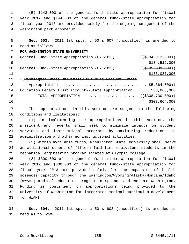1 (5) \$143,000 of the general fund--state appropriation for fiscal 2 year 2012 and \$144,000 of the general fund--state appropriation for 3 fiscal year 2013 are provided solely for the ongoing management of the 4 Washington park arboretum.

 5 **Sec. 603.** 2011 1st sp.s. c 50 s 607 (uncodified) is amended to 6 read as follows: 7 **FOR WASHINGTON STATE UNIVERSITY** 8 General Fund--State Appropriation (FY 2012) . . . . . ((\$134,912,000))  $$134,512,000$ 10 General Fund--State Appropriation (FY 2013) . . . . . ((\$135,389,000)) 11 \$136,087,000 12 ((Washington State University Building Account--State 13 Appropriation . . . . . . . . . . . . . . . . . . . . . \$5,364,000)) 14 Education Legacy Trust Account--State Appropriation . . . . \$33,065,000 15 TOTAL APPROPRIATION . . . . . . . . . . . . . . ((\$308,730,000)) 16 \$303,664,000

17 The appropriations in this section are subject to the following 18 conditions and limitations:

19 (1) In implementing the appropriations in this section, the 20 president and regents shall seek to minimize impacts on student 21 services and instructional programs by maximizing reductions in 22 administration and other noninstructional activities.

23 (2) Within available funds, Washington State University shall serve 24 an additional cohort of fifteen full-time equivalent students in the 25 mechanical engineering program located at Olympic College.

26 (3) \$300,000 of the general fund--state appropriation for fiscal 27 year 2012 and \$300,000 of the general fund--state appropriation for 28 fiscal year 2013 are provided solely for the expansion of health 29 sciences capacity through the Washington/Wyoming/Alaska/Montana/Idaho 30 (WWAMI) medical education program in Spokane and eastern Washington. 31 Funding is contingent on appropriations being provided to the 32 University of Washington for integrated medical curriculum development 33 for WWAMI.

34 **Sec. 604.** 2011 1st sp.s. c 50 s 608 (uncodified) is amended to 35 read as follows: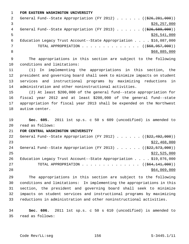1 **FOR EASTERN WASHINGTON UNIVERSITY**

| -2 | General Fund--State Appropriation (FY 2012) $($ $($ $\frac{286}{26}, \frac{281}{290})$ ) |
|----|------------------------------------------------------------------------------------------|
|    | \$26, 257, 000                                                                           |
| 4  | General Fund--State Appropriation (FY 2013) $($ $($ $\frac{26}{526}, \frac{589}{500})$ ) |
|    | \$26,541,000                                                                             |
| 6  | Education Legacy Trust Account--State Appropriation \$16,087,000                         |
|    | TOTAL APPROPRIATION $\ldots$ , ( $(\frac{668,957,000}{$ )                                |
|    | \$68,885,000                                                                             |

 9 The appropriations in this section are subject to the following 10 conditions and limitations:

11 (1) In implementing the appropriations in this section, the 12 president and governing board shall seek to minimize impacts on student 13 services and instructional programs by maximizing reductions in 14 administration and other noninstructional activities.

15 (2) At least \$200,000 of the general fund--state appropriation for 16 fiscal year 2012 and at least \$200,000 of the general fund--state 17 appropriation for fiscal year 2013 shall be expended on the Northwest 18 autism center.

19 **Sec. 605.** 2011 1st sp.s. c 50 s 609 (uncodified) is amended to 20 read as follows:

21 **FOR CENTRAL WASHINGTON UNIVERSITY**

| 22 | General Fund--State Appropriation (FY 2012) $($ $($ $\frac{222}{192}, 492, 000)$ ) |
|----|------------------------------------------------------------------------------------|
| 23 | \$22,468,000                                                                       |
| 24 | General Fund--State Appropriation (FY 2013) $($ $($ $\frac{222}{573},000)$ )       |
| 25 | \$22,525,000                                                                       |
| 26 | Education Legacy Trust Account--State Appropriation $\ldots$ \$19,076,000          |
| 27 | TOTAL APPROPRIATION $\ldots$ , ( $(\frac{664,141,000}{\cdots})$ )                  |
| 28 | \$64,069,000                                                                       |
|    |                                                                                    |

29 The appropriations in this section are subject to the following 30 conditions and limitations: In implementing the appropriations in this 31 section, the president and governing board shall seek to minimize 32 impacts on student services and instructional programs by maximizing 33 reductions in administration and other noninstructional activities.

34 **Sec. 606.** 2011 1st sp.s. c 50 s 610 (uncodified) is amended to 35 read as follows: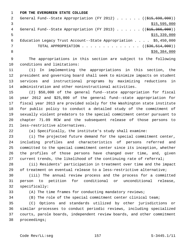1 **FOR THE EVERGREEN STATE COLLEGE**

|   | General Fund--State Appropriation (FY 2012) $($ $($ \$15,698,000))       |
|---|--------------------------------------------------------------------------|
|   | \$15,595,000                                                             |
| 4 | General Fund--State Appropriation (FY 2013) $($ $($ \$15,366,000))       |
|   | \$15,339,000                                                             |
| 6 | Education Legacy Trust Account--State Appropriation $\ldots$ \$5,450,000 |
|   | TOTAL APPROPRIATION $\ldots$ , ( $(\frac{236}{536}, \frac{514}{500})$ )  |
|   | \$36,384,000                                                             |
|   |                                                                          |

 9 The appropriations in this section are subject to the following 10 conditions and limitations:

11 (1) In implementing the appropriations in this section, the 12 president and governing board shall seek to minimize impacts on student 13 services and instructional programs by maximizing reductions in 14 administration and other noninstructional activities.

15 (2) \$50,000 of the general fund--state appropriation for fiscal 16 year 2012 and \$25,000 of the general fund--state appropriation for 17 fiscal year 2013 are provided solely for the Washington state institute 18 for public policy to conduct a detailed study of the commitment of 19 sexually violent predators to the special commitment center pursuant to 20 chapter 71.09 RCW and the subsequent release of those persons to 21 less-restrictive alternatives.

22 (a) Specifically, the institute's study shall examine:

23 (i) The projected future demand for the special commitment center, 24 including profiles and characteristics of persons referred and 25 committed to the special commitment center since its inception, whether 26 the profiles of those persons have changed over time, and, given 27 current trends, the likelihood of the continuing rate of referral;

28 (ii) Residents' participation in treatment over time and the impact 29 of treatment on eventual release to a less-restrictive alternative;

30 (iii) The annual review process and the process for a committed 31 person to petition for conditional or unconditional release, 32 specifically:

33 (A) The time frames for conducting mandatory reviews;

34 (B) The role of the special commitment center clinical team;

35 (C) Options and standards utilized by other jurisdictions or 36 similar processes to conduct periodic reviews, including specialized 37 courts, parole boards, independent review boards, and other commitment 38 proceedings;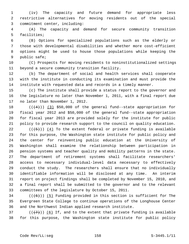1 (iv) The capacity and future demand for appropriate less 2 restrictive alternatives for moving residents out of the special 3 commitment center, including:

 4 (A) The capacity and demand for secure community transition 5 facilities;

 6 (B) Options for specialized populations such as the elderly or 7 those with developmental disabilities and whether more cost-efficient 8 options might be used to house those populations while keeping the 9 public safe;

10 (C) Prospects for moving residents to noninstitutionalized settings 11 beyond a secure community transition facility.

12 (b) The department of social and health services shall cooperate 13 with the institute in conducting its examination and must provide the 14 institute with requested data and records in a timely manner.

15 (c) The institute shall provide a status report to the governor and 16 the legislature no later than November 1, 2011, with a final report due 17 no later than November 1, 2012.

18  $((4+))$  (3) \$50,000 of the general fund--state appropriation for 19 fiscal year 2012 and \$50,000 of the general fund--state appropriation 20 for fiscal year 2013 are provided solely for the institute for public 21 policy to provide research support to the council on quality education.

22  $((+5))$  (4) To the extent federal or private funding is available 23 for this purpose, the Washington state institute for public policy and 24 the center for reinventing public education at the University of 25 Washington shall examine the relationship between participation in 26 pension systems and teacher quality and mobility patterns in the state. 27 The department of retirement systems shall facilitate researchers' 28 access to necessary individual-level data necessary to effectively 29 conduct the study. The researchers shall ensure that no individually 30 identifiable information will be disclosed at any time. An interim 31 report on project findings shall be completed by November 15, 2010, and 32 a final report shall be submitted to the governor and to the relevant 33 committees of the legislature by October 15, 2011.

 $34$  (( $(6)$ )) (5) Funding provided in this section is sufficient for The 35 Evergreen State College to continue operations of the Longhouse Center 36 and the Northwest Indian applied research institute.

37 ( $(\overline{+7})$ ) (6) If, and to the extent that private funding is available 38 for this purpose, the Washington state institute for public policy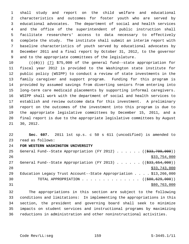1 shall study and report on the child welfare and educational 2 characteristics and outcomes for foster youth who are served by 3 educational advocates. The department of social and health services 4 and the office of the superintendent of public instruction shall 5 facilitate researchers' access to data necessary to effectively 6 complete the study. The institute shall submit an interim report with 7 baseline characteristics of youth served by educational advocates by 8 December 2011 and a final report by October 31, 2012, to the governor 9 and to the appropriate committees of the legislature.

10  $((+8))$   $(7)$  \$75,000 of the general fund--state appropriation for 11 fiscal year 2012 is provided to the Washington state institute for 12 public policy (WSIPP) to conduct a review of state investments in the 13 family caregiver and support program. Funding for this program is 14 provided by assumed savings from diverting seniors from entering into 15 long-term care medicaid placements by supporting informal caregivers. 16 WSIPP shall work with the department of social and health services to 17 establish and review outcome data for this investment. A preliminary 18 report on the outcomes of the investment into this program is due to 19 the appropriate legislative committees by December 15, 2011, and a 20 final report is due to the appropriate legislative committees by August 21 30, 2012.

22 **Sec. 607.** 2011 1st sp.s. c 50 s 611 (uncodified) is amended to 23 read as follows:

## 24 **FOR WESTERN WASHINGTON UNIVERSITY**

| 25 | General Fund--State Appropriation (FY 2012) $($ $($ \$33,709,000))            |
|----|-------------------------------------------------------------------------------|
| 26 | \$33,754,000                                                                  |
| 27 | General Fund--State Appropriation (FY 2013) $($ $($ $\frac{233}{654}, 000)$ ) |
| 28 | \$33,743,000                                                                  |
| 29 | Education Legacy Trust Account--State Appropriation $\ldots$ , \$13,266,000   |
| 30 | TOTAL APPROPRIATION $\ldots$ , ( $(\frac{680,629,000}{100,000})$ )            |
| 31 | \$80,763,000                                                                  |

32 The appropriations in this section are subject to the following 33 conditions and limitations: In implementing the appropriations in this 34 section, the president and governing board shall seek to minimize 35 impacts on student services and instructional programs by maximizing 36 reductions in administration and other noninstructional activities.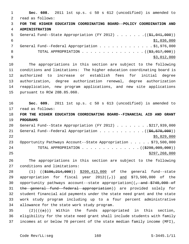1 **Sec. 608.** 2011 1st sp.s. c 50 s 612 (uncodified) is amended to 2 read as follows: 3 **FOR THE HIGHER EDUCATION COORDINATING BOARD--POLICY COORDINATION AND** 4 **ADMINISTRATION** 5 General Fund--State Appropriation (FY 2012) . . . . . . .((\$1,041,000))  $\frac{1}{2}$   $\frac{1}{2}$ ,036,000 7 General Fund--Federal Appropriation . . . . . . . . . . . . \$1,976,000 8 TOTAL APPROPRIATION  $\ldots$ , . . . . . . . . . . . . ( $(\frac{23}{2000})$ )  $\frac{1}{2}$   $\frac{1}{2}$ ,000 10 The appropriations in this section are subject to the following 11 conditions and limitations: The higher education coordinating board is 12 authorized to increase or establish fees for initial degree 13 authorization, degree authorization renewal, degree authorization 14 reapplication, new program applications, and new site applications 15 pursuant to RCW 28B.85.060. 16 **Sec. 609.** 2011 1st sp.s. c 50 s 613 (uncodified) is amended to 17 read as follows: 18 **FOR THE HIGHER EDUCATION COORDINATING BOARD--FINANCIAL AID AND GRANT** 19 **PROGRAMS** 20 General Fund--State Appropriation (FY 2012) . . . . . . . \$217,939,000 21 General Fund--Federal Appropriation . . . . . . . . . . . ((\$6,570,000))  $22$   $\frac{$5,829,000}{2}$ 23 Opportunity Pathways Account--State Appropriation . . . . . \$73,500,000 24 TOTAL APPROPRIATION . . . . . . . . . . . . . ((\$298,009,000))  $25$  \$297,268,000 26 The appropriations in this section are subject to the following 27 conditions and limitations: 28 (1) ((\$196,214,000)) \$200,413,000 of the general fund--state 29 appropriation for fiscal year  $2012((7))$  and \$73,500,000 of the 30 opportunity pathways account--state appropriation( $\left(-\right.$  and  $\frac{2740}{000}$  of 31 the general fund--federal appropriation)) are provided solely for 32 student financial aid payments under the state need grant and the state 33 work study program including up to a four percent administrative 34 allowance for the state work study program. 35 (2)(( $\left(\frac{a}{a}\right)$ ) Within the funds appropriated in this section,

36 eligibility for the state need grant shall include students with family 37 incomes at or below 70 percent of the state median family income (MFI),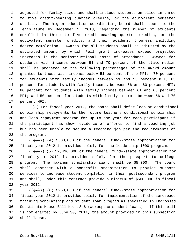1 adjusted for family size, and shall include students enrolled in three 2 to five credit-bearing quarter credits, or the equivalent semester 3 credits. The higher education coordinating board shall report to the 4 legislature by December 1, 2013, regarding the number of students 5 enrolled in three to five credit-bearing quarter credits, or the 6 equivalent semester credits, and their academic progress including 7 degree completion. Awards for all students shall be adjusted by the 8 estimated amount by which Pell grant increases exceed projected 9 increases in the noninstructional costs of attendance. Awards for 10 students with incomes between 51 and 70 percent of the state median 11 shall be prorated at the following percentages of the award amount 12 granted to those with incomes below 51 percent of the MFI: 70 percent 13 for students with family incomes between 51 and 55 percent MFI; 65 14 percent for students with family incomes between 56 and 60 percent MFI; 15 60 percent for students with family incomes between 61 and 65 percent 16 MFI; and 50 percent for students with family incomes between 66 and 70 17 percent MFI.

18 (3) For fiscal year 2012, the board shall defer loan or conditional 19 scholarship repayments to the future teachers conditional scholarship 20 and loan repayment program for up to one year for each participant if 21 the participant has shown evidence of efforts to find a teaching job 22 but has been unable to secure a teaching job per the requirements of 23 the program.

24  $((+5))$  (4) \$500,000 of the general fund--state appropriation for 25 fiscal year 2012 is provided solely for the leadership 1000 program.

26  $((+6))$  (5) \$2,436,000 of the general fund--state appropriation for 27 fiscal year 2012 is provided solely for the passport to college 28 program. The maximum scholarship award shall be \$5,000. The board 29 shall contract with a nonprofit organization to provide support 30 services to increase student completion in their postsecondary program 31 and shall, under this contract provide a minimum of \$500,000 in fiscal 32 year 2012.

33  $((+7))$  (6) \$250,000 of the general fund--state appropriation for 34 fiscal year 2012 is provided solely for implementation of the aerospace 35 training scholarship and student loan program as specified in Engrossed 36 Substitute House Bill No. 1846 (aerospace student loans). If this bill 37 is not enacted by June 30, 2011, the amount provided in this subsection 38 shall lapse.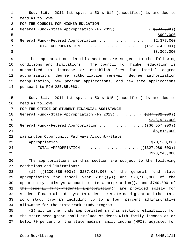1 **Sec. 610.** 2011 1st sp.s. c 50 s 614 (uncodified) is amended to 2 read as follows: 3 **FOR THE COUNCIL FOR HIGHER EDUCATION** 4 General Fund--State Appropriation (FY 2013) . . . . . . . . ((\$997,000))  $5 - 5$  6 General Fund--Federal Appropriation . . . . . . . . . . . . . \$2,377,000 7 TOTAL APPROPRIATION . . . . . . . . . . . . . . ((<del>\$3,374,000</del>)) 8  $\frac{1}{33,369,000}$  9 The appropriations in this section are subject to the following 10 conditions and limitations: The council for higher education is 11 authorized to increase or establish fees for initial degree 12 authorization, degree authorization renewal, degree authorization 13 reapplication, new program applications, and new site applications 14 pursuant to RCW 28B.85.060. 15 **Sec. 611.** 2011 1st sp.s. c 50 s 615 (uncodified) is amended to 16 read as follows: 17 **FOR THE OFFICE OF STUDENT FINANCIAL ASSISTANCE** 18 General Fund--State Appropriation (FY 2013) . . . . ((\$247,932,000)) 19 \$248,927,000 20 General Fund--Federal Appropriation  $\ldots$  . . . . . . . . . .  $($   $($ \$6,557,000)  $)$  $21$  \$5,816,000 22 Washington Opportunity Pathways Account--State 23 Appropriation . . . . . . . . . . . . . . . . . . . . . .\$73,500,000 24 TOTAL APPROPRIATION . . . . . . . . . . . . . ((<del>\$327,989,000</del>)) 25 \$328,243,000 26 The appropriations in this section are subject to the following 27 conditions and limitations: 28 (1) ((\$230,889,000)) \$237,018,000 of the general fund--state 29 appropriation for fiscal year  $2013((-))$  and \$73,500,000 of the 30 opportunity pathways account--state appropriation( $\left(-\right.$  and  $\frac{2740}{000}$  of

31 the general fund--federal appropriation)) are provided solely for 32 student financial aid payments under the state need grant and the state 33 work study program including up to a four percent administrative 34 allowance for the state work study program.

35 (2) Within the funds appropriated in this section, eligibility for 36 the state need grant shall include students with family incomes at or 37 below 70 percent of the state median family income (MFI), adjusted for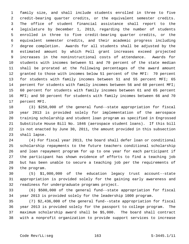1 family size, and shall include students enrolled in three to five 2 credit-bearing quarter credits, or the equivalent semester credits. 3 The office of student financial assistance shall report to the 4 legislature by December 1, 2013, regarding the number of students 5 enrolled in three to five credit-bearing quarter credits, or the 6 equivalent semester credits, and their academic progress including 7 degree completion. Awards for all students shall be adjusted by the 8 estimated amount by which Pell grant increases exceed projected 9 increases in the noninstructional costs of attendance. Awards for 10 students with incomes between 51 and 70 percent of the state median 11 shall be prorated at the following percentages of the award amount 12 granted to those with incomes below 51 percent of the MFI: 70 percent 13 for students with family incomes between 51 and 55 percent MFI; 65 14 percent for students with family incomes between 56 and 60 percent MFI; 15 60 percent for students with family incomes between 61 and 65 percent 16 MFI; and 50 percent for students with family incomes between 66 and 70 17 percent MFI.

18 (3) \$250,000 of the general fund--state appropriation for fiscal 19 year 2013 is provided solely for implementation of the aerospace 20 training scholarship and student loan program as specified in Engrossed 21 Substitute House Bill No. 1846 (aerospace student loans). If this bill 22 is not enacted by June 30, 2011, the amount provided in this subsection 23 shall lapse.

24 (4) For fiscal year 2013, the board shall defer loan or conditional 25 scholarship repayments to the future teachers conditional scholarship 26 and loan repayment program for up to one year for each participant if 27 the participant has shown evidence of efforts to find a teaching job 28 but has been unable to secure a teaching job per the requirements of 29 the program.

30 (5) \$1,000,000 of the education legacy trust account--state 31 appropriation is provided solely for the gaining early awareness and 32 readiness for undergraduate programs project.

33 (6) \$500,000 of the general fund--state appropriation for fiscal 34 year 2013 is provided solely for the leadership 1000 program.

35 (7) \$2,436,000 of the general fund--state appropriation for fiscal 36 year 2013 is provided solely for the passport to college program. The 37 maximum scholarship award shall be \$5,000. The board shall contract 38 with a nonprofit organization to provide support services to increase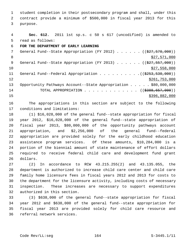1 student completion in their postsecondary program and shall, under this 2 contract provide a minimum of \$500,000 in fiscal year 2013 for this 3 purpose.

| 4               | Sec. 612. 2011 1st sp.s. c 50 s 617 (uncodified) is amended to     |
|-----------------|--------------------------------------------------------------------|
| 5               | read as follows:                                                   |
| 6               | FOR THE DEPARTMENT OF EARLY LEARNING                               |
| $7\phantom{.0}$ | General Fund--State Appropriation (FY 2012) $($ $($ \$27,570,000)) |
| 8               | \$27,571,000                                                       |
| 9               | General Fund--State Appropriation (FY 2013) $($ $($ \$27,557,000)) |
| 10              | \$27,558,000                                                       |
| 11              | General Fund--Federal Appropriation ((\$253,530,000))              |
| 12              | \$261,753,000                                                      |
| 13              | Opportunity Pathways Account--State Appropriation \$80,000,000     |
| 14              | TOTAL APPROPRIATION ( $(\frac{2388,657,000}{s})$ )                 |
| 15              | \$396,882,000                                                      |

16 The appropriations in this section are subject to the following 17 conditions and limitations:

18 (1) \$16,028,000 of the general fund--state appropriation for fiscal 19 year 2012, \$16,028,000 of the general fund--state appropriation of 20 fiscal year 2013, \$80,000,000 of the opportunity pathways account 21 appropriation, and \$2,256,000 of the general fund--federal 22 appropriation are provided solely for the early childhood education 23 assistance program services. Of these amounts, \$10,284,000 is a 24 portion of the biennial amount of state maintenance of effort dollars 25 required to receive federal child care and development fund grant 26 dollars.

27 (2) In accordance to RCW 43.215.255(2) and 43.135.055, the 28 department is authorized to increase child care center and child care 29 family home licensure fees in fiscal years 2012 and 2013 for costs to 30 the department for the licensure activity, including costs of necessary 31 inspection. These increases are necessary to support expenditures 32 authorized in this section.

33 (3) \$638,000 of the general fund--state appropriation for fiscal 34 year 2012 and \$638,000 of the general fund--state appropriation for 35 fiscal year 2013 are provided solely for child care resource and 36 referral network services.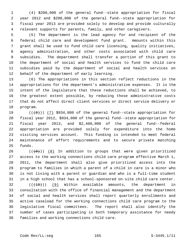1 (4) \$200,000 of the general fund--state appropriation for fiscal 2 year 2012 and \$200,000 of the general fund--state appropriation for 3 fiscal year 2013 are provided solely to develop and provide culturally 4 relevant supports for parents, family, and other caregivers.

 5 (5) The department is the lead agency for and recipient of the 6 federal child care and development fund grant. Amounts within this 7 grant shall be used to fund child care licensing, quality initiatives, 8 agency administration, and other costs associated with child care 9 subsidies. The department shall transfer a portion of this grant to 10 the department of social and health services to fund the child care 11 subsidies paid by the department of social and health services on 12 behalf of the department of early learning.

13 (6) The appropriations in this section reflect reductions in the 14 appropriations for the department's administrative expenses. It is the 15 intent of the legislature that these reductions shall be achieved, to 16 the greatest extent possible, by reducing those administrative costs 17 that do not affect direct client services or direct service delivery or 18 program.

19  $((+8))$   $(7)$  \$934,000 of the general fund--state appropriation for 20 fiscal year 2012, \$934,000 of the general fund--state appropriation for 21 fiscal year 2013, and \$2,400,000 of the general fund--federal 22 appropriation are provided solely for expenditure into the home 23 visiting services account. This funding is intended to meet federal 24 maintenance of effort requirements and to secure private matching 25 funds.

26  $((+9))$  (8) In addition to groups that were given prioritized 27 access to the working connections child care program effective March 1, 28 2011, the department shall also give prioritized access into the 29 program to families in which a parent of a child in care is a minor who 30 is not living with a parent or guardian and who is a full-time student 31 in a high school that has a school-sponsored on-site child care center.

 $32$  (( $(10)$ ) (9) Within available amounts, the department in 33 consultation with the office of financial management and the department 34 of social and health services shall report quarterly enrollments and 35 active caseload for the working connections child care program to the 36 legislative fiscal committees. The report shall also identify the 37 number of cases participating in both temporary assistance for needy 38 families and working connections child care.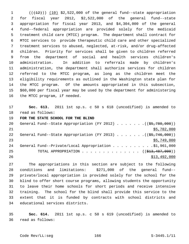$($  ( $(12)$ )) (10) \$2,522,000 of the general fund--state appropriation 2 for fiscal year 2012, \$2,522,000 of the general fund--state 3 appropriation for fiscal year 2013, and \$4,304,000 of the general 4 fund--federal appropriation are provided solely for the medicaid 5 treatment child care (MTCC) program. The department shall contract for 6 MTCC services to provide therapeutic child care and other specialized 7 treatment services to abused, neglected, at-risk, and/or drug-affected 8 children. Priority for services shall be given to children referred 9 from the department of social and health services children's 10 administration. In addition to referrals made by children's 11 administration, the department shall authorize services for children 12 referred to the MTCC program, as long as the children meet the 13 eligibility requirements as outlined in the Washington state plan for 14 the MTCC program. Of the amounts appropriated in this subsection, 15 \$60,000 per fiscal year may be used by the department for administering 16 the MTCC program, if needed.

17 **Sec. 613.** 2011 1st sp.s. c 50 s 618 (uncodified) is amended to 18 read as follows:

19 **FOR THE STATE SCHOOL FOR THE BLIND**

| 20  | General Fund--State Appropriation (FY 2012) $($ $($ \$5,780,000))     |
|-----|-----------------------------------------------------------------------|
| 2.1 | \$5,782,000                                                           |
| 22  | General Fund--State Appropriation (FY 2013) $($ $($ \$5,746,000))     |
| 23  | \$5,749,000                                                           |
| 24  | General Fund--Private/Local Appropriation \$1,961,000                 |
| 25  | TOTAL APPROPRIATION $\ldots$ , ( $(\frac{13}{23}, \frac{487}{100})$ ) |
| 26  | \$13,492,000                                                          |

27 The appropriations in this section are subject to the following 28 conditions and limitations: \$271,000 of the general fund-- 29 private/local appropriation is provided solely for the school for the 30 blind to offer short course programs, allowing students the opportunity 31 to leave their home schools for short periods and receive intensive 32 training. The school for the blind shall provide this service to the 33 extent that it is funded by contracts with school districts and 34 educational services districts.

35 **Sec. 614.** 2011 1st sp.s. c 50 s 619 (uncodified) is amended to 36 read as follows: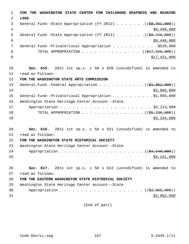1 **FOR THE WASHINGTON STATE CENTER FOR CHILDHOOD DEAFNESS AND HEARING** 2 **LOSS** 3 General Fund--State Appropriation (FY 2012)  $\ldots$  ... . . ( $(\frac{28}{36}, \frac{451}{1000})$ )  $\frac{4}{38,449,000}$ 5 General Fund--State Appropriation (FY 2013)  $\ldots$  ... . . . ((\$8,449,000))  $\frac{1}{6}$  \$8,446,000 7 General Fund--Private/Local Appropriation . . . . . . . . . . . \$526,000 8 TOTAL APPROPRIATION . . . . . . . . . . . . . . ((\$17,426,000))  $9$   $$17,421,000$ 10 **Sec. 615.** 2011 1st sp.s. c 50 s 620 (uncodified) is amended to 11 read as follows: 12 **FOR THE WASHINGTON STATE ARTS COMMISSION** 13 General Fund--Federal Appropriation . . . . . . . . . . . ((\$1,961,000))  $14$  \$2,065,000 15 General Fund--Private/Local Appropriation . . . . . . . . . .\$1,056,000 16 Washington State Heritage Center Account--State 17 Appropriation . . . . . . . . . . . . . . . . . . . . . . \$2,213,000 18 TOTAL APPROPRIATION . . . . . . . . . . . . . . ((<del>\$5,230,000</del>))  $\frac{19}{19}$   $\frac{19}{19}$   $\frac{19}{19}$   $\frac{19}{19}$   $\frac{19}{19}$   $\frac{19}{19}$   $\frac{19}{19}$   $\frac{19}{19}$   $\frac{19}{19}$   $\frac{19}{19}$   $\frac{19}{19}$   $\frac{19}{19}$   $\frac{19}{19}$   $\frac{19}{19}$   $\frac{19}{19}$   $\frac{19}{19}$   $\frac{19}{19}$   $\frac{19}{19}$   $\frac{1$ 20 **Sec. 616.** 2011 1st sp.s. c 50 s 621 (uncodified) is amended to 21 read as follows: 22 **FOR THE WASHINGTON STATE HISTORICAL SOCIETY** 23 Washington State Heritage Center Account--State 24 Appropriation . . . . . . . . . . . . . . . . . . (  $(\frac{24}{24}, \frac{249}{200})$  )  $25$   $$4,241,000$ 26 **Sec. 617.** 2011 1st sp.s. c 50 s 622 (uncodified) is amended to 27 read as follows: 28 **FOR THE EASTERN WASHINGTON STATE HISTORICAL SOCIETY** 29 Washington State Heritage Center Account--State 30 Appropriation . . . . . . . . . . . . . . . . . . (  $(\frac{2}{2}, 965, 000)$  )  $31$  \$2,962,000

(End of part)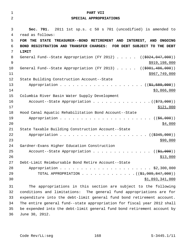| 1        | PART VII                                                                                                  |
|----------|-----------------------------------------------------------------------------------------------------------|
| 2        | SPECIAL APPROPRIATIONS                                                                                    |
|          |                                                                                                           |
| 3        | Sec. 701. 2011 1st sp.s. c 50 s 701 (uncodified) is amended to                                            |
| 4        | read as follows:                                                                                          |
| 5        | FOR THE STATE TREASURER--BOND RETIREMENT AND INTEREST, AND ONGOING                                        |
| 6        | BOND REGISTRATION AND TRANSFER CHARGES: FOR DEBT SUBJECT TO THE DEBT                                      |
| 7        | LIMIT                                                                                                     |
| 8        | General Fund--State Appropriation (FY 2012) $($ $($ $\frac{1}{2}924, 047, 000)$ )                         |
| 9        | \$919, 198, 000                                                                                           |
| 10       | General Fund--State Appropriation (FY 2013) $($ $($ $\frac{4981,486,000}{900})$                           |
| 11       | \$967,749,000                                                                                             |
| 12       | State Building Construction Account--State                                                                |
| 13       | Appropriation $($ $(\frac{1}{21}, 589, 000) )$                                                            |
| 14       | \$3,866,000                                                                                               |
| 15       | Columbia River Basin Water Supply Development                                                             |
| 16       | Account--State Appropriation $($ $($ $\frac{273}{100})$                                                   |
| 17       | \$121,000                                                                                                 |
| 18       | Hood Canal Aquatic Rehabilitation Bond Account--State                                                     |
| 19       | (( <del>\$6,000</del> ))                                                                                  |
| 20       | \$4,000                                                                                                   |
| 21<br>22 | State Taxable Building Construction Account--State<br>Appropriation<br>$\ldots$ (( $\frac{2345,000}{2}$ ) |
| 23       | \$90,000                                                                                                  |
| 24       | Gardner-Evans Higher Education Construction                                                               |
| 25       | Account--State Appropriation $($ $($ \$1,000) $)$                                                         |
| 26       | \$13,000                                                                                                  |
| 27       | Debt-Limit Reimbursable Bond Retire Account--State                                                        |
| 28       |                                                                                                           |
| 29       | TOTAL APPROPRIATION ( $(\frac{21,909,847,000}{$ )                                                         |
| 30       | \$1,893,341,000                                                                                           |
|          |                                                                                                           |
| 31       | The appropriations in this section are subject to the following                                           |

32 conditions and limitations: The general fund appropriations are for 33 expenditure into the debt-limit general fund bond retirement account. 34 The entire general fund--state appropriation for fiscal year 2012 shall 35 be expended into the debt-limit general fund bond retirement account by 36 June 30, 2012.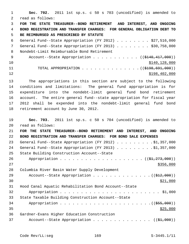1 **Sec. 702.** 2011 1st sp.s. c 50 s 703 (uncodified) is amended to 2 read as follows: 3 **FOR THE STATE TREASURER--BOND RETIREMENT AND INTEREST, AND ONGOING** 4 **BOND REGISTRATION AND TRANSFER CHARGES: FOR GENERAL OBLIGATION DEBT TO** 5 **BE REIMBURSED AS PRESCRIBED BY STATUTE** 6 General Fund--State Appropriation (FY 2012) . . . . . . . . \$27,516,000 7 General Fund--State Appropriation (FY 2013) . . . . . . . \$30,758,000 8 Nondebt-Limit Reimbursable Bond Retirement 9 Account--State Appropriation . . . . . . . . . . (  $(\frac{1440,417,000}{s})$  $\frac{$140}{128,000}$ 11 TOTAL APPROPRIATION . . . . . . . . . . . . . ((\$198,691,000))  $12$  \$198,402,000 13 The appropriations in this section are subject to the following 14 conditions and limitations: The general fund appropriation is for 15 expenditure into the nondebt-limit general fund bond retirement 16 account. The entire general fund--state appropriation for fiscal year 17 2012 shall be expended into the nondebt-limit general fund bond 18 retirement account by June 30, 2012. 19 **Sec. 703.** 2011 1st sp.s. c 50 s 704 (uncodified) is amended to 20 read as follows: 21 **FOR THE STATE TREASURER--BOND RETIREMENT AND INTEREST, AND ONGOING** 22 **BOND REGISTRATION AND TRANSFER CHARGES: FOR BOND SALE EXPENSES** 23 General Fund--State Appropriation (FY 2012) . . . . . . . . . \$1,357,000 24 General Fund--State Appropriation (FY 2013) . . . . . . . . \$1,357,000 25 State Building Construction Account--State 26 Appropriation . . . . . . . . . . . . . . . . . . (  $(\frac{27}{273},000)$  )  $27$ 28 Columbia River Basin Water Supply Development 29 Account--State Appropriation . . . . . . . . . . . . . . ((\$12,000))  $30 \frac{$21,000}{ }$ 31 Hood Canal Aquatic Rehabilitation Bond Account--State 32 Appropriation . . . . . . . . . . . . . . . . . . . . . . . . \$1,000 33 State Taxable Building Construction Account--State 34 Appropriation . . . . . . . . . . . . . . . . . . . . . .((\$55,000))  $35$ 36 Gardner-Evans Higher Education Construction 37 Account--State Appropriation  $\ldots$  . . . . . . . . . . .  $\left(\left(\frac{61}{61},000\right)\right)$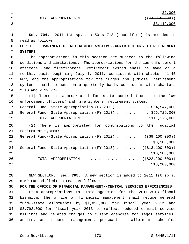$\frac{$2,000}{ }$ 2 TOTAL APPROPRIATION . . . . . . . . . . . . . . ((\$4,056,000))  $\frac{1}{3}$ , 119,000

 4 **Sec. 704.** 2011 1st sp.s. c 50 s 713 (uncodified) is amended to 5 read as follows: 6 **FOR THE DEPARTMENT OF RETIREMENT SYSTEMS--CONTRIBUTIONS TO RETIREMENT** 7 **SYSTEMS** 8 The appropriations in this section are subject to the following 9 conditions and limitations: The appropriations for the law enforcement 10 officers' and firefighters' retirement system shall be made on a 11 monthly basis beginning July 1, 2011, consistent with chapter 41.45 12 RCW, and the appropriations for the judges and judicial retirement 13 systems shall be made on a quarterly basis consistent with chapters 14 2.10 and 2.12 RCW. 15 (1) There is appropriated for state contributions to the law 16 enforcement officers' and firefighters' retirement system: 17 General Fund--State Appropriation (FY 2012) . . . . . . . . \$54,547,000 18 General Fund--State Appropriation (FY 2013) . . . . . . . . \$56,729,000 19 TOTAL APPROPRIATION . . . . . . . . . . . . . . . . \$111,276,000 20 (2) There is appropriated for contributions to the judicial 21 retirement system: 22 General Fund--State Appropriation (FY 2012) . . . . . . . ((\$9,100,000))  $23$  \$8,100,000 24 General Fund--State Appropriation (FY 2013) . . . . . . ((\$13,100,000))  $25$  \$10,100,000 26 TOTAL APPROPRIATION . . . . . . . . . . . . . ((<del>\$22,200,000</del>)) 27 \$18,200,000

28 NEW SECTION. **Sec. 705.** A new section is added to 2011 1st sp.s. 29 c 50 (uncodified) to read as follows:

30 **FOR THE OFFICE OF FINANCIAL MANAGEMENT--CENTRAL SERVICES EFFICIENCIES** 31 From appropriations to state agencies for the 2011-2013 fiscal 32 biennium, the office of financial management shall reduce general 33 fund--state allotments by \$1,850,000 for fiscal year 2012 and 34 \$3,792,000 for fiscal year 2013 to reflect reduced central service 35 billings and related charges to client agencies for legal services, 36 audits, and records management, pursuant to allotment schedules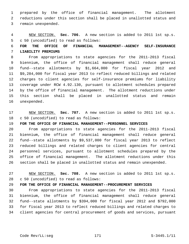1 prepared by the office of financial management. The allotment 2 reductions under this section shall be placed in unallotted status and 3 remain unexpended.

 4 NEW SECTION. **Sec. 706.** A new section is added to 2011 1st sp.s. 5 c 50 (uncodified) to read as follows:

## 6 **FOR THE OFFICE OF FINANCIAL MANAGEMENT--AGENCY SELF-INSURANCE** 7 **LIABILITY PREMIUMS**

 8 From appropriations to state agencies for the 2011-2013 fiscal 9 biennium, the office of financial management shall reduce general 10 fund--state allotments by \$1,664,000 for fiscal year 2012 and 11 \$9,284,000 for fiscal year 2013 to reflect reduced billings and related 12 charges to client agencies for self-insurance premiums for liability 13 coverage under RCW 4.92.130, pursuant to allotment schedules prepared 14 by the office of financial management. The allotment reductions under 15 this section shall be placed in unallotted status and remain 16 unexpended.

17 NEW SECTION. **Sec. 707.** A new section is added to 2011 1st sp.s. 18 c 50 (uncodified) to read as follows:

## 19 **FOR THE OFFICE OF FINANCIAL MANAGEMENT--PERSONNEL SERVICES**

20 From appropriations to state agencies for the 2011-2013 fiscal 21 biennium, the office of financial management shall reduce general 22 fund--state allotments by \$9,537,000 for fiscal year 2013 to reflect 23 reduced billings and related charges to client agencies for central 24 personnel services, pursuant to allotment schedules prepared by the 25 office of financial management. The allotment reductions under this 26 section shall be placed in unallotted status and remain unexpended.

27 NEW SECTION. **Sec. 708.** A new section is added to 2011 1st sp.s. 28 c 50 (uncodified) to read as follows:

## 29 **FOR THE OFFICE OF FINANCIAL MANAGEMENT--PROCUREMENT SERVICES**

30 From appropriations to state agencies for the 2011-2013 fiscal 31 biennium, the office of financial management shall reduce general 32 fund--state allotments by \$394,000 for fiscal year 2012 and \$792,000 33 for fiscal year 2013 to reflect reduced billings and related charges to 34 client agencies for central procurement of goods and services, pursuant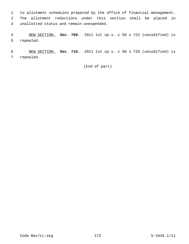1 to allotment schedules prepared by the office of financial management. 2 The allotment reductions under this section shall be placed in 3 unallotted status and remain unexpended.

 4 NEW SECTION. **Sec. 709.** 2011 1st sp.s. c 50 s 722 (uncodified) is 5 repealed.

 6 NEW SECTION. **Sec. 710.** 2011 1st sp.s. c 50 s 725 (uncodified) is 7 repealed.

(End of part)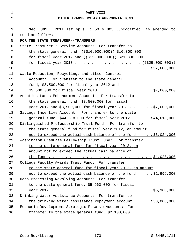| $\mathbf 1$    | PART VIII                                                                                                                                                                                                                            |  |
|----------------|--------------------------------------------------------------------------------------------------------------------------------------------------------------------------------------------------------------------------------------|--|
| $\overline{2}$ | OTHER TRANSFERS AND APPROPRIATIONS                                                                                                                                                                                                   |  |
|                |                                                                                                                                                                                                                                      |  |
| 3              | Sec. 801. 2011 1st sp.s. c 50 s 805 (uncodified) is amended to                                                                                                                                                                       |  |
| 4              | read as follows:                                                                                                                                                                                                                     |  |
| 5              | FOR THE STATE TREASURER--TRANSFERS                                                                                                                                                                                                   |  |
| 6              | State Treasurer's Service Account: For transfer to                                                                                                                                                                                   |  |
| 7              | the state general fund, $((\frac{210}{700}, 0.00, 0.00, 0.00, 0.00, 0.00, 0.00, 0.00, 0.00, 0.00, 0.00, 0.00, 0.00, 0.00, 0.00, 0.00, 0.00, 0.00, 0.00, 0.00, 0.00, 0.00, 0.00, 0.00, 0.00, 0.00, 0.00, 0.00, 0.00, 0.00, 0.00, 0.0$ |  |
| 8              | for fiscal year 2012 and $((\$15,000,000))$ \$21,300,000                                                                                                                                                                             |  |
| 9              | for fiscal year 2013 ( $(\frac{25}{625}, 000, 000)$ )                                                                                                                                                                                |  |
| 10             | \$37,600,000                                                                                                                                                                                                                         |  |
| 11             | Waste Reduction, Recycling, and Litter Control                                                                                                                                                                                       |  |
| 12             | Account: For transfer to the state general                                                                                                                                                                                           |  |
| 13             | fund, $$3,500,000$ for fiscal year 2012 and                                                                                                                                                                                          |  |
| 14             | $$3,500,000$ for fiscal year 2013 \$7,000,000                                                                                                                                                                                        |  |
| 15             | Aquatics Lands Enhancement Account: For transfer to                                                                                                                                                                                  |  |
| 16             | the state general fund, \$3,500,000 for fiscal                                                                                                                                                                                       |  |
| 17             | year 2012 and \$3,500,000 for fiscal year 2013 \$7,000,000                                                                                                                                                                           |  |
| 18             | Savings Incentive Account: For transfer to the state                                                                                                                                                                                 |  |
| 19             | general fund, \$44,618,000 for fiscal year 2012 \$44,618,000                                                                                                                                                                         |  |
| 20             | Distinguished Professorship Trust Fund: For transfer to                                                                                                                                                                              |  |
| 21             | the state general fund for fiscal year 2012, an amount                                                                                                                                                                               |  |
| 22             | not to exceed the actual cash balance of the fund \$3,024,000                                                                                                                                                                        |  |
| 23             | Mashington Graduate Fellowship Trust Fund: For transfer                                                                                                                                                                              |  |
| 24             | to the state general fund for fiscal year 2012, an                                                                                                                                                                                   |  |
| 25             | amount not to exceed the actual cash balance of                                                                                                                                                                                      |  |
| 26             |                                                                                                                                                                                                                                      |  |
| 27             | College Faculty Awards Trust Fund: For transfer                                                                                                                                                                                      |  |
| 28             | to the state general fund for fiscal year 2012, an amount                                                                                                                                                                            |  |
| 29             | not to exceed the actual cash balance of the fund \$1,996,000                                                                                                                                                                        |  |
| 30             | Data Processing Revolving Account: For transfer                                                                                                                                                                                      |  |
| 31             | to the state general fund, \$5,960,000 for fiscal                                                                                                                                                                                    |  |
| 32             |                                                                                                                                                                                                                                      |  |
| 33             | Drinking Water Assistance Account: For transfer to                                                                                                                                                                                   |  |
| 34             | the drinking water assistance repayment account \$38,000,000                                                                                                                                                                         |  |
| 35             | Economic Development Strategic Reserve Account: For                                                                                                                                                                                  |  |
| 36             | transfer to the state general fund, \$2,100,000                                                                                                                                                                                      |  |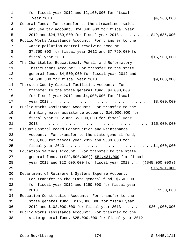1 for fiscal year 2012 and \$2,100,000 for fiscal 2 year 2013 . . . . . . . . . . . . . . . . . . . . . . . .\$4,200,000 3 General Fund: For transfer to the streamlined sales 4 and use tax account, \$24,846,000 for fiscal year 5 2012 and \$24,789,000 for fiscal year 2013 . . . . . . . \$49,635,000 6 Public Works Assistance Account: For transfer to the 7 water pollution control revolving account, 8 \$7,750,000 for fiscal year 2012 and \$7,750,000 for 9 fiscal year 2013 . . . . . . . . . . . . . . . . . . . . \$15,500,000 10 The Charitable, Educational, Penal, and Reformatory 11 Institutions Account: For transfer to the state 12 general fund, \$4,500,000 for fiscal year 2012 and 13 \$4,500,000 for fiscal year 2013 . . . . . . . . . . . . . \$9,000,000 14 Thurston County Capital Facilities Account: For 15 transfer to the state general fund, \$4,000,000 16 for fiscal year 2012 and \$4,000,000 for fiscal 17 year 2013 . . . . . . . . . . . . . . . . . . . . . . . . \$8,000,000 18 Public Works Assistance Account: For transfer to the 19 drinking water assistance account, \$10,000,000 for 20 fiscal year 2012 and \$5,000,000 for fiscal year 21 2013 . . . . . . . . . . . . . . . . . . . . . . . . . . \$15,000,000 22 Liquor Control Board Construction and Maintenance 23 Account: For transfer to the state general fund, 24 \$500,000 for fiscal year 2012 and \$500,000 for 25 fiscal year 2013 . . . . . . . . . . . . . . . . . . . . . \$1,000,000 26 Education Savings Account: For transfer to the state 27 general fund, ((\$22,500,000)) \$54,431,000 for fiscal 28 year 2012 and \$22,500,000 for fiscal year 2013. ((\$45,000,000)) 29 \$76,931,000 30 Department of Retirement Systems Expense Account: 31 For transfer to the state general fund, \$250,000 32 for fiscal year 2012 and \$250,000 for fiscal year 33 2013 . . . . . . . . . . . . . . . . . . . . . . . . . . . . \$500,000 34 Education Construction Account: For transfer to the 35 state general fund, \$102,000,000 for fiscal year 36 2012 and \$102,000,000 for fiscal year 2013 . . . . . . \$204,000,000 37 Public Works Assistance Account: For transfer to the 38 state general fund, \$25,000,000 for fiscal year 2012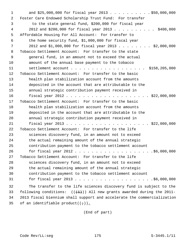1 and \$25,000,000 for fiscal year 2013 . . . . . . . . . . \$50,000,000 2 Foster Care Endowed Scholarship Trust Fund: For transfer 3 to the state general fund, \$200,000 for fiscal year 4 2012 and \$200,000 for fiscal year 2013 . . . . . . . . . . \$400,000 5 Affordable Housing For All Account: For transfer to 6 the home security fund, \$1,000,000 for fiscal year 7 2012 and \$1,000,000 for fiscal year 2013 . . . . . . . . \$2,000,000 8 Tobacco Settlement Account: For transfer to the state 9 general fund, in an amount not to exceed the actual 10 amount of the annual base payment to the tobacco 11 settlement account . . . . . . . . . . . . . . . . . . \$158,205,000 12 Tobacco Settlement Account: For transfer to the basic 13 health plan stabilization account from the amounts 14 deposited in the account that are attributable to the 15 annual strategic contribution payment received in 16 fiscal year 2012 . . . . . . . . . . . . . . . . . . . . \$22,000,000 17 Tobacco Settlement Account: For transfer to the basic 18 health plan stabilization account from the amounts 19 deposited in the account that are attributable to the 20 annual strategic contribution payment received in 21 fiscal year 2013 . . . . . . . . . . . . . . . . . . . . \$22,000,000 22 Tobacco Settlement Account: For transfer to the life 23 sciences discovery fund, in an amount not to exceed 24 the actual remaining amount of the annual strategic 25 contribution payment to the tobacco settlement account 26 for fiscal year 2012 . . . . . . . . . . . . . . . . . . \$6,000,000 27 Tobacco Settlement Account: For transfer to the life 28 sciences discovery fund, in an amount not to exceed 29 the actual remaining amount of the annual strategic 30 contribution payment to the tobacco settlement account 31 for fiscal year 2013 . . . . . . . . . . . . . . . . . . .\$6,000,000 32 The transfer to the life sciences discovery fund is subject to the 33 following conditions:  $((+1))$  All new grants awarded during the 2011-34 2013 fiscal biennium shall support and accelerate the commercialization 35 of an identifiable product( $(i+)$ ).

(End of part)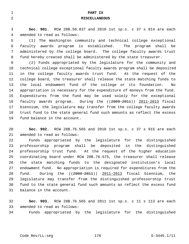| $\mathbf 1$    | PART IX                                                                 |
|----------------|-------------------------------------------------------------------------|
| $\overline{2}$ | <b>MISCELLANEOUS</b>                                                    |
|                |                                                                         |
| 3              | Sec. 901. RCW 28B.50.837 and 2010 1st sp.s. c 37 s 914 are each         |
| 4              | amended to read as follows:                                             |
| 5              | The Washington community and technical college exceptional<br>(1)       |
| 6              | faculty awards program is established. The program<br>shall be          |
| 7              | administered by the college board. The college faculty awards trust     |
| 8              | fund hereby created shall be administered by the state treasurer.       |
| 9              | (2) Funds appropriated by the legislature for the community and         |
| 10             | technical college exceptional faculty awards program shall be deposited |
| 11             | in the college faculty awards trust fund. At the request of the         |
| 12             | college board, the treasurer shall release the state matching funds to  |
| 13             | the local endowment fund of the college or its foundation.<br>No        |
| 14             | appropriation is necessary for the expenditure of moneys from the fund. |
| 15             | Expenditures from the fund may be used solely for the exceptional       |
| 16             | faculty awards program. During the $((2009-2011))$ 2011-2013 fiscal     |
| 17             | biennium, the legislature may transfer from the college faculty awards  |
| 18             | trust fund to the state general fund such amounts as reflect the excess |
| 19             | fund balance in the account.                                            |
|                |                                                                         |
| 20             | RCW 28B.76.565 and 2010 1st sp.s. c 37 s 915 are each<br>Sec. 902.      |

21 amended to read as follows:

22 Funds appropriated by the legislature for the distinguished 23 professorship program shall be deposited in the distinguished 24 professorship trust fund. At the request of the higher education 25 coordinating board under RCW 28B.76.575, the treasurer shall release 26 the state matching funds to the designated institution's local 27 endowment fund. No appropriation is required for expenditures from the 28 fund. During the ((2009-2011)) 2011-2013 fiscal biennium, the 29 legislature may transfer from the distinguished professorship trust 30 fund to the state general fund such amounts as reflect the excess fund 31 balance in the account.

32 **Sec. 903.** RCW 28B.76.565 and 2011 1st sp.s. c 11 s 113 are each 33 amended to read as follows:

34 Funds appropriated by the legislature for the distinguished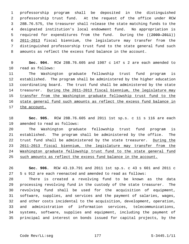1 professorship program shall be deposited in the distinguished 2 professorship trust fund. At the request of the office under RCW 3 28B.76.575, the treasurer shall release the state matching funds to the 4 designated institution's local endowment fund. No appropriation is 5 required for expenditures from the fund. During the ((2009-2011)) 6 2011-2013 fiscal biennium, the legislature may transfer from the 7 distinguished professorship trust fund to the state general fund such 8 amounts as reflect the excess fund balance in the account.

 9 **Sec. 904.** RCW 28B.76.605 and 1987 c 147 s 2 are each amended to 10 read as follows:

11 The Washington graduate fellowship trust fund program is 12 established. The program shall be administered by the higher education 13 coordinating board. The trust fund shall be administered by the state 14 treasurer. During the 2011-2013 fiscal biennium, the legislature may 15 transfer from the Washington graduate fellowship trust fund to the 16 state general fund such amounts as reflect the excess fund balance in 17 the account.

18 **Sec. 905.** RCW 28B.76.605 and 2011 1st sp.s. c 11 s 116 are each 19 amended to read as follows:

20 The Washington graduate fellowship trust fund program is 21 established. The program shall be administered by the office. The 22 trust fund shall be administered by the state treasurer. During the 23 2011-2013 fiscal biennium, the legislature may transfer from the 24 Washington graduate fellowship trust fund to the state general fund 25 such amounts as reflect the excess fund balance in the account.

26 **Sec. 906.** RCW 43.19.791 and 2011 1st sp.s. c 43 s 601 and 2011 c 27 5 s 912 are each reenacted and amended to read as follows:

28 There is created a revolving fund to be known as the data 29 processing revolving fund in the custody of the state treasurer. The 30 revolving fund shall be used for the acquisition of equipment, 31 software, supplies, and services and the payment of salaries, wages, 32 and other costs incidental to the acquisition, development, operation, 33 and administration of information services, telecommunications, 34 systems, software, supplies and equipment, including the payment of 35 principal and interest on bonds issued for capital projects, by the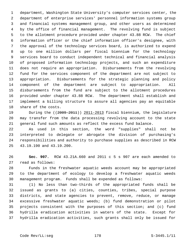1 department, Washington State University's computer services center, the 2 department of enterprise services' personnel information systems group 3 and financial systems management group, and other users as determined 4 by the office of financial management. The revolving fund is subject 5 to the allotment procedure provided under chapter 43.88 RCW. The chief 6 information officer or the chief information officer's designee, with 7 the approval of the technology services board, is authorized to expend 8 up to one million dollars per fiscal biennium for the technology 9 services board to conduct independent technical and financial analysis 10 of proposed information technology projects, and such an expenditure 11 does not require an appropriation. Disbursements from the revolving 12 fund for the services component of the department are not subject to 13 appropriation. Disbursements for the strategic planning and policy 14 component of the department are subject to appropriation. All 15 disbursements from the fund are subject to the allotment procedures 16 provided under chapter 43.88 RCW. The department shall establish and 17 implement a billing structure to assure all agencies pay an equitable 18 share of the costs.

19 During the ((2009-2011)) 2011-2013 fiscal biennium, the legislature 20 may transfer from the data processing revolving account to the state 21 general fund such amounts as reflect the excess fund balance.

22 As used in this section, the word "supplies" shall not be 23 interpreted to delegate or abrogate the division of purchasing's 24 responsibilities and authority to purchase supplies as described in RCW 25 43.19.190 and 43.19.200.

26 **Sec. 907.** RCW 43.21A.660 and 2011 c 5 s 907 are each amended to 27 read as follows:

28 Funds in the freshwater aquatic weeds account may be appropriated 29 to the department of ecology to develop a freshwater aquatic weeds 30 management program. Funds shall be expended as follows:

31 (1) No less than two-thirds of the appropriated funds shall be 32 issued as grants to (a) cities, counties, tribes, special purpose 33 districts, and state agencies to prevent, remove, reduce, or manage 34 excessive freshwater aquatic weeds; (b) fund demonstration or pilot 35 projects consistent with the purposes of this section; and (c) fund 36 hydrilla eradication activities in waters of the state. Except for 37 hydrilla eradication activities, such grants shall only be issued for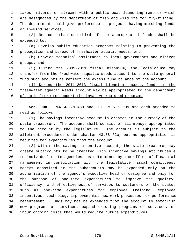1 lakes, rivers, or streams with a public boat launching ramp or which 2 are designated by the department of fish and wildlife for fly-fishing. 3 The department shall give preference to projects having matching funds 4 or in-kind services;

 5 (2) No more than one-third of the appropriated funds shall be 6 expended to:

 7 (a) Develop public education programs relating to preventing the 8 propagation and spread of freshwater aquatic weeds; and

 9 (b) Provide technical assistance to local governments and citizen 10 groups; and

11 (3) During the 2009-2011 fiscal biennium, the legislature may 12 transfer from the freshwater aquatic weeds account to the state general 13 fund such amounts as reflect the excess fund balance of the account.

14 (4) During the 2011-2013 fiscal biennium, excess funds in the 15 freshwater aquatic weeds account may be appropriated to the department 16 of agriculture to support the invasive knotweed program.

17 **Sec. 908.** RCW 43.79.460 and 2011 c 5 s 909 are each amended to 18 read as follows:

19 (1) The savings incentive account is created in the custody of the 20 state treasurer. The account shall consist of all moneys appropriated 21 to the account by the legislature. The account is subject to the 22 allotment procedures under chapter 43.88 RCW, but no appropriation is 23 required for expenditures from the account.

24 (2) Within the savings incentive account, the state treasurer may 25 create subaccounts to be credited with incentive savings attributable 26 to individual state agencies, as determined by the office of financial 27 management in consultation with the legislative fiscal committees. 28 Moneys deposited in the subaccounts may be expended only on the 29 authorization of the agency's executive head or designee and only for 30 the purpose of one-time expenditures to improve the quality, 31 efficiency, and effectiveness of services to customers of the state, 32 such as one-time expenditures for employee training, employee 33 incentives, technology improvements, new work processes, or performance 34 measurement. Funds may not be expended from the account to establish 35 new programs or services, expand existing programs or services, or 36 incur ongoing costs that would require future expenditures.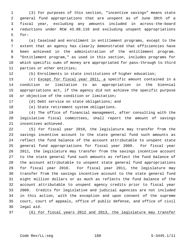1 (3) For purposes of this section, "incentive savings" means state 2 general fund appropriations that are unspent as of June 30th of a 3 fiscal year, excluding any amounts included in across-the-board 4 reductions under RCW 43.88.110 and excluding unspent appropriations 5 for:

 6 (a) Caseload and enrollment in entitlement programs, except to the 7 extent that an agency has clearly demonstrated that efficiencies have 8 been achieved in the administration of the entitlement program. 9 "Entitlement program," as used in this section, includes programs for 10 which specific sums of money are appropriated for pass-through to third 11 parties or other entities;

12 (b) Enrollments in state institutions of higher education;

13 (c) Except for fiscal year 2011, a specific amount contained in a 14 condition or limitation to an appropriation in the biennial 15 appropriations act, if the agency did not achieve the specific purpose 16 or objective of the condition or limitation;

17 (d) Debt service on state obligations; and

18 (e) State retirement system obligations.

19 (4) The office of financial management, after consulting with the 20 legislative fiscal committees, shall report the amount of savings 21 incentives achieved.

22 (5) For fiscal year 2010, the legislature may transfer from the 23 savings incentive account to the state general fund such amounts as 24 reflect the fund balance of the account attributable to unspent state 25 general fund appropriations for fiscal year 2009. For fiscal year 26 2011, the legislature may transfer from the savings incentive account 27 to the state general fund such amounts as reflect the fund balance of 28 the account attributable to unspent state general fund appropriations 29 for fiscal year 2010. For fiscal year 2011, the legislature may 30 transfer from the savings incentive account to the state general fund 31 eight million dollars or as much as reflects the fund balance of the 32 account attributable to unspent agency credits prior to fiscal year 33 2009. Credits for legislative and judicial agencies are not included 34 in this action, with the exception and upon consent of the supreme 35 court, court of appeals, office of public defense, and office of civil 36 legal aid.

37 (6) For fiscal years 2012 and 2013, the legislature may transfer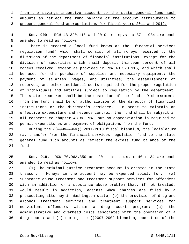| 1 from the savings incentive account to the state general fund such |                                                                       |  |  |  |  |  |
|---------------------------------------------------------------------|-----------------------------------------------------------------------|--|--|--|--|--|
|                                                                     | 2 amounts as reflect the fund balance of the account attributable to  |  |  |  |  |  |
|                                                                     | 3 unspent general fund appropriations for fiscal years 2011 and 2012. |  |  |  |  |  |

 4 **Sec. 909.** RCW 43.320.110 and 2010 1st sp.s. c 37 s 934 are each 5 amended to read as follows:

 6 There is created a local fund known as the "financial services 7 regulation fund" which shall consist of all moneys received by the 8 divisions of the department of financial institutions, except for the 9 division of securities which shall deposit thirteen percent of all 10 moneys received, except as provided in RCW 43.320.115, and which shall 11 be used for the purchase of supplies and necessary equipment; the 12 payment of salaries, wages, and utilities; the establishment of 13 reserves; and other incidental costs required for the proper regulation 14 of individuals and entities subject to regulation by the department. 15 The state treasurer shall be the custodian of the fund. Disbursements 16 from the fund shall be on authorization of the director of financial 17 institutions or the director's designee. In order to maintain an 18 effective expenditure and revenue control, the fund shall be subject in 19 all respects to chapter 43.88 RCW, but no appropriation is required to 20 permit expenditures and payment of obligations from the fund.

21 During the ((2009-2011)) 2011-2013 fiscal biennium, the legislature 22 may transfer from the financial services regulation fund to the state 23 general fund such amounts as reflect the excess fund balance of the 24 fund.

25 **Sec. 910.** RCW 70.96A.350 and 2011 1st sp.s. c 40 s 34 are each 26 amended to read as follows:

27 (1) The criminal justice treatment account is created in the state 28 treasury. Moneys in the account may be expended solely for: (a) 29 Substance abuse treatment and treatment support services for offenders 30 with an addiction or a substance abuse problem that, if not treated, 31 would result in addiction, against whom charges are filed by a 32 prosecuting attorney in Washington state; (b) the provision of drug and 33 alcohol treatment services and treatment support services for 34 nonviolent offenders within a drug court program; (c) the 35 administrative and overhead costs associated with the operation of a 36 drug court; and (d) during the ((2007-2009 biennium, operation of the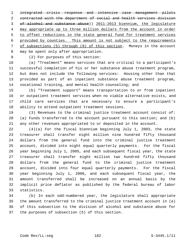integrated crisis response and intensive case management pilots contracted with the department of social and health services division of alcohol and substance abuse)) 2011-2013 biennium, the legislature may appropriate up to three million dollars from the account in order to offset reductions in the state general fund for treatment services provided by counties. This amount is not subject to the requirements of subsections (5) through (9) of this section. Moneys in the account 8 may be spent only after appropriation.

9 (2) For purposes of this section:

10 (a) "Treatment" means services that are critical to a participant's 11 successful completion of his or her substance abuse treatment program, 12 but does not include the following services: Housing other than that 13 provided as part of an inpatient substance abuse treatment program, 14 vocational training, and mental health counseling; and

15 (b) "Treatment support" means transportation to or from inpatient 16 or outpatient treatment services when no viable alternative exists, and 17 child care services that are necessary to ensure a participant's 18 ability to attend outpatient treatment sessions.

19 (3) Revenues to the criminal justice treatment account consist of: 20 (a) Funds transferred to the account pursuant to this section; and (b) 21 any other revenues appropriated to or deposited in the account.

22 (4)(a) For the fiscal biennium beginning July 1, 2003, the state 23 treasurer shall transfer eight million nine hundred fifty thousand 24 dollars from the general fund into the criminal justice treatment 25 account, divided into eight equal quarterly payments. For the fiscal 26 year beginning July 1, 2005, and each subsequent fiscal year, the state 27 treasurer shall transfer eight million two hundred fifty thousand 28 dollars from the general fund to the criminal justice treatment 29 account, divided into four equal quarterly payments. For the fiscal 30 year beginning July 1, 2006, and each subsequent fiscal year, the 31 amount transferred shall be increased on an annual basis by the 32 implicit price deflator as published by the federal bureau of labor 33 statistics.

34 (b) In each odd-numbered year, the legislature shall appropriate 35 the amount transferred to the criminal justice treatment account in (a) 36 of this subsection to the division of alcohol and substance abuse for 37 the purposes of subsection (5) of this section.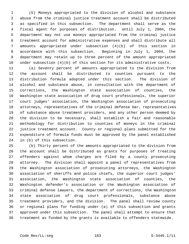1 (5) Moneys appropriated to the division of alcohol and substance 2 abuse from the criminal justice treatment account shall be distributed 3 as specified in this subsection. The department shall serve as the 4 fiscal agent for purposes of distribution. Until July 1, 2004, the 5 department may not use moneys appropriated from the criminal justice 6 treatment account for administrative expenses and shall distribute all 7 amounts appropriated under subsection (4)(b) of this section in 8 accordance with this subsection. Beginning in July 1, 2004, the 9 department may retain up to three percent of the amount appropriated 10 under subsection (4)(b) of this section for its administrative costs.

11 (a) Seventy percent of amounts appropriated to the division from 12 the account shall be distributed to counties pursuant to the 13 distribution formula adopted under this section. The division of 14 alcohol and substance abuse, in consultation with the department of 15 corrections, the Washington state association of counties, the 16 Washington state association of drug court professionals, the superior 17 court judges' association, the Washington association of prosecuting 18 attorneys, representatives of the criminal defense bar, representatives 19 of substance abuse treatment providers, and any other person deemed by 20 the division to be necessary, shall establish a fair and reasonable 21 methodology for distribution to counties of moneys in the criminal 22 justice treatment account. County or regional plans submitted for the 23 expenditure of formula funds must be approved by the panel established 24 in (b) of this subsection.

25 (b) Thirty percent of the amounts appropriated to the division from 26 the account shall be distributed as grants for purposes of treating 27 offenders against whom charges are filed by a county prosecuting 28 attorney. The division shall appoint a panel of representatives from 29 the Washington association of prosecuting attorneys, the Washington 30 association of sheriffs and police chiefs, the superior court judges' 31 association, the Washington state association of counties, the 32 Washington defender's association or the Washington association of 33 criminal defense lawyers, the department of corrections, the Washington 34 state association of drug court professionals, substance abuse 35 treatment providers, and the division. The panel shall review county 36 or regional plans for funding under (a) of this subsection and grants 37 approved under this subsection. The panel shall attempt to ensure that 38 treatment as funded by the grants is available to offenders statewide.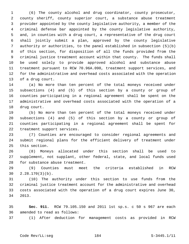1 (6) The county alcohol and drug coordinator, county prosecutor, 2 county sheriff, county superior court, a substance abuse treatment 3 provider appointed by the county legislative authority, a member of the 4 criminal defense bar appointed by the county legislative authority, 5 and, in counties with a drug court, a representative of the drug court 6 shall jointly submit a plan, approved by the county legislative 7 authority or authorities, to the panel established in subsection (5)(b) 8 of this section, for disposition of all the funds provided from the 9 criminal justice treatment account within that county. The funds shall 10 be used solely to provide approved alcohol and substance abuse 11 treatment pursuant to RCW 70.96A.090, treatment support services, and 12 for the administrative and overhead costs associated with the operation 13 of a drug court.

14 (a) No more than ten percent of the total moneys received under 15 subsections (4) and (5) of this section by a county or group of 16 counties participating in a regional agreement shall be spent on the 17 administrative and overhead costs associated with the operation of a 18 drug court.

19 (b) No more than ten percent of the total moneys received under 20 subsections (4) and (5) of this section by a county or group of 21 counties participating in a regional agreement shall be spent for 22 treatment support services.

23 (7) Counties are encouraged to consider regional agreements and 24 submit regional plans for the efficient delivery of treatment under 25 this section.

26 (8) Moneys allocated under this section shall be used to 27 supplement, not supplant, other federal, state, and local funds used 28 for substance abuse treatment.

29 (9) Counties must meet the criteria established in RCW 30 2.28.170(3)(b).

31 (10) The authority under this section to use funds from the 32 criminal justice treatment account for the administrative and overhead 33 costs associated with the operation of a drug court expires June 30, 34 2013.

35 **Sec. 911.** RCW 79.105.150 and 2011 1st sp.s. c 50 s 967 are each 36 amended to read as follows:

37 (1) After deduction for management costs as provided in RCW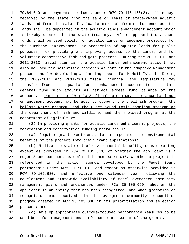1 79.64.040 and payments to towns under RCW 79.115.150(2), all moneys 2 received by the state from the sale or lease of state-owned aquatic 3 lands and from the sale of valuable material from state-owned aquatic 4 lands shall be deposited in the aquatic lands enhancement account which 5 is hereby created in the state treasury. After appropriation, these 6 funds shall be used solely for aquatic lands enhancement projects; for 7 the purchase, improvement, or protection of aquatic lands for public 8 purposes; for providing and improving access to the lands; and for 9 volunteer cooperative fish and game projects. During the 2009-2011 and 10 2011-2013 fiscal biennia, the aquatic lands enhancement account may 11 also be used for scientific research as part of the adaptive management 12 process and for developing a planning report for McNeil Island. During 13 the 2009-2011 and 2011-2013 fiscal biennia, the legislature may 14 transfer from the aquatic lands enhancement account to the state 15 general fund such amounts as reflect excess fund balance of the 16 account. During the 2011-2013 fiscal biennium, the aquatic lands 17 enhancement account may be used to support the shellfish program, the 18 ballast water program, and the Puget Sound toxic sampling program at 19 the department of fish and wildlife, and the knotweed program at the 20 department of agriculture.

21 (2) In providing grants for aquatic lands enhancement projects, the 22 recreation and conservation funding board shall:

23 (a) Require grant recipients to incorporate the environmental 24 benefits of the project into their grant applications;

25 (b) Utilize the statement of environmental benefits, consideration, 26 except as provided in RCW 79.105.610, of whether the applicant is a 27 Puget Sound partner, as defined in RCW 90.71.010, whether a project is 28 referenced in the action agenda developed by the Puget Sound 29 partnership under RCW 90.71.310, and except as otherwise provided in 30 RCW 79.105.630, and effective one calendar year following the 31 development and statewide availability of model evergreen community 32 management plans and ordinances under RCW 35.105.050, whether the 33 applicant is an entity that has been recognized, and what gradation of 34 recognition was received, in the evergreen community recognition 35 program created in RCW 35.105.030 in its prioritization and selection 36 process; and

37 (c) Develop appropriate outcome-focused performance measures to be 38 used both for management and performance assessment of the grants.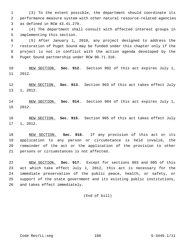1 (3) To the extent possible, the department should coordinate its 2 performance measure system with other natural resource-related agencies 3 as defined in RCW 43.41.270.

 4 (4) The department shall consult with affected interest groups in 5 implementing this section.

 6 (5) After January 1, 2010, any project designed to address the 7 restoration of Puget Sound may be funded under this chapter only if the 8 project is not in conflict with the action agenda developed by the 9 Puget Sound partnership under RCW 90.71.310.

10 NEW SECTION. **Sec. 912.** Section 902 of this act expires July 1, 11 2012.

12 NEW SECTION. **Sec. 913.** Section 903 of this act takes effect July 13 1, 2012.

14 NEW SECTION. **Sec. 914.** Section 904 of this act expires July 1, 15 2012.

16 NEW SECTION. **Sec. 915.** Section 905 of this act takes effect July 17 1, 2012.

18 NEW SECTION. **Sec. 916.** If any provision of this act or its 19 application to any person or circumstance is held invalid, the 20 remainder of the act or the application of the provision to other 21 persons or circumstances is not affected.

22 NEW SECTION. **Sec. 917.** Except for sections 903 and 905 of this 23 act which take effect July 1, 2012, this act is necessary for the 24 immediate preservation of the public peace, health, or safety, or 25 support of the state government and its existing public institutions, 26 and takes effect immediately.

(End of bill)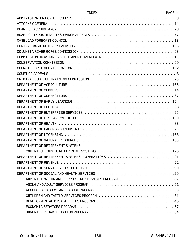| . .<br>н |
|----------|
|----------|

| ADMINISTRATOR FOR THE COURTS $\dots \dots \dots \dots \dots \dots \dots \dots \dots \dots \dots \dots \dots \dots \dots$ |
|--------------------------------------------------------------------------------------------------------------------------|
|                                                                                                                          |
| BOARD OF ACCOUNTANCY $\cdots \cdots \cdots \cdots \cdots \cdots \cdots \cdots \cdots \cdots \cdots \cdots$<br>23         |
| BOARD OF INDUSTRIAL INSURANCE APPEALS<br>77                                                                              |
|                                                                                                                          |
|                                                                                                                          |
|                                                                                                                          |
|                                                                                                                          |
|                                                                                                                          |
|                                                                                                                          |
|                                                                                                                          |
|                                                                                                                          |
|                                                                                                                          |
|                                                                                                                          |
|                                                                                                                          |
|                                                                                                                          |
|                                                                                                                          |
|                                                                                                                          |
|                                                                                                                          |
|                                                                                                                          |
| 79                                                                                                                       |
|                                                                                                                          |
| 103                                                                                                                      |
| DEPARTMENT OF RETTREMENT SYSTEMS                                                                                         |
|                                                                                                                          |
|                                                                                                                          |
|                                                                                                                          |
| DEPARTMENT OF SERVICES FOR THE BLIND $\ldots \ldots \ldots \ldots \ldots \ldots \ldots \ldots \ldots \ldots \ldots$      |
|                                                                                                                          |
| ADMINISTRATION AND SUPPORTING SERVICES PROGRAM 62                                                                        |
|                                                                                                                          |
|                                                                                                                          |
|                                                                                                                          |
|                                                                                                                          |
|                                                                                                                          |
|                                                                                                                          |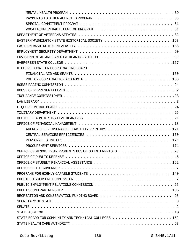| HIGHER EDUCATION COORDINATING BOARD                                                                                      |
|--------------------------------------------------------------------------------------------------------------------------|
|                                                                                                                          |
|                                                                                                                          |
|                                                                                                                          |
|                                                                                                                          |
|                                                                                                                          |
|                                                                                                                          |
|                                                                                                                          |
|                                                                                                                          |
|                                                                                                                          |
|                                                                                                                          |
|                                                                                                                          |
|                                                                                                                          |
|                                                                                                                          |
|                                                                                                                          |
| OFFICE OF MINORITY AND WOMEN'S BUSINESS ENTERPRISES 23                                                                   |
|                                                                                                                          |
|                                                                                                                          |
|                                                                                                                          |
|                                                                                                                          |
|                                                                                                                          |
|                                                                                                                          |
|                                                                                                                          |
|                                                                                                                          |
|                                                                                                                          |
|                                                                                                                          |
|                                                                                                                          |
| STATE BOARD FOR COMMUNITY AND TECHNICAL COLLEGES $\ldots \ldots \ldots \ldots \ldots \ldots \ldots \ldots 152$           |
| STATE HEALTH CARE AUTHORITY $\ldots \ldots \ldots \ldots \ldots \ldots \ldots \ldots \ldots \ldots \ldots \ldots \ldots$ |